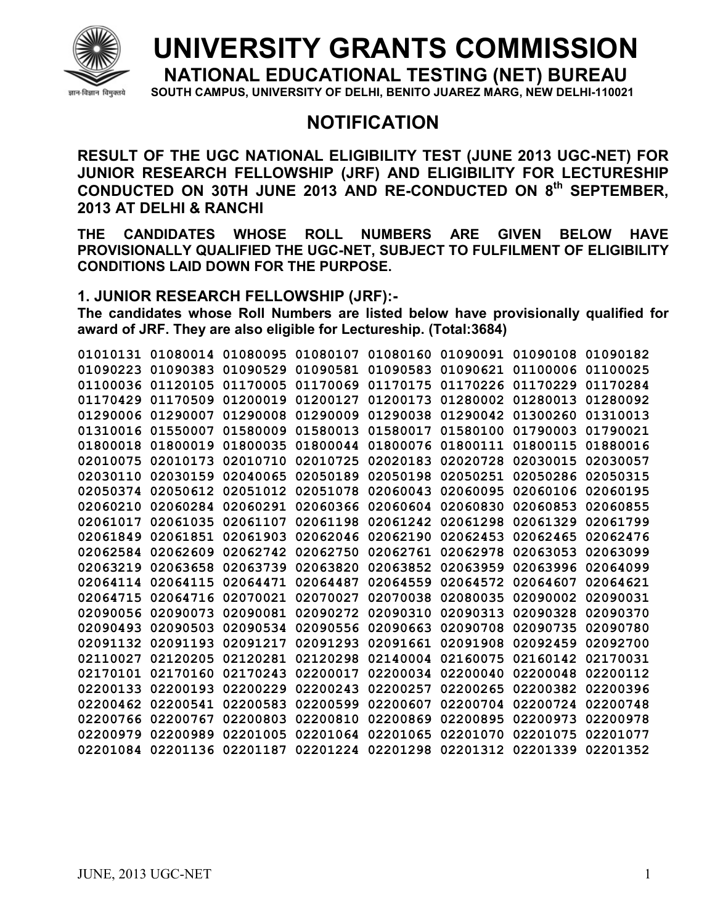

## **UNIVERSITY GRANTS COMMISSION**

**NATIONAL EDUCATIONAL TESTING (NET) BUREAU** 

**SOUTH CAMPUS, UNIVERSITY OF DELHI, BENITO JUAREZ MARG, NEW DELHI-110021** 

## **NOTIFICATION**

**RESULT OF THE UGC NATIONAL ELIGIBILITY TEST (JUNE 2013 UGC-NET) FOR JUNIOR RESEARCH FELLOWSHIP (JRF) AND ELIGIBILITY FOR LECTURESHIP CONDUCTED ON 30TH JUNE 2013 AND RE-CONDUCTED ON 8th SEPTEMBER, 2013 AT DELHI & RANCHI** 

**THE CANDIDATES WHOSE ROLL NUMBERS ARE GIVEN BELOW HAVE PROVISIONALLY QUALIFIED THE UGC-NET, SUBJECT TO FULFILMENT OF ELIGIBILITY CONDITIONS LAID DOWN FOR THE PURPOSE.** 

## **1. JUNIOR RESEARCH FELLOWSHIP (JRF):-**

**The candidates whose Roll Numbers are listed below have provisionally qualified for award of JRF. They are also eligible for Lectureship. (Total:3684)** 

| 01010131 | 01080014 | 01080095 | 01080107 | 01080160 | 01090091 | 01090108 | 01090182 |
|----------|----------|----------|----------|----------|----------|----------|----------|
| 01090223 | 01090383 | 01090529 | 01090581 | 01090583 | 01090621 | 01100006 | 01100025 |
| 01100036 | 01120105 | 01170005 | 01170069 | 01170175 | 01170226 | 01170229 | 01170284 |
| 01170429 | 01170509 | 01200019 | 01200127 | 01200173 | 01280002 | 01280013 | 01280092 |
| 01290006 | 01290007 | 01290008 | 01290009 | 01290038 | 01290042 | 01300260 | 01310013 |
| 01310016 | 01550007 | 01580009 | 01580013 | 01580017 | 01580100 | 01790003 | 01790021 |
| 01800018 | 01800019 | 01800035 | 01800044 | 01800076 | 01800111 | 01800115 | 01880016 |
| 02010075 | 02010173 | 02010710 | 02010725 | 02020183 | 02020728 | 02030015 | 02030057 |
| 02030110 | 02030159 | 02040065 | 02050189 | 02050198 | 02050251 | 02050286 | 02050315 |
| 02050374 | 02050612 | 02051012 | 02051078 | 02060043 | 02060095 | 02060106 | 02060195 |
| 02060210 | 02060284 | 02060291 | 02060366 | 02060604 | 02060830 | 02060853 | 02060855 |
| 02061017 | 02061035 | 02061107 | 02061198 | 02061242 | 02061298 | 02061329 | 02061799 |
| 02061849 | 02061851 | 02061903 | 02062046 | 02062190 | 02062453 | 02062465 | 02062476 |
| 02062584 | 02062609 | 02062742 | 02062750 | 02062761 | 02062978 | 02063053 | 02063099 |
| 02063219 | 02063658 | 02063739 | 02063820 | 02063852 | 02063959 | 02063996 | 02064099 |
| 02064114 | 02064115 | 02064471 | 02064487 | 02064559 | 02064572 | 02064607 | 02064621 |
| 02064715 | 02064716 | 02070021 | 02070027 | 02070038 | 02080035 | 02090002 | 02090031 |
| 02090056 | 02090073 | 02090081 | 02090272 | 02090310 | 02090313 | 02090328 | 02090370 |
| 02090493 | 02090503 | 02090534 | 02090556 | 02090663 | 02090708 | 02090735 | 02090780 |
| 02091132 | 02091193 | 02091217 | 02091293 | 02091661 | 02091908 | 02092459 | 02092700 |
| 02110027 | 02120205 | 02120281 | 02120298 | 02140004 | 02160075 | 02160142 | 02170031 |
| 02170101 | 02170160 | 02170243 | 02200017 | 02200034 | 02200040 | 02200048 | 02200112 |
| 02200133 | 02200193 | 02200229 | 02200243 | 02200257 | 02200265 | 02200382 | 02200396 |
| 02200462 | 02200541 | 02200583 | 02200599 | 02200607 | 02200704 | 02200724 | 02200748 |
| 02200766 | 02200767 | 02200803 | 02200810 | 02200869 | 02200895 | 02200973 | 02200978 |
| 02200979 | 02200989 | 02201005 | 02201064 | 02201065 | 02201070 | 02201075 | 02201077 |
| 02201084 | 02201136 | 02201187 | 02201224 | 02201298 | 02201312 | 02201339 | 02201352 |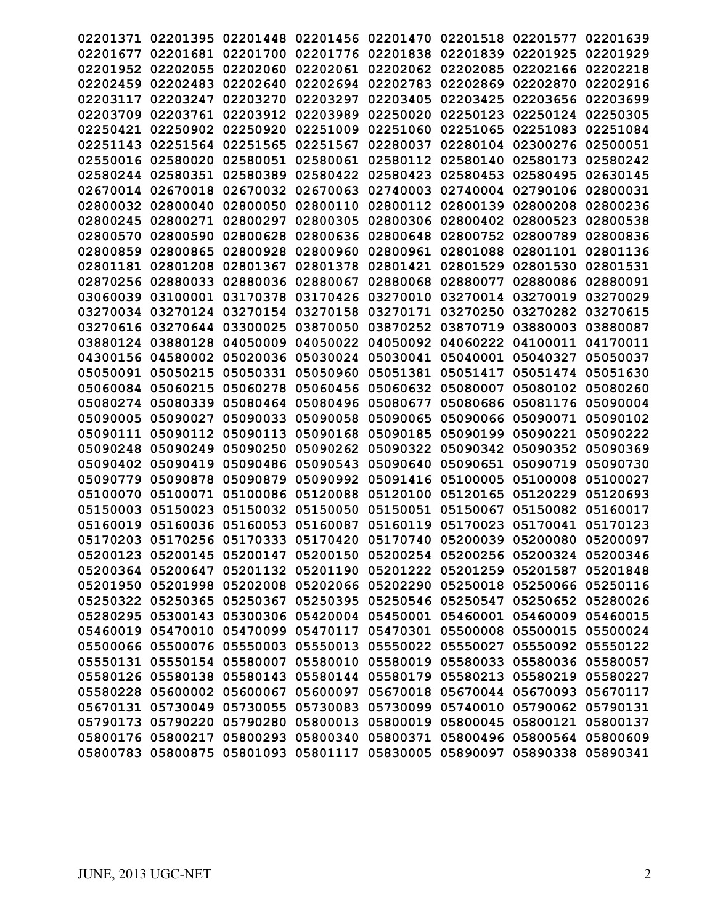| 02201371 | 02201395                   | 02201448 | 02201456                   | 02201470 | 02201518                                                                | 02201577                   | 02201639 |
|----------|----------------------------|----------|----------------------------|----------|-------------------------------------------------------------------------|----------------------------|----------|
| 02201677 | 02201681                   | 02201700 | 02201776                   | 02201838 | 02201839                                                                | 02201925                   | 02201929 |
| 02201952 | 02202055                   | 02202060 | 02202061                   | 02202062 | 02202085                                                                | 02202166                   | 02202218 |
| 02202459 | 02202483                   | 02202640 | 02202694                   | 02202783 | 02202869                                                                | 02202870                   | 02202916 |
| 02203117 | 02203247                   | 02203270 | 02203297                   | 02203405 | 02203425                                                                | 02203656                   | 02203699 |
| 02203709 | 02203761                   | 02203912 | 02203989                   | 02250020 | 02250123                                                                | 02250124                   | 02250305 |
| 02250421 | 02250902                   | 02250920 | 02251009                   | 02251060 | 02251065                                                                | 02251083                   | 02251084 |
| 02251143 | 02251564                   | 02251565 | 02251567                   | 02280037 | 02280104                                                                | 02300276                   | 02500051 |
| 02550016 | 02580020                   | 02580051 | 02580061                   | 02580112 | 02580140                                                                | 02580173                   | 02580242 |
| 02580244 | 02580351                   | 02580389 | 02580422                   | 02580423 | 02580453                                                                | 02580495                   | 02630145 |
| 02670014 | 02670018                   | 02670032 | 02670063                   | 02740003 | 02740004                                                                | 02790106                   | 02800031 |
| 02800032 | 02800040                   | 02800050 | 02800110                   | 02800112 | 02800139                                                                | 02800208                   | 02800236 |
| 02800245 | 02800271                   | 02800297 | 02800305                   | 02800306 | 02800402                                                                | 02800523                   | 02800538 |
| 02800570 | 02800590                   | 02800628 | 02800636                   | 02800648 | 02800752                                                                | 02800789                   | 02800836 |
|          |                            |          |                            |          |                                                                         |                            |          |
| 02800859 | 02800865                   | 02800928 | 02800960                   | 02800961 | 02801088                                                                | 02801101                   | 02801136 |
| 02801181 | 02801208                   | 02801367 | 02801378                   | 02801421 | 02801529                                                                | 02801530                   | 02801531 |
| 02870256 | 02880033                   | 02880036 | 02880067                   | 02880068 | 02880077                                                                | 02880086                   | 02880091 |
| 03060039 | 03100001                   | 03170378 | 03170426                   | 03270010 | 03270014                                                                | 03270019                   | 03270029 |
| 03270034 | 03270124                   | 03270154 | 03270158                   | 03270171 | 03270250                                                                | 03270282                   | 03270615 |
| 03270616 | 03270644                   | 03300025 | 03870050                   | 03870252 | 03870719                                                                | 03880003                   | 03880087 |
| 03880124 | 03880128                   | 04050009 | 04050022                   | 04050092 | 04060222                                                                | 04100011                   | 04170011 |
| 04300156 | 04580002                   | 05020036 | 05030024                   | 05030041 | 05040001                                                                | 05040327                   | 05050037 |
| 05050091 | 05050215                   | 05050331 | 05050960                   | 05051381 | 05051417                                                                | 05051474                   | 05051630 |
| 05060084 | 05060215                   | 05060278 | 05060456                   | 05060632 | 05080007                                                                | 05080102                   | 05080260 |
| 05080274 | 05080339                   | 05080464 | 05080496                   | 05080677 | 05080686                                                                | 05081176                   | 05090004 |
| 05090005 | 05090027                   | 05090033 | 05090058                   | 05090065 | 05090066                                                                | 05090071                   | 05090102 |
| 05090111 | 05090112                   | 05090113 | 05090168                   | 05090185 | 05090199                                                                | 05090221                   | 05090222 |
| 05090248 | 05090249                   | 05090250 | 05090262                   | 05090322 | 05090342                                                                | 05090352                   | 05090369 |
| 05090402 | 05090419                   | 05090486 | 05090543                   | 05090640 | 05090651                                                                | 05090719                   | 05090730 |
| 05090779 | 05090878                   | 05090879 | 05090992                   | 05091416 | 05100005                                                                | 05100008                   | 05100027 |
| 05100070 | 05100071                   | 05100086 | 05120088                   | 05120100 | 05120165                                                                | 05120229                   | 05120693 |
| 05150003 | 05150023                   | 05150032 | 05150050                   | 05150051 | 05150067                                                                | 05150082                   | 05160017 |
|          | 05160036                   | 05160053 |                            | 05160119 | 05170023                                                                |                            |          |
| 05160019 |                            | 05170333 | 05160087                   |          |                                                                         | 05170041                   | 05170123 |
| 05170203 | 05170256                   |          | 05170420                   | 05170740 | 05200039                                                                | 05200080                   | 05200097 |
|          | 05200123 05200145 05200147 |          |                            |          | 05200150 05200254 05200256 05200324 05200346                            |                            |          |
|          | 05200364 05200647          |          |                            |          | 05201132 05201190 05201222 05201259                                     | 05201587 05201848          |          |
|          | 05201950 05201998          |          |                            |          | 05202008 05202066 05202290 05250018 05250066 05250116                   |                            |          |
|          |                            |          |                            |          | 05250322 05250365 05250367 05250395 05250546 05250547 05250652 05280026 |                            |          |
|          |                            |          |                            |          | 05280295 05300143 05300306 05420004 05450001 05460001 05460009 05460015 |                            |          |
|          |                            |          |                            |          | 05460019 05470010 05470099 05470117 05470301 05500008 05500015 05500024 |                            |          |
|          |                            |          |                            |          | 05500066 05500076 05550003 05550013 05550022 05550027 05550092 05550122 |                            |          |
|          |                            |          |                            |          | 05550131 05550154 05580007 05580010 05580019 05580033 05580036 05580057 |                            |          |
|          | 05580126 05580138          |          |                            |          | 05580143 05580144 05580179 05580213                                     | 05580219 05580227          |          |
|          |                            |          |                            |          | 05580228 05600002 05600067 05600097 05670018 05670044 05670093 05670117 |                            |          |
|          |                            |          |                            |          | 05670131 05730049 05730055 05730083 05730099 05740010 05790062 05790131 |                            |          |
|          | 05790173 05790220          |          |                            |          | 05790280 05800013 05800019 05800045 05800121 05800137                   |                            |          |
|          | 05800176 05800217          |          | 05800293 05800340 05800371 |          |                                                                         | 05800496 05800564 05800609 |          |
|          |                            |          |                            |          | 05800783 05800875 05801093 05801117 05830005 05890097 05890338 05890341 |                            |          |
|          |                            |          |                            |          |                                                                         |                            |          |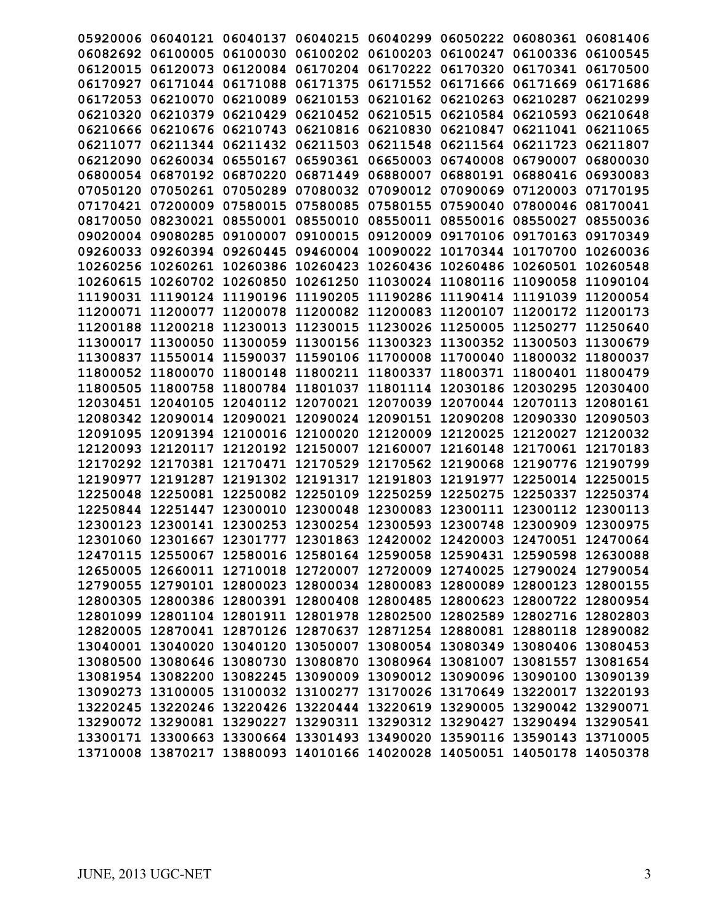|                   |          |                                              |                            |                   |                            | 05920006 06040121 06040137 06040215 06040299 06050222 06080361 06081406 |          |
|-------------------|----------|----------------------------------------------|----------------------------|-------------------|----------------------------|-------------------------------------------------------------------------|----------|
| 06082692 06100005 |          |                                              |                            |                   |                            | 06100030 06100202 06100203 06100247 06100336 06100545                   |          |
| 06120015          | 06120073 | 06120084                                     | 06170204 06170222          |                   | 06170320                   | 06170341 06170500                                                       |          |
|                   |          | 06170927 06171044 06171088                   | 06171375 06171552          |                   | 06171666                   | 06171669 06171686                                                       |          |
| 06172053 06210070 |          | 06210089                                     | 06210153 06210162          |                   | 06210263                   | 06210287                                                                | 06210299 |
| 06210320          | 06210379 | 06210429                                     | 06210452                   | 06210515          | 06210584                   | 06210593                                                                | 06210648 |
| 06210666          | 06210676 | 06210743                                     | 06210816                   | 06210830          | 06210847                   | 06211041 06211065                                                       |          |
| 06211077          | 06211344 | 06211432                                     | 06211503                   | 06211548          | 06211564                   | 06211723                                                                | 06211807 |
| 06212090 06260034 |          | 06550167                                     | 06590361                   | 06650003          | 06740008                   | 06790007                                                                | 06800030 |
| 06800054 06870192 |          | 06870220                                     |                            | 06871449 06880007 |                            | 06880191 06880416 06930083                                              |          |
| 07050120 07050261 |          | 07050289                                     | 07080032 07090012          |                   | 07090069                   | 07120003                                                                | 07170195 |
| 07170421          | 07200009 | 07580015                                     | 07580085                   | 07580155          | 07590040                   | 07800046 08170041                                                       |          |
| 08170050          | 08230021 | 08550001                                     | 08550010                   | 08550011          |                            | 08550016 08550027                                                       | 08550036 |
| 09020004          | 09080285 | 09100007                                     | 09100015                   | 09120009          |                            | 09170106 09170163                                                       | 09170349 |
|                   |          | 09260033 09260394 09260445                   | 09460004 10090022          |                   | 10170344 10170700          |                                                                         | 10260036 |
| 10260256 10260261 |          | 10260386 10260423 10260436                   |                            |                   |                            | 10260486 10260501 10260548                                              |          |
| 10260615          | 10260702 | 10260850                                     |                            |                   |                            | 10261250 11030024 11080116 11090058 11090104                            |          |
| 11190031          | 11190124 | 11190196                                     | 11190205                   | 11190286          | 11190414                   | 11191039                                                                | 11200054 |
| 11200071          | 11200077 | 11200078                                     | 11200082                   | 11200083          | 11200107                   | 11200172                                                                | 11200173 |
| 11200188          | 11200218 | 11230013                                     | 11230015                   | 11230026          | 11250005                   | 11250277                                                                | 11250640 |
| 11300017 11300050 |          |                                              | 11300059 11300156 11300323 |                   |                            | 11300352 11300503 11300679                                              |          |
|                   |          | 11300837 11550014 11590037 11590106 11700008 |                            |                   |                            | 11700040 11800032 11800037                                              |          |
| 11800052 11800070 |          |                                              | 11800148 11800211 11800337 |                   | 11800371                   | 11800401 11800479                                                       |          |
| 11800505 11800758 |          |                                              | 11800784 11801037          |                   | 11801114 12030186 12030295 |                                                                         | 12030400 |
| 12030451 12040105 |          |                                              |                            |                   |                            | 12040112 12070021 12070039 12070044 12070113                            | 12080161 |
|                   |          | 12080342 12090014 12090021 12090024 12090151 |                            |                   |                            | 12090208 12090330 12090503                                              |          |
|                   |          |                                              |                            |                   |                            | 12091095 12091394 12100016 12100020 12120009 12120025 12120027 12120032 |          |
|                   |          |                                              |                            |                   |                            | 12120093 12120117 12120192 12150007 12160007 12160148 12170061 12170183 |          |
| 12170292 12170381 |          |                                              | 12170471 12170529          | 12170562          | 12190068                   | 12190776                                                                | 12190799 |
| 12190977          | 12191287 | 12191302 12191317                            |                            | 12191803          | 12191977                   | 12250014                                                                | 12250015 |
| 12250048          | 12250081 |                                              | 12250082 12250109          | 12250259          | 12250275                   | 12250337                                                                | 12250374 |
| 12250844          | 12251447 |                                              | 12300010 12300048 12300083 |                   |                            | 12300111 12300112 12300113                                              |          |
|                   |          |                                              |                            |                   |                            | 12300123 12300141 12300253 12300254 12300593 12300748 12300909 12300975 |          |
|                   |          |                                              |                            |                   |                            | 12301060 12301667 12301777 12301863 12420002 12420003 12470051 12470064 |          |
|                   |          |                                              |                            |                   |                            | 12470115 12550067 12580016 12580164 12590058 12590431 12590598 12630088 |          |
|                   |          |                                              |                            |                   |                            | 12650005 12660011 12710018 12720007 12720009 12740025 12790024 12790054 |          |
|                   |          |                                              |                            |                   |                            | 12790055 12790101 12800023 12800034 12800083 12800089 12800123 12800155 |          |
|                   |          |                                              |                            |                   |                            | 12800305 12800386 12800391 12800408 12800485 12800623 12800722 12800954 |          |
|                   |          |                                              |                            |                   |                            | 12801099 12801104 12801911 12801978 12802500 12802589 12802716 12802803 |          |
|                   |          |                                              |                            |                   |                            | 12820005 12870041 12870126 12870637 12871254 12880081 12880118 12890082 |          |
|                   |          |                                              |                            |                   |                            | 13040001 13040020 13040120 13050007 13080054 13080349 13080406 13080453 |          |
|                   |          |                                              |                            |                   |                            | 13080500 13080646 13080730 13080870 13080964 13081007 13081557 13081654 |          |
|                   |          |                                              |                            |                   |                            | 13081954 13082200 13082245 13090009 13090012 13090096 13090100 13090139 |          |
|                   |          |                                              |                            |                   |                            | 13090273 13100005 13100032 13100277 13170026 13170649 13220017 13220193 |          |
|                   |          |                                              |                            |                   |                            | 13220245 13220246 13220426 13220444 13220619 13290005 13290042 13290071 |          |
|                   |          |                                              |                            |                   |                            | 13290072 13290081 13290227 13290311 13290312 13290427 13290494 13290541 |          |
|                   |          |                                              |                            |                   |                            | 13300171 13300663 13300664 13301493 13490020 13590116 13590143 13710005 |          |
|                   |          |                                              |                            |                   |                            | 13710008 13870217 13880093 14010166 14020028 14050051 14050178 14050378 |          |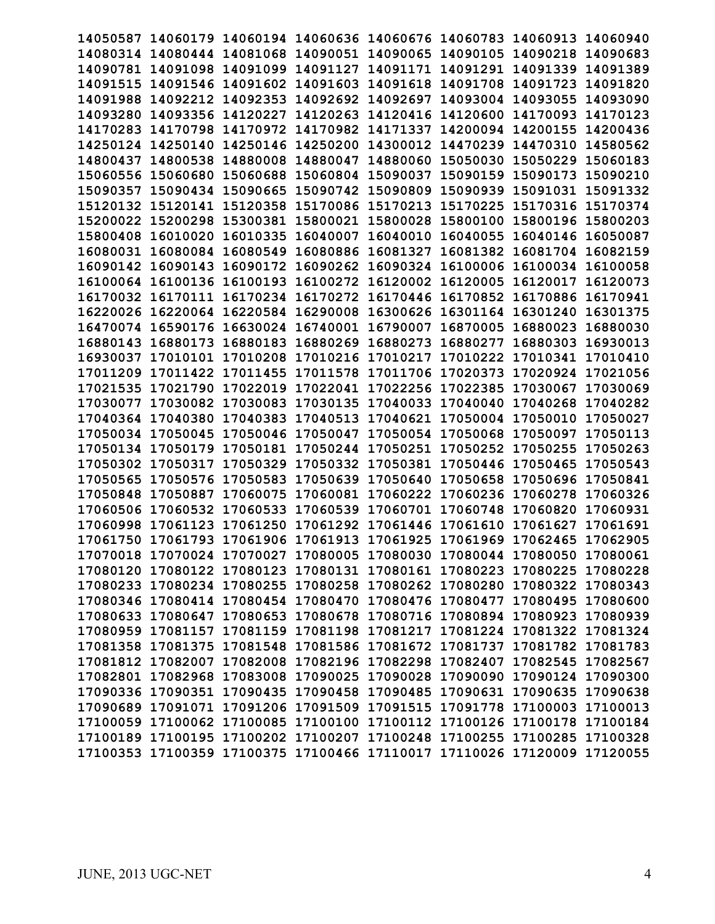| 14050587          |                                                                         |                   |                            |          | 14060179 14060194 14060636 14060676 14060783 14060913 |          | 14060940 |
|-------------------|-------------------------------------------------------------------------|-------------------|----------------------------|----------|-------------------------------------------------------|----------|----------|
|                   | 14080314 14080444 14081068 14090051 14090065                            |                   |                            |          | 14090105 14090218                                     |          | 14090683 |
| 14090781 14091098 |                                                                         | 14091099 14091127 |                            | 14091171 | 14091291 14091339                                     |          | 14091389 |
| 14091515 14091546 |                                                                         | 14091602 14091603 |                            | 14091618 | 14091708 14091723                                     |          | 14091820 |
| 14091988          | 14092212                                                                | 14092353          | 14092692 14092697          |          | 14093004 14093055                                     |          | 14093090 |
| 14093280          | 14093356                                                                | 14120227          | 14120263                   | 14120416 | 14120600                                              | 14170093 | 14170123 |
| 14170283          | 14170798                                                                |                   | 14170972 14170982          | 14171337 | 14200094                                              | 14200155 | 14200436 |
| 14250124          | 14250140                                                                | 14250146          | 14250200                   | 14300012 | 14470239                                              | 14470310 | 14580562 |
| 14800437          | 14800538                                                                | 14880008          | 14880047                   | 14880060 | 15050030                                              | 15050229 | 15060183 |
| 15060556          | 15060680                                                                | 15060688          | 15060804 15090037          |          | 15090159                                              | 15090173 | 15090210 |
| 15090357          | 15090434                                                                | 15090665          | 15090742                   | 15090809 | 15090939                                              | 15091031 | 15091332 |
| 15120132          | 15120141                                                                | 15120358          | 15170086                   | 15170213 | 15170225                                              | 15170316 | 15170374 |
| 15200022          | 15200298                                                                | 15300381          | 15800021                   | 15800028 | 15800100                                              | 15800196 | 15800203 |
| 15800408          | 16010020                                                                | 16010335 16040007 |                            | 16040010 | 16040055 16040146                                     |          | 16050087 |
|                   | 16080031 16080084                                                       | 16080549 16080886 |                            | 16081327 | 16081382 16081704                                     |          | 16082159 |
| 16090142 16090143 |                                                                         |                   | 16090172 16090262 16090324 |          | 16100006 16100034 16100058                            |          |          |
|                   | 16100064 16100136                                                       | 16100193 16100272 |                            | 16120002 | 16120005 16120017                                     |          | 16120073 |
| 16170032          | 16170111                                                                | 16170234          | 16170272                   | 16170446 | 16170852                                              | 16170886 | 16170941 |
| 16220026          | 16220064                                                                | 16220584          | 16290008                   | 16300626 | 16301164 16301240                                     |          | 16301375 |
| 16470074          | 16590176                                                                | 16630024 16740001 |                            | 16790007 | 16870005                                              | 16880023 | 16880030 |
| 16880143          | 16880173                                                                | 16880183          | 16880269                   | 16880273 | 16880277                                              | 16880303 | 16930013 |
| 16930037          | 17010101                                                                | 17010208          | 17010216                   | 17010217 | 17010222                                              | 17010341 | 17010410 |
| 17011209          | 17011422                                                                | 17011455          | 17011578                   | 17011706 | 17020373                                              | 17020924 | 17021056 |
|                   |                                                                         | 17022019          |                            |          |                                                       |          |          |
| 17021535          | 17021790                                                                |                   | 17022041                   | 17022256 | 17022385                                              | 17030067 | 17030069 |
| 17030077          | 17030082                                                                | 17030083          | 17030135                   | 17040033 | 17040040                                              | 17040268 | 17040282 |
| 17040364 17040380 |                                                                         |                   | 17040383 17040513 17040621 |          | 17050004 17050010                                     |          | 17050027 |
| 17050034 17050045 |                                                                         | 17050046 17050047 |                            |          | 17050054 17050068 17050097                            |          | 17050113 |
| 17050134 17050179 |                                                                         | 17050181          | 17050244                   | 17050251 | 17050252 17050255                                     |          | 17050263 |
| 17050302          | 17050317                                                                | 17050329          | 17050332                   | 17050381 | 17050446 17050465                                     |          | 17050543 |
| 17050565          | 17050576                                                                | 17050583          | 17050639                   | 17050640 | 17050658                                              | 17050696 | 17050841 |
| 17050848          | 17050887                                                                | 17060075          | 17060081                   | 17060222 | 17060236                                              | 17060278 | 17060326 |
| 17060506          | 17060532                                                                | 17060533          | 17060539 17060701          |          | 17060748                                              | 17060820 | 17060931 |
| 17060998          | 17061123                                                                | 17061250          | 17061292 17061446          |          | 17061610                                              | 17061627 | 17061691 |
|                   | 17061750 17061793 17061906 17061913 17061925                            |                   |                            |          | 17061969 17062465                                     |          | 17062905 |
|                   | 17070018 17070024 17070027 17080005 17080030 17080044 17080050 17080061 |                   |                            |          |                                                       |          |          |
|                   | 17080120 17080122 17080123 17080131 17080161 17080223 17080225 17080228 |                   |                            |          |                                                       |          |          |
|                   | 17080233 17080234 17080255 17080258 17080262 17080280 17080322 17080343 |                   |                            |          |                                                       |          |          |
|                   | 17080346 17080414 17080454 17080470 17080476 17080477 17080495 17080600 |                   |                            |          |                                                       |          |          |
|                   | 17080633 17080647 17080653 17080678 17080716 17080894 17080923 17080939 |                   |                            |          |                                                       |          |          |
|                   | 17080959 17081157 17081159 17081198 17081217 17081224 17081322 17081324 |                   |                            |          |                                                       |          |          |
|                   | 17081358 17081375 17081548 17081586 17081672 17081737 17081782 17081783 |                   |                            |          |                                                       |          |          |
|                   | 17081812 17082007 17082008 17082196 17082298 17082407 17082545 17082567 |                   |                            |          |                                                       |          |          |
|                   | 17082801 17082968 17083008 17090025 17090028 17090090 17090124 17090300 |                   |                            |          |                                                       |          |          |
|                   | 17090336 17090351 17090435 17090458 17090485 17090631 17090635 17090638 |                   |                            |          |                                                       |          |          |
|                   | 17090689 17091071 17091206 17091509 17091515 17091778 17100003 17100013 |                   |                            |          |                                                       |          |          |
|                   | 17100059 17100062 17100085 17100100 17100112 17100126 17100178 17100184 |                   |                            |          |                                                       |          |          |
|                   | 17100189 17100195 17100202 17100207 17100248 17100255 17100285 17100328 |                   |                            |          |                                                       |          |          |
|                   | 17100353 17100359 17100375 17100466 17110017 17110026 17120009 17120055 |                   |                            |          |                                                       |          |          |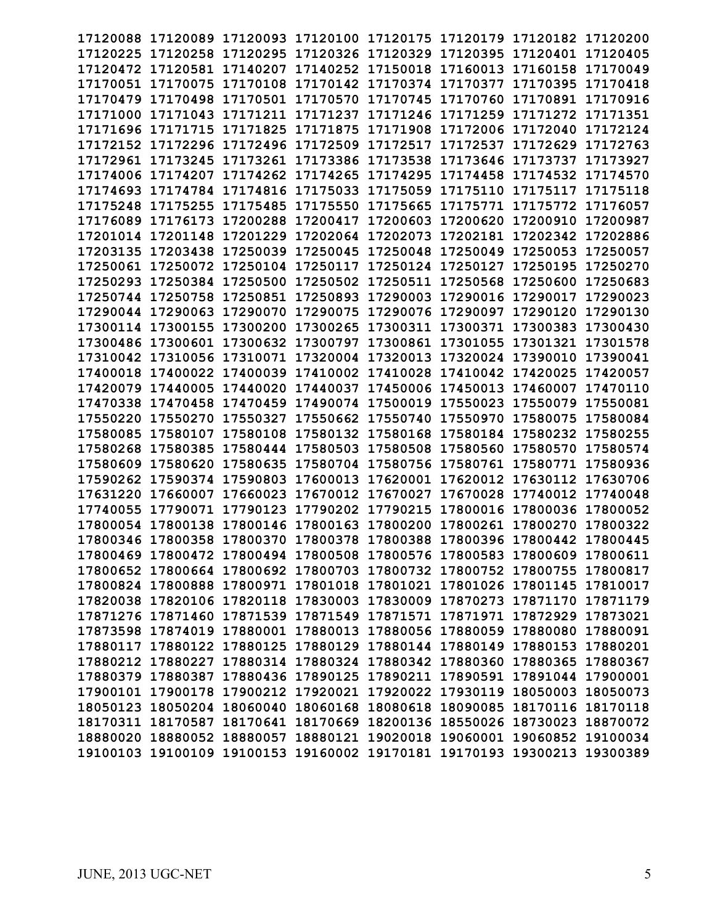| 17120088          |                      |                   |                            |                                              |                   | 17120089 17120093 17120100 17120175 17120179 17120182 17120200          |          |
|-------------------|----------------------|-------------------|----------------------------|----------------------------------------------|-------------------|-------------------------------------------------------------------------|----------|
| 17120225          | 17120258             |                   |                            | 17120295 17120326 17120329 17120395 17120401 |                   |                                                                         | 17120405 |
| 17120472          | 17120581 17140207    |                   | 17140252 17150018          |                                              |                   | 17160013 17160158 17170049                                              |          |
| 17170051          | 17170075             | 17170108          | 17170142                   | 17170374                                     | 17170377          | 17170395                                                                | 17170418 |
| 17170479          | 17170498             | 17170501          | 17170570                   | 17170745                                     | 17170760          | 17170891                                                                | 17170916 |
| 17171000          | 17171043             | 17171211          | 17171237                   | 17171246                                     | 17171259          | 17171272                                                                | 17171351 |
|                   |                      | 17171825          | 17171875                   | 17171908                                     | 17172006          |                                                                         | 17172124 |
| 17171696          | 17171715<br>17172296 |                   | 17172509                   |                                              |                   | 17172040<br>17172629                                                    | 17172763 |
| 17172152          |                      | 17172496          |                            | 17172517                                     | 17172537          |                                                                         |          |
| 17172961          | 17173245             | 17173261          | 17173386                   | 17173538                                     | 17173646          | 17173737                                                                | 17173927 |
| 17174006          | 17174207             | 17174262 17174265 |                            | 17174295                                     | 17174458          | 17174532                                                                | 17174570 |
| 17174693          | 17174784             | 17174816          | 17175033                   | 17175059                                     | 17175110          | 17175117                                                                | 17175118 |
| 17175248          | 17175255             | 17175485          | 17175550                   | 17175665                                     | 17175771          | 17175772                                                                | 17176057 |
| 17176089          | 17176173             | 17200288          | 17200417                   | 17200603                                     | 17200620          | 17200910                                                                | 17200987 |
| 17201014 17201148 |                      |                   | 17201229 17202064 17202073 |                                              | 17202181          | 17202342                                                                | 17202886 |
| 17203135          | 17203438             | 17250039 17250045 |                            | 17250048                                     | 17250049 17250053 |                                                                         | 17250057 |
| 17250061          | 17250072             | 17250104          | 17250117                   | 17250124                                     | 17250127          | 17250195                                                                | 17250270 |
| 17250293          | 17250384             | 17250500          | 17250502                   | 17250511                                     | 17250568          | 17250600                                                                | 17250683 |
| 17250744          | 17250758             | 17250851          | 17250893                   | 17290003                                     | 17290016          | 17290017                                                                | 17290023 |
| 17290044          | 17290063             | 17290070          | 17290075                   | 17290076                                     | 17290097          | 17290120                                                                | 17290130 |
| 17300114          | 17300155             | 17300200          | 17300265                   | 17300311                                     | 17300371          | 17300383                                                                | 17300430 |
| 17300486          | 17300601             | 17300632 17300797 |                            | 17300861                                     | 17301055          | 17301321                                                                | 17301578 |
| 17310042          | 17310056             | 17310071          | 17320004                   | 17320013                                     | 17320024          | 17390010                                                                | 17390041 |
| 17400018          | 17400022             | 17400039          | 17410002                   | 17410028                                     | 17410042          | 17420025                                                                | 17420057 |
| 17420079          | 17440005             | 17440020          | 17440037                   | 17450006                                     | 17450013          | 17460007                                                                | 17470110 |
| 17470338          | 17470458             | 17470459          | 17490074                   | 17500019                                     | 17550023          | 17550079                                                                | 17550081 |
| 17550220          | 17550270             | 17550327          | 17550662                   | 17550740                                     | 17550970          | 17580075                                                                | 17580084 |
| 17580085          | 17580107             | 17580108          | 17580132 17580168          |                                              | 17580184          | 17580232 17580255                                                       |          |
| 17580268          | 17580385             | 17580444          | 17580503                   | 17580508                                     | 17580560          | 17580570                                                                | 17580574 |
| 17580609          | 17580620             | 17580635          | 17580704                   | 17580756                                     | 17580761          | 17580771                                                                | 17580936 |
| 17590262          | 17590374             | 17590803          | 17600013                   | 17620001                                     | 17620012          | 17630112                                                                | 17630706 |
| 17631220          | 17660007             | 17660023          | 17670012                   | 17670027                                     | 17670028          | 17740012                                                                | 17740048 |
| 17740055          | 17790071             | 17790123          | 17790202                   | 17790215                                     | 17800016          | 17800036                                                                | 17800052 |
| 17800054          | 17800138             | 17800146          | 17800163                   | 17800200                                     | 17800261 17800270 |                                                                         | 17800322 |
| 17800346          | 17800358             | 17800370          | 17800378                   | 17800388                                     |                   | 17800396 17800442 17800445                                              |          |
|                   |                      |                   |                            |                                              |                   | 17800469 17800472 17800494 17800508 17800576 17800583 17800609 17800611 |          |
|                   |                      |                   |                            |                                              |                   | 17800652 17800664 17800692 17800703 17800732 17800752 17800755 17800817 |          |
|                   |                      |                   |                            |                                              |                   | 17800824 17800888 17800971 17801018 17801021 17801026 17801145 17810017 |          |
|                   |                      |                   |                            |                                              |                   | 17820038 17820106 17820118 17830003 17830009 17870273 17871170 17871179 |          |
|                   |                      |                   |                            |                                              |                   | 17871276 17871460 17871539 17871549 17871571 17871971 17872929 17873021 |          |
|                   |                      |                   |                            |                                              |                   |                                                                         |          |
|                   |                      |                   |                            |                                              |                   | 17873598 17874019 17880001 17880013 17880056 17880059 17880080 17880091 |          |
|                   |                      |                   |                            |                                              |                   | 17880117 17880122 17880125 17880129 17880144 17880149 17880153 17880201 |          |
|                   |                      |                   |                            |                                              |                   | 17880212 17880227 17880314 17880324 17880342 17880360 17880365 17880367 |          |
|                   |                      |                   |                            |                                              |                   | 17880379 17880387 17880436 17890125 17890211 17890591 17891044 17900001 |          |
|                   |                      |                   |                            |                                              |                   | 17900101 17900178 17900212 17920021 17920022 17930119 18050003 18050073 |          |
|                   |                      |                   |                            |                                              |                   | 18050123 18050204 18060040 18060168 18080618 18090085 18170116 18170118 |          |
|                   |                      |                   |                            |                                              |                   | 18170311 18170587 18170641 18170669 18200136 18550026 18730023 18870072 |          |
|                   |                      |                   |                            |                                              |                   | 18880020 18880052 18880057 18880121 19020018 19060001 19060852 19100034 |          |
|                   |                      |                   |                            |                                              |                   | 19100103 19100109 19100153 19160002 19170181 19170193 19300213 19300389 |          |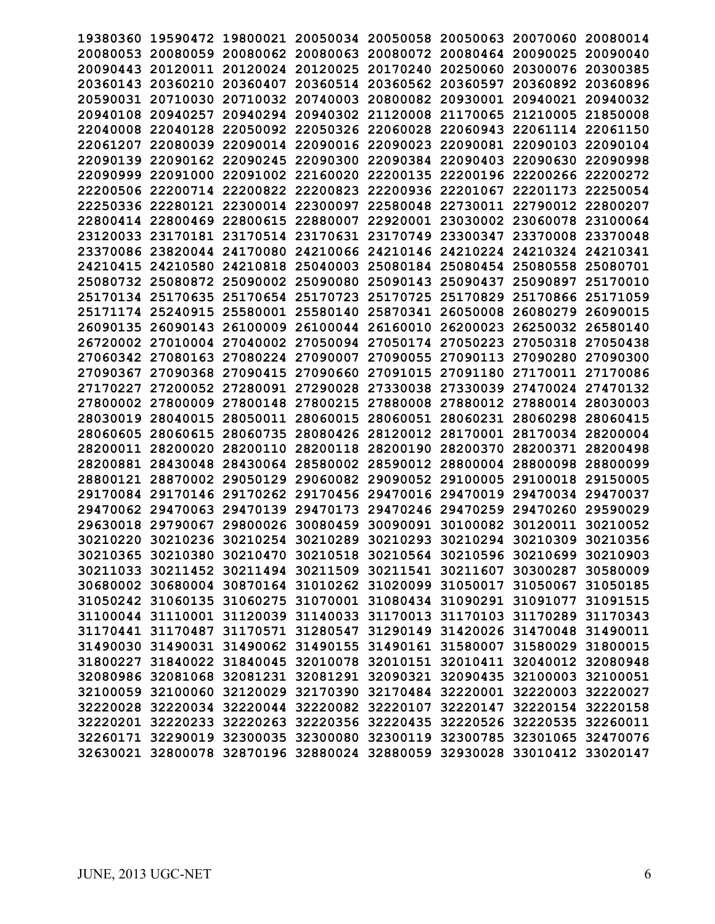| 19380360 |          | 19590472 19800021 20050034                                              |                            |                                              | 20050058 20050063 20070060 |                   | 20080014 |
|----------|----------|-------------------------------------------------------------------------|----------------------------|----------------------------------------------|----------------------------|-------------------|----------|
| 20080053 | 20080059 | 20080062 20080063                                                       |                            | 20080072                                     | 20080464 20090025          |                   | 20090040 |
| 20090443 | 20120011 | 20120024 20120025                                                       |                            | 20170240                                     | 20250060                   | 20300076          | 20300385 |
| 20360143 | 20360210 | 20360407                                                                | 20360514                   | 20360562                                     | 20360597                   | 20360892          | 20360896 |
| 20590031 | 20710030 |                                                                         | 20710032 20740003          | 20800082                                     | 20930001                   | 20940021          | 20940032 |
| 20940108 | 20940257 | 20940294                                                                | 20940302                   | 21120008                                     | 21170065                   | 21210005          | 21850008 |
| 22040008 | 22040128 |                                                                         | 22050092 22050326 22060028 |                                              | 22060943                   | 22061114          | 22061150 |
| 22061207 | 22080039 | 22090014                                                                | 22090016                   | 22090023                                     | 22090081                   | 22090103          | 22090104 |
| 22090139 | 22090162 | 22090245                                                                | 22090300                   | 22090384                                     | 22090403                   | 22090630          | 22090998 |
| 22090999 | 22091000 |                                                                         | 22091002 22160020          | 22200135                                     | 22200196                   | 22200266          | 22200272 |
|          |          |                                                                         |                            |                                              |                            |                   |          |
| 22200506 | 22200714 | 22200822                                                                | 22200823                   | 22200936                                     | 22201067                   | 22201173          | 22250054 |
| 22250336 | 22280121 | 22300014                                                                | 22300097                   | 22580048                                     | 22730011                   | 22790012          | 22800207 |
| 22800414 | 22800469 | 22800615                                                                | 22880007                   | 22920001                                     | 23030002 23060078          |                   | 23100064 |
| 23120033 | 23170181 |                                                                         | 23170514 23170631          | 23170749                                     | 23300347                   | 23370008          | 23370048 |
|          |          | 23370086 23820044 24170080                                              |                            | 24210066 24210146 24210224 24210324 24210341 |                            |                   |          |
| 24210415 | 24210580 | 24210818 25040003                                                       |                            | 25080184 25080454 25080558                   |                            |                   | 25080701 |
| 25080732 | 25080872 | 25090002                                                                | 25090080                   | 25090143                                     | 25090437                   | 25090897          | 25170010 |
| 25170134 | 25170635 |                                                                         | 25170654 25170723          | 25170725                                     | 25170829                   | 25170866          | 25171059 |
| 25171174 | 25240915 | 25580001                                                                | 25580140                   | 25870341                                     | 26050008                   | 26080279          | 26090015 |
| 26090135 | 26090143 | 26100009                                                                | 26100044                   | 26160010                                     | 26200023                   | 26250032          | 26580140 |
|          |          | 26720002 27010004 27040002                                              | 27050094                   | 27050174                                     | 27050223                   | 27050318          | 27050438 |
| 27060342 | 27080163 | 27080224                                                                | 27090007                   | 27090055                                     | 27090113                   | 27090280          | 27090300 |
| 27090367 | 27090368 | 27090415                                                                | 27090660                   | 27091015                                     | 27091180                   | 27170011          | 27170086 |
|          |          |                                                                         |                            |                                              |                            |                   |          |
| 27170227 | 27200052 | 27280091                                                                | 27290028                   | 27330038                                     | 27330039                   | 27470024          | 27470132 |
| 27800002 | 27800009 | 27800148                                                                | 27800215                   | 27880008                                     | 27880012 27880014          |                   | 28030003 |
| 28030019 | 28040015 | 28050011 28060015                                                       |                            | 28060051                                     | 28060231 28060298          |                   | 28060415 |
| 28060605 | 28060615 | 28060735                                                                |                            | 28080426 28120012 28170001                   |                            | 28170034 28200004 |          |
| 28200011 | 28200020 | 28200110                                                                | 28200118                   | 28200190                                     | 28200370                   | 28200371          | 28200498 |
| 28200881 | 28430048 | 28430064                                                                | 28580002                   | 28590012                                     | 28800004                   | 28800098          | 28800099 |
| 28800121 | 28870002 | 29050129                                                                | 29060082                   | 29090052                                     | 29100005                   | 29100018          | 29150005 |
| 29170084 | 29170146 | 29170262                                                                | 29170456                   | 29470016                                     | 29470019                   | 29470034          | 29470037 |
| 29470062 | 29470063 | 29470139                                                                | 29470173                   | 29470246                                     | 29470259                   | 29470260          | 29590029 |
| 29630018 | 29790067 | 29800026                                                                | 30080459                   | 30090091                                     | 30100082 30120011          |                   | 30210052 |
| 30210220 | 30210236 | 30210254 30210289                                                       |                            | 30210293                                     | 30210294 30210309          |                   | 30210356 |
|          |          | 30210365 30210380 30210470 30210518 30210564 30210596 30210699 30210903 |                            |                                              |                            |                   |          |
|          |          | 30211033 30211452 30211494 30211509 30211541 30211607 30300287 30580009 |                            |                                              |                            |                   |          |
|          |          | 30680002 30680004 30870164 31010262 31020099 31050017 31050067 31050185 |                            |                                              |                            |                   |          |
|          |          |                                                                         |                            |                                              |                            |                   |          |
|          |          | 31050242 31060135 31060275 31070001 31080434 31090291 31091077 31091515 |                            |                                              |                            |                   |          |
|          |          | 31100044 31110001 31120039 31140033 31170013 31170103 31170289 31170343 |                            |                                              |                            |                   |          |
|          |          | 31170441 31170487 31170571 31280547 31290149 31420026 31470048 31490011 |                            |                                              |                            |                   |          |
|          |          | 31490030 31490031 31490062 31490155 31490161 31580007 31580029 31800015 |                            |                                              |                            |                   |          |
|          |          | 31800227 31840022 31840045 32010078 32010151 32010411 32040012 32080948 |                            |                                              |                            |                   |          |
|          |          | 32080986 32081068 32081231 32081291 32090321 32090435 32100003 32100051 |                            |                                              |                            |                   |          |
|          |          | 32100059 32100060 32120029 32170390 32170484 32220001 32220003 32220027 |                            |                                              |                            |                   |          |
|          |          | 32220028 32220034 32220044 32220082 32220107 32220147 32220154 32220158 |                            |                                              |                            |                   |          |
|          |          | 32220201 32220233 32220263 32220356 32220435 32220526 32220535 32260011 |                            |                                              |                            |                   |          |
|          |          | 32260171 32290019 32300035 32300080 32300119 32300785 32301065 32470076 |                            |                                              |                            |                   |          |
|          |          | 32630021 32800078 32870196 32880024 32880059 32930028 33010412 33020147 |                            |                                              |                            |                   |          |
|          |          |                                                                         |                            |                                              |                            |                   |          |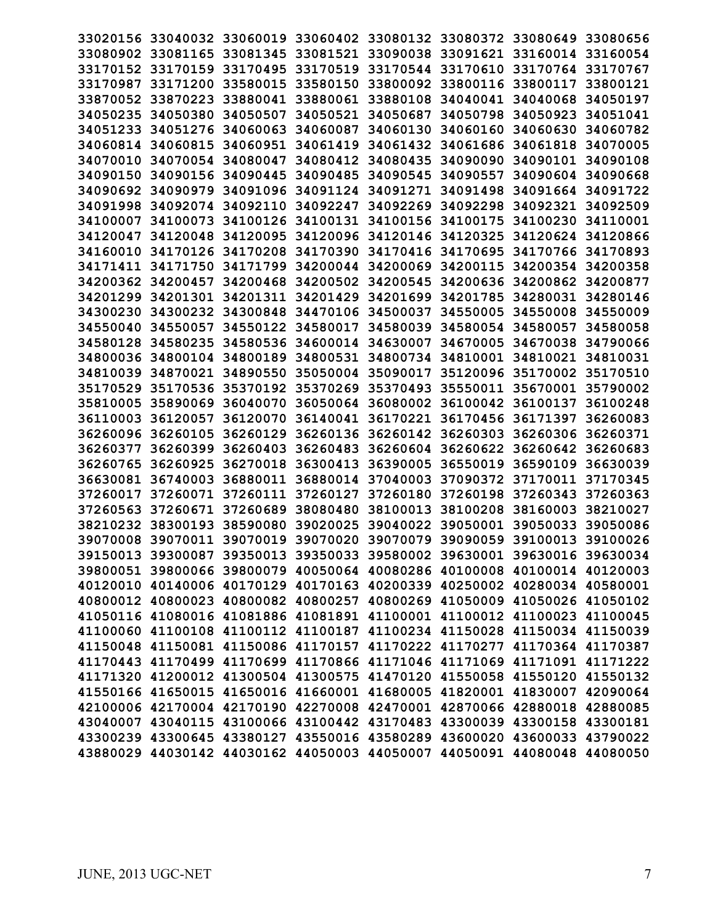| 33020156 |                   |                   | 33040032 33060019 33060402 33080132 33080372 33080649                   |          |                   |                   | 33080656 |
|----------|-------------------|-------------------|-------------------------------------------------------------------------|----------|-------------------|-------------------|----------|
| 33080902 | 33081165          | 33081345          | 33081521                                                                | 33090038 | 33091621 33160014 |                   | 33160054 |
| 33170152 | 33170159          | 33170495          | 33170519                                                                | 33170544 | 33170610 33170764 |                   | 33170767 |
| 33170987 | 33171200          | 33580015          | 33580150 33800092                                                       |          | 33800116 33800117 |                   | 33800121 |
| 33870052 | 33870223          | 33880041          | 33880061                                                                | 33880108 | 34040041 34040068 |                   | 34050197 |
| 34050235 | 34050380          | 34050507          | 34050521                                                                | 34050687 | 34050798          | 34050923          | 34051041 |
| 34051233 | 34051276          | 34060063          | 34060087                                                                | 34060130 | 34060160          | 34060630          | 34060782 |
| 34060814 | 34060815          | 34060951          | 34061419                                                                | 34061432 | 34061686          | 34061818          | 34070005 |
| 34070010 | 34070054          | 34080047          | 34080412                                                                | 34080435 | 34090090          | 34090101          | 34090108 |
| 34090150 | 34090156          | 34090445          | 34090485                                                                | 34090545 | 34090557          | 34090604 34090668 |          |
| 34090692 | 34090979          | 34091096          | 34091124                                                                | 34091271 | 34091498          | 34091664 34091722 |          |
| 34091998 | 34092074          | 34092110          | 34092247                                                                | 34092269 | 34092298          | 34092321          | 34092509 |
| 34100007 | 34100073          | 34100126          | 34100131                                                                | 34100156 | 34100175          | 34100230          | 34110001 |
| 34120047 | 34120048          | 34120095          | 34120096 34120146                                                       |          | 34120325          | 34120624          | 34120866 |
| 34160010 | 34170126          |                   | 34170208 34170390 34170416                                              |          | 34170695          | 34170766          | 34170893 |
| 34171411 | 34171750          | 34171799          | 34200044                                                                | 34200069 | 34200115          | 34200354 34200358 |          |
| 34200362 | 34200457          | 34200468          | 34200502                                                                | 34200545 | 34200636 34200862 |                   | 34200877 |
| 34201299 | 34201301          | 34201311 34201429 |                                                                         | 34201699 | 34201785          | 34280031          | 34280146 |
| 34300230 | 34300232          | 34300848          | 34470106                                                                | 34500037 | 34550005          | 34550008          | 34550009 |
| 34550040 | 34550057          | 34550122          | 34580017                                                                | 34580039 | 34580054 34580057 |                   | 34580058 |
| 34580128 | 34580235          | 34580536          | 34600014 34630007                                                       |          | 34670005 34670038 |                   | 34790066 |
|          | 34800036 34800104 | 34800189          | 34800531                                                                | 34800734 | 34810001 34810021 |                   | 34810031 |
| 34810039 | 34870021          | 34890550          | 35050004                                                                | 35090017 | 35120096          | 35170002          | 35170510 |
| 35170529 | 35170536          | 35370192          | 35370269                                                                | 35370493 | 35550011          | 35670001          | 35790002 |
| 35810005 | 35890069          | 36040070          | 36050064                                                                | 36080002 | 36100042 36100137 |                   | 36100248 |
| 36110003 | 36120057          | 36120070          | 36140041                                                                | 36170221 | 36170456 36171397 |                   | 36260083 |
| 36260096 | 36260105          |                   | 36260129 36260136 36260142                                              |          | 36260303 36260306 |                   | 36260371 |
| 36260377 | 36260399          | 36260403          | 36260483                                                                | 36260604 | 36260622 36260642 |                   | 36260683 |
| 36260765 | 36260925          | 36270018          | 36300413                                                                | 36390005 | 36550019          | 36590109          | 36630039 |
| 36630081 | 36740003          | 36880011          | 36880014                                                                | 37040003 | 37090372          | 37170011          | 37170345 |
| 37260017 | 37260071          | 37260111 37260127 |                                                                         | 37260180 | 37260198          | 37260343          | 37260363 |
| 37260563 | 37260671          | 37260689          | 38080480                                                                | 38100013 | 38100208          | 38160003          | 38210027 |
| 38210232 | 38300193          | 38590080          | 39020025                                                                | 39040022 | 39050001          | 39050033          | 39050086 |
| 39070008 | 39070011 39070019 |                   | 39070020                                                                | 39070079 | 39090059          | 39100013          | 39100026 |
|          |                   |                   | 39150013 39300087 39350013 39350033 39580002 39630001 39630016 39630034 |          |                   |                   |          |
|          |                   |                   | 39800051 39800066 39800079 40050064 40080286 40100008 40100014 40120003 |          |                   |                   |          |
|          |                   |                   | 40120010 40140006 40170129 40170163 40200339 40250002 40280034 40580001 |          |                   |                   |          |
|          |                   |                   | 40800012 40800023 40800082 40800257 40800269 41050009 41050026 41050102 |          |                   |                   |          |
|          |                   |                   | 41050116 41080016 41081886 41081891 41100001 41100012 41100023 41100045 |          |                   |                   |          |
|          |                   |                   | 41100060 41100108 41100112 41100187 41100234 41150028 41150034 41150039 |          |                   |                   |          |
|          |                   |                   | 41150048 41150081 41150086 41170157 41170222 41170277 41170364 41170387 |          |                   |                   |          |
|          |                   |                   | 41170443 41170499 41170699 41170866 41171046 41171069 41171091 41171222 |          |                   |                   |          |
|          |                   |                   | 41171320 41200012 41300504 41300575 41470120 41550058 41550120 41550132 |          |                   |                   |          |
|          |                   |                   | 41550166 41650015 41650016 41660001 41680005 41820001 41830007 42090064 |          |                   |                   |          |
|          |                   |                   | 42100006 42170004 42170190 42270008 42470001 42870066 42880018 42880085 |          |                   |                   |          |
|          |                   |                   | 43040007 43040115 43100066 43100442 43170483 43300039 43300158 43300181 |          |                   |                   |          |
|          |                   |                   | 43300239 43300645 43380127 43550016 43580289 43600020 43600033 43790022 |          |                   |                   |          |
|          |                   |                   | 43880029 44030142 44030162 44050003 44050007 44050091 44080048 44080050 |          |                   |                   |          |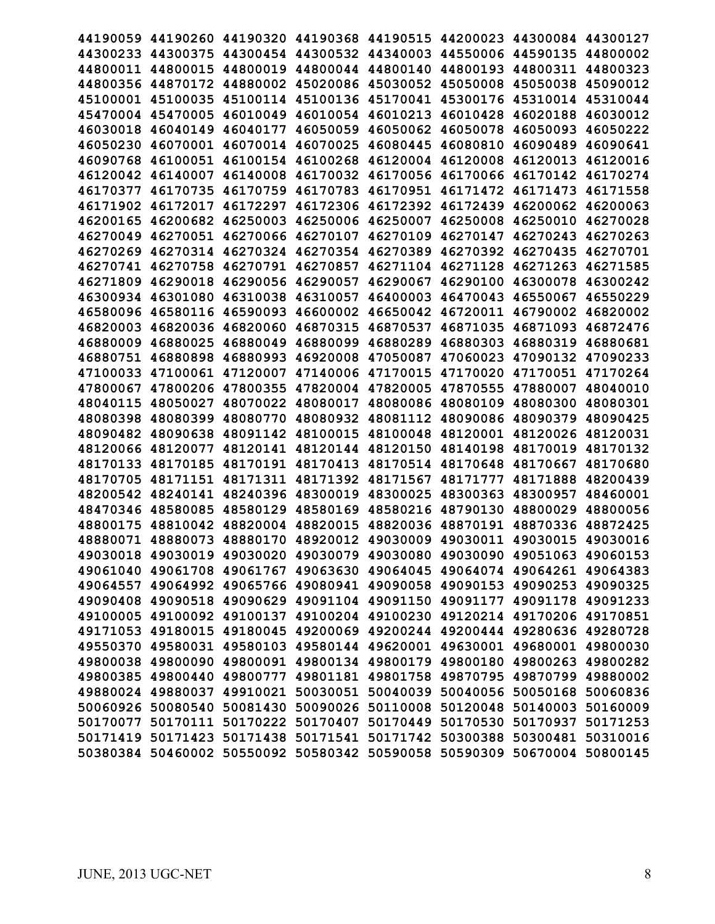|                   |                   |                            |                                                       |          |                   | 44190059 44190260 44190320 44190368 44190515 44200023 44300084 44300127 |          |
|-------------------|-------------------|----------------------------|-------------------------------------------------------|----------|-------------------|-------------------------------------------------------------------------|----------|
|                   | 44300233 44300375 |                            | 44300454 44300532 44340003 44550006 44590135          |          |                   |                                                                         | 44800002 |
|                   | 44800011 44800015 |                            | 44800019 44800044 44800140                            |          | 44800193          | 44800311 44800323                                                       |          |
|                   | 44800356 44870172 |                            | 44880002 45020086 45030052 45050008                   |          |                   | 45050038 45090012                                                       |          |
| 45100001 45100035 |                   |                            | 45100114 45100136 45170041                            |          | 45300176          | 45310014 45310044                                                       |          |
| 45470004 45470005 |                   | 46010049                   | 46010054 46010213                                     |          | 46010428          | 46020188 46030012                                                       |          |
| 46030018          | 46040149          | 46040177                   | 46050059                                              | 46050062 | 46050078          | 46050093                                                                | 46050222 |
| 46050230          | 46070001          | 46070014                   | 46070025                                              | 46080445 | 46080810          | 46090489                                                                | 46090641 |
|                   | 46090768 46100051 | 46100154                   | 46100268 46120004                                     |          | 46120008          | 46120013                                                                | 46120016 |
|                   | 46120042 46140007 | 46140008                   | 46170032 46170056                                     |          | 46170066          | 46170142 46170274                                                       |          |
| 46170377          | 46170735          | 46170759                   | 46170783 46170951                                     |          | 46171472          | 46171473                                                                | 46171558 |
| 46171902          | 46172017          | 46172297                   | 46172306 46172392                                     |          | 46172439          | 46200062                                                                | 46200063 |
| 46200165          | 46200682          | 46250003                   | 46250006                                              | 46250007 | 46250008          | 46250010                                                                | 46270028 |
|                   | 46270049 46270051 | 46270066                   | 46270107                                              | 46270109 | 46270147          | 46270243                                                                | 46270263 |
|                   | 46270269 46270314 |                            | 46270324 46270354                                     |          | 46270389 46270392 | 46270435                                                                | 46270701 |
|                   | 46270741 46270758 |                            | 46270791 46270857 46271104 46271128                   |          |                   | 46271263 46271585                                                       |          |
| 46271809          | 46290018          | 46290056                   | 46290057                                              | 46290067 | 46290100          | 46300078                                                                | 46300242 |
| 46300934          | 46301080          | 46310038                   | 46310057                                              | 46400003 | 46470043          | 46550067                                                                | 46550229 |
| 46580096          | 46580116          | 46590093                   | 46600002                                              | 46650042 | 46720011          | 46790002                                                                | 46820002 |
| 46820003          | 46820036          | 46820060                   | 46870315                                              | 46870537 | 46871035          | 46871093                                                                | 46872476 |
| 46880009 46880025 |                   | 46880049                   | 46880099 46880289                                     |          | 46880303          | 46880319 46880681                                                       |          |
| 46880751 46880898 |                   | 46880993                   | 46920008 47050087                                     |          | 47060023          | 47090132 47090233                                                       |          |
| 47100033 47100061 |                   | 47120007                   | 47140006 47170015                                     |          | 47170020          | 47170051 47170264                                                       |          |
| 47800067          | 47800206          | 47800355                   | 47820004                                              | 47820005 | 47870555          | 47880007                                                                | 48040010 |
| 48040115          | 48050027          | 48070022                   | 48080017                                              | 48080086 | 48080109          | 48080300                                                                | 48080301 |
|                   | 48080398 48080399 | 48080770                   | 48080932 48081112                                     |          | 48090086          | 48090379                                                                | 48090425 |
|                   | 48090482 48090638 |                            | 48091142 48100015 48100048                            |          | 48120001          | 48120026 48120031                                                       |          |
| 48120066 48120077 |                   | 48120141                   | 48120144 48120150                                     |          | 48140198          | 48170019 48170132                                                       |          |
| 48170133          | 48170185          | 48170191                   | 48170413                                              | 48170514 | 48170648          | 48170667                                                                | 48170680 |
| 48170705          | 48171151          | 48171311                   | 48171392                                              | 48171567 | 48171777          | 48171888                                                                | 48200439 |
| 48200542 48240141 |                   | 48240396                   | 48300019                                              | 48300025 | 48300363          | 48300957                                                                | 48460001 |
| 48470346 48580085 |                   |                            | 48580129 48580169 48580216                            |          | 48790130          | 48800029                                                                | 48800056 |
|                   |                   |                            | 48800175 48810042 48820004 48820015 48820036 48870191 |          |                   | 48870336 48872425                                                       |          |
|                   |                   |                            |                                                       |          |                   | 48880071 48880073 48880170 48920012 49030009 49030011 49030015 49030016 |          |
|                   |                   |                            |                                                       |          |                   | 49030018 49030019 49030020 49030079 49030080 49030090 49051063 49060153 |          |
|                   |                   | 49061040 49061708 49061767 | 49063630 49064045                                     |          |                   | 49064074 49064261 49064383                                              |          |
|                   |                   |                            |                                                       |          |                   | 49064557 49064992 49065766 49080941 49090058 49090153 49090253 49090325 |          |
|                   |                   |                            |                                                       |          |                   | 49090408 49090518 49090629 49091104 49091150 49091177 49091178 49091233 |          |
|                   |                   |                            |                                                       |          |                   | 49100005 49100092 49100137 49100204 49100230 49120214 49170206 49170851 |          |
|                   |                   |                            |                                                       |          |                   | 49171053 49180015 49180045 49200069 49200244 49200444 49280636 49280728 |          |
|                   |                   |                            |                                                       |          |                   | 49550370 49580031 49580103 49580144 49620001 49630001 49680001 49800030 |          |
|                   |                   |                            |                                                       |          |                   | 49800038 49800090 49800091 49800134 49800179 49800180 49800263 49800282 |          |
|                   |                   |                            |                                                       |          |                   | 49800385 49800440 49800777 49801181 49801758 49870795 49870799 49880002 |          |
|                   |                   |                            |                                                       |          |                   | 49880024 49880037 49910021 50030051 50040039 50040056 50050168 50060836 |          |
|                   |                   |                            |                                                       |          |                   | 50060926 50080540 50081430 50090026 50110008 50120048 50140003 50160009 |          |
|                   |                   |                            |                                                       |          |                   | 50170077 50170111 50170222 50170407 50170449 50170530 50170937 50171253 |          |
|                   |                   |                            |                                                       |          |                   | 50171419 50171423 50171438 50171541 50171742 50300388 50300481 50310016 |          |
|                   |                   |                            |                                                       |          |                   | 50380384 50460002 50550092 50580342 50590058 50590309 50670004 50800145 |          |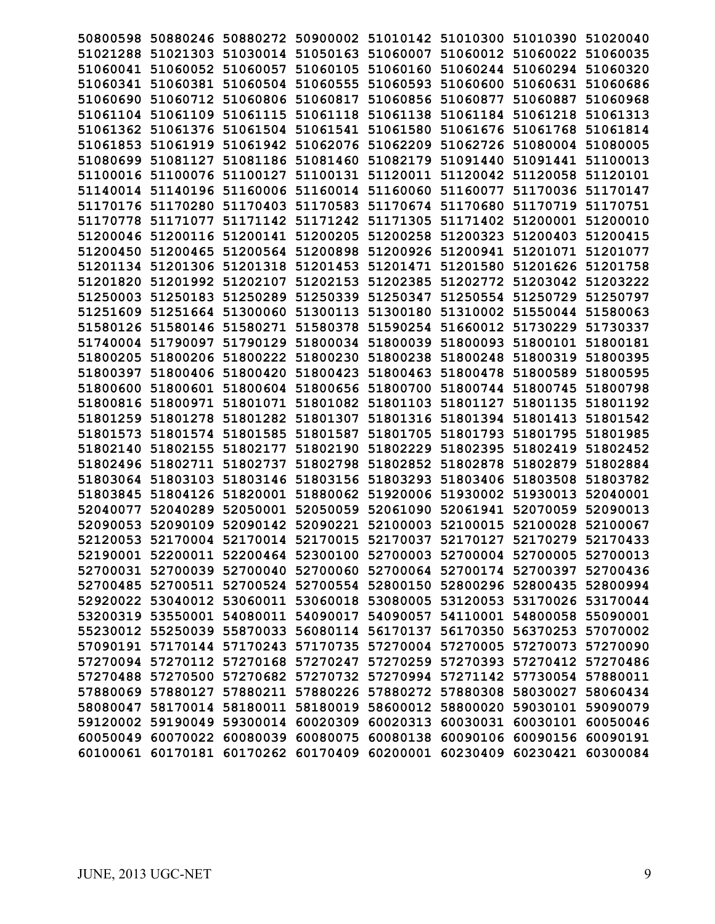|                   |          |                                              | 50800598 50880246 50880272 50900002 51010142 51010300 51010390 51020040 |                            |                            |          |
|-------------------|----------|----------------------------------------------|-------------------------------------------------------------------------|----------------------------|----------------------------|----------|
|                   |          |                                              | 51021288 51021303 51030014 51050163 51060007 51060012 51060022 51060035 |                            |                            |          |
|                   |          |                                              | 51060041 51060052 51060057 51060105 51060160 51060244 51060294 51060320 |                            |                            |          |
|                   |          |                                              | 51060341 51060381 51060504 51060555 51060593 51060600 51060631 51060686 |                            |                            |          |
| 51060690 51060712 |          | 51060806 51060817 51060856                   |                                                                         | 51060877 51060887 51060968 |                            |          |
|                   |          |                                              | 51061104 51061109 51061115 51061118 51061138 51061184 51061218 51061313 |                            |                            |          |
| 51061362 51061376 |          | 51061504 51061541 51061580                   |                                                                         |                            | 51061676 51061768          | 51061814 |
|                   |          |                                              | 51061853 51061919 51061942 51062076 51062209 51062726 51080004 51080005 |                            |                            |          |
|                   |          |                                              | 51080699 51081127 51081186 51081460 51082179 51091440 51091441 51100013 |                            |                            |          |
|                   |          |                                              | 51100016 51100076 51100127 51100131 51120011 51120042 51120058 51120101 |                            |                            |          |
|                   |          |                                              | 51140014 51140196 51160006 51160014 51160060 51160077 51170036 51170147 |                            |                            |          |
| 51170176 51170280 |          |                                              | 51170403 51170583 51170674 51170680 51170719 51170751                   |                            |                            |          |
| 51170778 51171077 |          |                                              | 51171142 51171242 51171305 51171402 51200001 51200010                   |                            |                            |          |
|                   |          |                                              | 51200046 51200116 51200141 51200205 51200258 51200323 51200403 51200415 |                            |                            |          |
|                   |          |                                              | 51200450 51200465 51200564 51200898 51200926 51200941 51201071 51201077 |                            |                            |          |
|                   |          |                                              | 51201134 51201306 51201318 51201453 51201471 51201580 51201626 51201758 |                            |                            |          |
| 51201820 51201992 |          | 51202107 51202153 51202385                   |                                                                         | 51202772 51203042 51203222 |                            |          |
| 51250003 51250183 |          |                                              | 51250289 51250339 51250347                                              |                            | 51250554 51250729 51250797 |          |
|                   |          | 51251609 51251664 51300060 51300113 51300180 |                                                                         |                            | 51310002 51550044 51580063 |          |
|                   |          |                                              | 51580126 51580146 51580271 51580378 51590254                            |                            | 51660012 51730229 51730337 |          |
|                   |          |                                              | 51740004 51790097 51790129 51800034 51800039 51800093 51800101 51800181 |                            |                            |          |
| 51800205 51800206 |          | 51800222 51800230 51800238                   |                                                                         | 51800248 51800319 51800395 |                            |          |
|                   |          | 51800397 51800406 51800420 51800423 51800463 |                                                                         | 51800478 51800589          |                            | 51800595 |
| 51800600 51800601 |          | 51800604 51800656 51800700                   |                                                                         | 51800744 51800745          |                            | 51800798 |
| 51800816 51800971 |          |                                              | 51801071 51801082 51801103 51801127 51801135 51801192                   |                            |                            |          |
|                   |          |                                              | 51801259 51801278 51801282 51801307 51801316 51801394 51801413 51801542 |                            |                            |          |
|                   |          |                                              | 51801573 51801574 51801585 51801587 51801705 51801793 51801795 51801985 |                            |                            |          |
| 51802140 51802155 |          |                                              | 51802177 51802190 51802229 51802395 51802419 51802452                   |                            |                            |          |
| 51802496 51802711 |          |                                              | 51802737 51802798 51802852 51802878 51802879 51802884                   |                            |                            |          |
| 51803064 51803103 |          | 51803146 51803156 51803293                   |                                                                         |                            | 51803406 51803508          | 51803782 |
| 51803845 51804126 |          | 51820001 51880062 51920006                   |                                                                         | 51930002 51930013          |                            | 52040001 |
| 52040077 52040289 |          |                                              | 52050001 52050059 52061090 52061941 52070059 52090013                   |                            |                            |          |
|                   |          |                                              | 52090053 52090109 52090142 52090221 52100003 52100015 52100028 52100067 |                            |                            |          |
|                   |          |                                              | 52120053 52170004 52170014 52170015 52170037 52170127 52170279 52170433 |                            |                            |          |
|                   |          |                                              | 52190001 52200011 52200464 52300100 52700003 52700004 52700005 52700013 |                            |                            |          |
|                   |          |                                              | 52700031 52700039 52700040 52700060 52700064 52700174 52700397          |                            |                            | 52700436 |
|                   |          |                                              | 52700485 52700511 52700524 52700554 52800150 52800296 52800435 52800994 |                            |                            |          |
|                   |          |                                              | 52920022 53040012 53060011 53060018 53080005 53120053 53170026 53170044 |                            |                            |          |
|                   |          |                                              | 53200319 53550001 54080011 54090017 54090057 54110001 54800058 55090001 |                            |                            |          |
|                   |          |                                              | 55230012 55250039 55870033 56080114 56170137 56170350 56370253 57070002 |                            |                            |          |
|                   |          |                                              | 57090191 57170144 57170243 57170735 57270004 57270005 57270073 57270090 |                            |                            |          |
|                   |          |                                              | 57270094 57270112 57270168 57270247 57270259 57270393 57270412 57270486 |                            |                            |          |
|                   |          |                                              | 57270488 57270500 57270682 57270732 57270994 57271142 57730054 57880011 |                            |                            |          |
|                   |          |                                              | 57880069 57880127 57880211 57880226 57880272 57880308 58030027 58060434 |                            |                            |          |
|                   |          |                                              | 58080047 58170014 58180011 58180019 58600012 58800020 59030101 59090079 |                            |                            |          |
|                   |          | 59120002 59190049 59300014 60020309 60020313 |                                                                         | 60030031 60030101 60050046 |                            |          |
| 60050049 60070022 | 60080039 |                                              | 60080075 60080138                                                       |                            | 60090106 60090156 60090191 |          |
| 60100061 60170181 |          | 60170262 60170409 60200001                   |                                                                         | 60230409                   | 60230421 60300084          |          |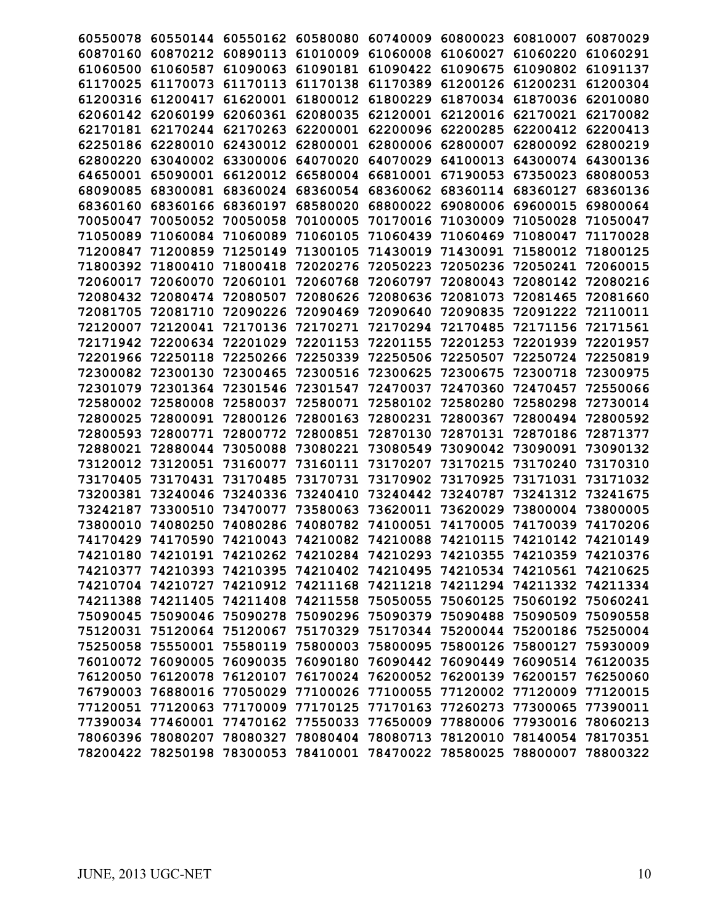| 60550078 |                            | 60550144 60550162 60580080 |                   | 60740009                                                                | 60800023 | 60810007          | 60870029 |
|----------|----------------------------|----------------------------|-------------------|-------------------------------------------------------------------------|----------|-------------------|----------|
| 60870160 | 60870212                   | 60890113                   | 61010009          | 61060008                                                                | 61060027 | 61060220          | 61060291 |
| 61060500 | 61060587                   | 61090063                   | 61090181          | 61090422                                                                | 61090675 | 61090802          | 61091137 |
| 61170025 | 61170073                   | 61170113                   | 61170138          | 61170389                                                                | 61200126 | 61200231          | 61200304 |
| 61200316 | 61200417                   | 61620001                   | 61800012          | 61800229                                                                | 61870034 | 61870036          | 62010080 |
| 62060142 | 62060199                   | 62060361                   | 62080035          | 62120001                                                                | 62120016 | 62170021          | 62170082 |
| 62170181 | 62170244                   | 62170263                   | 62200001          | 62200096                                                                | 62200285 | 62200412          | 62200413 |
| 62250186 | 62280010                   | 62430012                   | 62800001          | 62800006                                                                | 62800007 | 62800092          | 62800219 |
| 62800220 | 63040002                   | 63300006                   | 64070020          | 64070029                                                                | 64100013 | 64300074          | 64300136 |
| 64650001 | 65090001                   | 66120012                   | 66580004          | 66810001                                                                | 67190053 | 67350023          | 68080053 |
| 68090085 | 68300081                   | 68360024                   | 68360054          | 68360062                                                                | 68360114 | 68360127          | 68360136 |
| 68360160 | 68360166                   | 68360197                   | 68580020          | 68800022                                                                | 69080006 | 69600015          | 69800064 |
| 70050047 | 70050052                   | 70050058                   | 70100005          | 70170016                                                                | 71030009 | 71050028          | 71050047 |
| 71050089 | 71060084                   | 71060089                   | 71060105          | 71060439                                                                | 71060469 | 71080047          | 71170028 |
| 71200847 | 71200859                   | 71250149                   | 71300105          | 71430019                                                                | 71430091 | 71580012          | 71800125 |
| 71800392 | 71800410                   | 71800418                   | 72020276          | 72050223                                                                | 72050236 | 72050241          | 72060015 |
| 72060017 | 72060070                   | 72060101                   | 72060768          | 72060797                                                                | 72080043 | 72080142          | 72080216 |
| 72080432 | 72080474                   | 72080507                   | 72080626          | 72080636                                                                | 72081073 | 72081465          | 72081660 |
| 72081705 | 72081710                   | 72090226                   | 72090469          | 72090640                                                                | 72090835 | 72091222          | 72110011 |
| 72120007 | 72120041                   | 72170136                   | 72170271          | 72170294                                                                | 72170485 | 72171156          | 72171561 |
| 72171942 | 72200634                   | 72201029                   | 72201153          | 72201155                                                                | 72201253 | 72201939          | 72201957 |
| 72201966 | 72250118                   | 72250266                   | 72250339          | 72250506                                                                | 72250507 | 72250724          | 72250819 |
| 72300082 | 72300130                   | 72300465                   | 72300516          | 72300625                                                                | 72300675 | 72300718          | 72300975 |
| 72301079 | 72301364                   | 72301546                   | 72301547          | 72470037                                                                | 72470360 | 72470457          | 72550066 |
| 72580002 | 72580008                   | 72580037                   | 72580071          | 72580102                                                                | 72580280 | 72580298          | 72730014 |
| 72800025 | 72800091                   | 72800126                   | 72800163          | 72800231                                                                | 72800367 | 72800494          | 72800592 |
| 72800593 | 72800771                   | 72800772                   | 72800851          | 72870130                                                                | 72870131 | 72870186          | 72871377 |
| 72880021 | 72880044                   | 73050088                   | 73080221          | 73080549                                                                | 73090042 | 73090091          | 73090132 |
| 73120012 | 73120051                   | 73160077                   | 73160111          | 73170207                                                                | 73170215 | 73170240          | 73170310 |
| 73170405 | 73170431                   | 73170485                   | 73170731          | 73170902                                                                | 73170925 | 73171031          | 73171032 |
| 73200381 | 73240046                   | 73240336                   | 73240410          | 73240442                                                                | 73240787 | 73241312          | 73241675 |
| 73242187 | 73300510                   | 73470077                   | 73580063          | 73620011                                                                | 73620029 | 73800004          | 73800005 |
| 73800010 | 74080250                   | 74080286                   | 74080782          | 74100051                                                                | 74170005 | 74170039          | 74170206 |
|          | 74170429 74170590          |                            |                   | 74210043 74210082 74210088 74210115 74210142 74210149                   |          |                   |          |
|          |                            |                            |                   | 74210180 74210191 74210262 74210284 74210293 74210355 74210359 74210376 |          |                   |          |
| 74210377 | 74210393                   | 74210395                   | 74210402          | 74210495                                                                | 74210534 | 74210561          | 74210625 |
|          | 74210704 74210727          | 74210912                   | 74211168          | 74211218                                                                | 74211294 | 74211332 74211334 |          |
|          | 74211388 74211405          | 74211408                   | 74211558 75050055 |                                                                         | 75060125 | 75060192 75060241 |          |
|          | 75090045 75090046          | 75090278                   | 75090296 75090379 |                                                                         | 75090488 | 75090509 75090558 |          |
|          | 75120031 75120064 75120067 |                            | 75170329 75170344 |                                                                         | 75200044 | 75200186 75250004 |          |
|          | 75250058 75550001          | 75580119                   | 75800003 75800095 |                                                                         | 75800126 | 75800127          | 75930009 |
|          | 76010072 76090005          | 76090035                   |                   | 76090180 76090442                                                       | 76090449 | 76090514          | 76120035 |
|          | 76120050 76120078          | 76120107                   | 76170024 76200052 |                                                                         | 76200139 | 76200157          | 76250060 |
|          | 76790003 76880016          | 77050029                   | 77100026 77100055 |                                                                         | 77120002 | 77120009 77120015 |          |
|          | 77120051 77120063 77170009 |                            |                   | 77170125 77170163 77260273                                              |          | 77300065 77390011 |          |
|          | 77390034 77460001          | 77470162                   |                   | 77550033 77650009 77880006                                              |          | 77930016 78060213 |          |
|          | 78060396 78080207          | 78080327                   |                   | 78080404 78080713 78120010                                              |          | 78140054 78170351 |          |
|          | 78200422 78250198          | 78300053                   |                   | 78410001 78470022 78580025                                              |          | 78800007          | 78800322 |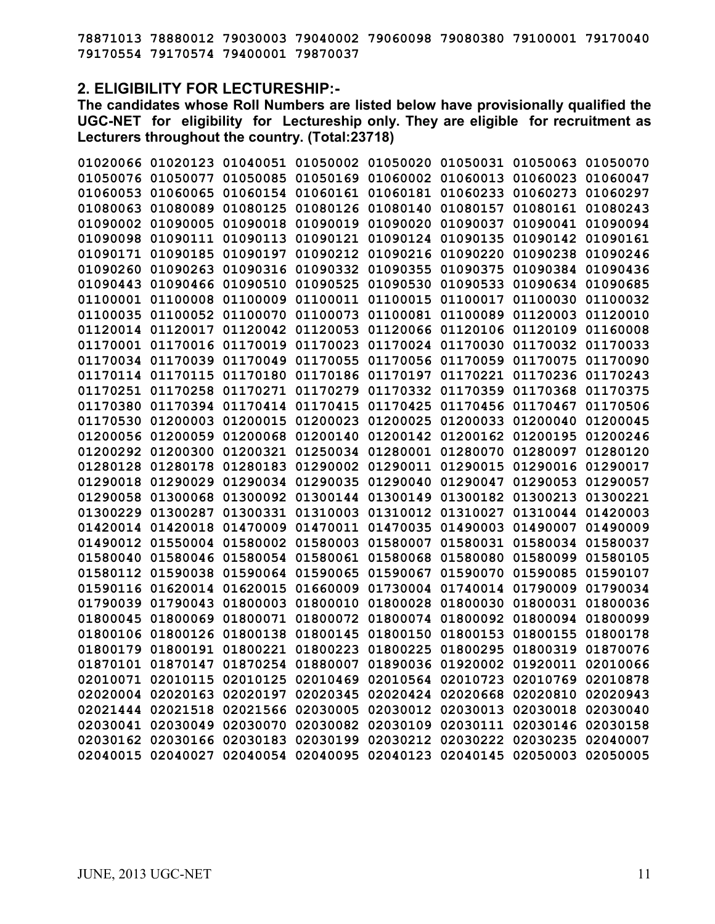**78871013 78880012 79030003 79040002 79060098 79080380 79100001 79170040 79170554 79170574 79400001 79870037** 

## **2. ELIGIBILITY FOR LECTURESHIP:-**

**The candidates whose Roll Numbers are listed below have provisionally qualified the UGC-NET for eligibility for Lectureship only. They are eligible for recruitment as Lecturers throughout the country. (Total:23718)** 

|          |                   | 01020066 01020123 01040051 01050002 01050020 01050031 01050063 01050070 |                   |                                     |          |
|----------|-------------------|-------------------------------------------------------------------------|-------------------|-------------------------------------|----------|
|          |                   | 01050076 01050077 01050085 01050169 01060002 01060013 01060023 01060047 |                   |                                     |          |
|          | 01060053 01060065 | 01060154 01060161 01060181 01060233 01060273 01060297                   |                   |                                     |          |
| 01080063 | 01080089          | 01080125 01080126 01080140 01080157 01080161 01080243                   |                   |                                     |          |
|          |                   | 01090002 01090005 01090018 01090019 01090020 01090037 01090041 01090094 |                   |                                     |          |
|          |                   | 01090098 01090111 01090113 01090121 01090124 01090135                   |                   | 01090142 01090161                   |          |
|          | 01090171 01090185 | 01090197 01090212 01090216                                              |                   | 01090220 01090238 01090246          |          |
| 01090260 |                   | 01090263 01090316 01090332 01090355                                     | 01090375          | 01090384 01090436                   |          |
|          |                   | 01090443 01090466 01090510 01090525 01090530 01090533 01090634 01090685 |                   |                                     |          |
|          |                   | 01100001 01100008 01100009 01100011 01100015 01100017 01100030 01100032 |                   |                                     |          |
|          |                   | 01100035 01100052 01100070 01100073 01100081 01100089 01120003 01120010 |                   |                                     |          |
|          | 01120014 01120017 | 01120042 01120053 01120066 01120106 01120109 01160008                   |                   |                                     |          |
|          |                   | 01170001 01170016 01170019 01170023 01170024 01170030 01170032 01170033 |                   |                                     |          |
|          |                   | 01170034 01170039 01170049 01170055 01170056 01170059 01170075 01170090 |                   |                                     |          |
|          |                   | 01170114 01170115 01170180 01170186 01170197 01170221 01170236 01170243 |                   |                                     |          |
|          |                   | 01170251 01170258 01170271 01170279 01170332 01170359 01170368 01170375 |                   |                                     |          |
|          |                   | 01170380 01170394 01170414 01170415 01170425 01170456 01170467 01170506 |                   |                                     |          |
|          |                   | 01170530 01200003 01200015 01200023 01200025 01200033 01200040 01200045 |                   |                                     |          |
|          |                   | 01200056 01200059 01200068 01200140 01200142 01200162 01200195 01200246 |                   |                                     |          |
|          | 01200292 01200300 | 01200321 01250034 01280001 01280070 01280097                            |                   |                                     | 01280120 |
|          |                   | 01280128 01280178 01280183 01290002 01290011 01290015 01290016 01290017 |                   |                                     |          |
|          |                   | 01290018 01290029 01290034 01290035 01290040 01290047 01290053 01290057 |                   |                                     |          |
|          |                   | 01290058 01300068 01300092 01300144 01300149 01300182 01300213 01300221 |                   |                                     |          |
|          |                   | 01300229 01300287 01300331 01310003 01310012 01310027 01310044 01420003 |                   |                                     |          |
|          |                   | 01420014 01420018 01470009 01470011 01470035 01490003 01490007 01490009 |                   |                                     |          |
|          |                   | 01490012 01550004 01580002 01580003 01580007 01580031 01580034 01580037 |                   |                                     |          |
|          |                   | 01580040 01580046 01580054 01580061 01580068 01580080 01580099 01580105 |                   |                                     |          |
|          |                   | 01580112 01590038 01590064 01590065                                     |                   | 01590067 01590070 01590085 01590107 |          |
|          |                   | 01590116 01620014 01620015 01660009 01730004 01740014 01790009 01790034 |                   |                                     |          |
|          |                   | 01790039 01790043 01800003 01800010 01800028 01800030 01800031 01800036 |                   |                                     |          |
| 01800045 |                   | 01800069 01800071 01800072 01800074 01800092 01800094 01800099          |                   |                                     |          |
|          |                   | 01800106 01800126 01800138 01800145 01800150 01800153 01800155 01800178 |                   |                                     |          |
|          |                   | 01800179 01800191 01800221 01800223 01800225 01800295 01800319 01870076 |                   |                                     |          |
|          |                   | 01870101 01870147 01870254 01880007 01890036 01920002 01920011 02010066 |                   |                                     |          |
| 02010071 | 02010115          | 02010125 02010469                                                       |                   | 02010564 02010723 02010769 02010878 |          |
| 02020004 |                   | 02020163 02020197 02020345 02020424 02020668 02020810                   |                   |                                     | 02020943 |
| 02021444 |                   | 02021518 02021566 02030005                                              | 02030012 02030013 | 02030018 02030040                   |          |
| 02030041 | 02030049          | 02030070 02030082 02030109 02030111 02030146 02030158                   |                   |                                     |          |
|          |                   | 02030162 02030166 02030183 02030199 02030212 02030222 02030235 02040007 |                   |                                     |          |
|          |                   | 02040015 02040027 02040054 02040095 02040123 02040145 02050003 02050005 |                   |                                     |          |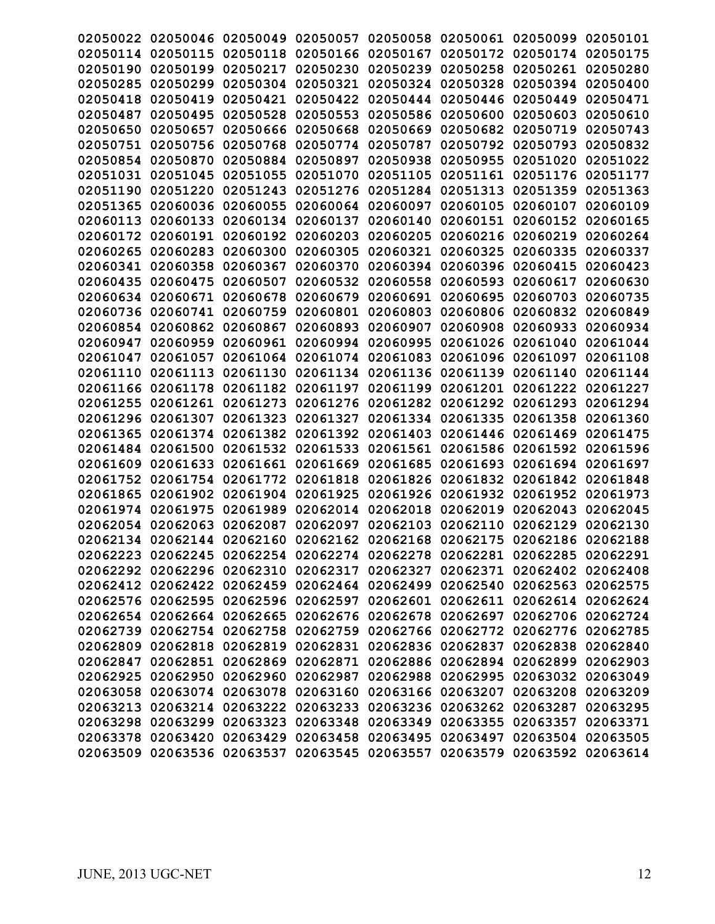|                   |                   | 02050022 02050046 02050049                                              | 02050057          |                                              |                   | 02050058 02050061 02050099 | 02050101 |
|-------------------|-------------------|-------------------------------------------------------------------------|-------------------|----------------------------------------------|-------------------|----------------------------|----------|
| 02050114          | 02050115          | 02050118                                                                | 02050166          | 02050167                                     | 02050172          | 02050174                   | 02050175 |
| 02050190          | 02050199          | 02050217                                                                | 02050230          | 02050239                                     | 02050258          | 02050261 02050280          |          |
| 02050285          | 02050299          | 02050304                                                                | 02050321          | 02050324                                     | 02050328          | 02050394 02050400          |          |
| 02050418          | 02050419          | 02050421                                                                | 02050422          | 02050444                                     | 02050446          | 02050449                   | 02050471 |
| 02050487          | 02050495          | 02050528                                                                | 02050553          | 02050586                                     | 02050600          | 02050603                   | 02050610 |
| 02050650          | 02050657          | 02050666                                                                | 02050668          | 02050669                                     | 02050682          | 02050719                   | 02050743 |
| 02050751          | 02050756          | 02050768                                                                | 02050774          | 02050787                                     | 02050792          | 02050793                   | 02050832 |
| 02050854          | 02050870          | 02050884                                                                | 02050897          | 02050938                                     | 02050955          | 02051020                   | 02051022 |
| 02051031 02051045 |                   | 02051055                                                                | 02051070          | 02051105                                     | 02051161          | 02051176                   | 02051177 |
| 02051190          | 02051220          | 02051243                                                                | 02051276          | 02051284                                     | 02051313          | 02051359                   | 02051363 |
| 02051365          | 02060036          | 02060055                                                                | 02060064          | 02060097                                     | 02060105          | 02060107                   | 02060109 |
| 02060113          | 02060133          | 02060134                                                                | 02060137          | 02060140                                     | 02060151          | 02060152                   | 02060165 |
| 02060172          | 02060191          | 02060192                                                                | 02060203          | 02060205                                     | 02060216          | 02060219                   | 02060264 |
| 02060265 02060283 |                   | 02060300                                                                | 02060305          | 02060321                                     | 02060325          | 02060335                   | 02060337 |
| 02060341          | 02060358          | 02060367                                                                | 02060370          | 02060394                                     | 02060396          | 02060415                   | 02060423 |
| 02060435          | 02060475          | 02060507                                                                | 02060532          | 02060558                                     | 02060593          | 02060617                   | 02060630 |
| 02060634          | 02060671          | 02060678                                                                | 02060679          | 02060691                                     | 02060695          | 02060703                   | 02060735 |
| 02060736          | 02060741          | 02060759                                                                | 02060801          | 02060803                                     | 02060806          | 02060832                   | 02060849 |
| 02060854          | 02060862          | 02060867                                                                | 02060893          | 02060907                                     | 02060908          | 02060933                   | 02060934 |
| 02060947          | 02060959          | 02060961                                                                | 02060994          | 02060995                                     | 02061026          | 02061040                   | 02061044 |
| 02061047          | 02061057          | 02061064                                                                | 02061074 02061083 |                                              | 02061096          | 02061097                   | 02061108 |
| 02061110          | 02061113          | 02061130                                                                | 02061134          | 02061136                                     | 02061139          | 02061140                   | 02061144 |
| 02061166          | 02061178          | 02061182                                                                | 02061197          | 02061199                                     | 02061201          | 02061222                   | 02061227 |
| 02061255          | 02061261          | 02061273                                                                | 02061276          | 02061282                                     | 02061292          | 02061293                   | 02061294 |
| 02061296          | 02061307          | 02061323                                                                | 02061327          | 02061334                                     | 02061335          | 02061358                   | 02061360 |
| 02061365          | 02061374          | 02061382                                                                | 02061392          | 02061403                                     | 02061446          | 02061469                   | 02061475 |
| 02061484          | 02061500          | 02061532                                                                | 02061533          | 02061561                                     | 02061586          | 02061592 02061596          |          |
| 02061609          | 02061633          | 02061661                                                                | 02061669          | 02061685                                     | 02061693          | 02061694                   | 02061697 |
| 02061752          | 02061754          | 02061772                                                                | 02061818          | 02061826                                     | 02061832          | 02061842                   | 02061848 |
| 02061865          | 02061902          | 02061904                                                                | 02061925          | 02061926                                     | 02061932          | 02061952                   | 02061973 |
| 02061974          | 02061975          | 02061989                                                                | 02062014          | 02062018                                     | 02062019          | 02062043                   | 02062045 |
| 02062054 02062063 |                   | 02062087                                                                | 02062097          | 02062103                                     | 02062110          | 02062129                   | 02062130 |
|                   |                   | 02062134 02062144 02062160 02062162 02062168 02062175 02062186 02062188 |                   |                                              |                   |                            |          |
|                   |                   | 02062223 02062245 02062254 02062274 02062278 02062281 02062285 02062291 |                   |                                              |                   |                            |          |
|                   | 02062292 02062296 | 02062310                                                                | 02062317          | 02062327                                     | 02062371          | 02062402 02062408          |          |
|                   |                   | 02062412 02062422 02062459                                              | 02062464 02062499 |                                              | 02062540          | 02062563 02062575          |          |
|                   |                   | 02062576 02062595 02062596 02062597 02062601 02062611                   |                   |                                              |                   | 02062614 02062624          |          |
|                   |                   | 02062654 02062664 02062665 02062676 02062678 02062697 02062706 02062724 |                   |                                              |                   |                            |          |
|                   |                   | 02062739 02062754 02062758 02062759 02062766 02062772 02062776 02062785 |                   |                                              |                   |                            |          |
|                   |                   | 02062809 02062818 02062819 02062831 02062836 02062837                   |                   |                                              |                   | 02062838 02062840          |          |
|                   | 02062847 02062851 |                                                                         |                   | 02062869 02062871 02062886 02062894 02062899 |                   |                            | 02062903 |
|                   | 02062925 02062950 | 02062960                                                                | 02062987          |                                              | 02062988 02062995 | 02063032 02063049          |          |
|                   |                   | 02063058 02063074 02063078 02063160 02063166 02063207                   |                   |                                              |                   | 02063208 02063209          |          |
|                   |                   | 02063213 02063214 02063222 02063233 02063236 02063262                   |                   |                                              |                   | 02063287 02063295          |          |
|                   | 02063298 02063299 | 02063323                                                                |                   | 02063348 02063349 02063355                   |                   | 02063357 02063371          |          |
|                   | 02063378 02063420 | 02063429                                                                |                   | 02063458 02063495                            | 02063497          | 02063504 02063505          |          |
|                   |                   | 02063509 02063536 02063537                                              |                   | 02063545 02063557                            | 02063579          | 02063592 02063614          |          |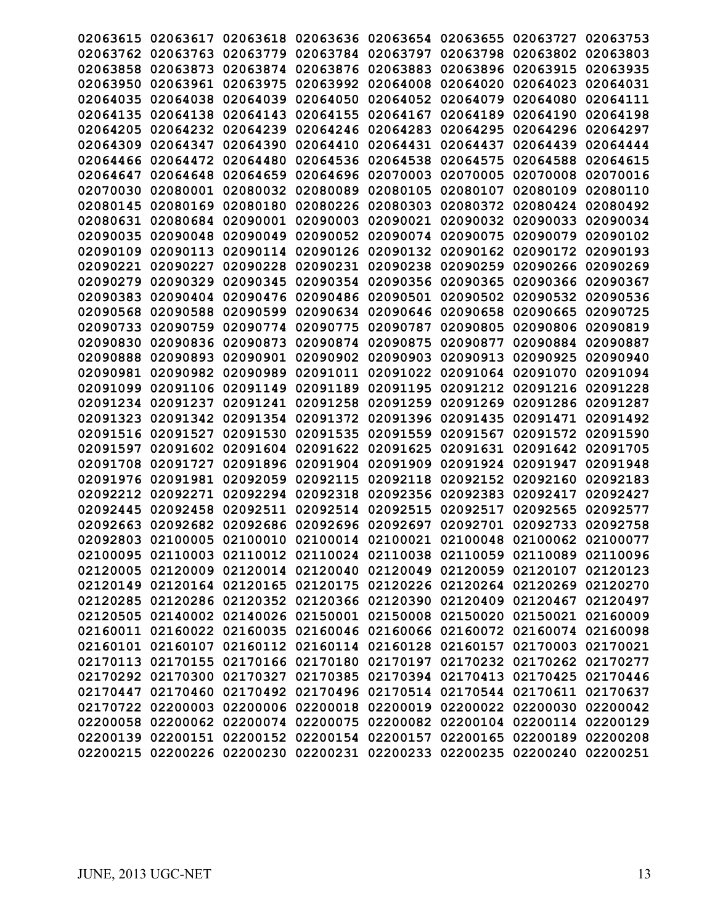| 02063615 | 02063617 | 02063618 | 02063636                                                                | 02063654 | 02063655 | 02063727 | 02063753 |
|----------|----------|----------|-------------------------------------------------------------------------|----------|----------|----------|----------|
| 02063762 | 02063763 | 02063779 | 02063784                                                                | 02063797 | 02063798 | 02063802 | 02063803 |
| 02063858 | 02063873 | 02063874 | 02063876                                                                | 02063883 | 02063896 | 02063915 | 02063935 |
| 02063950 | 02063961 | 02063975 | 02063992                                                                | 02064008 | 02064020 | 02064023 | 02064031 |
| 02064035 | 02064038 | 02064039 | 02064050                                                                | 02064052 | 02064079 | 02064080 | 02064111 |
| 02064135 | 02064138 | 02064143 | 02064155                                                                | 02064167 | 02064189 | 02064190 | 02064198 |
| 02064205 | 02064232 | 02064239 | 02064246                                                                | 02064283 | 02064295 | 02064296 | 02064297 |
| 02064309 | 02064347 | 02064390 | 02064410                                                                | 02064431 | 02064437 | 02064439 | 02064444 |
| 02064466 | 02064472 | 02064480 | 02064536                                                                | 02064538 | 02064575 | 02064588 | 02064615 |
| 02064647 | 02064648 | 02064659 | 02064696                                                                | 02070003 | 02070005 | 02070008 | 02070016 |
| 02070030 | 02080001 | 02080032 | 02080089                                                                | 02080105 | 02080107 | 02080109 | 02080110 |
| 02080145 | 02080169 | 02080180 | 02080226                                                                | 02080303 | 02080372 | 02080424 | 02080492 |
| 02080631 | 02080684 | 02090001 | 02090003                                                                | 02090021 | 02090032 | 02090033 | 02090034 |
| 02090035 | 02090048 | 02090049 | 02090052                                                                | 02090074 | 02090075 | 02090079 | 02090102 |
| 02090109 | 02090113 | 02090114 | 02090126                                                                | 02090132 | 02090162 | 02090172 | 02090193 |
| 02090221 | 02090227 | 02090228 | 02090231                                                                | 02090238 | 02090259 | 02090266 | 02090269 |
| 02090279 | 02090329 | 02090345 | 02090354                                                                | 02090356 | 02090365 | 02090366 | 02090367 |
| 02090383 | 02090404 | 02090476 | 02090486                                                                | 02090501 | 02090502 | 02090532 | 02090536 |
| 02090568 | 02090588 | 02090599 | 02090634                                                                | 02090646 | 02090658 | 02090665 | 02090725 |
| 02090733 | 02090759 | 02090774 | 02090775                                                                | 02090787 | 02090805 | 02090806 | 02090819 |
| 02090830 | 02090836 | 02090873 | 02090874                                                                | 02090875 | 02090877 | 02090884 | 02090887 |
| 02090888 | 02090893 | 02090901 | 02090902                                                                | 02090903 | 02090913 | 02090925 | 02090940 |
| 02090981 | 02090982 | 02090989 | 02091011                                                                | 02091022 | 02091064 | 02091070 | 02091094 |
| 02091099 | 02091106 | 02091149 | 02091189                                                                | 02091195 | 02091212 | 02091216 | 02091228 |
| 02091234 | 02091237 | 02091241 | 02091258                                                                | 02091259 | 02091269 | 02091286 | 02091287 |
| 02091323 | 02091342 | 02091354 | 02091372                                                                | 02091396 | 02091435 | 02091471 | 02091492 |
| 02091516 | 02091527 | 02091530 | 02091535                                                                | 02091559 | 02091567 | 02091572 | 02091590 |
| 02091597 | 02091602 | 02091604 | 02091622                                                                | 02091625 | 02091631 | 02091642 | 02091705 |
| 02091708 | 02091727 | 02091896 | 02091904                                                                | 02091909 | 02091924 | 02091947 | 02091948 |
| 02091976 | 02091981 | 02092059 | 02092115                                                                | 02092118 | 02092152 | 02092160 | 02092183 |
| 02092212 | 02092271 | 02092294 | 02092318                                                                | 02092356 | 02092383 | 02092417 | 02092427 |
| 02092445 | 02092458 | 02092511 | 02092514                                                                | 02092515 | 02092517 | 02092565 | 02092577 |
| 02092663 | 02092682 | 02092686 | 02092696                                                                | 02092697 | 02092701 | 02092733 | 02092758 |
| 02092803 | 02100005 | 02100010 | 02100014                                                                | 02100021 | 02100048 | 02100062 | 02100077 |
|          |          |          | 02100095 02110003 02110012 02110024 02110038 02110059 02110089 02110096 |          |          |          |          |
|          |          |          | 02120005 02120009 02120014 02120040 02120049 02120059 02120107 02120123 |          |          |          |          |
|          |          |          | 02120149 02120164 02120165 02120175 02120226 02120264 02120269 02120270 |          |          |          |          |
|          |          |          | 02120285 02120286 02120352 02120366 02120390 02120409 02120467 02120497 |          |          |          |          |
|          |          |          | 02120505 02140002 02140026 02150001 02150008 02150020 02150021 02160009 |          |          |          |          |
|          |          |          | 02160011 02160022 02160035 02160046 02160066 02160072 02160074 02160098 |          |          |          |          |
|          |          |          | 02160101 02160107 02160112 02160114 02160128 02160157 02170003 02170021 |          |          |          |          |
|          |          |          | 02170113 02170155 02170166 02170180 02170197 02170232 02170262 02170277 |          |          |          |          |
|          |          |          | 02170292 02170300 02170327 02170385 02170394 02170413 02170425 02170446 |          |          |          |          |
|          |          |          | 02170447 02170460 02170492 02170496 02170514 02170544 02170611 02170637 |          |          |          |          |
|          |          |          | 02170722 02200003 02200006 02200018 02200019 02200022 02200030 02200042 |          |          |          |          |
|          |          |          | 02200058 02200062 02200074 02200075 02200082 02200104 02200114 02200129 |          |          |          |          |
|          |          |          | 02200139 02200151 02200152 02200154 02200157 02200165 02200189 02200208 |          |          |          |          |
|          |          |          | 02200215 02200226 02200230 02200231 02200233 02200235 02200240 02200251 |          |          |          |          |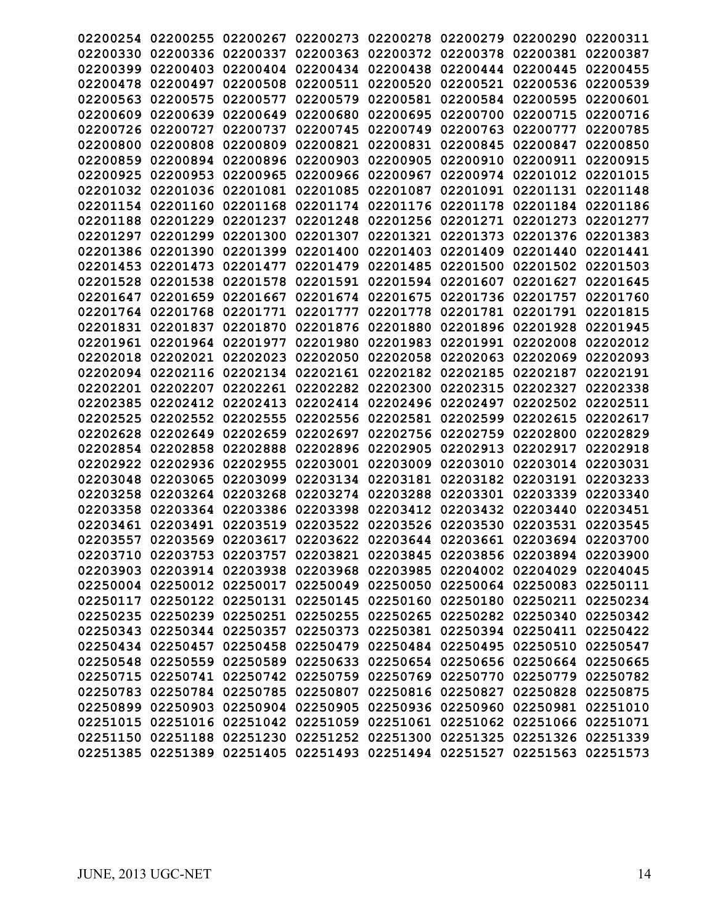| 02200254 |                            | 02200255 02200267 | 02200273 |                   | 02200278 02200279 02200290                                              |                            | 02200311 |
|----------|----------------------------|-------------------|----------|-------------------|-------------------------------------------------------------------------|----------------------------|----------|
| 02200330 | 02200336                   | 02200337          | 02200363 | 02200372          | 02200378                                                                | 02200381                   | 02200387 |
| 02200399 | 02200403                   | 02200404          | 02200434 | 02200438          | 02200444                                                                | 02200445                   | 02200455 |
| 02200478 | 02200497                   | 02200508          | 02200511 | 02200520          | 02200521                                                                | 02200536                   | 02200539 |
| 02200563 | 02200575                   | 02200577          | 02200579 | 02200581          | 02200584                                                                | 02200595                   | 02200601 |
| 02200609 | 02200639                   | 02200649          | 02200680 | 02200695          | 02200700                                                                | 02200715                   | 02200716 |
| 02200726 | 02200727                   | 02200737          | 02200745 | 02200749          | 02200763                                                                | 02200777                   | 02200785 |
| 02200800 | 02200808                   | 02200809          | 02200821 | 02200831          | 02200845                                                                | 02200847                   | 02200850 |
| 02200859 | 02200894                   | 02200896          | 02200903 | 02200905          | 02200910                                                                | 02200911                   | 02200915 |
| 02200925 | 02200953                   | 02200965          | 02200966 | 02200967          | 02200974                                                                | 02201012 02201015          |          |
| 02201032 | 02201036                   | 02201081          | 02201085 | 02201087          | 02201091                                                                | 02201131                   | 02201148 |
| 02201154 | 02201160                   | 02201168          | 02201174 | 02201176          | 02201178                                                                | 02201184                   | 02201186 |
| 02201188 | 02201229                   | 02201237          | 02201248 | 02201256          | 02201271                                                                | 02201273                   | 02201277 |
| 02201297 | 02201299                   | 02201300          | 02201307 | 02201321          | 02201373                                                                | 02201376                   | 02201383 |
| 02201386 | 02201390                   | 02201399          | 02201400 | 02201403          | 02201409                                                                | 02201440                   | 02201441 |
| 02201453 | 02201473                   | 02201477          | 02201479 | 02201485          | 02201500                                                                | 02201502 02201503          |          |
| 02201528 | 02201538                   | 02201578          | 02201591 | 02201594          | 02201607                                                                | 02201627                   | 02201645 |
| 02201647 | 02201659                   | 02201667          | 02201674 | 02201675          | 02201736                                                                | 02201757                   | 02201760 |
| 02201764 | 02201768                   | 02201771          | 02201777 | 02201778          | 02201781                                                                | 02201791                   | 02201815 |
| 02201831 | 02201837                   | 02201870          | 02201876 | 02201880          | 02201896                                                                | 02201928                   | 02201945 |
| 02201961 | 02201964                   | 02201977          | 02201980 | 02201983          | 02201991                                                                | 02202008                   | 02202012 |
| 02202018 | 02202021                   | 02202023          | 02202050 | 02202058          | 02202063                                                                | 02202069                   | 02202093 |
| 02202094 | 02202116                   | 02202134          | 02202161 | 02202182          | 02202185                                                                | 02202187                   | 02202191 |
| 02202201 | 02202207                   | 02202261          | 02202282 | 02202300          | 02202315                                                                | 02202327                   | 02202338 |
| 02202385 | 02202412                   | 02202413          | 02202414 | 02202496          | 02202497                                                                | 02202502                   | 02202511 |
| 02202525 | 02202552                   | 02202555          | 02202556 | 02202581          | 02202599                                                                | 02202615                   | 02202617 |
| 02202628 | 02202649                   | 02202659          | 02202697 | 02202756          | 02202759                                                                | 02202800                   | 02202829 |
| 02202854 | 02202858                   | 02202888          | 02202896 | 02202905          | 02202913                                                                | 02202917                   | 02202918 |
| 02202922 | 02202936                   | 02202955          | 02203001 | 02203009          | 02203010                                                                | 02203014                   | 02203031 |
| 02203048 | 02203065                   | 02203099          | 02203134 | 02203181          | 02203182                                                                | 02203191                   | 02203233 |
| 02203258 | 02203264                   | 02203268          | 02203274 | 02203288          | 02203301                                                                | 02203339                   | 02203340 |
| 02203358 | 02203364                   | 02203386          | 02203398 | 02203412          | 02203432                                                                | 02203440                   | 02203451 |
| 02203461 | 02203491                   | 02203519          |          |                   | 02203522 02203526 02203530                                              | 02203531 02203545          |          |
|          |                            |                   |          |                   | 02203557 02203569 02203617 02203622 02203644 02203661 02203694 02203700 |                            |          |
|          |                            |                   |          |                   | 02203710 02203753 02203757 02203821 02203845 02203856 02203894 02203900 |                            |          |
|          | 02203903 02203914 02203938 |                   |          | 02203968 02203985 |                                                                         | 02204002 02204029 02204045 |          |
|          |                            |                   |          |                   | 02250004 02250012 02250017 02250049 02250050 02250064 02250083 02250111 |                            |          |
|          |                            |                   |          |                   | 02250117 02250122 02250131 02250145 02250160 02250180 02250211 02250234 |                            |          |
|          |                            |                   |          |                   | 02250235 02250239 02250251 02250255 02250265 02250282 02250340 02250342 |                            |          |
|          |                            |                   |          |                   | 02250343 02250344 02250357 02250373 02250381 02250394 02250411 02250422 |                            |          |
|          | 02250434 02250457          |                   |          |                   | 02250458 02250479 02250484 02250495 02250510 02250547                   |                            |          |
|          |                            |                   |          |                   | 02250548 02250559 02250589 02250633 02250654 02250656 02250664 02250665 |                            |          |
|          |                            |                   |          |                   | 02250715 02250741 02250742 02250759 02250769 02250770 02250779 02250782 |                            |          |
|          |                            |                   |          |                   | 02250783 02250784 02250785 02250807 02250816 02250827 02250828 02250875 |                            |          |
|          |                            |                   |          |                   | 02250899 02250903 02250904 02250905 02250936 02250960 02250981 02251010 |                            |          |
|          |                            |                   |          |                   | 02251015 02251016 02251042 02251059 02251061 02251062 02251066 02251071 |                            |          |
|          | 02251150 02251188          |                   |          |                   | 02251230 02251252 02251300 02251325                                     | 02251326 02251339          |          |
|          |                            |                   |          |                   | 02251385 02251389 02251405 02251493 02251494 02251527                   | 02251563 02251573          |          |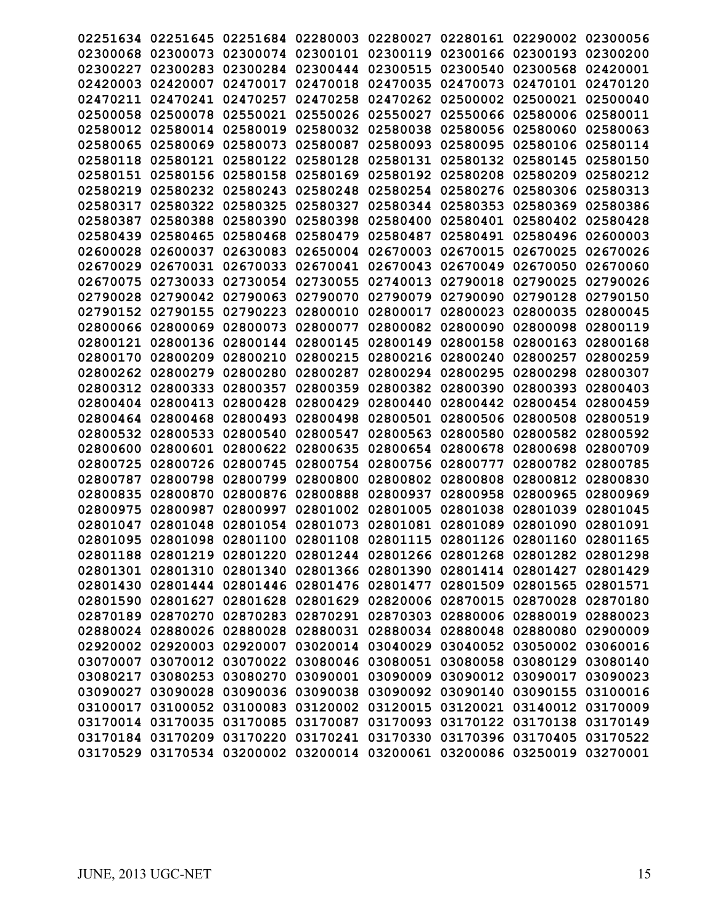| 02251634 | 02251645                   | 02251684 | 02280003                   | 02280027                                                                | 02280161 | 02290002                   | 02300056 |
|----------|----------------------------|----------|----------------------------|-------------------------------------------------------------------------|----------|----------------------------|----------|
| 02300068 | 02300073                   | 02300074 | 02300101                   | 02300119                                                                | 02300166 | 02300193                   | 02300200 |
| 02300227 | 02300283                   | 02300284 | 02300444                   | 02300515                                                                | 02300540 | 02300568                   | 02420001 |
| 02420003 | 02420007                   | 02470017 | 02470018                   | 02470035                                                                | 02470073 | 02470101                   | 02470120 |
| 02470211 | 02470241                   | 02470257 | 02470258                   | 02470262                                                                | 02500002 | 02500021                   | 02500040 |
| 02500058 | 02500078                   | 02550021 | 02550026                   | 02550027                                                                | 02550066 | 02580006                   | 02580011 |
| 02580012 | 02580014                   | 02580019 | 02580032                   | 02580038                                                                | 02580056 | 02580060                   | 02580063 |
| 02580065 | 02580069                   | 02580073 | 02580087                   | 02580093                                                                | 02580095 | 02580106                   | 02580114 |
| 02580118 | 02580121                   | 02580122 | 02580128                   | 02580131                                                                | 02580132 | 02580145                   | 02580150 |
| 02580151 | 02580156                   | 02580158 | 02580169                   | 02580192                                                                | 02580208 | 02580209                   | 02580212 |
| 02580219 | 02580232                   | 02580243 | 02580248                   | 02580254                                                                | 02580276 | 02580306                   | 02580313 |
| 02580317 | 02580322                   | 02580325 | 02580327                   | 02580344                                                                | 02580353 | 02580369                   | 02580386 |
| 02580387 | 02580388                   | 02580390 | 02580398                   | 02580400                                                                | 02580401 | 02580402                   | 02580428 |
| 02580439 | 02580465                   | 02580468 | 02580479                   | 02580487                                                                | 02580491 | 02580496                   | 02600003 |
| 02600028 | 02600037                   | 02630083 | 02650004                   | 02670003                                                                | 02670015 | 02670025                   | 02670026 |
| 02670029 | 02670031                   | 02670033 | 02670041                   | 02670043                                                                | 02670049 | 02670050                   | 02670060 |
| 02670075 | 02730033                   | 02730054 | 02730055                   | 02740013                                                                | 02790018 | 02790025                   | 02790026 |
| 02790028 | 02790042                   | 02790063 | 02790070                   | 02790079                                                                | 02790090 | 02790128                   | 02790150 |
| 02790152 | 02790155                   | 02790223 | 02800010                   | 02800017                                                                | 02800023 | 02800035                   | 02800045 |
| 02800066 | 02800069                   | 02800073 | 02800077                   | 02800082                                                                | 02800090 | 02800098                   | 02800119 |
| 02800121 | 02800136                   | 02800144 | 02800145                   | 02800149                                                                | 02800158 | 02800163                   | 02800168 |
| 02800170 | 02800209                   | 02800210 | 02800215                   | 02800216                                                                | 02800240 | 02800257                   | 02800259 |
| 02800262 | 02800279                   | 02800280 | 02800287                   | 02800294                                                                | 02800295 | 02800298                   | 02800307 |
| 02800312 | 02800333                   | 02800357 | 02800359                   | 02800382                                                                | 02800390 | 02800393                   | 02800403 |
| 02800404 | 02800413                   | 02800428 | 02800429                   | 02800440                                                                | 02800442 | 02800454                   | 02800459 |
| 02800464 | 02800468                   | 02800493 | 02800498                   | 02800501                                                                | 02800506 | 02800508                   | 02800519 |
| 02800532 | 02800533                   | 02800540 | 02800547                   | 02800563                                                                | 02800580 | 02800582                   | 02800592 |
| 02800600 | 02800601                   | 02800622 | 02800635                   | 02800654                                                                | 02800678 | 02800698                   | 02800709 |
| 02800725 | 02800726                   | 02800745 | 02800754                   | 02800756                                                                | 02800777 | 02800782                   | 02800785 |
| 02800787 | 02800798                   | 02800799 | 02800800                   | 02800802                                                                | 02800808 | 02800812                   | 02800830 |
| 02800835 | 02800870                   | 02800876 | 02800888                   | 02800937                                                                | 02800958 | 02800965                   | 02800969 |
| 02800975 | 02800987                   | 02800997 | 02801002                   | 02801005                                                                | 02801038 | 02801039                   | 02801045 |
| 02801047 | 02801048                   | 02801054 | 02801073                   | 02801081                                                                | 02801089 | 02801090                   | 02801091 |
| 02801095 | 02801098                   | 02801100 | 02801108                   | 02801115                                                                | 02801126 | 02801160                   | 02801165 |
|          | 02801188 02801219 02801220 |          |                            | 02801244 02801266 02801268 02801282 02801298                            |          |                            |          |
|          | 02801301 02801310          | 02801340 |                            | 02801366 02801390                                                       |          | 02801414 02801427 02801429 |          |
|          |                            |          |                            | 02801430 02801444 02801446 02801476 02801477                            |          | 02801509 02801565 02801571 |          |
|          |                            |          |                            | 02801590 02801627 02801628 02801629 02820006 02870015 02870028 02870180 |          |                            |          |
|          |                            |          |                            | 02870189 02870270 02870283 02870291 02870303 02880006 02880019 02880023 |          |                            |          |
|          |                            |          |                            | 02880024 02880026 02880028 02880031 02880034 02880048 02880080 02900009 |          |                            |          |
|          |                            |          |                            | 02920002 02920003 02920007 03020014 03040029 03040052 03050002 03060016 |          |                            |          |
|          |                            |          |                            | 03070007 03070012 03070022 03080046 03080051                            |          | 03080058 03080129 03080140 |          |
|          |                            |          |                            | 03080217 03080253 03080270 03090001 03090009 03090012 03090017 03090023 |          |                            |          |
|          |                            |          |                            | 03090027 03090028 03090036 03090038 03090092 03090140 03090155 03100016 |          |                            |          |
|          |                            |          |                            | 03100017 03100052 03100083 03120002 03120015 03120021 03140012 03170009 |          |                            |          |
|          |                            |          |                            | 03170014 03170035 03170085 03170087 03170093 03170122 03170138 03170149 |          |                            |          |
|          | 03170184 03170209          |          | 03170220 03170241 03170330 |                                                                         |          | 03170396 03170405 03170522 |          |
|          |                            |          |                            | 03170529 03170534 03200002 03200014 03200061 03200086 03250019 03270001 |          |                            |          |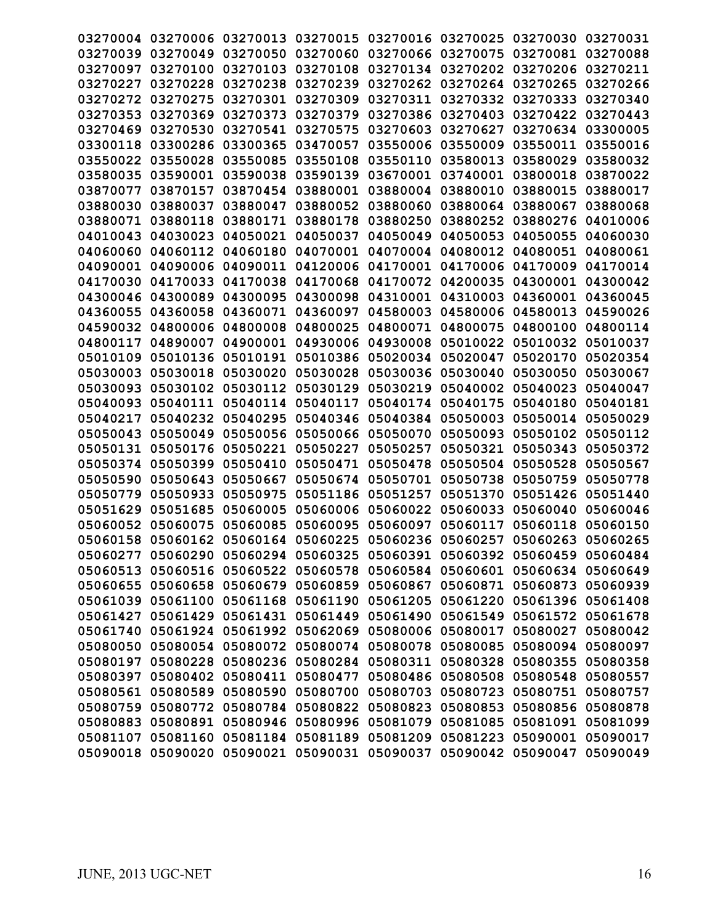| 03270004          | 03270006          | 03270013 | 03270015                   | 03270016          | 03270025 | 03270030                   | 03270031 |
|-------------------|-------------------|----------|----------------------------|-------------------|----------|----------------------------|----------|
| 03270039          | 03270049          | 03270050 | 03270060                   | 03270066          | 03270075 | 03270081                   | 03270088 |
| 03270097          | 03270100          | 03270103 | 03270108                   | 03270134          | 03270202 | 03270206                   | 03270211 |
| 03270227          | 03270228          | 03270238 | 03270239                   | 03270262          | 03270264 | 03270265                   | 03270266 |
| 03270272          | 03270275          | 03270301 | 03270309                   | 03270311          | 03270332 | 03270333                   | 03270340 |
| 03270353          | 03270369          | 03270373 | 03270379                   | 03270386          | 03270403 | 03270422                   | 03270443 |
| 03270469          | 03270530          | 03270541 | 03270575                   | 03270603          | 03270627 | 03270634                   | 03300005 |
| 03300118          | 03300286          | 03300365 | 03470057                   | 03550006          | 03550009 | 03550011                   | 03550016 |
| 03550022          | 03550028          | 03550085 | 03550108                   | 03550110          | 03580013 | 03580029                   | 03580032 |
| 03580035          | 03590001          | 03590038 | 03590139                   | 03670001          | 03740001 | 03800018                   | 03870022 |
| 03870077          | 03870157          | 03870454 | 03880001                   | 03880004          | 03880010 | 03880015                   | 03880017 |
| 03880030          | 03880037          | 03880047 | 03880052                   | 03880060          | 03880064 | 03880067                   | 03880068 |
| 03880071          | 03880118          | 03880171 | 03880178                   | 03880250          | 03880252 | 03880276                   | 04010006 |
| 04010043          | 04030023          | 04050021 | 04050037                   | 04050049          | 04050053 | 04050055                   | 04060030 |
| 04060060          | 04060112          | 04060180 | 04070001                   | 04070004          | 04080012 | 04080051                   | 04080061 |
| 04090001          | 04090006          | 04090011 | 04120006                   | 04170001          | 04170006 | 04170009                   | 04170014 |
| 04170030          | 04170033          | 04170038 | 04170068                   | 04170072          | 04200035 | 04300001                   | 04300042 |
| 04300046          | 04300089          | 04300095 | 04300098                   | 04310001          | 04310003 | 04360001                   | 04360045 |
| 04360055          | 04360058          | 04360071 | 04360097                   | 04580003          | 04580006 | 04580013                   | 04590026 |
| 04590032          | 04800006          | 04800008 | 04800025                   | 04800071          | 04800075 | 04800100                   | 04800114 |
| 04800117          | 04890007          | 04900001 | 04930006                   | 04930008          | 05010022 | 05010032                   | 05010037 |
| 05010109          | 05010136          | 05010191 | 05010386                   | 05020034          | 05020047 | 05020170                   | 05020354 |
| 05030003          | 05030018          | 05030020 | 05030028                   | 05030036          | 05030040 | 05030050                   | 05030067 |
| 05030093          | 05030102          | 05030112 | 05030129                   | 05030219          | 05040002 | 05040023                   | 05040047 |
| 05040093          | 05040111          | 05040114 | 05040117                   | 05040174          | 05040175 | 05040180                   | 05040181 |
| 05040217          | 05040232          | 05040295 | 05040346                   | 05040384          | 05050003 | 05050014                   | 05050029 |
| 05050043          | 05050049          | 05050056 | 05050066                   | 05050070          | 05050093 | 05050102                   | 05050112 |
| 05050131          | 05050176          | 05050221 | 05050227                   | 05050257          | 05050321 | 05050343                   | 05050372 |
| 05050374          | 05050399          | 05050410 | 05050471                   | 05050478          | 05050504 | 05050528                   | 05050567 |
| 05050590          | 05050643          | 05050667 | 05050674                   | 05050701          | 05050738 | 05050759                   | 05050778 |
| 05050779          | 05050933          | 05050975 | 05051186                   | 05051257          | 05051370 | 05051426                   | 05051440 |
| 05051629          | 05051685          | 05060005 | 05060006                   | 05060022          | 05060033 | 05060040                   | 05060046 |
| 05060052          | 05060075          | 05060085 | 05060095                   | 05060097          | 05060117 | 05060118                   | 05060150 |
| 05060158          | 05060162          | 05060164 | 05060225                   | 05060236          | 05060257 | 05060263                   | 05060265 |
|                   | 05060277 05060290 | 05060294 | 05060325 05060391          |                   | 05060392 | 05060459 05060484          |          |
| 05060513          | 05060516          | 05060522 | 05060578                   | 05060584          | 05060601 | 05060634 05060649          |          |
|                   | 05060655 05060658 | 05060679 | 05060859                   | 05060867          | 05060871 | 05060873 05060939          |          |
|                   | 05061039 05061100 | 05061168 | 05061190 05061205          |                   |          | 05061220 05061396 05061408 |          |
|                   | 05061427 05061429 |          | 05061431 05061449 05061490 |                   |          | 05061549 05061572 05061678 |          |
|                   | 05061740 05061924 |          | 05061992 05062069 05080006 |                   | 05080017 | 05080027 05080042          |          |
| 05080050          | 05080054          | 05080072 | 05080074 05080078          |                   | 05080085 | 05080094 05080097          |          |
| 05080197          | 05080228          |          | 05080236 05080284 05080311 |                   | 05080328 | 05080355 05080358          |          |
|                   | 05080397 05080402 | 05080411 |                            | 05080477 05080486 | 05080508 | 05080548 05080557          |          |
|                   | 05080561 05080589 |          | 05080590 05080700 05080703 |                   | 05080723 | 05080751 05080757          |          |
|                   | 05080759 05080772 |          | 05080784 05080822 05080823 |                   | 05080853 | 05080856 05080878          |          |
|                   | 05080883 05080891 |          | 05080946 05080996 05081079 |                   | 05081085 | 05081091 05081099          |          |
|                   | 05081107 05081160 |          | 05081184 05081189 05081209 |                   | 05081223 | 05090001 05090017          |          |
| 05090018 05090020 |                   |          | 05090021 05090031 05090037 |                   |          | 05090042 05090047 05090049 |          |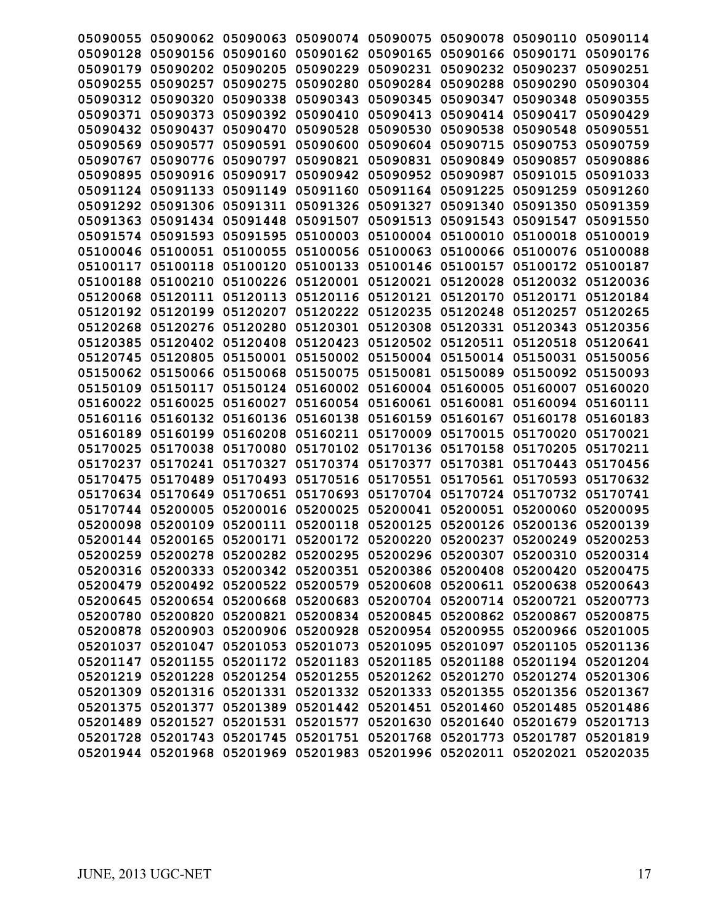| 05090055          |                   | 05090062 05090063 | 05090074 05090075                            |          | 05090078 05090110                                                       |                   | 05090114 |
|-------------------|-------------------|-------------------|----------------------------------------------|----------|-------------------------------------------------------------------------|-------------------|----------|
| 05090128          | 05090156          | 05090160          | 05090162                                     | 05090165 | 05090166 05090171                                                       |                   | 05090176 |
| 05090179          | 05090202          | 05090205          | 05090229                                     | 05090231 | 05090232                                                                | 05090237          | 05090251 |
| 05090255          | 05090257          | 05090275          | 05090280                                     | 05090284 | 05090288                                                                | 05090290          | 05090304 |
| 05090312          | 05090320          | 05090338          | 05090343                                     | 05090345 | 05090347                                                                | 05090348          | 05090355 |
| 05090371          | 05090373          | 05090392          | 05090410                                     | 05090413 | 05090414                                                                | 05090417          | 05090429 |
| 05090432          | 05090437          | 05090470          | 05090528                                     | 05090530 | 05090538                                                                | 05090548          | 05090551 |
| 05090569          | 05090577          | 05090591          | 05090600                                     | 05090604 | 05090715                                                                | 05090753          | 05090759 |
| 05090767          | 05090776          | 05090797          | 05090821                                     | 05090831 | 05090849                                                                | 05090857          | 05090886 |
| 05090895          | 05090916          | 05090917          | 05090942 05090952                            |          | 05090987                                                                | 05091015          | 05091033 |
| 05091124          | 05091133          | 05091149          | 05091160                                     | 05091164 | 05091225                                                                | 05091259          | 05091260 |
| 05091292          | 05091306          | 05091311          | 05091326                                     | 05091327 | 05091340                                                                | 05091350          | 05091359 |
| 05091363          | 05091434          | 05091448          | 05091507                                     | 05091513 | 05091543                                                                | 05091547          | 05091550 |
| 05091574          | 05091593          | 05091595          | 05100003                                     | 05100004 | 05100010                                                                | 05100018          | 05100019 |
| 05100046 05100051 |                   | 05100055          | 05100056 05100063                            |          | 05100066                                                                | 05100076          | 05100088 |
| 05100117 05100118 |                   | 05100120          | 05100133 05100146                            |          | 05100157                                                                | 05100172 05100187 |          |
| 05100188          | 05100210          | 05100226          | 05120001                                     | 05120021 | 05120028                                                                | 05120032          | 05120036 |
| 05120068          | 05120111          | 05120113          | 05120116                                     | 05120121 | 05120170                                                                | 05120171          | 05120184 |
| 05120192          | 05120199          | 05120207          | 05120222                                     | 05120235 | 05120248                                                                | 05120257          | 05120265 |
| 05120268          | 05120276          | 05120280          | 05120301                                     | 05120308 | 05120331                                                                | 05120343          | 05120356 |
| 05120385          | 05120402          | 05120408          | 05120423                                     | 05120502 | 05120511                                                                | 05120518          | 05120641 |
| 05120745          | 05120805          | 05150001          | 05150002                                     | 05150004 | 05150014                                                                | 05150031 05150056 |          |
| 05150062          | 05150066          | 05150068          | 05150075                                     | 05150081 | 05150089                                                                | 05150092          | 05150093 |
| 05150109          | 05150117          | 05150124          | 05160002                                     | 05160004 | 05160005                                                                | 05160007          | 05160020 |
| 05160022          | 05160025          | 05160027          | 05160054                                     | 05160061 | 05160081                                                                | 05160094          | 05160111 |
| 05160116 05160132 |                   | 05160136          | 05160138                                     | 05160159 | 05160167                                                                | 05160178 05160183 |          |
| 05160189 05160199 |                   | 05160208          | 05160211 05170009                            |          | 05170015                                                                | 05170020          | 05170021 |
| 05170025          | 05170038          | 05170080          | 05170102 05170136                            |          | 05170158                                                                | 05170205          | 05170211 |
| 05170237          | 05170241          | 05170327          | 05170374                                     | 05170377 | 05170381                                                                | 05170443          | 05170456 |
| 05170475          | 05170489          | 05170493          | 05170516                                     | 05170551 | 05170561                                                                | 05170593          | 05170632 |
| 05170634          | 05170649          | 05170651          | 05170693                                     | 05170704 | 05170724                                                                | 05170732          | 05170741 |
| 05170744          | 05200005          | 05200016          | 05200025                                     | 05200041 | 05200051                                                                | 05200060          | 05200095 |
| 05200098          | 05200109          |                   | 05200111 05200118 05200125                   |          | 05200126                                                                | 05200136 05200139 |          |
|                   |                   |                   |                                              |          | 05200144 05200165 05200171 05200172 05200220 05200237 05200249 05200253 |                   |          |
|                   |                   |                   |                                              |          | 05200259 05200278 05200282 05200295 05200296 05200307 05200310 05200314 |                   |          |
|                   | 05200316 05200333 |                   | 05200342 05200351 05200386                   |          | 05200408                                                                | 05200420 05200475 |          |
|                   |                   |                   |                                              |          | 05200479 05200492 05200522 05200579 05200608 05200611 05200638 05200643 |                   |          |
|                   |                   |                   |                                              |          | 05200645 05200654 05200668 05200683 05200704 05200714 05200721 05200773 |                   |          |
|                   |                   |                   |                                              |          | 05200780 05200820 05200821 05200834 05200845 05200862 05200867 05200875 |                   |          |
|                   |                   |                   |                                              |          | 05200878 05200903 05200906 05200928 05200954 05200955 05200966 05201005 |                   |          |
|                   | 05201037 05201047 |                   |                                              |          | 05201053 05201073 05201095 05201097 05201105 05201136                   |                   |          |
|                   | 05201147 05201155 |                   | 05201172 05201183 05201185                   |          | 05201188 05201194 05201204                                              |                   |          |
|                   |                   |                   | 05201219 05201228 05201254 05201255 05201262 |          | 05201270                                                                | 05201274 05201306 |          |
|                   |                   |                   |                                              |          | 05201309 05201316 05201331 05201332 05201333 05201355 05201356 05201367 |                   |          |
|                   |                   |                   |                                              |          | 05201375 05201377 05201389 05201442 05201451 05201460 05201485 05201486 |                   |          |
|                   | 05201489 05201527 |                   | 05201531 05201577 05201630                   |          | 05201640 05201679 05201713                                              |                   |          |
|                   | 05201728 05201743 |                   | 05201745 05201751 05201768                   |          | 05201773 05201787 05201819                                              |                   |          |
|                   | 05201944 05201968 |                   |                                              |          | 05201969 05201983 05201996 05202011 05202021 05202035                   |                   |          |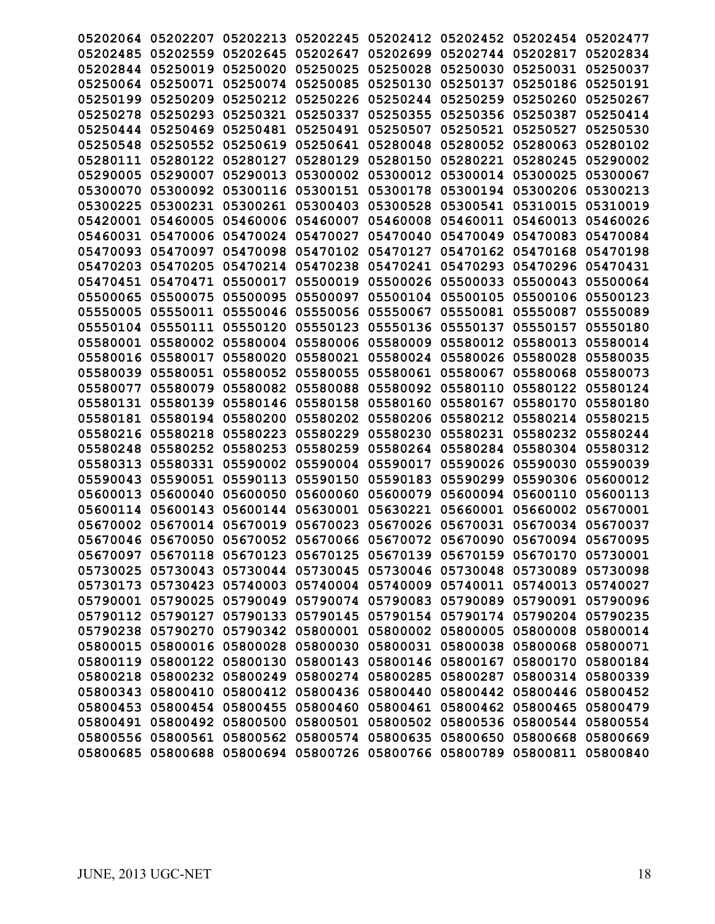| 05202064          | 05202207                   | 05202213 | 05202245                                              | 05202412                   | 05202452 | 05202454                   | 05202477 |
|-------------------|----------------------------|----------|-------------------------------------------------------|----------------------------|----------|----------------------------|----------|
| 05202485          | 05202559                   | 05202645 | 05202647                                              | 05202699                   | 05202744 | 05202817                   | 05202834 |
| 05202844          | 05250019                   | 05250020 | 05250025                                              | 05250028                   | 05250030 | 05250031                   | 05250037 |
| 05250064          | 05250071                   | 05250074 | 05250085                                              | 05250130                   | 05250137 | 05250186                   | 05250191 |
| 05250199          | 05250209                   | 05250212 | 05250226                                              | 05250244                   | 05250259 | 05250260                   | 05250267 |
| 05250278          | 05250293                   | 05250321 | 05250337                                              | 05250355                   | 05250356 | 05250387                   | 05250414 |
| 05250444          | 05250469                   | 05250481 | 05250491                                              | 05250507                   | 05250521 | 05250527                   | 05250530 |
| 05250548          | 05250552                   | 05250619 | 05250641                                              | 05280048                   | 05280052 | 05280063                   | 05280102 |
| 05280111          | 05280122                   | 05280127 | 05280129                                              | 05280150                   | 05280221 | 05280245                   | 05290002 |
| 05290005          | 05290007                   | 05290013 | 05300002                                              | 05300012                   | 05300014 | 05300025                   | 05300067 |
| 05300070          | 05300092                   | 05300116 | 05300151                                              | 05300178                   | 05300194 | 05300206                   | 05300213 |
| 05300225          | 05300231                   | 05300261 | 05300403                                              | 05300528                   | 05300541 | 05310015                   | 05310019 |
| 05420001          | 05460005                   | 05460006 | 05460007                                              | 05460008                   | 05460011 | 05460013                   | 05460026 |
| 05460031          | 05470006                   | 05470024 | 05470027                                              | 05470040                   | 05470049 | 05470083                   | 05470084 |
| 05470093          | 05470097                   | 05470098 | 05470102                                              | 05470127                   | 05470162 | 05470168                   | 05470198 |
| 05470203          | 05470205                   | 05470214 | 05470238                                              | 05470241                   | 05470293 | 05470296                   | 05470431 |
| 05470451          | 05470471                   | 05500017 | 05500019                                              | 05500026                   | 05500033 | 05500043                   | 05500064 |
| 05500065          | 05500075                   | 05500095 | 05500097                                              | 05500104                   | 05500105 | 05500106                   | 05500123 |
| 05550005          | 05550011                   | 05550046 | 05550056                                              | 05550067                   | 05550081 | 05550087                   | 05550089 |
| 05550104          | 05550111                   | 05550120 | 05550123                                              | 05550136                   | 05550137 | 05550157                   | 05550180 |
| 05580001          | 05580002                   | 05580004 | 05580006                                              | 05580009                   | 05580012 | 05580013                   | 05580014 |
| 05580016          | 05580017                   | 05580020 | 05580021                                              | 05580024                   | 05580026 | 05580028                   | 05580035 |
| 05580039          | 05580051                   | 05580052 | 05580055                                              | 05580061                   | 05580067 | 05580068                   | 05580073 |
| 05580077          | 05580079                   | 05580082 | 05580088                                              | 05580092                   | 05580110 | 05580122                   | 05580124 |
| 05580131          | 05580139                   | 05580146 | 05580158                                              | 05580160                   | 05580167 | 05580170                   | 05580180 |
| 05580181          | 05580194                   | 05580200 | 05580202                                              | 05580206                   | 05580212 | 05580214                   | 05580215 |
| 05580216          | 05580218                   | 05580223 | 05580229                                              | 05580230                   | 05580231 | 05580232                   | 05580244 |
| 05580248          | 05580252                   | 05580253 | 05580259                                              | 05580264                   | 05580284 | 05580304                   | 05580312 |
| 05580313          | 05580331                   | 05590002 | 05590004                                              | 05590017                   | 05590026 | 05590030                   | 05590039 |
| 05590043          | 05590051                   | 05590113 | 05590150                                              | 05590183                   | 05590299 | 05590306                   | 05600012 |
| 05600013          | 05600040                   | 05600050 | 05600060                                              | 05600079                   | 05600094 | 05600110                   | 05600113 |
| 05600114          | 05600143                   | 05600144 | 05630001                                              | 05630221                   | 05660001 | 05660002                   | 05670001 |
| 05670002          | 05670014                   | 05670019 | 05670023                                              | 05670026                   | 05670031 | 05670034                   | 05670037 |
| 05670046          | 05670050                   | 05670052 | 05670066                                              | 05670072                   | 05670090 | 05670094 05670095          |          |
|                   | 05670097 05670118 05670123 |          |                                                       | 05670125 05670139 05670159 |          | 05670170 05730001          |          |
|                   | 05730025 05730043          |          | 05730044 05730045                                     | 05730046                   | 05730048 | 05730089 05730098          |          |
|                   | 05730173 05730423          |          | 05740003 05740004 05740009 05740011                   |                            |          | 05740013 05740027          |          |
|                   | 05790001 05790025          |          | 05790049 05790074 05790083 05790089 05790091 05790096 |                            |          |                            |          |
|                   | 05790112 05790127          |          | 05790133 05790145 05790154 05790174 05790204 05790235 |                            |          |                            |          |
|                   | 05790238 05790270          |          | 05790342 05800001 05800002                            |                            | 05800005 | 05800008 05800014          |          |
|                   | 05800015 05800016          |          | 05800028 05800030 05800031                            |                            | 05800038 | 05800068 05800071          |          |
|                   | 05800119 05800122          | 05800130 | 05800143 05800146                                     |                            | 05800167 | 05800170 05800184          |          |
|                   | 05800218 05800232          | 05800249 | 05800274 05800285                                     |                            | 05800287 | 05800314 05800339          |          |
|                   | 05800343 05800410          |          | 05800412 05800436 05800440                            |                            | 05800442 | 05800446 05800452          |          |
|                   | 05800453 05800454          | 05800455 |                                                       | 05800460 05800461          |          | 05800462 05800465 05800479 |          |
|                   | 05800491 05800492          | 05800500 | 05800501 05800502                                     |                            | 05800536 | 05800544 05800554          |          |
| 05800556 05800561 |                            | 05800562 | 05800574 05800635                                     |                            | 05800650 | 05800668 05800669          |          |
|                   | 05800685 05800688          |          | 05800694 05800726 05800766                            |                            | 05800789 | 05800811 05800840          |          |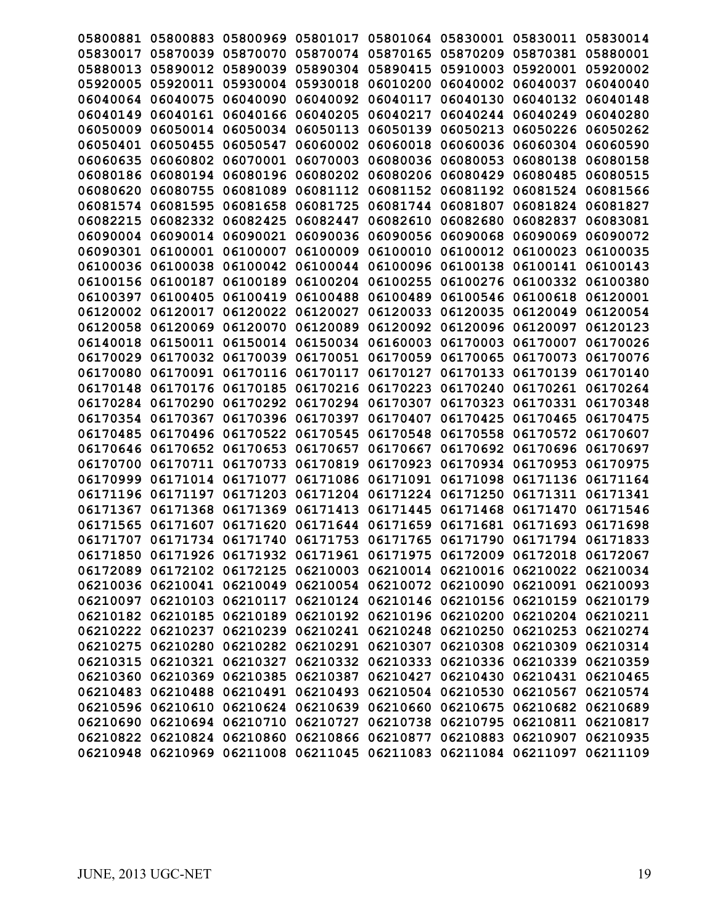| 05800881 | 05800883          | 05800969                   | 05801017                                                                | 05801064                   | 05830001 | 05830011          | 05830014 |
|----------|-------------------|----------------------------|-------------------------------------------------------------------------|----------------------------|----------|-------------------|----------|
| 05830017 | 05870039          | 05870070                   | 05870074                                                                | 05870165                   | 05870209 | 05870381          | 05880001 |
| 05880013 | 05890012          | 05890039                   | 05890304                                                                | 05890415                   | 05910003 | 05920001          | 05920002 |
| 05920005 | 05920011          | 05930004                   | 05930018                                                                | 06010200                   | 06040002 | 06040037          | 06040040 |
| 06040064 | 06040075          | 06040090                   | 06040092                                                                | 06040117                   | 06040130 | 06040132          | 06040148 |
| 06040149 | 06040161          | 06040166                   | 06040205                                                                | 06040217                   | 06040244 | 06040249          | 06040280 |
| 06050009 | 06050014          | 06050034                   | 06050113                                                                | 06050139                   | 06050213 | 06050226          | 06050262 |
| 06050401 | 06050455          | 06050547                   | 06060002                                                                | 06060018                   | 06060036 | 06060304          | 06060590 |
| 06060635 | 06060802          | 06070001                   | 06070003                                                                | 06080036                   | 06080053 | 06080138          | 06080158 |
| 06080186 | 06080194          | 06080196                   | 06080202                                                                | 06080206                   | 06080429 | 06080485          | 06080515 |
| 06080620 | 06080755          | 06081089                   | 06081112                                                                | 06081152                   | 06081192 | 06081524          | 06081566 |
| 06081574 | 06081595          | 06081658                   | 06081725                                                                | 06081744                   | 06081807 | 06081824          | 06081827 |
| 06082215 | 06082332          | 06082425                   | 06082447                                                                | 06082610                   | 06082680 | 06082837          | 06083081 |
| 06090004 | 06090014          | 06090021                   | 06090036                                                                | 06090056                   | 06090068 | 06090069          | 06090072 |
| 06090301 | 06100001          | 06100007                   | 06100009                                                                | 06100010                   | 06100012 | 06100023          | 06100035 |
| 06100036 | 06100038          | 06100042                   | 06100044                                                                | 06100096                   | 06100138 | 06100141          | 06100143 |
| 06100156 | 06100187          | 06100189                   | 06100204                                                                | 06100255                   | 06100276 | 06100332          | 06100380 |
| 06100397 | 06100405          | 06100419                   | 06100488                                                                | 06100489                   | 06100546 | 06100618          | 06120001 |
| 06120002 | 06120017          | 06120022                   | 06120027                                                                | 06120033                   | 06120035 | 06120049          | 06120054 |
| 06120058 | 06120069          | 06120070                   | 06120089                                                                | 06120092                   | 06120096 | 06120097          | 06120123 |
| 06140018 | 06150011          | 06150014                   | 06150034                                                                | 06160003                   | 06170003 | 06170007          | 06170026 |
| 06170029 | 06170032          | 06170039                   | 06170051                                                                | 06170059                   | 06170065 | 06170073          | 06170076 |
| 06170080 | 06170091          | 06170116                   | 06170117                                                                | 06170127                   | 06170133 | 06170139          | 06170140 |
| 06170148 | 06170176          | 06170185                   | 06170216                                                                | 06170223                   | 06170240 | 06170261          | 06170264 |
| 06170284 | 06170290          | 06170292                   | 06170294                                                                | 06170307                   | 06170323 | 06170331          | 06170348 |
| 06170354 | 06170367          | 06170396                   | 06170397                                                                | 06170407                   | 06170425 | 06170465          | 06170475 |
| 06170485 | 06170496          | 06170522                   | 06170545                                                                | 06170548                   | 06170558 | 06170572          | 06170607 |
| 06170646 | 06170652          | 06170653                   | 06170657                                                                | 06170667                   | 06170692 | 06170696          | 06170697 |
| 06170700 | 06170711          | 06170733                   | 06170819                                                                | 06170923                   | 06170934 | 06170953          | 06170975 |
| 06170999 | 06171014          | 06171077                   | 06171086                                                                | 06171091                   | 06171098 | 06171136          | 06171164 |
| 06171196 | 06171197          | 06171203                   | 06171204                                                                | 06171224                   | 06171250 | 06171311          | 06171341 |
| 06171367 | 06171368          | 06171369                   | 06171413                                                                | 06171445                   | 06171468 | 06171470          | 06171546 |
| 06171565 | 06171607          | 06171620                   | 06171644                                                                | 06171659                   | 06171681 | 06171693          | 06171698 |
| 06171707 | 06171734          | 06171740                   | 06171753                                                                | 06171765                   | 06171790 | 06171794 06171833 |          |
|          |                   |                            | 06171850 06171926 06171932 06171961 06171975 06172009 06172018 06172067 |                            |          |                   |          |
|          |                   |                            | 06172089 06172102 06172125 06210003 06210014 06210016 06210022 06210034 |                            |          |                   |          |
|          |                   |                            | 06210036 06210041 06210049 06210054 06210072 06210090 06210091 06210093 |                            |          |                   |          |
|          |                   |                            | 06210097 06210103 06210117 06210124 06210146 06210156 06210159 06210179 |                            |          |                   |          |
|          |                   |                            | 06210182 06210185 06210189 06210192 06210196 06210200 06210204 06210211 |                            |          |                   |          |
|          | 06210222 06210237 |                            | 06210239 06210241 06210248 06210250 06210253 06210274                   |                            |          |                   |          |
|          |                   |                            | 06210275 06210280 06210282 06210291 06210307 06210308 06210309 06210314 |                            |          |                   |          |
|          |                   |                            | 06210315 06210321 06210327 06210332 06210333 06210336 06210339 06210359 |                            |          |                   |          |
|          |                   |                            | 06210360 06210369 06210385 06210387 06210427 06210430                   |                            |          | 06210431 06210465 |          |
|          |                   |                            | 06210483 06210488 06210491 06210493 06210504 06210530 06210567 06210574 |                            |          |                   |          |
|          |                   |                            | 06210596 06210610 06210624 06210639 06210660 06210675 06210682 06210689 |                            |          |                   |          |
|          |                   | 06210690 06210694 06210710 |                                                                         | 06210727 06210738 06210795 |          | 06210811 06210817 |          |
|          |                   | 06210822 06210824 06210860 |                                                                         | 06210866 06210877          | 06210883 | 06210907 06210935 |          |
|          |                   |                            | 06210948 06210969 06211008 06211045 06211083 06211084 06211097 06211109 |                            |          |                   |          |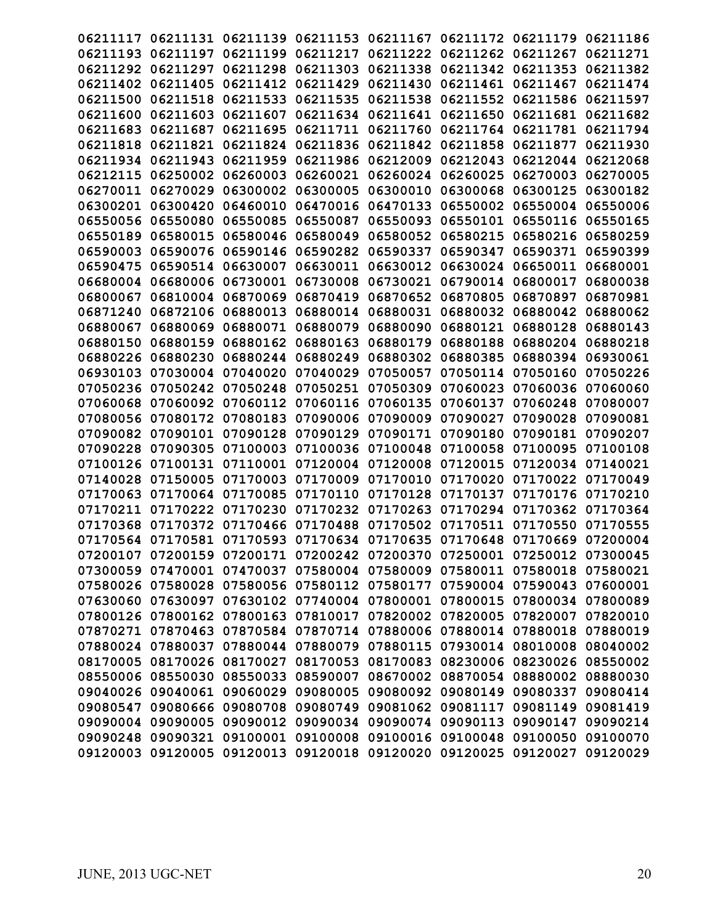| 06211117 | 06211131                                     | 06211139 | 06211153                   | 06211167                            | 06211172          | 06211179                                                                | 06211186 |
|----------|----------------------------------------------|----------|----------------------------|-------------------------------------|-------------------|-------------------------------------------------------------------------|----------|
| 06211193 | 06211197                                     | 06211199 | 06211217                   | 06211222                            | 06211262          | 06211267                                                                | 06211271 |
| 06211292 | 06211297                                     | 06211298 | 06211303                   | 06211338                            | 06211342          | 06211353                                                                | 06211382 |
| 06211402 | 06211405                                     | 06211412 | 06211429                   | 06211430                            | 06211461          | 06211467                                                                | 06211474 |
| 06211500 | 06211518                                     | 06211533 | 06211535                   | 06211538                            | 06211552          | 06211586                                                                | 06211597 |
| 06211600 | 06211603                                     | 06211607 | 06211634                   | 06211641                            | 06211650          | 06211681                                                                | 06211682 |
| 06211683 | 06211687                                     | 06211695 | 06211711                   | 06211760                            | 06211764          | 06211781                                                                | 06211794 |
| 06211818 | 06211821                                     | 06211824 | 06211836                   | 06211842                            | 06211858          | 06211877                                                                | 06211930 |
| 06211934 | 06211943                                     | 06211959 | 06211986                   | 06212009                            | 06212043          | 06212044                                                                | 06212068 |
| 06212115 | 06250002                                     | 06260003 | 06260021                   | 06260024                            | 06260025          | 06270003                                                                | 06270005 |
| 06270011 | 06270029                                     | 06300002 | 06300005                   | 06300010                            | 06300068          | 06300125                                                                | 06300182 |
| 06300201 | 06300420                                     | 06460010 | 06470016                   | 06470133                            | 06550002          | 06550004                                                                | 06550006 |
| 06550056 | 06550080                                     | 06550085 | 06550087                   | 06550093                            | 06550101          | 06550116                                                                | 06550165 |
| 06550189 | 06580015                                     | 06580046 | 06580049                   | 06580052                            | 06580215          | 06580216                                                                | 06580259 |
| 06590003 | 06590076                                     | 06590146 | 06590282                   | 06590337                            | 06590347          | 06590371 06590399                                                       |          |
| 06590475 | 06590514                                     | 06630007 | 06630011                   | 06630012                            | 06630024          | 06650011                                                                | 06680001 |
| 06680004 | 06680006                                     | 06730001 | 06730008                   | 06730021                            | 06790014          | 06800017                                                                | 06800038 |
| 06800067 | 06810004                                     | 06870069 | 06870419                   | 06870652                            | 06870805          | 06870897                                                                | 06870981 |
| 06871240 | 06872106                                     | 06880013 | 06880014                   | 06880031                            | 06880032          | 06880042                                                                | 06880062 |
| 06880067 | 06880069                                     | 06880071 | 06880079                   | 06880090                            | 06880121          | 06880128                                                                | 06880143 |
| 06880150 | 06880159                                     | 06880162 | 06880163                   | 06880179                            | 06880188          | 06880204                                                                | 06880218 |
| 06880226 | 06880230                                     | 06880244 | 06880249                   | 06880302                            | 06880385          | 06880394                                                                | 06930061 |
| 06930103 | 07030004                                     | 07040020 | 07040029                   | 07050057                            | 07050114          | 07050160                                                                | 07050226 |
| 07050236 | 07050242                                     | 07050248 | 07050251                   | 07050309                            | 07060023          | 07060036                                                                | 07060060 |
| 07060068 | 07060092                                     | 07060112 | 07060116                   | 07060135                            | 07060137          | 07060248                                                                | 07080007 |
| 07080056 | 07080172                                     | 07080183 | 07090006                   | 07090009                            | 07090027          | 07090028                                                                | 07090081 |
| 07090082 | 07090101                                     | 07090128 | 07090129                   | 07090171                            | 07090180          | 07090181                                                                | 07090207 |
| 07090228 | 07090305                                     | 07100003 | 07100036                   | 07100048                            | 07100058          | 07100095                                                                | 07100108 |
| 07100126 | 07100131                                     | 07110001 | 07120004                   | 07120008                            | 07120015          | 07120034                                                                | 07140021 |
| 07140028 | 07150005                                     | 07170003 | 07170009                   | 07170010                            | 07170020          | 07170022                                                                | 07170049 |
| 07170063 | 07170064                                     | 07170085 | 07170110                   | 07170128                            | 07170137          | 07170176                                                                | 07170210 |
| 07170211 | 07170222                                     | 07170230 | 07170232                   | 07170263                            | 07170294          | 07170362                                                                | 07170364 |
| 07170368 | 07170372                                     | 07170466 | 07170488                   | 07170502                            | 07170511          | 07170550                                                                | 07170555 |
|          | 07170564 07170581                            | 07170593 | 07170634 07170635          |                                     | 07170648          | 07170669                                                                | 07200004 |
|          |                                              |          |                            |                                     |                   | 07200107 07200159 07200171 07200242 07200370 07250001 07250012 07300045 |          |
|          | 07300059 07470001 07470037 07580004 07580009 |          |                            |                                     |                   | 07580011 07580018 07580021                                              |          |
|          | 07580026 07580028                            |          | 07580056 07580112 07580177 |                                     |                   | 07590004 07590043 07600001                                              |          |
|          | 07630060 07630097 07630102 07740004 07800001 |          |                            |                                     |                   | 07800015 07800034 07800089                                              |          |
|          | 07800126 07800162                            |          |                            | 07800163 07810017 07820002 07820005 |                   | 07820007 07820010                                                       |          |
|          | 07870271 07870463                            | 07870584 |                            | 07870714 07880006 07880014          |                   | 07880018 07880019                                                       |          |
|          | 07880024 07880037                            | 07880044 | 07880079                   | 07880115                            | 07930014          | 08010008 08040002                                                       |          |
|          | 08170005 08170026                            | 08170027 | 08170053                   | 08170083                            | 08230006          | 08230026 08550002                                                       |          |
|          | 08550006 08550030                            | 08550033 | 08590007                   | 08670002                            | 08870054          | 08880002 08880030                                                       |          |
|          | 09040026 09040061                            |          | 09060029 09080005 09080092 |                                     | 09080149          | 09080337 09080414                                                       |          |
|          | 09080547 09080666                            |          | 09080708 09080749          | 09081062                            | 09081117          | 09081149 09081419                                                       |          |
|          | 09090004 09090005                            |          | 09090012 09090034          |                                     | 09090074 09090113 | 09090147                                                                | 09090214 |
|          | 09090248 09090321                            | 09100001 | 09100008                   | 09100016                            | 09100048          | 09100050                                                                | 09100070 |
|          | 09120003 09120005                            |          | 09120013 09120018 09120020 |                                     | 09120025          | 09120027 09120029                                                       |          |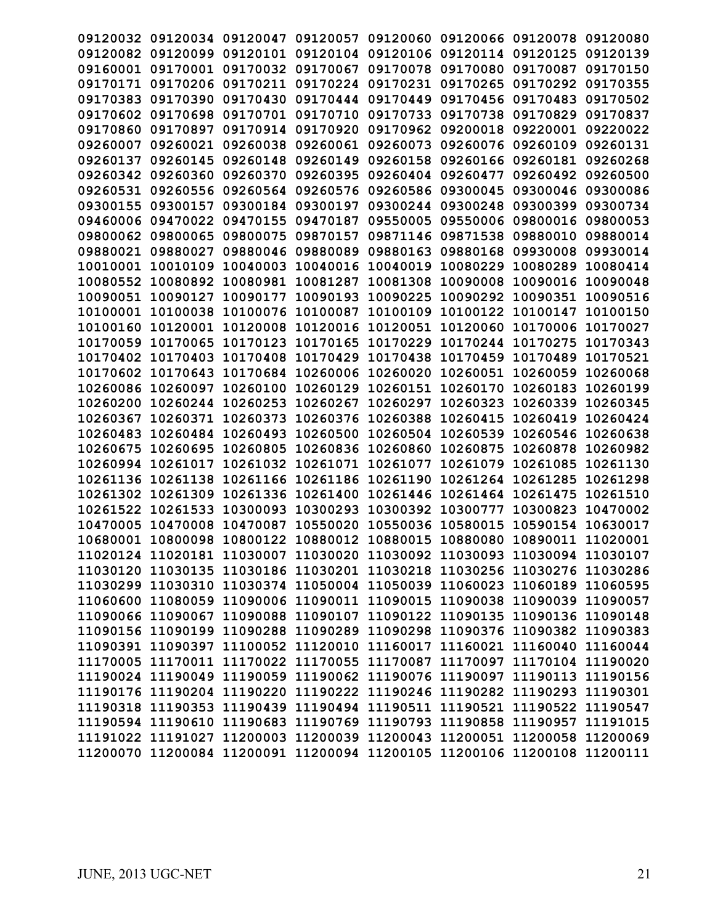|                   |                   |                   |                   |                                     |                   | 09120032 09120034 09120047 09120057 09120060 09120066 09120078 09120080 |          |
|-------------------|-------------------|-------------------|-------------------|-------------------------------------|-------------------|-------------------------------------------------------------------------|----------|
| 09120082          | 09120099          |                   | 09120101 09120104 | 09120106                            | 09120114 09120125 |                                                                         | 09120139 |
| 09160001          | 09170001          | 09170032          | 09170067          | 09170078                            | 09170080          | 09170087                                                                | 09170150 |
|                   | 09170171 09170206 | 09170211          | 09170224 09170231 |                                     | 09170265          | 09170292                                                                | 09170355 |
| 09170383          | 09170390          | 09170430          | 09170444 09170449 |                                     | 09170456          | 09170483                                                                | 09170502 |
| 09170602          | 09170698          | 09170701          | 09170710          | 09170733                            | 09170738          | 09170829                                                                | 09170837 |
| 09170860          | 09170897          | 09170914          | 09170920          | 09170962                            | 09200018          | 09220001                                                                | 09220022 |
| 09260007          | 09260021          | 09260038          | 09260061          | 09260073                            | 09260076          | 09260109                                                                | 09260131 |
| 09260137          | 09260145          | 09260148          | 09260149 09260158 |                                     | 09260166          | 09260181                                                                | 09260268 |
| 09260342 09260360 |                   | 09260370          | 09260395          |                                     | 09260404 09260477 | 09260492 09260500                                                       |          |
| 09260531          | 09260556          | 09260564          | 09260576          | 09260586                            | 09300045          | 09300046 09300086                                                       |          |
| 09300155          | 09300157          | 09300184          | 09300197          | 09300244                            | 09300248          | 09300399                                                                | 09300734 |
| 09460006          | 09470022          | 09470155          | 09470187          | 09550005                            | 09550006          | 09800016                                                                | 09800053 |
| 09800062          | 09800065          | 09800075          | 09870157          | 09871146                            | 09871538          | 09880010                                                                | 09880014 |
| 09880021 09880027 |                   | 09880046          | 09880089          | 09880163                            | 09880168          | 09930008                                                                | 09930014 |
| 10010001 10010109 |                   | 10040003          | 10040016          | 10040019                            | 10080229          | 10080289                                                                | 10080414 |
| 10080552 10080892 |                   | 10080981          | 10081287          | 10081308                            | 10090008          | 10090016                                                                | 10090048 |
| 10090051          | 10090127          | 10090177          | 10090193          | 10090225                            | 10090292          | 10090351                                                                | 10090516 |
| 10100001          | 10100038          | 10100076          | 10100087          | 10100109                            | 10100122          | 10100147                                                                | 10100150 |
| 10100160          | 10120001          | 10120008          | 10120016          | 10120051                            | 10120060          | 10170006                                                                | 10170027 |
| 10170059          | 10170065          | 10170123          | 10170165          | 10170229                            | 10170244          | 10170275                                                                | 10170343 |
| 10170402 10170403 |                   | 10170408          | 10170429          | 10170438                            | 10170459 10170489 |                                                                         | 10170521 |
| 10170602          | 10170643          | 10170684          | 10260006 10260020 |                                     | 10260051          | 10260059                                                                | 10260068 |
| 10260086          | 10260097          | 10260100          | 10260129          | 10260151                            | 10260170          | 10260183                                                                | 10260199 |
| 10260200          | 10260244          | 10260253          | 10260267          | 10260297                            | 10260323          | 10260339                                                                | 10260345 |
| 10260367          | 10260371          | 10260373          | 10260376          | 10260388                            | 10260415          | 10260419                                                                | 10260424 |
| 10260483          | 10260484          | 10260493          | 10260500          | 10260504                            | 10260539          | 10260546                                                                | 10260638 |
| 10260675          | 10260695          | 10260805          | 10260836          | 10260860                            | 10260875          | 10260878 10260982                                                       |          |
| 10260994          | 10261017          | 10261032 10261071 |                   | 10261077                            | 10261079          | 10261085                                                                | 10261130 |
| 10261136          | 10261138          | 10261166          | 10261186          | 10261190                            | 10261264          | 10261285                                                                | 10261298 |
| 10261302          | 10261309          | 10261336          | 10261400          | 10261446                            | 10261464          | 10261475                                                                | 10261510 |
| 10261522          | 10261533          | 10300093          | 10300293          | 10300392                            | 10300777          | 10300823                                                                | 10470002 |
| 10470005          | 10470008          |                   |                   | 10470087 10550020 10550036 10580015 |                   | 10590154                                                                | 10630017 |
|                   |                   |                   |                   |                                     |                   | 10680001 10800098 10800122 10880012 10880015 10880080 10890011 11020001 |          |
|                   |                   |                   |                   |                                     |                   | 11020124 11020181 11030007 11030020 11030092 11030093 11030094 11030107 |          |
|                   |                   |                   |                   |                                     |                   | 11030120 11030135 11030186 11030201 11030218 11030256 11030276 11030286 |          |
|                   |                   |                   |                   |                                     |                   | 11030299 11030310 11030374 11050004 11050039 11060023 11060189 11060595 |          |
|                   |                   |                   |                   |                                     |                   | 11060600 11080059 11090006 11090011 11090015 11090038 11090039 11090057 |          |
|                   |                   |                   |                   |                                     |                   | 11090066 11090067 11090088 11090107 11090122 11090135 11090136 11090148 |          |
|                   |                   |                   |                   |                                     |                   | 11090156 11090199 11090288 11090289 11090298 11090376 11090382 11090383 |          |
|                   |                   |                   |                   |                                     |                   | 11090391 11090397 11100052 11120010 11160017 11160021 11160040 11160044 |          |
|                   |                   |                   |                   |                                     |                   | 11170005 11170011 11170022 11170055 11170087 11170097 11170104 11190020 |          |
|                   |                   |                   |                   |                                     |                   | 11190024 11190049 11190059 11190062 11190076 11190097 11190113 11190156 |          |
|                   |                   |                   |                   |                                     |                   | 11190176 11190204 11190220 11190222 11190246 11190282 11190293 11190301 |          |
|                   |                   |                   |                   |                                     |                   | 11190318 11190353 11190439 11190494 11190511 11190521 11190522 11190547 |          |
|                   |                   |                   |                   |                                     |                   | 11190594 11190610 11190683 11190769 11190793 11190858 11190957 11191015 |          |
|                   |                   |                   |                   |                                     |                   | 11191022 11191027 11200003 11200039 11200043 11200051 11200058 11200069 |          |
|                   |                   |                   |                   |                                     |                   | 11200070 11200084 11200091 11200094 11200105 11200106 11200108 11200111 |          |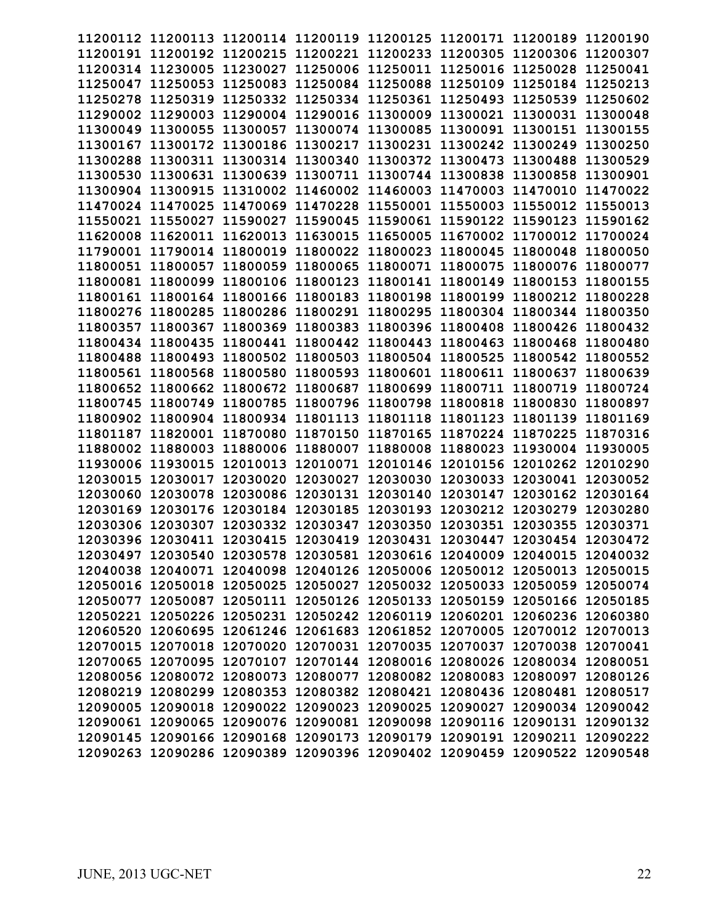|          | 11200112 11200113 11200114 11200119                                     |                   |                            |          | 11200125 11200171 11200189 |          | 11200190 |
|----------|-------------------------------------------------------------------------|-------------------|----------------------------|----------|----------------------------|----------|----------|
| 11200191 | 11200192                                                                | 11200215 11200221 |                            | 11200233 | 11200305 11200306          |          | 11200307 |
| 11200314 | 11230005                                                                | 11230027          | 11250006                   | 11250011 | 11250016 11250028          |          | 11250041 |
|          |                                                                         |                   |                            |          |                            |          |          |
| 11250047 | 11250053                                                                | 11250083          | 11250084                   | 11250088 | 11250109 11250184          |          | 11250213 |
| 11250278 | 11250319                                                                | 11250332 11250334 |                            | 11250361 | 11250493                   | 11250539 | 11250602 |
| 11290002 | 11290003                                                                | 11290004          | 11290016                   | 11300009 | 11300021                   | 11300031 | 11300048 |
| 11300049 | 11300055                                                                | 11300057          | 11300074                   | 11300085 | 11300091                   | 11300151 | 11300155 |
| 11300167 | 11300172                                                                | 11300186          | 11300217                   | 11300231 | 11300242                   | 11300249 | 11300250 |
| 11300288 | 11300311                                                                | 11300314 11300340 |                            | 11300372 | 11300473                   | 11300488 | 11300529 |
| 11300530 | 11300631                                                                | 11300639          | 11300711                   | 11300744 | 11300838                   | 11300858 | 11300901 |
| 11300904 | 11300915                                                                | 11310002          | 11460002                   | 11460003 | 11470003                   | 11470010 | 11470022 |
| 11470024 | 11470025                                                                | 11470069          | 11470228                   | 11550001 | 11550003                   | 11550012 | 11550013 |
| 11550021 | 11550027                                                                | 11590027          | 11590045                   | 11590061 | 11590122                   | 11590123 | 11590162 |
| 11620008 | 11620011                                                                | 11620013          | 11630015                   | 11650005 | 11670002 11700012          |          | 11700024 |
|          | 11790001 11790014                                                       | 11800019 11800022 |                            | 11800023 | 11800045 11800048          |          | 11800050 |
| 11800051 | 11800057                                                                | 11800059          | 11800065                   | 11800071 | 11800075                   | 11800076 | 11800077 |
| 11800081 | 11800099                                                                | 11800106 11800123 |                            | 11800141 | 11800149                   | 11800153 | 11800155 |
| 11800161 | 11800164                                                                | 11800166          | 11800183                   | 11800198 | 11800199                   | 11800212 | 11800228 |
| 11800276 | 11800285                                                                | 11800286          | 11800291                   | 11800295 | 11800304                   | 11800344 | 11800350 |
| 11800357 | 11800367                                                                | 11800369 11800383 |                            | 11800396 | 11800408                   | 11800426 | 11800432 |
| 11800434 | 11800435                                                                | 11800441          | 11800442                   | 11800443 | 11800463                   | 11800468 | 11800480 |
| 11800488 | 11800493                                                                | 11800502          | 11800503                   | 11800504 | 11800525                   | 11800542 | 11800552 |
| 11800561 | 11800568                                                                | 11800580          | 11800593                   | 11800601 | 11800611                   | 11800637 | 11800639 |
| 11800652 | 11800662                                                                | 11800672          | 11800687                   | 11800699 | 11800711                   | 11800719 | 11800724 |
| 11800745 | 11800749                                                                | 11800785          | 11800796                   | 11800798 | 11800818                   | 11800830 | 11800897 |
| 11800902 | 11800904                                                                |                   | 11800934 11801113 11801118 |          | 11801123 11801139          |          | 11801169 |
| 11801187 | 11820001                                                                | 11870080          | 11870150 11870165          |          | 11870224 11870225          |          | 11870316 |
| 11880002 | 11880003                                                                | 11880006          | 11880007                   | 11880008 | 11880023                   | 11930004 | 11930005 |
| 11930006 | 11930015                                                                | 12010013          | 12010071                   | 12010146 | 12010156                   | 12010262 | 12010290 |
| 12030015 | 12030017                                                                | 12030020          | 12030027                   | 12030030 | 12030033                   | 12030041 | 12030052 |
| 12030060 | 12030078                                                                | 12030086          | 12030131                   | 12030140 | 12030147                   | 12030162 | 12030164 |
| 12030169 | 12030176                                                                | 12030184          | 12030185                   | 12030193 | 12030212                   | 12030279 | 12030280 |
| 12030306 | 12030307                                                                | 12030332 12030347 |                            | 12030350 | 12030351                   | 12030355 | 12030371 |
| 12030396 | 12030411                                                                | 12030415          | 12030419                   | 12030431 | 12030447                   | 12030454 | 12030472 |
|          | 12030497 12030540 12030578 12030581 12030616 12040009 12040015 12040032 |                   |                            |          |                            |          |          |
|          | 12040038 12040071 12040098 12040126 12050006 12050012 12050013 12050015 |                   |                            |          |                            |          |          |
|          | 12050016 12050018 12050025 12050027 12050032 12050033 12050059 12050074 |                   |                            |          |                            |          |          |
|          | 12050077 12050087 12050111 12050126 12050133 12050159 12050166 12050185 |                   |                            |          |                            |          |          |
|          | 12050221 12050226 12050231 12050242 12060119 12060201 12060236 12060380 |                   |                            |          |                            |          |          |
|          | 12060520 12060695 12061246 12061683 12061852 12070005 12070012 12070013 |                   |                            |          |                            |          |          |
|          | 12070015 12070018 12070020 12070031 12070035 12070037 12070038 12070041 |                   |                            |          |                            |          |          |
|          | 12070065 12070095 12070107 12070144 12080016 12080026 12080034 12080051 |                   |                            |          |                            |          |          |
|          | 12080056 12080072 12080073 12080077 12080082 12080083 12080097 12080126 |                   |                            |          |                            |          |          |
|          | 12080219 12080299 12080353 12080382 12080421 12080436 12080481 12080517 |                   |                            |          |                            |          |          |
|          | 12090005 12090018 12090022 12090023 12090025 12090027 12090034 12090042 |                   |                            |          |                            |          |          |
|          | 12090061 12090065 12090076 12090081 12090098 12090116 12090131 12090132 |                   |                            |          |                            |          |          |
|          | 12090145 12090166 12090168 12090173 12090179 12090191 12090211 12090222 |                   |                            |          |                            |          |          |
|          | 12090263 12090286 12090389 12090396 12090402 12090459 12090522 12090548 |                   |                            |          |                            |          |          |
|          |                                                                         |                   |                            |          |                            |          |          |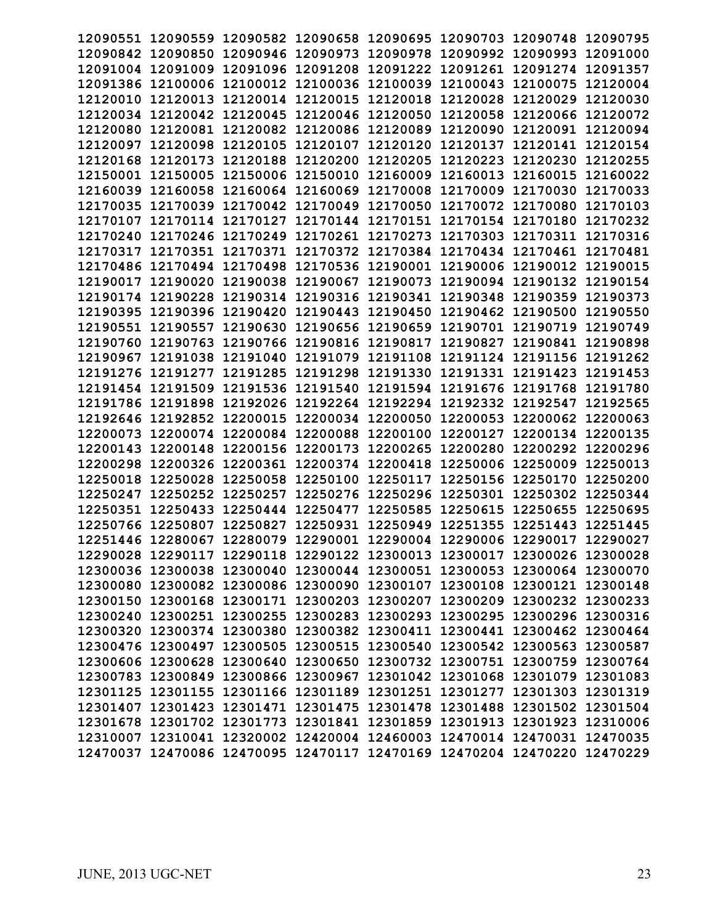| 12090551 | 12090559 |                   | 12090582 12090658          | 12090695 | 12090703                   | 12090748                                                                | 12090795 |
|----------|----------|-------------------|----------------------------|----------|----------------------------|-------------------------------------------------------------------------|----------|
| 12090842 | 12090850 | 12090946 12090973 |                            | 12090978 | 12090992 12090993          |                                                                         | 12091000 |
| 12091004 | 12091009 | 12091096 12091208 |                            | 12091222 | 12091261 12091274          |                                                                         | 12091357 |
| 12091386 | 12100006 | 12100012 12100036 |                            | 12100039 | 12100043 12100075          |                                                                         | 12120004 |
| 12120010 | 12120013 | 12120014          | 12120015                   | 12120018 | 12120028                   | 12120029                                                                | 12120030 |
| 12120034 | 12120042 | 12120045          | 12120046                   | 12120050 | 12120058                   | 12120066                                                                | 12120072 |
| 12120080 | 12120081 | 12120082 12120086 |                            | 12120089 | 12120090                   | 12120091                                                                | 12120094 |
| 12120097 | 12120098 | 12120105          | 12120107                   | 12120120 | 12120137                   | 12120141                                                                | 12120154 |
| 12120168 | 12120173 | 12120188 12120200 |                            | 12120205 | 12120223                   | 12120230                                                                | 12120255 |
| 12150001 | 12150005 | 12150006          | 12150010                   | 12160009 | 12160013                   | 12160015                                                                | 12160022 |
| 12160039 | 12160058 | 12160064          | 12160069                   | 12170008 | 12170009                   | 12170030                                                                | 12170033 |
| 12170035 | 12170039 | 12170042          | 12170049                   | 12170050 | 12170072                   | 12170080                                                                | 12170103 |
| 12170107 | 12170114 | 12170127          | 12170144                   | 12170151 | 12170154                   | 12170180                                                                | 12170232 |
| 12170240 | 12170246 | 12170249 12170261 |                            | 12170273 | 12170303                   | 12170311                                                                | 12170316 |
| 12170317 | 12170351 | 12170371 12170372 |                            |          | 12170384 12170434 12170461 |                                                                         | 12170481 |
| 12170486 | 12170494 | 12170498          | 12170536                   | 12190001 | 12190006 12190012          |                                                                         | 12190015 |
| 12190017 | 12190020 | 12190038          | 12190067                   | 12190073 | 12190094                   | 12190132                                                                | 12190154 |
| 12190174 | 12190228 | 12190314          | 12190316                   | 12190341 | 12190348                   | 12190359                                                                | 12190373 |
| 12190395 | 12190396 | 12190420          | 12190443                   | 12190450 | 12190462 12190500          |                                                                         | 12190550 |
| 12190551 | 12190557 | 12190630          | 12190656                   | 12190659 | 12190701                   | 12190719                                                                | 12190749 |
| 12190760 | 12190763 | 12190766          | 12190816                   | 12190817 | 12190827                   | 12190841                                                                | 12190898 |
| 12190967 | 12191038 | 12191040          | 12191079                   | 12191108 | 12191124                   | 12191156                                                                | 12191262 |
| 12191276 | 12191277 | 12191285          | 12191298                   | 12191330 | 12191331                   | 12191423                                                                | 12191453 |
| 12191454 | 12191509 | 12191536          | 12191540                   | 12191594 | 12191676                   | 12191768                                                                | 12191780 |
| 12191786 | 12191898 | 12192026 12192264 |                            | 12192294 | 12192332                   | 12192547                                                                | 12192565 |
| 12192646 | 12192852 |                   | 12200015 12200034 12200050 |          | 12200053 12200062          |                                                                         | 12200063 |
| 12200073 | 12200074 | 12200084 12200088 |                            | 12200100 | 12200127                   | 12200134                                                                | 12200135 |
| 12200143 | 12200148 | 12200156          | 12200173                   | 12200265 | 12200280                   | 12200292                                                                | 12200296 |
| 12200298 | 12200326 | 12200361          | 12200374                   | 12200418 | 12250006                   | 12250009                                                                | 12250013 |
| 12250018 | 12250028 | 12250058          | 12250100                   | 12250117 | 12250156                   | 12250170                                                                | 12250200 |
| 12250247 | 12250252 | 12250257          | 12250276                   | 12250296 | 12250301                   | 12250302                                                                | 12250344 |
| 12250351 | 12250433 | 12250444          | 12250477                   | 12250585 | 12250615                   | 12250655                                                                | 12250695 |
| 12250766 | 12250807 | 12250827          | 12250931                   | 12250949 | 12251355                   | 12251443                                                                | 12251445 |
| 12251446 | 12280067 | 12280079          | 12290001                   |          | 12290004 12290006 12290017 |                                                                         | 12290027 |
|          |          |                   |                            |          |                            | 12290028 12290117 12290118 12290122 12300013 12300017 12300026 12300028 |          |
|          |          |                   |                            |          |                            | 12300036 12300038 12300040 12300044 12300051 12300053 12300064 12300070 |          |
|          |          |                   |                            |          |                            | 12300080 12300082 12300086 12300090 12300107 12300108 12300121 12300148 |          |
|          |          |                   |                            |          |                            | 12300150 12300168 12300171 12300203 12300207 12300209 12300232 12300233 |          |
|          |          |                   |                            |          |                            | 12300240 12300251 12300255 12300283 12300293 12300295 12300296 12300316 |          |
|          |          |                   |                            |          |                            | 12300320 12300374 12300380 12300382 12300411 12300441 12300462 12300464 |          |
|          |          |                   |                            |          |                            | 12300476 12300497 12300505 12300515 12300540 12300542 12300563 12300587 |          |
|          |          |                   |                            |          |                            | 12300606 12300628 12300640 12300650 12300732 12300751 12300759 12300764 |          |
|          |          |                   |                            |          |                            | 12300783 12300849 12300866 12300967 12301042 12301068 12301079 12301083 |          |
|          |          |                   |                            |          |                            | 12301125 12301155 12301166 12301189 12301251 12301277 12301303 12301319 |          |
|          |          |                   |                            |          |                            | 12301407 12301423 12301471 12301475 12301478 12301488 12301502 12301504 |          |
|          |          |                   |                            |          |                            | 12301678 12301702 12301773 12301841 12301859 12301913 12301923 12310006 |          |
|          |          |                   |                            |          |                            | 12310007 12310041 12320002 12420004 12460003 12470014 12470031 12470035 |          |
|          |          |                   |                            |          |                            | 12470037 12470086 12470095 12470117 12470169 12470204 12470220 12470229 |          |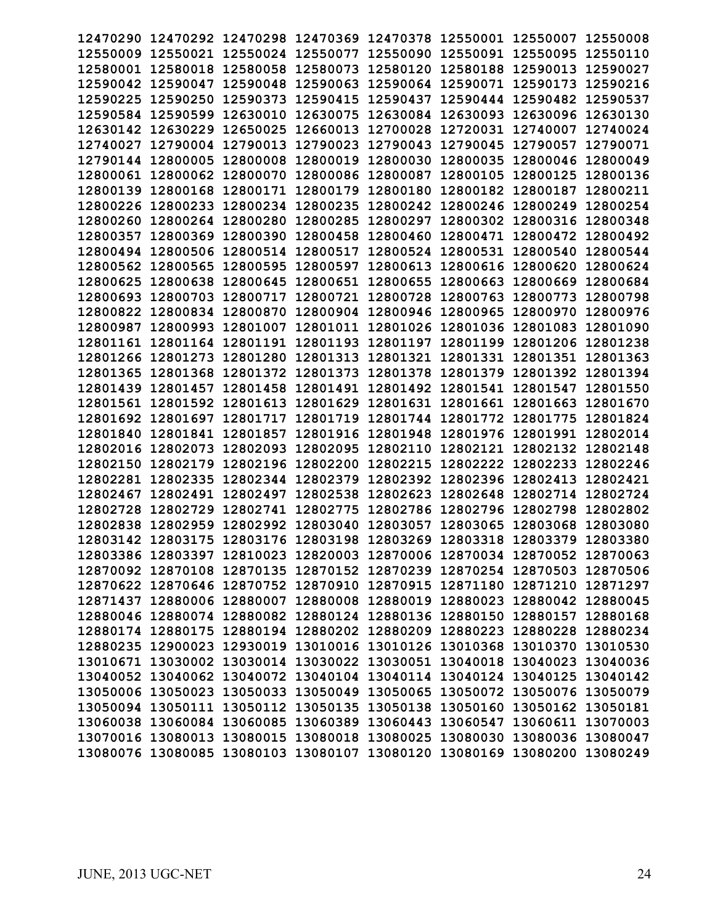| 12470290          |          | 12470292 12470298 | 12470369                   | 12470378 | 12550001          | 12550007                                                                | 12550008 |
|-------------------|----------|-------------------|----------------------------|----------|-------------------|-------------------------------------------------------------------------|----------|
| 12550009          | 12550021 | 12550024          | 12550077                   | 12550090 | 12550091          | 12550095                                                                | 12550110 |
| 12580001          | 12580018 | 12580058          | 12580073                   | 12580120 | 12580188          | 12590013                                                                | 12590027 |
| 12590042          | 12590047 | 12590048          | 12590063                   | 12590064 | 12590071          | 12590173                                                                | 12590216 |
| 12590225          | 12590250 | 12590373          | 12590415                   | 12590437 | 12590444          | 12590482                                                                | 12590537 |
| 12590584          | 12590599 | 12630010          | 12630075                   | 12630084 | 12630093          | 12630096                                                                | 12630130 |
| 12630142          | 12630229 | 12650025          | 12660013                   | 12700028 | 12720031          | 12740007                                                                | 12740024 |
| 12740027          | 12790004 | 12790013          | 12790023                   | 12790043 | 12790045          | 12790057                                                                | 12790071 |
| 12790144          | 12800005 | 12800008          | 12800019                   | 12800030 | 12800035          | 12800046                                                                | 12800049 |
| 12800061          | 12800062 | 12800070          | 12800086                   | 12800087 | 12800105          | 12800125                                                                | 12800136 |
| 12800139          | 12800168 | 12800171          | 12800179                   | 12800180 | 12800182          | 12800187                                                                | 12800211 |
| 12800226          | 12800233 | 12800234          | 12800235                   | 12800242 | 12800246          | 12800249                                                                | 12800254 |
| 12800260          | 12800264 | 12800280          | 12800285                   | 12800297 | 12800302          | 12800316                                                                | 12800348 |
| 12800357          | 12800369 | 12800390          | 12800458                   | 12800460 | 12800471          | 12800472                                                                | 12800492 |
| 12800494          | 12800506 | 12800514 12800517 |                            | 12800524 | 12800531 12800540 |                                                                         | 12800544 |
| 12800562          | 12800565 | 12800595          | 12800597                   | 12800613 | 12800616 12800620 |                                                                         | 12800624 |
| 12800625          | 12800638 | 12800645          | 12800651                   | 12800655 | 12800663          | 12800669                                                                | 12800684 |
|                   |          |                   | 12800721                   | 12800728 | 12800763          | 12800773                                                                |          |
| 12800693          | 12800703 | 12800717          |                            |          |                   |                                                                         | 12800798 |
| 12800822          | 12800834 | 12800870          | 12800904                   | 12800946 | 12800965          | 12800970                                                                | 12800976 |
| 12800987          | 12800993 | 12801007          | 12801011                   | 12801026 | 12801036          | 12801083                                                                | 12801090 |
| 12801161          | 12801164 | 12801191          | 12801193 12801197          |          | 12801199 12801206 |                                                                         | 12801238 |
| 12801266          | 12801273 | 12801280          | 12801313                   | 12801321 | 12801331          | 12801351                                                                | 12801363 |
| 12801365          | 12801368 | 12801372          | 12801373                   | 12801378 | 12801379          | 12801392                                                                | 12801394 |
| 12801439          | 12801457 | 12801458          | 12801491                   | 12801492 | 12801541          | 12801547                                                                | 12801550 |
| 12801561          | 12801592 | 12801613          | 12801629                   | 12801631 | 12801661          | 12801663                                                                | 12801670 |
| 12801692          | 12801697 |                   | 12801717 12801719 12801744 |          | 12801772 12801775 |                                                                         | 12801824 |
| 12801840          | 12801841 | 12801857          | 12801916                   | 12801948 |                   | 12801976 12801991 12802014                                              |          |
| 12802016          | 12802073 | 12802093          | 12802095                   | 12802110 | 12802121          | 12802132                                                                | 12802148 |
| 12802150          | 12802179 | 12802196          | 12802200                   | 12802215 | 12802222          | 12802233                                                                | 12802246 |
| 12802281          | 12802335 | 12802344          | 12802379                   | 12802392 | 12802396          | 12802413                                                                | 12802421 |
| 12802467          | 12802491 | 12802497          | 12802538                   | 12802623 | 12802648          | 12802714                                                                | 12802724 |
| 12802728          | 12802729 | 12802741          | 12802775                   | 12802786 | 12802796          | 12802798                                                                | 12802802 |
| 12802838          | 12802959 | 12802992 12803040 |                            | 12803057 | 12803065          | 12803068                                                                | 12803080 |
| 12803142 12803175 |          | 12803176 12803198 |                            | 12803269 | 12803318          | 12803379                                                                | 12803380 |
|                   |          |                   |                            |          |                   | 12803386 12803397 12810023 12820003 12870006 12870034 12870052 12870063 |          |
|                   |          |                   |                            |          |                   | 12870092 12870108 12870135 12870152 12870239 12870254 12870503 12870506 |          |
|                   |          |                   |                            |          |                   | 12870622 12870646 12870752 12870910 12870915 12871180 12871210 12871297 |          |
|                   |          |                   |                            |          |                   | 12871437 12880006 12880007 12880008 12880019 12880023 12880042 12880045 |          |
|                   |          |                   |                            |          |                   | 12880046 12880074 12880082 12880124 12880136 12880150 12880157 12880168 |          |
|                   |          |                   |                            |          |                   | 12880174 12880175 12880194 12880202 12880209 12880223 12880228 12880234 |          |
|                   |          |                   |                            |          |                   |                                                                         |          |
|                   |          |                   |                            |          |                   | 12880235 12900023 12930019 13010016 13010126 13010368 13010370 13010530 |          |
|                   |          |                   |                            |          |                   | 13010671 13030002 13030014 13030022 13030051 13040018 13040023 13040036 |          |
|                   |          |                   |                            |          |                   | 13040052 13040062 13040072 13040104 13040114 13040124 13040125 13040142 |          |
|                   |          |                   |                            |          |                   | 13050006 13050023 13050033 13050049 13050065 13050072 13050076 13050079 |          |
|                   |          |                   |                            |          |                   | 13050094 13050111 13050112 13050135 13050138 13050160 13050162 13050181 |          |
|                   |          |                   |                            |          |                   | 13060038 13060084 13060085 13060389 13060443 13060547 13060611 13070003 |          |
|                   |          |                   |                            |          |                   | 13070016 13080013 13080015 13080018 13080025 13080030 13080036 13080047 |          |
|                   |          |                   |                            |          |                   | 13080076 13080085 13080103 13080107 13080120 13080169 13080200 13080249 |          |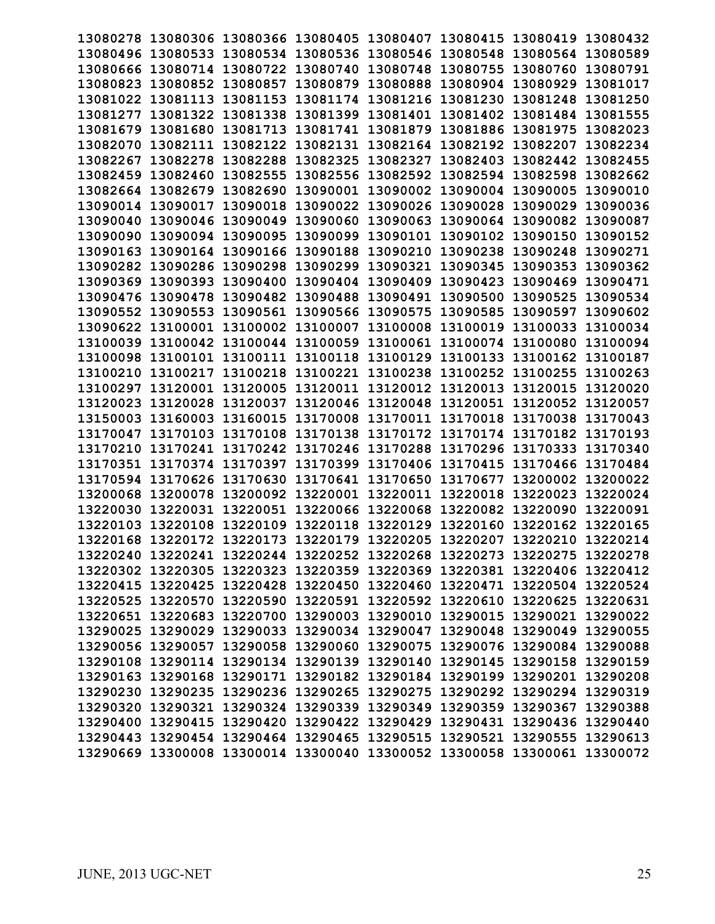| 13080278 |          | 13080306 13080366 13080405 |                                                                         | 13080407 | 13080415          | 13080419 | 13080432 |
|----------|----------|----------------------------|-------------------------------------------------------------------------|----------|-------------------|----------|----------|
| 13080496 | 13080533 | 13080534 13080536          |                                                                         | 13080546 | 13080548          | 13080564 | 13080589 |
| 13080666 | 13080714 | 13080722 13080740          |                                                                         | 13080748 | 13080755          | 13080760 | 13080791 |
| 13080823 | 13080852 | 13080857                   | 13080879                                                                | 13080888 | 13080904          | 13080929 | 13081017 |
| 13081022 | 13081113 | 13081153                   | 13081174                                                                | 13081216 | 13081230          | 13081248 | 13081250 |
| 13081277 | 13081322 | 13081338                   | 13081399                                                                | 13081401 | 13081402          | 13081484 | 13081555 |
| 13081679 | 13081680 | 13081713                   | 13081741                                                                | 13081879 | 13081886          | 13081975 | 13082023 |
| 13082070 | 13082111 | 13082122                   | 13082131                                                                | 13082164 | 13082192          | 13082207 | 13082234 |
| 13082267 | 13082278 | 13082288                   | 13082325                                                                | 13082327 | 13082403          | 13082442 | 13082455 |
| 13082459 | 13082460 | 13082555                   | 13082556                                                                | 13082592 | 13082594          | 13082598 | 13082662 |
| 13082664 | 13082679 | 13082690                   | 13090001                                                                | 13090002 | 13090004          | 13090005 | 13090010 |
| 13090014 | 13090017 | 13090018                   | 13090022                                                                | 13090026 | 13090028          | 13090029 | 13090036 |
| 13090040 | 13090046 | 13090049                   | 13090060                                                                | 13090063 | 13090064          | 13090082 | 13090087 |
| 13090090 | 13090094 | 13090095                   | 13090099                                                                | 13090101 | 13090102 13090150 |          | 13090152 |
| 13090163 | 13090164 | 13090166                   | 13090188                                                                | 13090210 | 13090238          | 13090248 | 13090271 |
| 13090282 | 13090286 | 13090298                   | 13090299                                                                | 13090321 | 13090345          | 13090353 | 13090362 |
| 13090369 | 13090393 | 13090400                   | 13090404                                                                | 13090409 | 13090423          | 13090469 | 13090471 |
| 13090476 | 13090478 | 13090482                   | 13090488                                                                | 13090491 | 13090500          | 13090525 | 13090534 |
| 13090552 | 13090553 | 13090561                   | 13090566                                                                | 13090575 | 13090585          | 13090597 | 13090602 |
| 13090622 | 13100001 | 13100002                   | 13100007                                                                | 13100008 | 13100019          | 13100033 | 13100034 |
| 13100039 | 13100042 | 13100044 13100059          |                                                                         | 13100061 | 13100074 13100080 |          | 13100094 |
| 13100098 | 13100101 | 13100111                   | 13100118                                                                | 13100129 | 13100133          | 13100162 | 13100187 |
| 13100210 | 13100217 | 13100218                   | 13100221                                                                | 13100238 | 13100252          | 13100255 | 13100263 |
| 13100297 | 13120001 | 13120005                   | 13120011                                                                | 13120012 | 13120013          | 13120015 | 13120020 |
| 13120023 | 13120028 | 13120037                   | 13120046                                                                | 13120048 | 13120051          | 13120052 | 13120057 |
| 13150003 | 13160003 | 13160015                   | 13170008                                                                | 13170011 | 13170018          | 13170038 | 13170043 |
| 13170047 | 13170103 | 13170108                   | 13170138                                                                | 13170172 | 13170174          | 13170182 | 13170193 |
| 13170210 | 13170241 | 13170242                   | 13170246                                                                | 13170288 | 13170296          | 13170333 | 13170340 |
| 13170351 | 13170374 | 13170397                   | 13170399                                                                | 13170406 | 13170415          | 13170466 | 13170484 |
| 13170594 | 13170626 | 13170630                   | 13170641                                                                | 13170650 | 13170677          | 13200002 | 13200022 |
| 13200068 | 13200078 | 13200092                   | 13220001                                                                | 13220011 | 13220018          | 13220023 | 13220024 |
| 13220030 | 13220031 | 13220051                   | 13220066                                                                | 13220068 | 13220082          | 13220090 | 13220091 |
| 13220103 | 13220108 | 13220109                   | 13220118                                                                | 13220129 | 13220160          | 13220162 | 13220165 |
| 13220168 | 13220172 | 13220173                   | 13220179                                                                | 13220205 | 13220207          | 13220210 | 13220214 |
|          |          |                            | 13220240 13220241 13220244 13220252 13220268 13220273 13220275 13220278 |          |                   |          |          |
|          |          |                            | 13220302 13220305 13220323 13220359 13220369 13220381 13220406 13220412 |          |                   |          |          |
|          |          |                            | 13220415 13220425 13220428 13220450 13220460 13220471 13220504 13220524 |          |                   |          |          |
|          |          |                            | 13220525 13220570 13220590 13220591 13220592 13220610 13220625 13220631 |          |                   |          |          |
|          |          |                            | 13220651 13220683 13220700 13290003 13290010 13290015 13290021 13290022 |          |                   |          |          |
|          |          |                            | 13290025 13290029 13290033 13290034 13290047 13290048 13290049 13290055 |          |                   |          |          |
|          |          |                            | 13290056 13290057 13290058 13290060 13290075 13290076 13290084 13290088 |          |                   |          |          |
|          |          |                            | 13290108 13290114 13290134 13290139 13290140 13290145 13290158 13290159 |          |                   |          |          |
|          |          |                            | 13290163 13290168 13290171 13290182 13290184 13290199 13290201 13290208 |          |                   |          |          |
|          |          |                            | 13290230 13290235 13290236 13290265 13290275 13290292 13290294 13290319 |          |                   |          |          |
|          |          |                            | 13290320 13290321 13290324 13290339 13290349 13290359 13290367 13290388 |          |                   |          |          |
|          |          |                            | 13290400 13290415 13290420 13290422 13290429 13290431 13290436 13290440 |          |                   |          |          |
|          |          |                            | 13290443 13290454 13290464 13290465 13290515 13290521 13290555 13290613 |          |                   |          |          |
|          |          |                            | 13290669 13300008 13300014 13300040 13300052 13300058 13300061 13300072 |          |                   |          |          |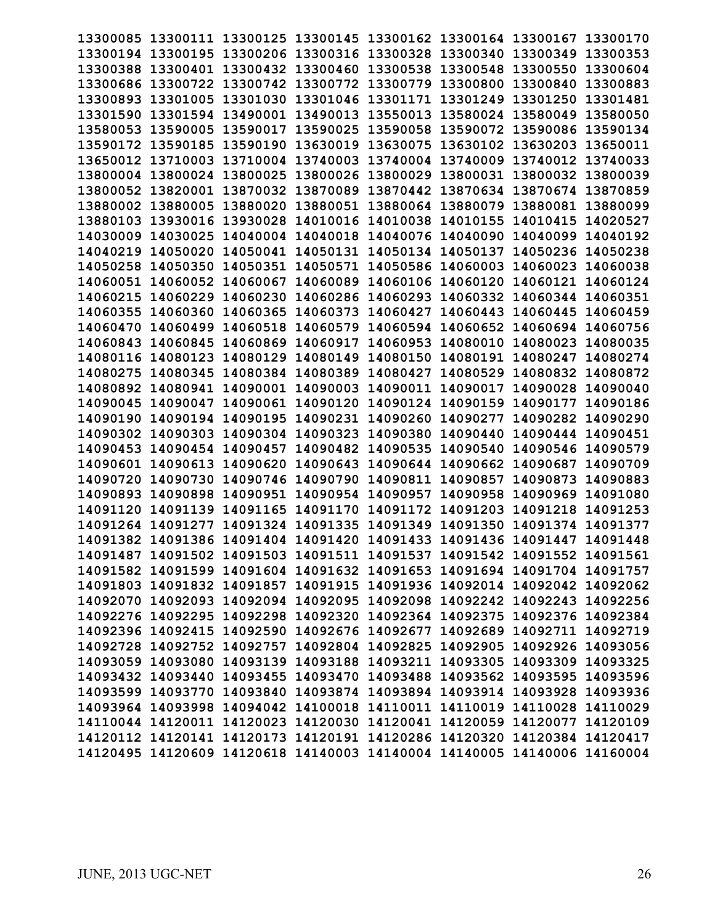| 13300085          | 13300111                                                                | 13300125 13300145 |                   |          | 13300162 13300164 13300167 |          | 13300170 |
|-------------------|-------------------------------------------------------------------------|-------------------|-------------------|----------|----------------------------|----------|----------|
|                   | 13300194 13300195                                                       | 13300206 13300316 |                   | 13300328 | 13300340                   | 13300349 | 13300353 |
| 13300388          | 13300401                                                                | 13300432 13300460 |                   | 13300538 | 13300548                   | 13300550 | 13300604 |
| 13300686          | 13300722                                                                | 13300742 13300772 |                   | 13300779 | 13300800                   | 13300840 | 13300883 |
| 13300893          | 13301005                                                                | 13301030          | 13301046          | 13301171 | 13301249                   | 13301250 | 13301481 |
| 13301590          | 13301594                                                                | 13490001          | 13490013          | 13550013 | 13580024                   | 13580049 | 13580050 |
| 13580053          | 13590005                                                                | 13590017          | 13590025          | 13590058 | 13590072                   | 13590086 | 13590134 |
| 13590172          | 13590185                                                                | 13590190          | 13630019          | 13630075 | 13630102                   | 13630203 | 13650011 |
| 13650012          | 13710003                                                                | 13710004          | 13740003          | 13740004 | 13740009                   | 13740012 | 13740033 |
| 13800004 13800024 |                                                                         | 13800025          | 13800026          | 13800029 | 13800031                   | 13800032 | 13800039 |
| 13800052          | 13820001                                                                | 13870032          | 13870089          | 13870442 | 13870634                   | 13870674 | 13870859 |
| 13880002          | 13880005                                                                | 13880020          | 13880051          | 13880064 | 13880079                   | 13880081 | 13880099 |
| 13880103          | 13930016                                                                | 13930028          | 14010016          | 14010038 | 14010155                   | 14010415 | 14020527 |
| 14030009          | 14030025                                                                | 14040004          | 14040018          | 14040076 | 14040090                   | 14040099 | 14040192 |
| 14040219          | 14050020                                                                | 14050041          | 14050131 14050134 |          | 14050137                   | 14050236 | 14050238 |
| 14050258          | 14050350                                                                | 14050351          | 14050571          | 14050586 | 14060003                   | 14060023 | 14060038 |
| 14060051          | 14060052                                                                | 14060067          | 14060089          | 14060106 | 14060120                   | 14060121 | 14060124 |
| 14060215          | 14060229                                                                | 14060230          | 14060286          | 14060293 | 14060332                   | 14060344 | 14060351 |
| 14060355          | 14060360                                                                | 14060365          | 14060373          | 14060427 | 14060443                   | 14060445 | 14060459 |
| 14060470          | 14060499                                                                | 14060518          | 14060579          | 14060594 | 14060652                   | 14060694 | 14060756 |
| 14060843          | 14060845                                                                | 14060869          | 14060917          | 14060953 | 14080010                   | 14080023 | 14080035 |
| 14080116          | 14080123                                                                | 14080129          | 14080149          | 14080150 | 14080191                   | 14080247 | 14080274 |
| 14080275          | 14080345                                                                | 14080384          | 14080389          | 14080427 | 14080529                   | 14080832 | 14080872 |
| 14080892          | 14080941                                                                | 14090001          | 14090003          | 14090011 | 14090017                   | 14090028 | 14090040 |
| 14090045          | 14090047                                                                | 14090061          | 14090120          | 14090124 | 14090159                   | 14090177 | 14090186 |
| 14090190          | 14090194                                                                | 14090195          | 14090231          | 14090260 | 14090277                   | 14090282 | 14090290 |
|                   | 14090302 14090303                                                       | 14090304          | 14090323          | 14090380 | 14090440                   | 14090444 | 14090451 |
| 14090453          | 14090454                                                                | 14090457          | 14090482          | 14090535 | 14090540                   | 14090546 | 14090579 |
| 14090601          | 14090613                                                                | 14090620          | 14090643          | 14090644 | 14090662                   | 14090687 | 14090709 |
| 14090720          | 14090730                                                                | 14090746          | 14090790          | 14090811 | 14090857                   | 14090873 | 14090883 |
| 14090893          | 14090898                                                                | 14090951          | 14090954          | 14090957 | 14090958                   | 14090969 | 14091080 |
| 14091120          | 14091139                                                                | 14091165          | 14091170          | 14091172 | 14091203                   | 14091218 | 14091253 |
| 14091264          | 14091277                                                                | 14091324 14091335 |                   | 14091349 | 14091350                   | 14091374 | 14091377 |
|                   | 14091382 14091386                                                       | 14091404 14091420 |                   | 14091433 | 14091436                   | 14091447 | 14091448 |
|                   | 14091487 14091502 14091503 14091511 14091537 14091542 14091552 14091561 |                   |                   |          |                            |          |          |
|                   | 14091582 14091599 14091604 14091632 14091653 14091694 14091704 14091757 |                   |                   |          |                            |          |          |
|                   | 14091803 14091832 14091857 14091915 14091936 14092014 14092042 14092062 |                   |                   |          |                            |          |          |
|                   | 14092070 14092093 14092094 14092095 14092098 14092242 14092243 14092256 |                   |                   |          |                            |          |          |
|                   | 14092276 14092295 14092298 14092320 14092364 14092375 14092376 14092384 |                   |                   |          |                            |          |          |
|                   | 14092396 14092415 14092590 14092676 14092677 14092689 14092711 14092719 |                   |                   |          |                            |          |          |
|                   | 14092728 14092752 14092757 14092804 14092825 14092905 14092926 14093056 |                   |                   |          |                            |          |          |
|                   | 14093059 14093080 14093139 14093188 14093211 14093305 14093309 14093325 |                   |                   |          |                            |          |          |
|                   | 14093432 14093440 14093455 14093470 14093488 14093562 14093595 14093596 |                   |                   |          |                            |          |          |
|                   | 14093599 14093770 14093840 14093874 14093894 14093914 14093928 14093936 |                   |                   |          |                            |          |          |
|                   | 14093964 14093998 14094042 14100018 14110011 14110019 14110028 14110029 |                   |                   |          |                            |          |          |
|                   | 14110044 14120011 14120023 14120030 14120041 14120059 14120077 14120109 |                   |                   |          |                            |          |          |
|                   | 14120112 14120141 14120173 14120191 14120286 14120320 14120384 14120417 |                   |                   |          |                            |          |          |
|                   | 14120495 14120609 14120618 14140003 14140004 14140005 14140006 14160004 |                   |                   |          |                            |          |          |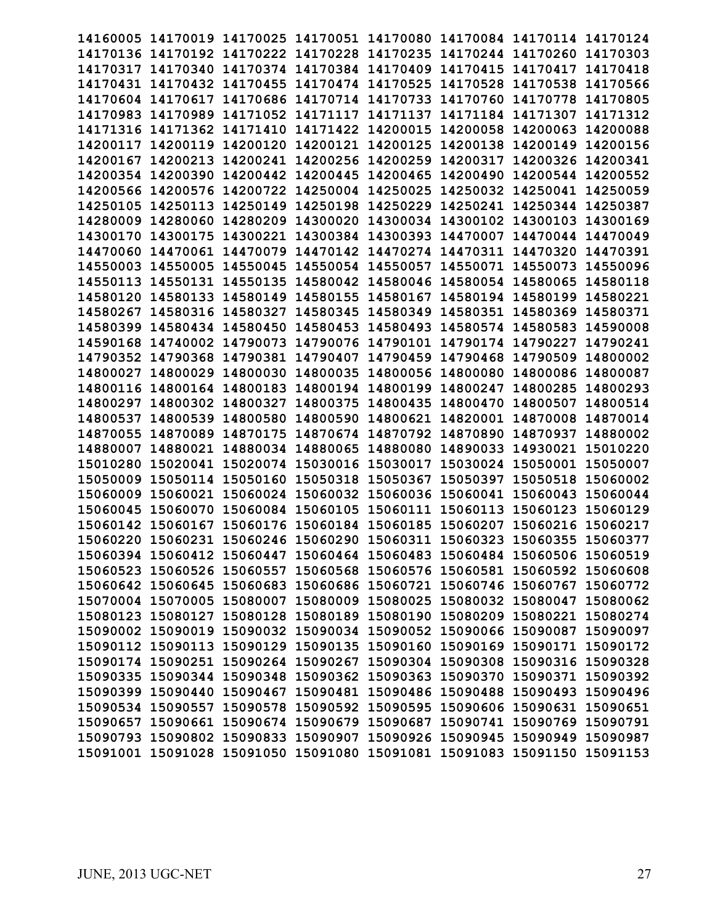| 14160005          |                   |                   | 14170019 14170025 14170051                                              |          | 14170080 14170084 14170114 |                            | 14170124 |
|-------------------|-------------------|-------------------|-------------------------------------------------------------------------|----------|----------------------------|----------------------------|----------|
| 14170136          | 14170192          | 14170222 14170228 |                                                                         | 14170235 | 14170244 14170260          |                            | 14170303 |
| 14170317          | 14170340          | 14170374 14170384 |                                                                         | 14170409 |                            |                            | 14170418 |
|                   |                   |                   |                                                                         |          | 14170415                   | 14170417                   |          |
| 14170431          | 14170432          | 14170455          | 14170474                                                                | 14170525 | 14170528                   | 14170538                   | 14170566 |
| 14170604          | 14170617          | 14170686          | 14170714                                                                | 14170733 | 14170760                   | 14170778                   | 14170805 |
| 14170983          | 14170989          | 14171052          | 14171117                                                                | 14171137 | 14171184                   | 14171307                   | 14171312 |
| 14171316          | 14171362          | 14171410          | 14171422                                                                | 14200015 | 14200058                   | 14200063                   | 14200088 |
| 14200117          | 14200119          | 14200120          | 14200121                                                                | 14200125 | 14200138                   | 14200149                   | 14200156 |
| 14200167          | 14200213          | 14200241          | 14200256                                                                | 14200259 | 14200317                   | 14200326                   | 14200341 |
| 14200354          | 14200390          | 14200442          | 14200445                                                                | 14200465 | 14200490                   | 14200544                   | 14200552 |
| 14200566          | 14200576          | 14200722          | 14250004                                                                | 14250025 | 14250032                   | 14250041                   | 14250059 |
| 14250105          | 14250113          | 14250149          | 14250198                                                                | 14250229 | 14250241                   | 14250344                   | 14250387 |
| 14280009          | 14280060          | 14280209          | 14300020                                                                | 14300034 | 14300102                   | 14300103                   | 14300169 |
| 14300170          | 14300175          | 14300221          | 14300384                                                                | 14300393 | 14470007                   | 14470044                   | 14470049 |
| 14470060 14470061 |                   | 14470079          | 14470142                                                                | 14470274 | 14470311                   | 14470320                   | 14470391 |
| 14550003          | 14550005          | 14550045          | 14550054                                                                | 14550057 | 14550071                   | 14550073                   | 14550096 |
| 14550113          | 14550131          | 14550135          | 14580042                                                                | 14580046 | 14580054                   | 14580065                   | 14580118 |
| 14580120          | 14580133          | 14580149          | 14580155                                                                | 14580167 | 14580194                   | 14580199                   | 14580221 |
| 14580267          | 14580316          | 14580327          | 14580345                                                                | 14580349 | 14580351                   | 14580369                   | 14580371 |
| 14580399          | 14580434          | 14580450          | 14580453                                                                | 14580493 | 14580574                   | 14580583                   | 14590008 |
| 14590168          | 14740002          | 14790073          | 14790076                                                                | 14790101 | 14790174                   | 14790227                   | 14790241 |
| 14790352          | 14790368          | 14790381          | 14790407                                                                | 14790459 | 14790468                   | 14790509                   | 14800002 |
| 14800027          | 14800029          | 14800030          | 14800035                                                                | 14800056 | 14800080                   | 14800086                   | 14800087 |
| 14800116          | 14800164          | 14800183          | 14800194                                                                | 14800199 | 14800247                   | 14800285                   | 14800293 |
| 14800297          | 14800302          | 14800327          | 14800375                                                                | 14800435 | 14800470                   | 14800507                   | 14800514 |
| 14800537          | 14800539          | 14800580          | 14800590                                                                | 14800621 | 14820001                   | 14870008                   | 14870014 |
| 14870055          | 14870089          | 14870175          | 14870674                                                                | 14870792 | 14870890                   | 14870937                   | 14880002 |
| 14880007          | 14880021          | 14880034          | 14880065                                                                | 14880080 | 14890033                   | 14930021                   | 15010220 |
| 15010280          | 15020041          | 15020074          | 15030016                                                                | 15030017 | 15030024                   | 15050001                   | 15050007 |
| 15050009          |                   |                   |                                                                         |          |                            |                            |          |
|                   | 15050114          | 15050160          | 15050318                                                                | 15050367 | 15050397                   | 15050518                   | 15060002 |
| 15060009          | 15060021          | 15060024          | 15060032                                                                | 15060036 | 15060041                   | 15060043                   | 15060044 |
| 15060045          | 15060070          | 15060084          | 15060105                                                                | 15060111 | 15060113                   | 15060123                   | 15060129 |
| 15060142          | 15060167          | 15060176          | 15060184                                                                | 15060185 | 15060207                   | 15060216                   | 15060217 |
| 15060220          | 15060231          | 15060246 15060290 |                                                                         | 15060311 | 15060323                   | 15060355                   | 15060377 |
|                   |                   |                   | 15060394 15060412 15060447 15060464 15060483 15060484 15060506 15060519 |          |                            |                            |          |
|                   |                   |                   | 15060523 15060526 15060557 15060568 15060576 15060581 15060592 15060608 |          |                            |                            |          |
|                   |                   |                   | 15060642 15060645 15060683 15060686 15060721 15060746 15060767 15060772 |          |                            |                            |          |
|                   |                   |                   | 15070004 15070005 15080007 15080009 15080025 15080032 15080047 15080062 |          |                            |                            |          |
|                   |                   |                   | 15080123 15080127 15080128 15080189 15080190 15080209 15080221 15080274 |          |                            |                            |          |
|                   |                   |                   | 15090002 15090019 15090032 15090034 15090052 15090066 15090087 15090097 |          |                            |                            |          |
|                   |                   |                   | 15090112 15090113 15090129 15090135 15090160 15090169 15090171 15090172 |          |                            |                            |          |
|                   |                   |                   | 15090174 15090251 15090264 15090267 15090304 15090308 15090316 15090328 |          |                            |                            |          |
|                   |                   |                   | 15090335 15090344 15090348 15090362 15090363 15090370 15090371 15090392 |          |                            |                            |          |
|                   |                   |                   | 15090399 15090440 15090467 15090481 15090486 15090488 15090493 15090496 |          |                            |                            |          |
|                   |                   |                   | 15090534 15090557 15090578 15090592 15090595 15090606 15090631 15090651 |          |                            |                            |          |
|                   | 15090657 15090661 |                   | 15090674 15090679 15090687                                              |          |                            | 15090741 15090769 15090791 |          |
|                   |                   |                   | 15090793 15090802 15090833 15090907                                     | 15090926 |                            | 15090945 15090949 15090987 |          |
|                   |                   |                   | 15091001 15091028 15091050 15091080 15091081 15091083 15091150 15091153 |          |                            |                            |          |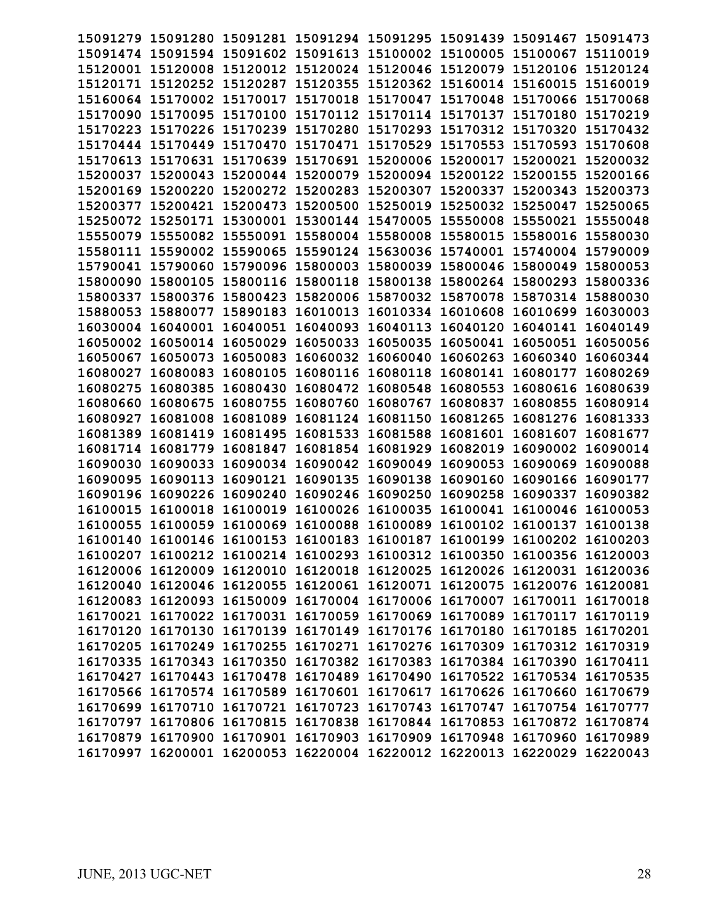| 15091279          |                                                                         |                   |                            |          | 15091280 15091281 15091294 15091295 15091439 15091467 |                            | 15091473 |
|-------------------|-------------------------------------------------------------------------|-------------------|----------------------------|----------|-------------------------------------------------------|----------------------------|----------|
| 15091474 15091594 |                                                                         | 15091602 15091613 |                            | 15100002 | 15100005 15100067                                     |                            | 15110019 |
| 15120001 15120008 |                                                                         | 15120012 15120024 |                            | 15120046 | 15120079 15120106                                     |                            | 15120124 |
| 15120171 15120252 |                                                                         | 15120287          | 15120355                   | 15120362 | 15160014 15160015                                     |                            | 15160019 |
| 15160064 15170002 |                                                                         | 15170017          | 15170018 15170047          |          | 15170048 15170066                                     |                            | 15170068 |
| 15170090          | 15170095                                                                | 15170100          | 15170112                   | 15170114 | 15170137                                              | 15170180                   | 15170219 |
| 15170223          | 15170226                                                                | 15170239          | 15170280                   | 15170293 | 15170312 15170320                                     |                            | 15170432 |
| 15170444          | 15170449                                                                | 15170470          | 15170471                   | 15170529 | 15170553                                              | 15170593                   | 15170608 |
| 15170613          | 15170631                                                                | 15170639          | 15170691                   | 15200006 | 15200017                                              | 15200021                   | 15200032 |
| 15200037          | 15200043                                                                | 15200044 15200079 |                            | 15200094 | 15200122 15200155                                     |                            | 15200166 |
| 15200169          | 15200220                                                                | 15200272          | 15200283                   | 15200307 | 15200337                                              | 15200343                   | 15200373 |
| 15200377          | 15200421                                                                | 15200473          | 15200500                   | 15250019 | 15250032                                              | 15250047                   | 15250065 |
| 15250072          | 15250171                                                                | 15300001          | 15300144                   | 15470005 | 15550008                                              | 15550021                   | 15550048 |
| 15550079          | 15550082                                                                | 15550091          | 15580004 15580008          |          | 15580015 15580016                                     |                            | 15580030 |
| 15580111 15590002 |                                                                         |                   | 15590065 15590124 15630036 |          | 15740001 15740004                                     |                            | 15790009 |
| 15790041 15790060 |                                                                         |                   | 15790096 15800003 15800039 |          | 15800046 15800049                                     |                            | 15800053 |
| 15800090          | 15800105                                                                | 15800116 15800118 |                            | 15800138 | 15800264 15800293                                     |                            | 15800336 |
| 15800337          | 15800376                                                                | 15800423          | 15820006                   | 15870032 | 15870078                                              | 15870314                   | 15880030 |
| 15880053          | 15880077                                                                | 15890183          | 16010013                   | 16010334 | 16010608                                              | 16010699                   | 16030003 |
| 16030004          | 16040001                                                                | 16040051          | 16040093                   | 16040113 | 16040120                                              | 16040141                   | 16040149 |
| 16050002 16050014 |                                                                         | 16050029          | 16050033                   | 16050035 | 16050041                                              | 16050051                   | 16050056 |
| 16050067          | 16050073                                                                | 16050083          | 16060032                   | 16060040 | 16060263                                              | 16060340                   | 16060344 |
| 16080027          | 16080083                                                                | 16080105          | 16080116                   | 16080118 | 16080141                                              | 16080177                   | 16080269 |
| 16080275          | 16080385                                                                | 16080430          | 16080472                   | 16080548 | 16080553                                              | 16080616                   | 16080639 |
| 16080660          | 16080675                                                                | 16080755          | 16080760                   | 16080767 | 16080837                                              | 16080855                   | 16080914 |
| 16080927          | 16081008                                                                |                   | 16081089 16081124 16081150 |          | 16081265                                              | 16081276                   | 16081333 |
| 16081389          | 16081419                                                                | 16081495          | 16081533 16081588          |          | 16081601                                              | 16081607                   | 16081677 |
| 16081714          | 16081779                                                                | 16081847          | 16081854                   | 16081929 | 16082019                                              | 16090002                   | 16090014 |
| 16090030          | 16090033                                                                | 16090034          | 16090042                   | 16090049 | 16090053                                              | 16090069                   | 16090088 |
| 16090095          | 16090113                                                                | 16090121          | 16090135                   | 16090138 | 16090160                                              | 16090166                   | 16090177 |
| 16090196          | 16090226                                                                | 16090240          | 16090246                   | 16090250 | 16090258                                              | 16090337                   | 16090382 |
| 16100015          | 16100018                                                                | 16100019          | 16100026                   | 16100035 | 16100041                                              | 16100046                   | 16100053 |
| 16100055          | 16100059                                                                | 16100069 16100088 |                            | 16100089 | 16100102                                              | 16100137                   | 16100138 |
| 16100140          | 16100146 16100153 16100183                                              |                   |                            | 16100187 |                                                       | 16100199 16100202 16100203 |          |
|                   | 16100207 16100212 16100214 16100293 16100312 16100350 16100356 16120003 |                   |                            |          |                                                       |                            |          |
|                   | 16120006 16120009 16120010 16120018 16120025 16120026 16120031 16120036 |                   |                            |          |                                                       |                            |          |
|                   | 16120040 16120046 16120055 16120061 16120071 16120075 16120076 16120081 |                   |                            |          |                                                       |                            |          |
|                   | 16120083 16120093 16150009 16170004 16170006 16170007 16170011 16170018 |                   |                            |          |                                                       |                            |          |
|                   | 16170021 16170022 16170031 16170059 16170069 16170089 16170117 16170119 |                   |                            |          |                                                       |                            |          |
|                   | 16170120 16170130 16170139 16170149 16170176 16170180 16170185 16170201 |                   |                            |          |                                                       |                            |          |
|                   | 16170205 16170249 16170255 16170271 16170276 16170309 16170312 16170319 |                   |                            |          |                                                       |                            |          |
|                   | 16170335 16170343 16170350 16170382 16170383 16170384 16170390 16170411 |                   |                            |          |                                                       |                            |          |
|                   | 16170427 16170443 16170478 16170489 16170490 16170522 16170534 16170535 |                   |                            |          |                                                       |                            |          |
|                   | 16170566 16170574 16170589 16170601 16170617 16170626 16170660 16170679 |                   |                            |          |                                                       |                            |          |
|                   | 16170699 16170710 16170721 16170723 16170743 16170747 16170754 16170777 |                   |                            |          |                                                       |                            |          |
|                   | 16170797 16170806 16170815 16170838 16170844 16170853 16170872 16170874 |                   |                            |          |                                                       |                            |          |
|                   | 16170879 16170900 16170901 16170903 16170909 16170948 16170960 16170989 |                   |                            |          |                                                       |                            |          |
|                   | 16170997 16200001 16200053 16220004 16220012 16220013 16220029 16220043 |                   |                            |          |                                                       |                            |          |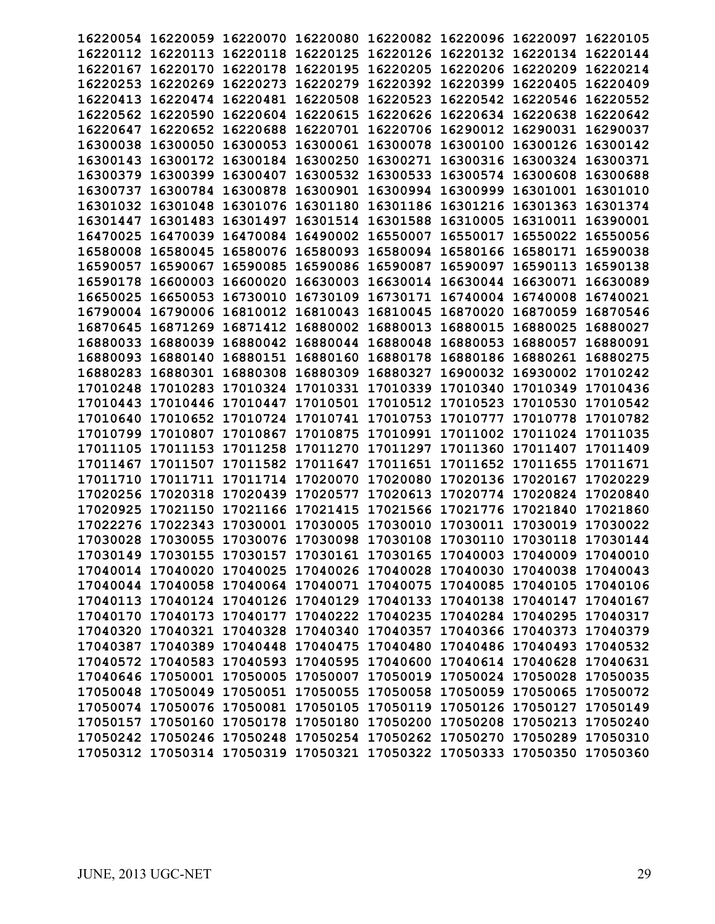|                   | 16220054 16220059 16220070 16220080 16220082 16220096 16220097 16220105 |                   |                            |          |                                                       |                            |          |
|-------------------|-------------------------------------------------------------------------|-------------------|----------------------------|----------|-------------------------------------------------------|----------------------------|----------|
|                   | 16220112 16220113 16220118 16220125 16220126 16220132 16220134 16220144 |                   |                            |          |                                                       |                            |          |
| 16220167 16220170 |                                                                         |                   | 16220178 16220195 16220205 |          | 16220206 16220209 16220214                            |                            |          |
|                   | 16220253 16220269                                                       |                   |                            |          | 16220273 16220279 16220392 16220399 16220405 16220409 |                            |          |
|                   | 16220413 16220474 16220481 16220508 16220523                            |                   |                            |          | 16220542 16220546 16220552                            |                            |          |
| 16220562          | 16220590                                                                |                   | 16220604 16220615          | 16220626 | 16220634 16220638                                     |                            | 16220642 |
| 16220647          | 16220652                                                                | 16220688          | 16220701                   | 16220706 |                                                       | 16290012 16290031          | 16290037 |
| 16300038          | 16300050                                                                | 16300053          | 16300061                   | 16300078 |                                                       | 16300100 16300126 16300142 |          |
| 16300143 16300172 |                                                                         |                   | 16300184 16300250 16300271 |          |                                                       | 16300316 16300324 16300371 |          |
|                   | 16300379 16300399                                                       |                   |                            |          | 16300407 16300532 16300533 16300574 16300608 16300688 |                            |          |
|                   | 16300737 16300784 16300878 16300901 16300994 16300999 16301001 16301010 |                   |                            |          |                                                       |                            |          |
|                   | 16301032 16301048 16301076 16301180 16301186 16301216 16301363          |                   |                            |          |                                                       |                            | 16301374 |
| 16301447          |                                                                         | 16301483 16301497 |                            |          | 16301514 16301588 16310005 16310011 16390001          |                            |          |
|                   | 16470025 16470039 16470084 16490002 16550007                            |                   |                            |          |                                                       | 16550017 16550022 16550056 |          |
|                   |                                                                         |                   |                            |          |                                                       |                            |          |
| 16580008 16580045 |                                                                         |                   |                            |          | 16580076 16580093 16580094 16580166 16580171 16590038 |                            |          |
|                   | 16590057 16590067                                                       |                   |                            |          | 16590085 16590086 16590087 16590097 16590113 16590138 |                            |          |
|                   | 16590178 16600003                                                       | 16600020          |                            |          | 16630003 16630014 16630044 16630071 16630089          |                            |          |
| 16650025          | 16650053                                                                | 16730010          | 16730109                   | 16730171 | 16740004                                              | 16740008                   | 16740021 |
| 16790004 16790006 |                                                                         |                   | 16810012 16810043          | 16810045 | 16870020                                              | 16870059                   | 16870546 |
| 16870645          | 16871269                                                                |                   | 16871412 16880002 16880013 |          | 16880015                                              | 16880025                   | 16880027 |
|                   | 16880033 16880039                                                       |                   | 16880042 16880044 16880048 |          | 16880053 16880057                                     |                            | 16880091 |
|                   | 16880093 16880140 16880151 16880160 16880178 16880186 16880261 16880275 |                   |                            |          |                                                       |                            |          |
|                   | 16880283 16880301 16880308 16880309 16880327 16900032 16930002 17010242 |                   |                            |          |                                                       |                            |          |
|                   | 17010248 17010283                                                       |                   | 17010324 17010331 17010339 |          | 17010340                                              | 17010349                   | 17010436 |
|                   | 17010443 17010446 17010447 17010501 17010512 17010523                   |                   |                            |          |                                                       | 17010530 17010542          |          |
|                   | 17010640 17010652 17010724 17010741 17010753 17010777 17010778 17010782 |                   |                            |          |                                                       |                            |          |
|                   | 17010799 17010807 17010867 17010875 17010991 17011002 17011024 17011035 |                   |                            |          |                                                       |                            |          |
|                   | 17011105 17011153 17011258 17011270 17011297 17011360 17011407 17011409 |                   |                            |          |                                                       |                            |          |
|                   | 17011467 17011507                                                       | 17011582 17011647 |                            | 17011651 |                                                       | 17011652 17011655 17011671 |          |
| 17011710          | 17011711                                                                | 17011714 17020070 |                            | 17020080 | 17020136 17020167                                     |                            | 17020229 |
| 17020256 17020318 |                                                                         |                   | 17020439 17020577          | 17020613 |                                                       | 17020774 17020824 17020840 |          |
|                   | 17020925 17021150                                                       |                   | 17021166 17021415 17021566 |          | 17021776 17021840                                     |                            | 17021860 |
|                   | 17022276 17022343 17030001 17030005 17030010 17030011 17030019 17030022 |                   |                            |          |                                                       |                            |          |
|                   | 17030028 17030055 17030076 17030098 17030108 17030110 17030118 17030144 |                   |                            |          |                                                       |                            |          |
|                   | 17030149 17030155 17030157 17030161 17030165 17040003 17040009 17040010 |                   |                            |          |                                                       |                            |          |
|                   | 17040014 17040020 17040025 17040026 17040028 17040030 17040038 17040043 |                   |                            |          |                                                       |                            |          |
|                   | 17040044 17040058 17040064 17040071 17040075 17040085 17040105 17040106 |                   |                            |          |                                                       |                            |          |
|                   | 17040113 17040124 17040126 17040129 17040133 17040138 17040147 17040167 |                   |                            |          |                                                       |                            |          |
|                   | 17040170 17040173 17040177 17040222 17040235 17040284 17040295 17040317 |                   |                            |          |                                                       |                            |          |
|                   | 17040320 17040321 17040328 17040340 17040357 17040366 17040373 17040379 |                   |                            |          |                                                       |                            |          |
|                   | 17040387 17040389 17040448 17040475 17040480 17040486 17040493 17040532 |                   |                            |          |                                                       |                            |          |
|                   |                                                                         |                   |                            |          |                                                       |                            |          |
|                   | 17040572 17040583 17040593 17040595 17040600 17040614 17040628 17040631 |                   |                            |          |                                                       |                            |          |
|                   | 17040646 17050001 17050005 17050007 17050019 17050024 17050028 17050035 |                   |                            |          |                                                       |                            |          |
|                   | 17050048 17050049 17050051 17050055 17050058 17050059 17050065 17050072 |                   |                            |          |                                                       |                            |          |
|                   | 17050074 17050076 17050081 17050105 17050119 17050126 17050127 17050149 |                   |                            |          |                                                       |                            |          |
|                   | 17050157 17050160 17050178 17050180 17050200 17050208 17050213 17050240 |                   |                            |          |                                                       |                            |          |
|                   | 17050242 17050246 17050248 17050254 17050262 17050270 17050289 17050310 |                   |                            |          |                                                       |                            |          |
|                   | 17050312 17050314 17050319 17050321 17050322 17050333 17050350 17050360 |                   |                            |          |                                                       |                            |          |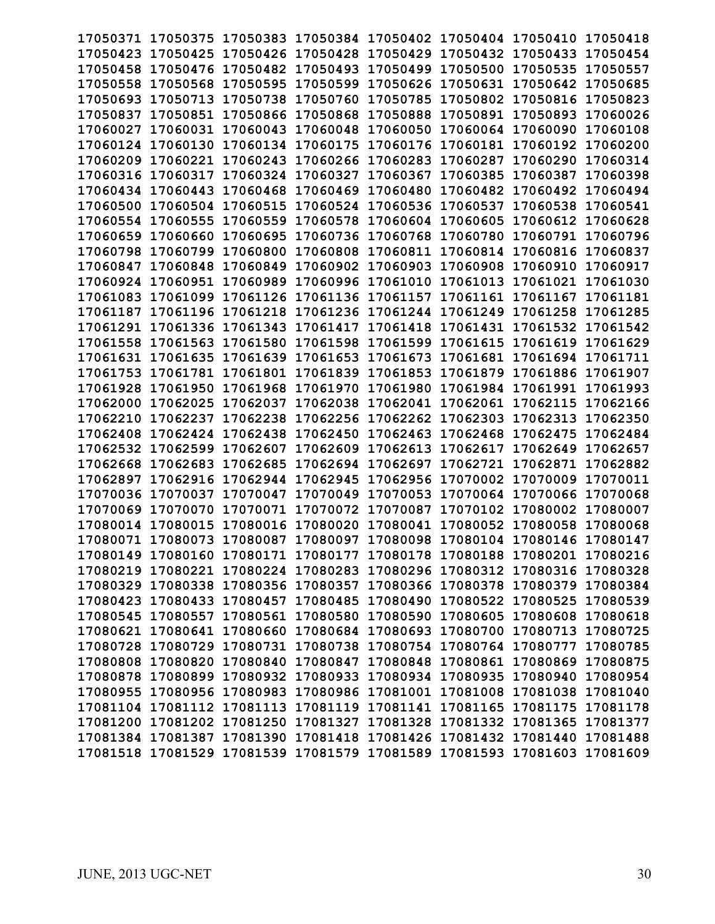|                   |                   |                   | 17050371 17050375 17050383 17050384 17050402 17050404 17050410          |          |                            |                            | 17050418 |
|-------------------|-------------------|-------------------|-------------------------------------------------------------------------|----------|----------------------------|----------------------------|----------|
| 17050423          | 17050425          |                   | 17050426 17050428 17050429                                              |          | 17050432 17050433          |                            | 17050454 |
| 17050458          | 17050476          | 17050482 17050493 |                                                                         | 17050499 | 17050500 17050535          |                            | 17050557 |
| 17050558 17050568 |                   | 17050595          | 17050599                                                                | 17050626 | 17050631 17050642          |                            | 17050685 |
| 17050693          | 17050713          | 17050738          | 17050760                                                                | 17050785 | 17050802 17050816          |                            | 17050823 |
| 17050837          | 17050851          | 17050866          | 17050868                                                                | 17050888 | 17050891                   | 17050893                   | 17060026 |
| 17060027          | 17060031          | 17060043          | 17060048                                                                | 17060050 | 17060064                   | 17060090                   | 17060108 |
| 17060124          | 17060130          | 17060134          | 17060175                                                                | 17060176 | 17060181                   | 17060192                   | 17060200 |
| 17060209 17060221 |                   | 17060243          | 17060266                                                                | 17060283 | 17060287                   | 17060290                   | 17060314 |
| 17060316          | 17060317          |                   | 17060324 17060327                                                       | 17060367 | 17060385                   | 17060387                   | 17060398 |
| 17060434          | 17060443          | 17060468          | 17060469                                                                | 17060480 | 17060482                   | 17060492                   | 17060494 |
| 17060500          | 17060504          | 17060515          | 17060524                                                                | 17060536 | 17060537                   | 17060538                   | 17060541 |
| 17060554          | 17060555          | 17060559          | 17060578                                                                | 17060604 | 17060605                   | 17060612                   | 17060628 |
|                   |                   |                   |                                                                         |          |                            |                            |          |
| 17060659          | 17060660          | 17060695          | 17060736 17060768                                                       |          | 17060780                   | 17060791                   | 17060796 |
| 17060798 17060799 |                   | 17060800          | 17060808 17060811                                                       |          |                            | 17060814 17060816 17060837 |          |
| 17060847          | 17060848          | 17060849          | 17060902 17060903                                                       |          | 17060908                   | 17060910                   | 17060917 |
| 17060924          | 17060951          |                   | 17060989 17060996                                                       | 17061010 | 17061013 17061021          |                            | 17061030 |
| 17061083          | 17061099          | 17061126          | 17061136                                                                | 17061157 | 17061161                   | 17061167                   | 17061181 |
| 17061187          | 17061196          | 17061218          | 17061236                                                                | 17061244 | 17061249                   | 17061258                   | 17061285 |
| 17061291          | 17061336          | 17061343          | 17061417                                                                | 17061418 | 17061431                   | 17061532                   | 17061542 |
| 17061558 17061563 |                   | 17061580          | 17061598                                                                | 17061599 | 17061615 17061619          |                            | 17061629 |
| 17061631          | 17061635          | 17061639          | 17061653                                                                | 17061673 | 17061681                   | 17061694                   | 17061711 |
| 17061753          | 17061781          | 17061801          | 17061839                                                                | 17061853 | 17061879                   | 17061886                   | 17061907 |
| 17061928          | 17061950          | 17061968          | 17061970                                                                | 17061980 | 17061984                   | 17061991                   | 17061993 |
| 17062000          | 17062025          | 17062037          | 17062038                                                                | 17062041 | 17062061                   | 17062115                   | 17062166 |
| 17062210 17062237 |                   | 17062238          | 17062256 17062262                                                       |          | 17062303                   | 17062313 17062350          |          |
| 17062408 17062424 |                   |                   | 17062438 17062450 17062463                                              |          | 17062468 17062475          |                            | 17062484 |
| 17062532 17062599 |                   | 17062607          | 17062609                                                                | 17062613 | 17062617                   | 17062649                   | 17062657 |
| 17062668          | 17062683          | 17062685          | 17062694                                                                |          |                            | 17062871                   | 17062882 |
|                   |                   |                   |                                                                         | 17062697 | 17062721                   |                            |          |
| 17062897          | 17062916          | 17062944          | 17062945                                                                | 17062956 | 17070002                   | 17070009                   | 17070011 |
| 17070036          | 17070037          | 17070047          | 17070049                                                                | 17070053 | 17070064                   | 17070066                   | 17070068 |
| 17070069          | 17070070          | 17070071          | 17070072                                                                | 17070087 | 17070102 17080002          |                            | 17080007 |
| 17080014          | 17080015          |                   | 17080016 17080020 17080041                                              |          | 17080052 17080058          |                            | 17080068 |
|                   | 17080071 17080073 | 17080087          | 17080097                                                                | 17080098 | 17080104 17080146 17080147 |                            |          |
|                   |                   |                   | 17080149 17080160 17080171 17080177 17080178 17080188 17080201 17080216 |          |                            |                            |          |
|                   |                   |                   | 17080219 17080221 17080224 17080283 17080296 17080312 17080316 17080328 |          |                            |                            |          |
|                   |                   |                   | 17080329 17080338 17080356 17080357 17080366 17080378 17080379 17080384 |          |                            |                            |          |
|                   |                   |                   | 17080423 17080433 17080457 17080485 17080490 17080522 17080525 17080539 |          |                            |                            |          |
|                   |                   |                   | 17080545 17080557 17080561 17080580 17080590 17080605 17080608 17080618 |          |                            |                            |          |
|                   |                   |                   | 17080621 17080641 17080660 17080684 17080693 17080700 17080713 17080725 |          |                            |                            |          |
|                   |                   |                   | 17080728 17080729 17080731 17080738 17080754 17080764 17080777 17080785 |          |                            |                            |          |
|                   |                   |                   | 17080808 17080820 17080840 17080847 17080848 17080861 17080869 17080875 |          |                            |                            |          |
|                   |                   |                   | 17080878 17080899 17080932 17080933 17080934 17080935 17080940 17080954 |          |                            |                            |          |
|                   |                   |                   | 17080955 17080956 17080983 17080986 17081001 17081008 17081038 17081040 |          |                            |                            |          |
|                   |                   |                   |                                                                         |          |                            |                            |          |
|                   |                   |                   | 17081104 17081112 17081113 17081119 17081141 17081165 17081175 17081178 |          |                            |                            |          |
|                   |                   |                   | 17081200 17081202 17081250 17081327 17081328 17081332 17081365 17081377 |          |                            |                            |          |
|                   |                   |                   | 17081384 17081387 17081390 17081418 17081426 17081432 17081440 17081488 |          |                            |                            |          |
|                   |                   |                   | 17081518 17081529 17081539 17081579 17081589 17081593 17081603 17081609 |          |                            |                            |          |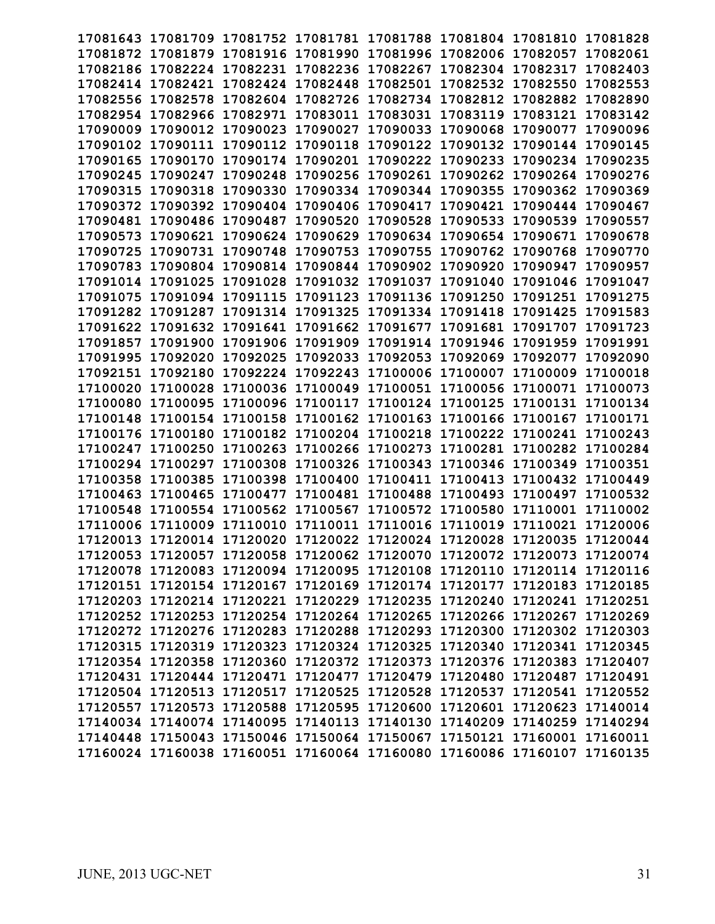|                   |                                              |                            |                            | 17081643 17081709 17081752 17081781 17081788 17081804 17081810          |                   |                            | 17081828 |
|-------------------|----------------------------------------------|----------------------------|----------------------------|-------------------------------------------------------------------------|-------------------|----------------------------|----------|
|                   |                                              |                            |                            | 17081872 17081879 17081916 17081990 17081996 17082006 17082057          |                   |                            | 17082061 |
|                   |                                              |                            |                            | 17082186 17082224 17082231 17082236 17082267 17082304 17082317          |                   |                            | 17082403 |
|                   | 17082414 17082421 17082424 17082448 17082501 |                            |                            |                                                                         | 17082532 17082550 |                            | 17082553 |
| 17082556 17082578 |                                              |                            |                            | 17082604 17082726 17082734 17082812 17082882                            |                   |                            | 17082890 |
| 17082954          | 17082966                                     | 17082971                   | 17083011                   | 17083031                                                                | 17083119          | 17083121                   | 17083142 |
| 17090009          | 17090012                                     | 17090023                   | 17090027                   | 17090033                                                                | 17090068          | 17090077                   | 17090096 |
| 17090102          | 17090111                                     | 17090112                   | 17090118                   | 17090122                                                                | 17090132          | 17090144                   | 17090145 |
| 17090165 17090170 |                                              |                            | 17090174 17090201 17090222 |                                                                         | 17090233          | 17090234                   | 17090235 |
| 17090245          | 17090247                                     |                            | 17090248 17090256          | 17090261                                                                |                   | 17090262 17090264 17090276 |          |
| 17090315          | 17090318                                     | 17090330                   | 17090334 17090344          |                                                                         | 17090355          | 17090362                   | 17090369 |
| 17090372          | 17090392                                     | 17090404                   | 17090406 17090417          |                                                                         | 17090421          | 17090444                   | 17090467 |
|                   | 17090481 17090486                            | 17090487                   | 17090520                   | 17090528                                                                | 17090533          | 17090539                   | 17090557 |
|                   | 17090573 17090621                            |                            |                            | 17090624 17090629 17090634 17090654 17090671                            |                   |                            | 17090678 |
|                   | 17090725 17090731 17090748 17090753 17090755 |                            |                            |                                                                         |                   | 17090762 17090768 17090770 |          |
|                   | 17090783 17090804 17090814 17090844 17090902 |                            |                            |                                                                         | 17090920 17090947 |                            | 17090957 |
| 17091014 17091025 |                                              |                            | 17091028 17091032 17091037 |                                                                         | 17091040          | 17091046                   | 17091047 |
| 17091075          | 17091094                                     | 17091115 17091123          |                            | 17091136                                                                | 17091250          | 17091251                   | 17091275 |
|                   | 17091282 17091287                            | 17091314 17091325          |                            | 17091334                                                                | 17091418          | 17091425                   | 17091583 |
| 17091622 17091632 |                                              | 17091641 17091662          |                            | 17091677                                                                | 17091681          | 17091707                   | 17091723 |
| 17091857          | 17091900                                     |                            | 17091906 17091909 17091914 |                                                                         | 17091946 17091959 |                            | 17091991 |
| 17091995          | 17092020                                     | 17092025 17092033          |                            | 17092053                                                                | 17092069 17092077 |                            | 17092090 |
| 17092151          | 17092180                                     |                            | 17092224 17092243          | 17100006                                                                | 17100007          | 17100009                   | 17100018 |
| 17100020          | 17100028                                     |                            | 17100036 17100049          | 17100051                                                                |                   | 17100056 17100071          | 17100073 |
| 17100080          | 17100095                                     |                            |                            | 17100096 17100117 17100124 17100125 17100131 17100134                   |                   |                            |          |
|                   |                                              |                            |                            | 17100148 17100154 17100158 17100162 17100163 17100166 17100167          |                   |                            | 17100171 |
|                   |                                              |                            |                            | 17100176 17100180 17100182 17100204 17100218 17100222 17100241 17100243 |                   |                            |          |
| 17100247 17100250 |                                              | 17100263 17100266 17100273 |                            |                                                                         |                   | 17100281 17100282 17100284 |          |
| 17100294          | 17100297                                     | 17100308                   | 17100326 17100343          |                                                                         | 17100346 17100349 |                            | 17100351 |
| 17100358          | 17100385                                     | 17100398                   | 17100400                   | 17100411                                                                | 17100413          | 17100432                   | 17100449 |
| 17100463          | 17100465                                     | 17100477                   | 17100481                   | 17100488                                                                | 17100493          | 17100497                   | 17100532 |
| 17100548          | 17100554                                     | 17100562 17100567 17100572 |                            |                                                                         | 17100580 17110001 |                            | 17110002 |
|                   |                                              |                            |                            | 17110006 17110009 17110010 17110011 17110016 17110019 17110021 17120006 |                   |                            |          |
|                   |                                              |                            |                            | 17120013 17120014 17120020 17120022 17120024 17120028 17120035          |                   |                            | 17120044 |
|                   |                                              |                            |                            | 17120053 17120057 17120058 17120062 17120070 17120072 17120073 17120074 |                   |                            |          |
|                   |                                              |                            |                            | 17120078 17120083 17120094 17120095 17120108 17120110 17120114 17120116 |                   |                            |          |
|                   |                                              |                            |                            | 17120151 17120154 17120167 17120169 17120174 17120177 17120183 17120185 |                   |                            |          |
|                   |                                              |                            |                            | 17120203 17120214 17120221 17120229 17120235 17120240 17120241 17120251 |                   |                            |          |
|                   |                                              |                            |                            | 17120252 17120253 17120254 17120264 17120265 17120266 17120267 17120269 |                   |                            |          |
|                   |                                              |                            |                            | 17120272 17120276 17120283 17120288 17120293 17120300 17120302 17120303 |                   |                            |          |
|                   |                                              |                            |                            | 17120315 17120319 17120323 17120324 17120325 17120340 17120341 17120345 |                   |                            |          |
|                   |                                              |                            |                            | 17120354 17120358 17120360 17120372 17120373 17120376 17120383 17120407 |                   |                            |          |
|                   |                                              |                            |                            | 17120431 17120444 17120471 17120477 17120479 17120480 17120487 17120491 |                   |                            |          |
|                   |                                              |                            |                            | 17120504 17120513 17120517 17120525 17120528 17120537 17120541 17120552 |                   |                            |          |
|                   |                                              |                            |                            | 17120557 17120573 17120588 17120595 17120600 17120601 17120623 17140014 |                   |                            |          |
|                   |                                              |                            |                            | 17140034 17140074 17140095 17140113 17140130 17140209 17140259 17140294 |                   |                            |          |
|                   |                                              |                            |                            | 17140448 17150043 17150046 17150064 17150067 17150121 17160001 17160011 |                   |                            |          |
|                   |                                              |                            |                            | 17160024 17160038 17160051 17160064 17160080 17160086 17160107 17160135 |                   |                            |          |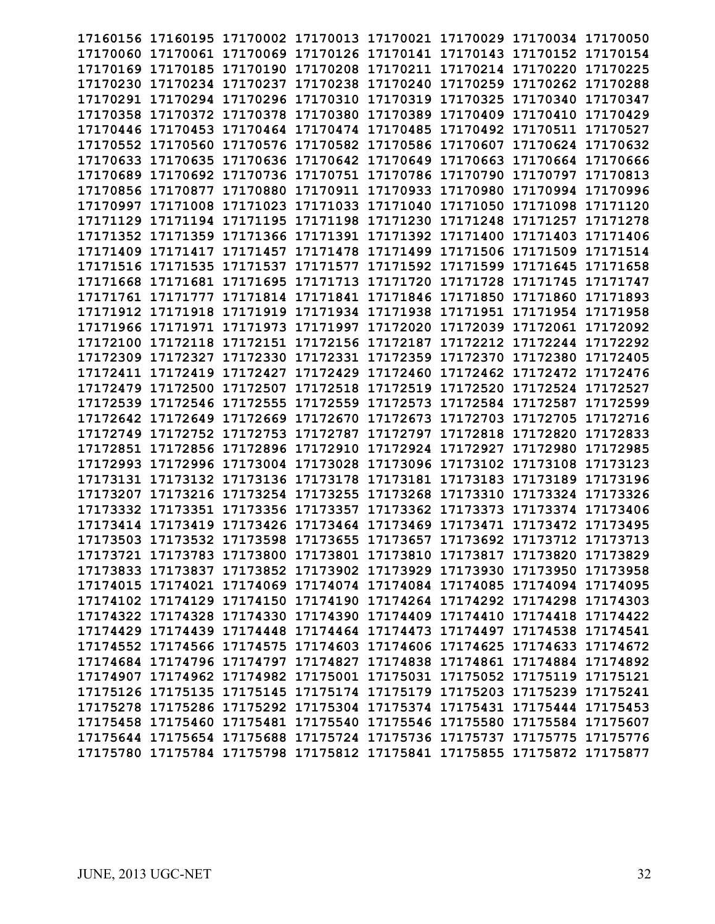|          | 17160156 17160195 17170002 17170013 17170021 17170029 17170034 17170050                      |  |                                                                |                            |          |
|----------|----------------------------------------------------------------------------------------------|--|----------------------------------------------------------------|----------------------------|----------|
|          | 17170060 17170061 17170069 17170126 17170141 17170143 17170152 17170154                      |  |                                                                |                            |          |
|          | 17170169 17170185 17170190 17170208 17170211 17170214 17170220 17170225                      |  |                                                                |                            |          |
|          | 17170230 17170234 17170237 17170238 17170240 17170259 17170262 17170288                      |  |                                                                |                            |          |
|          | 17170291 17170294 17170296 17170310 17170319 17170325 17170340 17170347                      |  |                                                                |                            |          |
|          | 17170358 17170372                                                                            |  | 17170378 17170380 17170389 17170409 17170410 17170429          |                            |          |
|          |                                                                                              |  |                                                                |                            |          |
|          | 17170446 17170453 17170464 17170474 17170485 17170492 17170511 17170527<br>17170552 17170560 |  | 17170576 17170582 17170586 17170607 17170624 17170632          |                            |          |
|          |                                                                                              |  |                                                                |                            |          |
|          | 17170633 17170635                                                                            |  | 17170636 17170642 17170649 17170663 17170664 17170666          |                            |          |
|          | 17170689 17170692 17170736 17170751 17170786 17170790 17170797 17170813                      |  |                                                                |                            |          |
|          | 17170856 17170877                                                                            |  | 17170880 17170911 17170933 17170980 17170994 17170996          |                            |          |
| 17170997 | 17171008                                                                                     |  | 17171023 17171033 17171040 17171050 17171098 17171120          |                            |          |
|          | 17171129 17171194 17171195 17171198 17171230 17171248 17171257 17171278                      |  |                                                                |                            |          |
|          | 17171352 17171359 17171366 17171391 17171392 17171400 17171403 17171406                      |  |                                                                |                            |          |
|          | 17171409 17171417 17171457 17171478 17171499 17171506 17171509 17171514                      |  |                                                                |                            |          |
|          | 17171516 17171535 17171537 17171577 17171592 17171599 17171645 17171658                      |  |                                                                |                            |          |
|          | 17171668 17171681 17171695 17171713 17171720 17171728 17171745 17171747                      |  |                                                                |                            |          |
|          | 17171761 17171777 17171814 17171841 17171846 17171850 17171860 17171893                      |  |                                                                |                            |          |
|          | 17171912 17171918 17171919 17171934 17171938 17171951 17171954 17171958                      |  |                                                                |                            |          |
|          | 17171966 17171971 17171973 17171997 17172020 17172039 17172061 17172092                      |  |                                                                |                            |          |
|          | 17172100 17172118 17172151 17172156 17172187 17172212 17172244 17172292                      |  |                                                                |                            |          |
|          | 17172309 17172327 17172330 17172331 17172359 17172370 17172380 17172405                      |  |                                                                |                            |          |
|          | 17172411 17172419 17172427 17172429 17172460 17172462 17172472 17172476                      |  |                                                                |                            |          |
| 17172479 |                                                                                              |  | 17172500 17172507 17172518 17172519 17172520 17172524 17172527 |                            |          |
|          | 17172539 17172546 17172555 17172559 17172573 17172584 17172587 17172599                      |  |                                                                |                            |          |
|          | 17172642 17172649 17172669 17172670 17172673 17172703 17172705 17172716                      |  |                                                                |                            |          |
|          | 17172749 17172752 17172753 17172787 17172797 17172818 17172820 17172833                      |  |                                                                |                            |          |
|          | 17172851 17172856 17172896 17172910 17172924 17172927 17172980 17172985                      |  |                                                                |                            |          |
|          | 17172993 17172996 17173004 17173028 17173096 17173102 17173108                               |  |                                                                |                            | 17173123 |
|          | 17173131 17173132 17173136 17173178 17173181 17173183 17173189 17173196                      |  |                                                                |                            |          |
|          | 17173207 17173216 17173254 17173255 17173268                                                 |  |                                                                | 17173310 17173324 17173326 |          |
|          | 17173332 17173351 17173356 17173357 17173362 17173373 17173374 17173406                      |  |                                                                |                            |          |
|          | 17173414 17173419 17173426 17173464 17173469 17173471 17173472 17173495                      |  |                                                                |                            |          |
|          | 17173503 17173532 17173598 17173655 17173657 17173692 17173712 17173713                      |  |                                                                |                            |          |
|          | 17173721 17173783 17173800 17173801 17173810 17173817 17173820 17173829                      |  |                                                                |                            |          |
|          | 17173833 17173837 17173852 17173902 17173929 17173930 17173950 17173958                      |  |                                                                |                            |          |
|          | 17174015 17174021 17174069 17174074 17174084 17174085 17174094 17174095                      |  |                                                                |                            |          |
|          | 17174102 17174129 17174150 17174190 17174264 17174292 17174298 17174303                      |  |                                                                |                            |          |
|          | 17174322 17174328 17174330 17174390 17174409 17174410 17174418 17174422                      |  |                                                                |                            |          |
|          | 17174429 17174439 17174448 17174464 17174473 17174497 17174538 17174541                      |  |                                                                |                            |          |
|          | 17174552 17174566 17174575 17174603 17174606 17174625 17174633 17174672                      |  |                                                                |                            |          |
|          |                                                                                              |  |                                                                |                            |          |
|          | 17174684 17174796 17174797 17174827 17174838 17174861 17174884 17174892                      |  |                                                                |                            |          |
|          | 17174907 17174962 17174982 17175001 17175031 17175052 17175119 17175121                      |  |                                                                |                            |          |
|          | 17175126 17175135 17175145 17175174 17175179 17175203 17175239 17175241                      |  |                                                                |                            |          |
|          | 17175278 17175286 17175292 17175304 17175374 17175431 17175444 17175453                      |  |                                                                |                            |          |
|          | 17175458 17175460 17175481 17175540 17175546 17175580 17175584 17175607                      |  |                                                                |                            |          |
|          | 17175644 17175654 17175688 17175724 17175736 17175737 17175775 17175776                      |  |                                                                |                            |          |
|          | 17175780 17175784 17175798 17175812 17175841 17175855 17175872 17175877                      |  |                                                                |                            |          |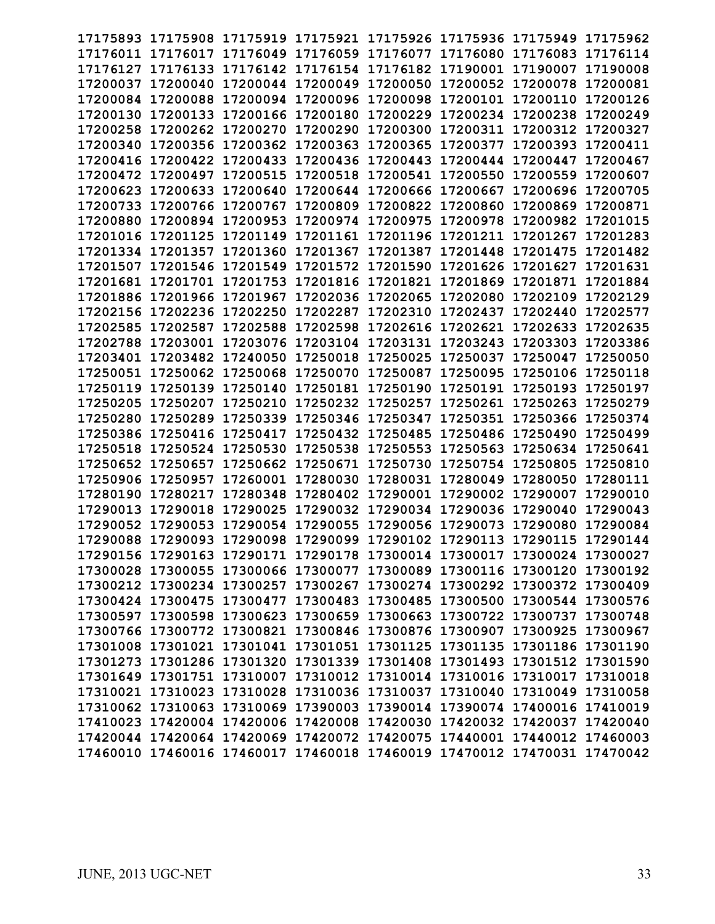| 17175893          |                   |                   |                                              | 17175908 17175919 17175921 17175926 17175936 17175949                   |                   |                            | 17175962 |
|-------------------|-------------------|-------------------|----------------------------------------------|-------------------------------------------------------------------------|-------------------|----------------------------|----------|
|                   |                   |                   |                                              | 17176011 17176017 17176049 17176059 17176077 17176080 17176083          |                   |                            | 17176114 |
| 17176127 17176133 |                   |                   | 17176142 17176154 17176182                   |                                                                         | 17190001 17190007 |                            | 17190008 |
|                   |                   |                   | 17200044 17200049 17200050                   |                                                                         |                   |                            |          |
| 17200037 17200040 |                   |                   |                                              |                                                                         | 17200052 17200078 |                            | 17200081 |
| 17200084 17200088 |                   |                   | 17200094 17200096 17200098                   |                                                                         | 17200101 17200110 |                            | 17200126 |
| 17200130          | 17200133          |                   | 17200166 17200180                            | 17200229                                                                | 17200234          | 17200238                   | 17200249 |
| 17200258          | 17200262          | 17200270          | 17200290                                     | 17200300                                                                | 17200311          | 17200312                   | 17200327 |
| 17200340          | 17200356          | 17200362          | 17200363                                     | 17200365                                                                | 17200377          | 17200393                   | 17200411 |
| 17200416          | 17200422          | 17200433          | 17200436                                     | 17200443                                                                | 17200444          | 17200447                   | 17200467 |
| 17200472 17200497 |                   |                   | 17200515 17200518 17200541                   |                                                                         | 17200550 17200559 |                            | 17200607 |
| 17200623          | 17200633          | 17200640          | 17200644                                     | 17200666                                                                | 17200667          | 17200696                   | 17200705 |
| 17200733          | 17200766          | 17200767          | 17200809                                     | 17200822                                                                | 17200860          | 17200869                   | 17200871 |
| 17200880          | 17200894          | 17200953          | 17200974 17200975                            |                                                                         | 17200978          | 17200982                   | 17201015 |
| 17201016 17201125 |                   |                   | 17201149 17201161 17201196                   |                                                                         | 17201211          | 17201267                   | 17201283 |
|                   |                   |                   | 17201334 17201357 17201360 17201367 17201387 |                                                                         | 17201448 17201475 |                            | 17201482 |
| 17201507 17201546 |                   |                   | 17201549 17201572 17201590                   |                                                                         | 17201626 17201627 |                            | 17201631 |
| 17201681          | 17201701          |                   | 17201753 17201816                            | 17201821                                                                | 17201869 17201871 |                            | 17201884 |
| 17201886          | 17201966          | 17201967          | 17202036                                     | 17202065                                                                | 17202080          | 17202109                   | 17202129 |
| 17202156 17202236 |                   | 17202250          | 17202287                                     | 17202310                                                                | 17202437          | 17202440                   | 17202577 |
| 17202585          | 17202587          | 17202588          | 17202598                                     | 17202616                                                                | 17202621          | 17202633                   | 17202635 |
| 17202788 17203001 |                   |                   |                                              | 17203076 17203104 17203131 17203243                                     |                   | 17203303                   | 17203386 |
| 17203401 17203482 |                   | 17240050          | 17250018                                     | 17250025                                                                | 17250037          | 17250047                   | 17250050 |
| 17250051          | 17250062          | 17250068          | 17250070                                     | 17250087                                                                | 17250095          | 17250106                   | 17250118 |
| 17250119          | 17250139          | 17250140          | 17250181                                     | 17250190                                                                | 17250191          | 17250193                   | 17250197 |
| 17250205          | 17250207          | 17250210          | 17250232                                     | 17250257                                                                | 17250261          | 17250263                   | 17250279 |
| 17250280 17250289 |                   |                   | 17250339 17250346 17250347                   |                                                                         |                   | 17250351 17250366 17250374 |          |
| 17250386 17250416 |                   | 17250417          | 17250432 17250485                            |                                                                         | 17250486 17250490 |                            | 17250499 |
| 17250518          | 17250524          | 17250530          | 17250538                                     | 17250553                                                                | 17250563          | 17250634                   | 17250641 |
| 17250652          | 17250657          | 17250662 17250671 |                                              | 17250730                                                                | 17250754 17250805 |                            | 17250810 |
| 17250906          | 17250957          | 17260001          | 17280030                                     | 17280031                                                                | 17280049          | 17280050                   | 17280111 |
| 17280190          | 17280217          | 17280348          | 17280402                                     | 17290001                                                                | 17290002 17290007 |                            | 17290010 |
| 17290013          | 17290018          | 17290025          | 17290032                                     | 17290034                                                                | 17290036 17290040 |                            | 17290043 |
| 17290052 17290053 |                   | 17290054 17290055 |                                              | 17290056                                                                | 17290073 17290080 |                            | 17290084 |
|                   | 17290088 17290093 |                   |                                              | 17290098 17290099 17290102 17290113 17290115                            |                   |                            | 17290144 |
|                   |                   |                   |                                              |                                                                         |                   |                            |          |
|                   |                   |                   |                                              | 17290156 17290163 17290171 17290178 17300014 17300017 17300024 17300027 |                   |                            |          |
|                   |                   |                   |                                              | 17300028 17300055 17300066 17300077 17300089 17300116 17300120 17300192 |                   |                            |          |
|                   |                   |                   |                                              | 17300212 17300234 17300257 17300267 17300274 17300292 17300372 17300409 |                   |                            |          |
|                   |                   |                   |                                              | 17300424 17300475 17300477 17300483 17300485 17300500 17300544 17300576 |                   |                            |          |
|                   |                   |                   |                                              | 17300597 17300598 17300623 17300659 17300663 17300722 17300737 17300748 |                   |                            |          |
|                   |                   |                   |                                              | 17300766 17300772 17300821 17300846 17300876 17300907 17300925 17300967 |                   |                            |          |
|                   |                   |                   |                                              | 17301008 17301021 17301041 17301051 17301125 17301135 17301186 17301190 |                   |                            |          |
|                   |                   |                   |                                              | 17301273 17301286 17301320 17301339 17301408 17301493 17301512 17301590 |                   |                            |          |
|                   |                   |                   |                                              | 17301649 17301751 17310007 17310012 17310014 17310016 17310017 17310018 |                   |                            |          |
|                   |                   |                   |                                              | 17310021 17310023 17310028 17310036 17310037 17310040 17310049 17310058 |                   |                            |          |
|                   |                   |                   |                                              | 17310062 17310063 17310069 17390003 17390014 17390074 17400016 17410019 |                   |                            |          |
|                   |                   |                   |                                              | 17410023 17420004 17420006 17420008 17420030 17420032 17420037 17420040 |                   |                            |          |
|                   |                   |                   |                                              | 17420044 17420064 17420069 17420072 17420075 17440001 17440012 17460003 |                   |                            |          |
|                   |                   |                   |                                              | 17460010 17460016 17460017 17460018 17460019 17470012 17470031 17470042 |                   |                            |          |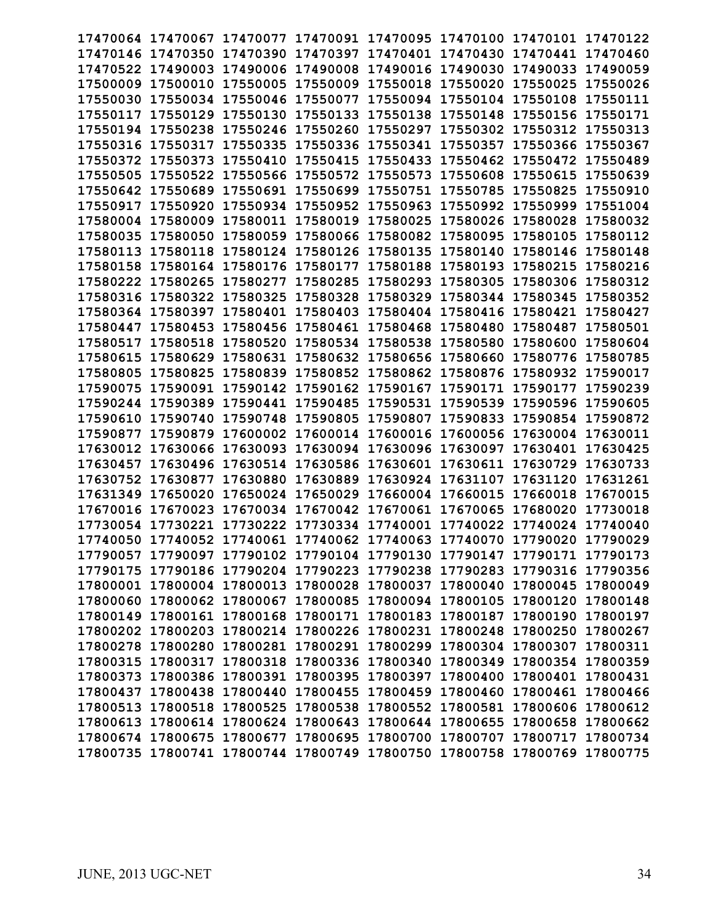|                   |          |                   | 17470064 17470067 17470077 17470091 17470095 17470100 17470101 17470122 |          |                            |                   |          |
|-------------------|----------|-------------------|-------------------------------------------------------------------------|----------|----------------------------|-------------------|----------|
| 17470146 17470350 |          | 17470390          | 17470397                                                                | 17470401 | 17470430                   | 17470441 17470460 |          |
| 17470522          | 17490003 | 17490006 17490008 |                                                                         | 17490016 | 17490030                   | 17490033          | 17490059 |
| 17500009 17500010 |          | 17550005          | 17550009                                                                | 17550018 | 17550020                   | 17550025          | 17550026 |
| 17550030          | 17550034 | 17550046          | 17550077                                                                | 17550094 | 17550104                   | 17550108          | 17550111 |
| 17550117          | 17550129 | 17550130          | 17550133                                                                | 17550138 | 17550148                   | 17550156          | 17550171 |
| 17550194          | 17550238 | 17550246          | 17550260                                                                | 17550297 | 17550302                   | 17550312 17550313 |          |
| 17550316          | 17550317 | 17550335          | 17550336                                                                | 17550341 | 17550357                   | 17550366          | 17550367 |
| 17550372          | 17550373 | 17550410          | 17550415                                                                | 17550433 | 17550462                   | 17550472          | 17550489 |
| 17550505          | 17550522 | 17550566          | 17550572                                                                | 17550573 | 17550608                   | 17550615          | 17550639 |
| 17550642          | 17550689 | 17550691          | 17550699                                                                | 17550751 | 17550785                   | 17550825          | 17550910 |
| 17550917          | 17550920 | 17550934          | 17550952                                                                | 17550963 | 17550992                   | 17550999          | 17551004 |
| 17580004          | 17580009 | 17580011          | 17580019                                                                | 17580025 | 17580026                   | 17580028          | 17580032 |
| 17580035          | 17580050 |                   | 17580059 17580066 17580082                                              |          | 17580095                   | 17580105          | 17580112 |
| 17580113 17580118 |          |                   | 17580124 17580126 17580135                                              |          | 17580140                   | 17580146 17580148 |          |
| 17580158 17580164 |          | 17580176 17580177 |                                                                         | 17580188 | 17580193                   | 17580215          | 17580216 |
| 17580222          | 17580265 | 17580277 17580285 |                                                                         | 17580293 | 17580305 17580306          |                   | 17580312 |
| 17580316          | 17580322 | 17580325          | 17580328                                                                | 17580329 | 17580344                   | 17580345          | 17580352 |
| 17580364 17580397 |          | 17580401          | 17580403                                                                | 17580404 | 17580416                   | 17580421          | 17580427 |
| 17580447          | 17580453 | 17580456          | 17580461                                                                | 17580468 | 17580480                   | 17580487          | 17580501 |
| 17580517          | 17580518 | 17580520          | 17580534                                                                | 17580538 | 17580580                   | 17580600          | 17580604 |
| 17580615          | 17580629 | 17580631          | 17580632                                                                | 17580656 | 17580660                   | 17580776          | 17580785 |
| 17580805          | 17580825 | 17580839          | 17580852                                                                | 17580862 | 17580876                   | 17580932          | 17590017 |
| 17590075          | 17590091 | 17590142          | 17590162                                                                | 17590167 | 17590171                   | 17590177          | 17590239 |
| 17590244          | 17590389 | 17590441          | 17590485                                                                | 17590531 | 17590539                   | 17590596          | 17590605 |
| 17590610 17590740 |          | 17590748          | 17590805 17590807                                                       |          | 17590833                   | 17590854 17590872 |          |
| 17590877          | 17590879 |                   | 17600002 17600014 17600016                                              |          | 17600056 17630004 17630011 |                   |          |
| 17630012          | 17630066 |                   | 17630093 17630094 17630096                                              |          | 17630097                   | 17630401          | 17630425 |
| 17630457          | 17630496 |                   | 17630514 17630586                                                       | 17630601 | 17630611                   | 17630729          | 17630733 |
| 17630752          | 17630877 | 17630880          | 17630889                                                                | 17630924 | 17631107                   | 17631120          | 17631261 |
| 17631349          | 17650020 | 17650024          | 17650029                                                                | 17660004 | 17660015                   | 17660018          | 17670015 |
| 17670016          | 17670023 | 17670034 17670042 |                                                                         | 17670061 | 17670065                   | 17680020          | 17730018 |
| 17730054 17730221 |          |                   | 17730222 17730334 17740001                                              |          | 17740022                   | 17740024          | 17740040 |
| 17740050 17740052 |          |                   | 17740061 17740062 17740063                                              |          | 17740070                   | 17790020          | 17790029 |
|                   |          |                   | 17790057 17790097 17790102 17790104 17790130 17790147 17790171 17790173 |          |                            |                   |          |
|                   |          |                   | 17790175 17790186 17790204 17790223 17790238 17790283 17790316 17790356 |          |                            |                   |          |
|                   |          |                   | 17800001 17800004 17800013 17800028 17800037 17800040 17800045 17800049 |          |                            |                   |          |
|                   |          |                   | 17800060 17800062 17800067 17800085 17800094 17800105 17800120 17800148 |          |                            |                   |          |
|                   |          |                   | 17800149 17800161 17800168 17800171 17800183 17800187 17800190 17800197 |          |                            |                   |          |
|                   |          |                   | 17800202 17800203 17800214 17800226 17800231 17800248 17800250 17800267 |          |                            |                   |          |
|                   |          |                   | 17800278 17800280 17800281 17800291 17800299 17800304 17800307 17800311 |          |                            |                   |          |
|                   |          |                   | 17800315 17800317 17800318 17800336 17800340 17800349 17800354 17800359 |          |                            |                   |          |
|                   |          |                   | 17800373 17800386 17800391 17800395 17800397 17800400 17800401 17800431 |          |                            |                   |          |
|                   |          |                   | 17800437 17800438 17800440 17800455 17800459 17800460 17800461 17800466 |          |                            |                   |          |
|                   |          |                   | 17800513 17800518 17800525 17800538 17800552 17800581 17800606 17800612 |          |                            |                   |          |
|                   |          |                   | 17800613 17800614 17800624 17800643 17800644 17800655 17800658 17800662 |          |                            |                   |          |
|                   |          |                   | 17800674 17800675 17800677 17800695 17800700 17800707 17800717 17800734 |          |                            |                   |          |
|                   |          |                   | 17800735 17800741 17800744 17800749 17800750 17800758 17800769 17800775 |          |                            |                   |          |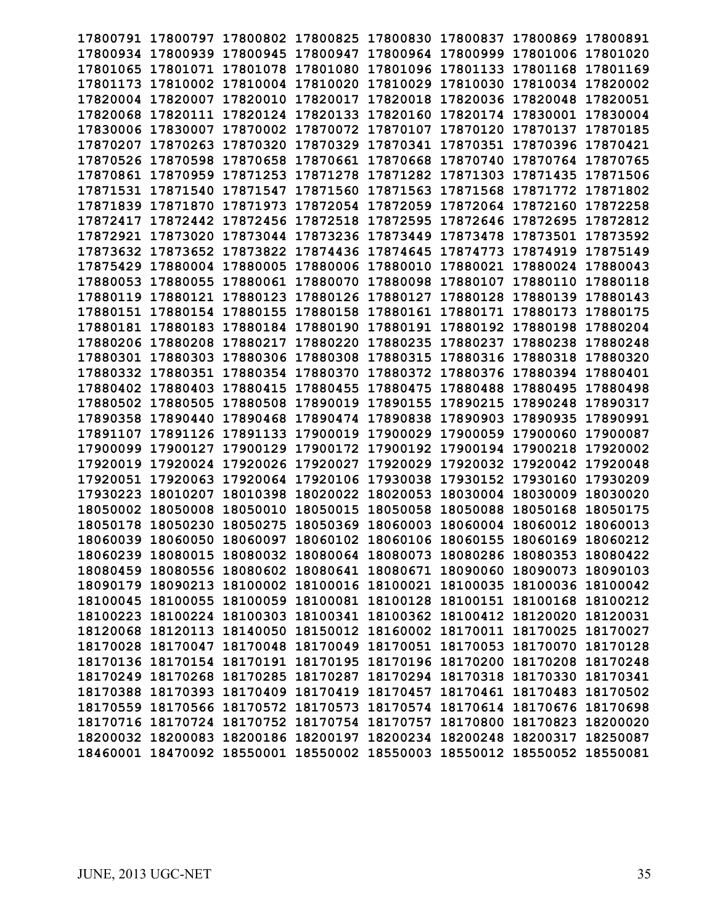| 17800791          |          | 17800797 17800802 17800825 |                            |          | 17800830 17800837                                                       | 17800869          | 17800891 |
|-------------------|----------|----------------------------|----------------------------|----------|-------------------------------------------------------------------------|-------------------|----------|
| 17800934 17800939 |          | 17800945 17800947          |                            | 17800964 | 17800999                                                                | 17801006 17801020 |          |
| 17801065          | 17801071 | 17801078                   | 17801080                   | 17801096 | 17801133                                                                | 17801168          | 17801169 |
| 17801173 17810002 |          |                            | 17810004 17810020 17810029 |          | 17810030                                                                | 17810034 17820002 |          |
| 17820004 17820007 |          | 17820010                   | 17820017                   | 17820018 | 17820036                                                                | 17820048          | 17820051 |
| 17820068          | 17820111 | 17820124                   | 17820133                   | 17820160 | 17820174                                                                | 17830001          | 17830004 |
| 17830006          | 17830007 |                            | 17870002 17870072          | 17870107 | 17870120                                                                | 17870137          | 17870185 |
| 17870207          | 17870263 | 17870320                   | 17870329                   | 17870341 | 17870351                                                                | 17870396          | 17870421 |
| 17870526          | 17870598 | 17870658                   | 17870661                   | 17870668 | 17870740                                                                | 17870764          | 17870765 |
| 17870861 17870959 |          | 17871253                   | 17871278                   | 17871282 | 17871303                                                                | 17871435          | 17871506 |
| 17871531          | 17871540 | 17871547                   | 17871560                   | 17871563 | 17871568                                                                | 17871772          | 17871802 |
| 17871839          | 17871870 | 17871973                   | 17872054                   | 17872059 | 17872064                                                                | 17872160          | 17872258 |
| 17872417          | 17872442 | 17872456                   | 17872518                   | 17872595 | 17872646                                                                | 17872695          | 17872812 |
| 17872921          | 17873020 |                            | 17873044 17873236 17873449 |          | 17873478                                                                | 17873501          | 17873592 |
| 17873632 17873652 |          |                            | 17873822 17874436 17874645 |          | 17874773                                                                | 17874919 17875149 |          |
| 17875429          | 17880004 | 17880005                   | 17880006                   | 17880010 | 17880021                                                                | 17880024 17880043 |          |
| 17880053          | 17880055 |                            | 17880061 17880070          | 17880098 | 17880107                                                                | 17880110          | 17880118 |
| 17880119          | 17880121 | 17880123                   | 17880126                   | 17880127 | 17880128                                                                | 17880139          | 17880143 |
| 17880151          | 17880154 | 17880155                   | 17880158                   | 17880161 | 17880171                                                                | 17880173          | 17880175 |
| 17880181          | 17880183 | 17880184                   | 17880190                   | 17880191 | 17880192                                                                | 17880198          | 17880204 |
| 17880206 17880208 |          | 17880217                   | 17880220                   | 17880235 | 17880237                                                                | 17880238          | 17880248 |
| 17880301 17880303 |          | 17880306                   | 17880308                   | 17880315 | 17880316                                                                | 17880318          | 17880320 |
| 17880332          | 17880351 | 17880354                   | 17880370                   | 17880372 | 17880376                                                                | 17880394          | 17880401 |
| 17880402 17880403 |          | 17880415                   | 17880455                   | 17880475 | 17880488                                                                | 17880495          | 17880498 |
| 17880502          | 17880505 | 17880508                   | 17890019                   | 17890155 | 17890215                                                                | 17890248          | 17890317 |
| 17890358 17890440 |          | 17890468                   | 17890474 17890838          |          | 17890903                                                                | 17890935          | 17890991 |
| 17891107 17891126 |          |                            | 17891133 17900019 17900029 |          | 17900059 17900060                                                       |                   | 17900087 |
| 17900099          | 17900127 | 17900129                   | 17900172                   | 17900192 | 17900194                                                                | 17900218          | 17920002 |
| 17920019          | 17920024 | 17920026                   | 17920027                   | 17920029 | 17920032 17920042                                                       |                   | 17920048 |
| 17920051          | 17920063 | 17920064                   | 17920106                   | 17930038 | 17930152                                                                | 17930160          | 17930209 |
| 17930223          | 18010207 | 18010398                   | 18020022                   | 18020053 | 18030004                                                                | 18030009          | 18030020 |
| 18050002          | 18050008 | 18050010                   | 18050015                   | 18050058 | 18050088                                                                | 18050168          | 18050175 |
| 18050178          | 18050230 | 18050275                   | 18050369                   | 18060003 | 18060004 18060012                                                       |                   | 18060013 |
| 18060039          | 18060050 | 18060097                   | 18060102 18060106          |          | 18060155 18060169                                                       |                   | 18060212 |
|                   |          |                            |                            |          | 18060239 18080015 18080032 18080064 18080073 18080286 18080353 18080422 |                   |          |
|                   |          |                            |                            |          | 18080459 18080556 18080602 18080641 18080671 18090060 18090073 18090103 |                   |          |
|                   |          |                            |                            |          | 18090179 18090213 18100002 18100016 18100021 18100035 18100036 18100042 |                   |          |
|                   |          |                            |                            |          | 18100045 18100055 18100059 18100081 18100128 18100151 18100168 18100212 |                   |          |
|                   |          |                            |                            |          | 18100223 18100224 18100303 18100341 18100362 18100412 18120020 18120031 |                   |          |
|                   |          |                            |                            |          | 18120068 18120113 18140050 18150012 18160002 18170011 18170025 18170027 |                   |          |
|                   |          |                            |                            |          | 18170028 18170047 18170048 18170049 18170051 18170053 18170070 18170128 |                   |          |
|                   |          |                            |                            |          | 18170136 18170154 18170191 18170195 18170196 18170200 18170208 18170248 |                   |          |
|                   |          |                            |                            |          | 18170249 18170268 18170285 18170287 18170294 18170318 18170330 18170341 |                   |          |
|                   |          |                            |                            |          | 18170388 18170393 18170409 18170419 18170457 18170461 18170483 18170502 |                   |          |
|                   |          |                            |                            |          | 18170559 18170566 18170572 18170573 18170574 18170614 18170676 18170698 |                   |          |
|                   |          |                            |                            |          | 18170716 18170724 18170752 18170754 18170757 18170800 18170823 18200020 |                   |          |
|                   |          |                            |                            |          | 18200032 18200083 18200186 18200197 18200234 18200248 18200317 18250087 |                   |          |
|                   |          |                            |                            |          | 18460001 18470092 18550001 18550002 18550003 18550012 18550052 18550081 |                   |          |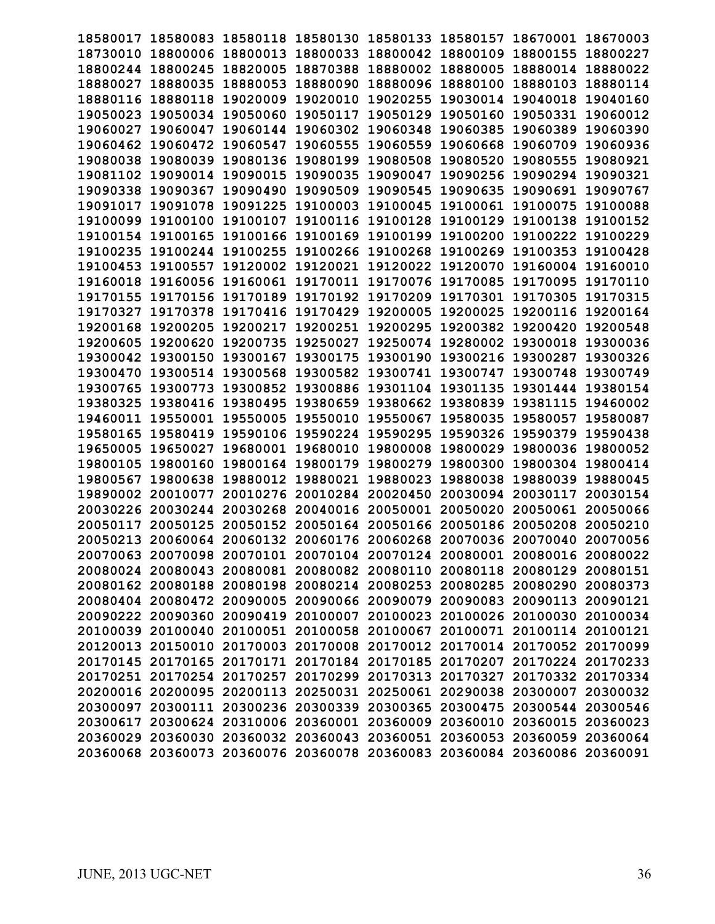| 18580017 | 18580083 | 18580118                   | 18580130                                                                | 18580133 | 18580157          | 18670001 | 18670003 |
|----------|----------|----------------------------|-------------------------------------------------------------------------|----------|-------------------|----------|----------|
| 18730010 | 18800006 | 18800013                   | 18800033                                                                | 18800042 | 18800109          | 18800155 | 18800227 |
| 18800244 | 18800245 | 18820005                   | 18870388                                                                | 18880002 | 18880005          | 18880014 | 18880022 |
| 18880027 | 18880035 | 18880053                   | 18880090                                                                | 18880096 | 18880100          | 18880103 | 18880114 |
| 18880116 | 18880118 | 19020009                   | 19020010                                                                | 19020255 | 19030014          | 19040018 | 19040160 |
| 19050023 | 19050034 | 19050060                   | 19050117                                                                | 19050129 | 19050160          | 19050331 | 19060012 |
| 19060027 | 19060047 | 19060144                   | 19060302                                                                | 19060348 | 19060385          | 19060389 | 19060390 |
| 19060462 | 19060472 | 19060547                   | 19060555                                                                | 19060559 | 19060668          | 19060709 | 19060936 |
| 19080038 | 19080039 | 19080136                   | 19080199                                                                | 19080508 | 19080520          | 19080555 | 19080921 |
| 19081102 | 19090014 | 19090015                   | 19090035                                                                | 19090047 | 19090256          | 19090294 | 19090321 |
| 19090338 | 19090367 | 19090490                   | 19090509                                                                | 19090545 | 19090635          | 19090691 | 19090767 |
| 19091017 | 19091078 | 19091225                   | 19100003                                                                | 19100045 | 19100061          | 19100075 | 19100088 |
| 19100099 | 19100100 | 19100107                   | 19100116                                                                | 19100128 | 19100129          | 19100138 | 19100152 |
| 19100154 | 19100165 | 19100166                   | 19100169                                                                | 19100199 | 19100200          | 19100222 | 19100229 |
| 19100235 | 19100244 | 19100255                   | 19100266                                                                | 19100268 | 19100269          | 19100353 | 19100428 |
| 19100453 | 19100557 |                            | 19120002 19120021                                                       | 19120022 | 19120070          | 19160004 | 19160010 |
| 19160018 | 19160056 | 19160061                   | 19170011                                                                | 19170076 | 19170085          | 19170095 | 19170110 |
| 19170155 | 19170156 | 19170189                   | 19170192                                                                | 19170209 | 19170301          | 19170305 | 19170315 |
| 19170327 | 19170378 | 19170416                   | 19170429                                                                | 19200005 | 19200025          | 19200116 | 19200164 |
| 19200168 | 19200205 | 19200217                   | 19200251                                                                | 19200295 | 19200382          | 19200420 | 19200548 |
| 19200605 | 19200620 | 19200735                   | 19250027                                                                | 19250074 | 19280002          | 19300018 | 19300036 |
| 19300042 | 19300150 | 19300167                   | 19300175                                                                | 19300190 | 19300216          | 19300287 | 19300326 |
| 19300470 | 19300514 | 19300568                   | 19300582                                                                | 19300741 | 19300747          | 19300748 | 19300749 |
| 19300765 | 19300773 | 19300852                   | 19300886                                                                | 19301104 | 19301135          | 19301444 | 19380154 |
| 19380325 | 19380416 | 19380495                   | 19380659                                                                | 19380662 | 19380839          | 19381115 | 19460002 |
| 19460011 | 19550001 | 19550005                   | 19550010                                                                | 19550067 | 19580035          | 19580057 | 19580087 |
| 19580165 | 19580419 | 19590106 19590224          |                                                                         | 19590295 | 19590326          | 19590379 | 19590438 |
| 19650005 | 19650027 | 19680001                   | 19680010                                                                | 19800008 | 19800029          | 19800036 | 19800052 |
| 19800105 | 19800160 | 19800164                   | 19800179                                                                | 19800279 | 19800300          | 19800304 | 19800414 |
| 19800567 | 19800638 | 19880012                   | 19880021                                                                | 19880023 | 19880038          | 19880039 | 19880045 |
| 19890002 | 20010077 | 20010276                   | 20010284                                                                | 20020450 | 20030094          | 20030117 | 20030154 |
| 20030226 | 20030244 | 20030268                   | 20040016                                                                | 20050001 | 20050020          | 20050061 | 20050066 |
| 20050117 | 20050125 | 20050152                   | 20050164 20050166                                                       |          | 20050186          | 20050208 | 20050210 |
| 20050213 |          | 20060064 20060132 20060176 |                                                                         | 20060268 | 20070036 20070040 |          | 20070056 |
|          |          |                            | 20070063 20070098 20070101 20070104 20070124 20080001 20080016 20080022 |          |                   |          |          |
|          |          |                            | 20080024 20080043 20080081 20080082 20080110 20080118 20080129 20080151 |          |                   |          |          |
|          |          |                            | 20080162 20080188 20080198 20080214 20080253 20080285 20080290 20080373 |          |                   |          |          |
|          |          |                            | 20080404 20080472 20090005 20090066 20090079 20090083 20090113 20090121 |          |                   |          |          |
|          |          |                            | 20090222 20090360 20090419 20100007 20100023 20100026 20100030 20100034 |          |                   |          |          |
|          |          |                            | 20100039 20100040 20100051 20100058 20100067 20100071 20100114 20100121 |          |                   |          |          |
|          |          |                            | 20120013 20150010 20170003 20170008 20170012 20170014 20170052 20170099 |          |                   |          |          |
|          |          |                            | 20170145 20170165 20170171 20170184 20170185 20170207 20170224 20170233 |          |                   |          |          |
|          |          |                            | 20170251 20170254 20170257 20170299 20170313 20170327 20170332 20170334 |          |                   |          |          |
|          |          |                            | 20200016 20200095 20200113 20250031 20250061 20290038 20300007 20300032 |          |                   |          |          |
|          |          |                            | 20300097 20300111 20300236 20300339 20300365 20300475 20300544 20300546 |          |                   |          |          |
|          |          |                            | 20300617 20300624 20310006 20360001 20360009 20360010 20360015 20360023 |          |                   |          |          |
|          |          |                            | 20360029 20360030 20360032 20360043 20360051 20360053 20360059 20360064 |          |                   |          |          |
|          |          |                            | 20360068 20360073 20360076 20360078 20360083 20360084 20360086 20360091 |          |                   |          |          |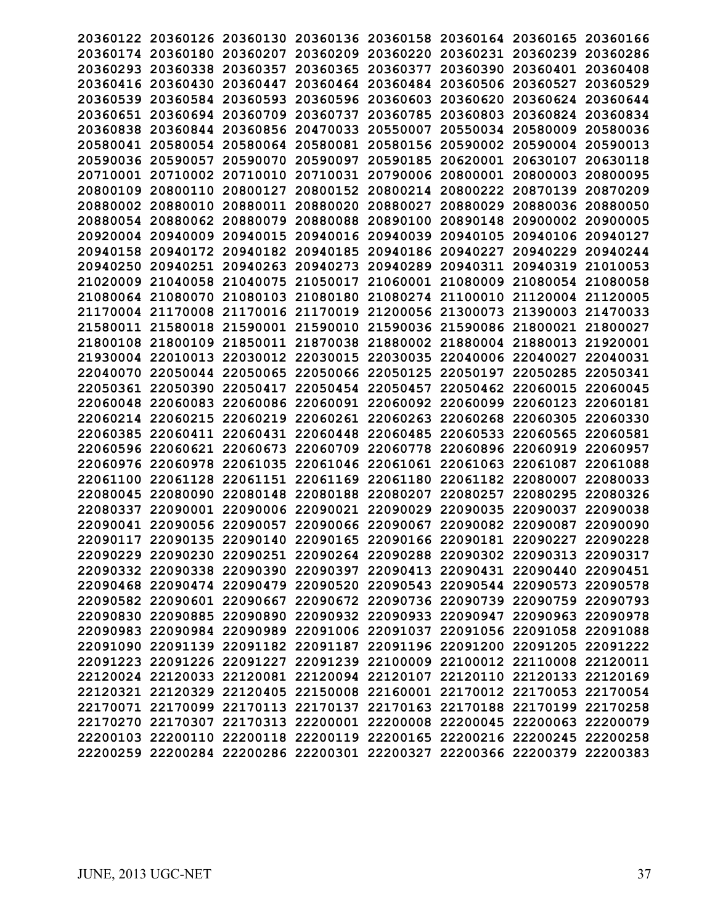|          |                   | 20360122 20360126 20360130 20360136 20360158 20360164 20360165          |                            |                                                       |                            |                   | 20360166 |
|----------|-------------------|-------------------------------------------------------------------------|----------------------------|-------------------------------------------------------|----------------------------|-------------------|----------|
|          | 20360174 20360180 |                                                                         | 20360207 20360209          |                                                       | 20360220 20360231 20360239 |                   | 20360286 |
| 20360293 | 20360338          | 20360357                                                                | 20360365                   | 20360377                                              | 20360390                   | 20360401 20360408 |          |
|          | 20360416 20360430 | 20360447                                                                |                            | 20360464 20360484                                     | 20360506                   | 20360527          | 20360529 |
| 20360539 | 20360584          | 20360593                                                                | 20360596 20360603          |                                                       | 20360620                   | 20360624          | 20360644 |
| 20360651 | 20360694          | 20360709                                                                | 20360737                   | 20360785                                              | 20360803                   | 20360824          | 20360834 |
| 20360838 | 20360844          | 20360856                                                                | 20470033                   | 20550007                                              | 20550034                   | 20580009          | 20580036 |
| 20580041 | 20580054          | 20580064                                                                | 20580081                   | 20580156                                              | 20590002                   | 20590004          | 20590013 |
| 20590036 | 20590057          | 20590070                                                                | 20590097                   | 20590185                                              | 20620001                   | 20630107          | 20630118 |
|          | 20710001 20710002 | 20710010                                                                | 20710031 20790006          |                                                       | 20800001                   | 20800003          | 20800095 |
| 20800109 | 20800110          | 20800127                                                                | 20800152                   | 20800214                                              | 20800222                   | 20870139          | 20870209 |
| 20880002 | 20880010          | 20880011                                                                | 20880020                   | 20880027                                              | 20880029                   | 20880036          | 20880050 |
| 20880054 | 20880062          | 20880079                                                                | 20880088                   | 20890100                                              | 20890148                   | 20900002 20900005 |          |
| 20920004 | 20940009          | 20940015                                                                | 20940016 20940039          |                                                       | 20940105                   | 20940106          | 20940127 |
| 20940158 |                   | 20940172 20940182 20940185 20940186                                     |                            |                                                       | 20940227                   | 20940229          | 20940244 |
|          | 20940250 20940251 |                                                                         |                            | 20940263 20940273 20940289 20940311 20940319 21010053 |                            |                   |          |
| 21020009 | 21040058          | 21040075                                                                | 21050017                   | 21060001                                              | 21080009                   | 21080054          | 21080058 |
| 21080064 | 21080070          | 21080103                                                                | 21080180                   |                                                       | 21080274 21100010          | 21120004          | 21120005 |
| 21170004 | 21170008          |                                                                         | 21170016 21170019          | 21200056                                              | 21300073                   | 21390003          | 21470033 |
| 21580011 | 21580018          |                                                                         | 21590001 21590010          | 21590036                                              | 21590086 21800021          |                   | 21800027 |
|          | 21800108 21800109 |                                                                         |                            | 21850011 21870038 21880002 21880004 21880013          |                            |                   | 21920001 |
|          | 21930004 22010013 |                                                                         | 22030012 22030015 22030035 |                                                       | 22040006 22040027          |                   | 22040031 |
| 22040070 | 22050044          | 22050065                                                                | 22050066 22050125          |                                                       | 22050197                   | 22050285          | 22050341 |
| 22050361 | 22050390          | 22050417                                                                | 22050454                   | 22050457                                              | 22050462                   | 22060015          | 22060045 |
| 22060048 | 22060083          |                                                                         |                            | 22060086 22060091 22060092 22060099 22060123          |                            |                   | 22060181 |
| 22060214 | 22060215          | 22060219 22060261 22060263                                              |                            |                                                       | 22060268 22060305          |                   | 22060330 |
| 22060385 |                   | 22060411 22060431 22060448                                              |                            | 22060485                                              | 22060533                   | 22060565 22060581 |          |
|          | 22060596 22060621 | 22060673                                                                | 22060709                   | 22060778                                              |                            | 22060896 22060919 | 22060957 |
| 22060976 | 22060978          | 22061035                                                                | 22061046                   | 22061061                                              | 22061063                   | 22061087          | 22061088 |
| 22061100 | 22061128          | 22061151                                                                | 22061169                   | 22061180                                              | 22061182                   | 22080007          | 22080033 |
| 22080045 | 22080090          | 22080148                                                                | 22080188                   | 22080207                                              | 22080257                   | 22080295          | 22080326 |
| 22080337 | 22090001          | 22090006                                                                | 22090021                   | 22090029                                              | 22090035                   | 22090037          | 22090038 |
|          | 22090041 22090056 | 22090057                                                                |                            | 22090066 22090067 22090082 22090087                   |                            |                   | 22090090 |
|          | 22090117 22090135 | 22090140 22090165 22090166 22090181 22090227                            |                            |                                                       |                            |                   | 22090228 |
|          |                   | 22090229 22090230 22090251 22090264 22090288 22090302 22090313 22090317 |                            |                                                       |                            |                   |          |
|          |                   | 22090332 22090338 22090390 22090397 22090413 22090431 22090440 22090451 |                            |                                                       |                            |                   |          |
|          |                   | 22090468 22090474 22090479 22090520 22090543 22090544 22090573 22090578 |                            |                                                       |                            |                   |          |
|          |                   | 22090582 22090601 22090667 22090672 22090736 22090739 22090759 22090793 |                            |                                                       |                            |                   |          |
|          |                   | 22090830 22090885 22090890 22090932 22090933 22090947 22090963 22090978 |                            |                                                       |                            |                   |          |
|          |                   | 22090983 22090984 22090989 22091006 22091037 22091056 22091058 22091088 |                            |                                                       |                            |                   |          |
|          |                   | 22091090 22091139 22091182 22091187 22091196 22091200 22091205 22091222 |                            |                                                       |                            |                   |          |
|          |                   | 22091223 22091226 22091227 22091239 22100009 22100012 22110008 22120011 |                            |                                                       |                            |                   |          |
|          |                   | 22120024 22120033 22120081 22120094 22120107 22120110 22120133 22120169 |                            |                                                       |                            |                   |          |
|          |                   | 22120321 22120329 22120405 22150008 22160001 22170012 22170053 22170054 |                            |                                                       |                            |                   |          |
|          |                   | 22170071 22170099 22170113 22170137 22170163 22170188 22170199 22170258 |                            |                                                       |                            |                   |          |
|          |                   | 22170270 22170307 22170313 22200001 22200008 22200045 22200063 22200079 |                            |                                                       |                            |                   |          |
|          |                   | 22200103 22200110 22200118 22200119 22200165 22200216 22200245 22200258 |                            |                                                       |                            |                   |          |
|          |                   | 22200259 22200284 22200286 22200301 22200327 22200366 22200379 22200383 |                            |                                                       |                            |                   |          |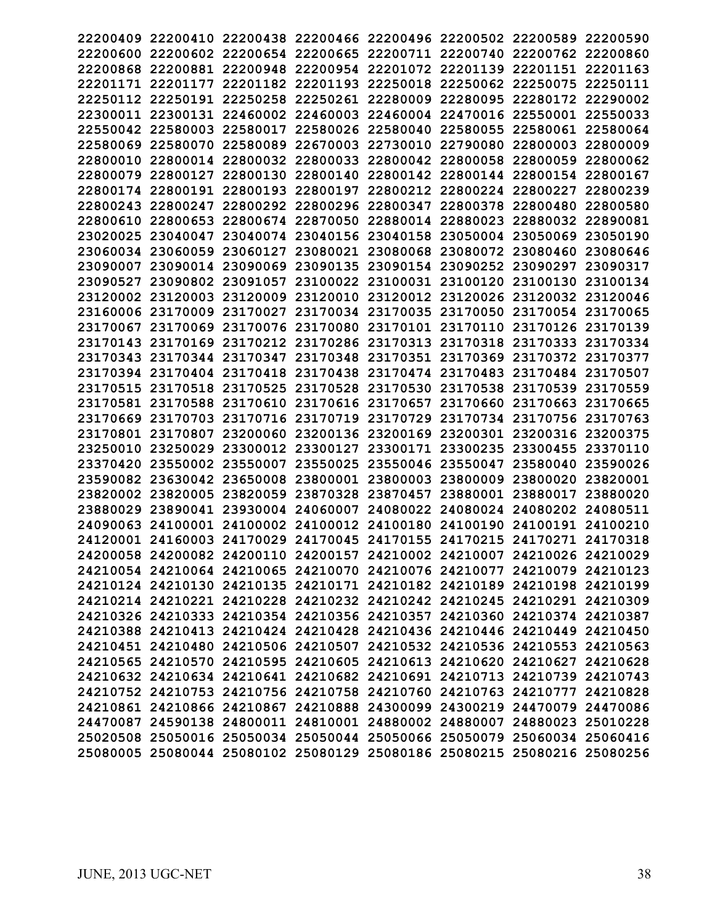|          |                   | 22200409 22200410 22200438 22200466 22200496 22200502 22200589 22200590 |                                                       |                                              |                            |                            |          |
|----------|-------------------|-------------------------------------------------------------------------|-------------------------------------------------------|----------------------------------------------|----------------------------|----------------------------|----------|
|          |                   | 22200600 22200602 22200654 22200665 22200711 22200740 22200762 22200860 |                                                       |                                              |                            |                            |          |
|          |                   | 22200868 22200881 22200948 22200954 22201072 22201139 22201151 22201163 |                                                       |                                              |                            |                            |          |
|          |                   | 22201171 22201177 22201182 22201193 22250018 22250062 22250075 22250111 |                                                       |                                              |                            |                            |          |
|          | 22250112 22250191 |                                                                         | 22250258 22250261 22280009 22280095                   |                                              |                            | 22280172 22290002          |          |
| 22300011 | 22300131          | 22460002                                                                | 22460003                                              | 22460004 22470016                            |                            | 22550001                   | 22550033 |
|          | 22550042 22580003 | 22580017                                                                |                                                       | 22580026 22580040                            | 22580055                   | 22580061                   | 22580064 |
| 22580069 | 22580070          | 22580089                                                                | 22670003 22730010                                     |                                              | 22790080                   | 22800003                   | 22800009 |
| 22800010 | 22800014          |                                                                         | 22800032 22800033 22800042 22800058                   |                                              |                            |                            | 22800062 |
|          |                   |                                                                         |                                                       |                                              |                            | 22800059                   |          |
|          |                   | 22800079 22800127 22800130                                              |                                                       | 22800140 22800142 22800144 22800154 22800167 | 22800212 22800224 22800227 |                            |          |
|          | 22800174 22800191 | 22800193                                                                | 22800197                                              |                                              |                            |                            | 22800239 |
| 22800243 | 22800247          | 22800292                                                                | 22800296 22800347                                     |                                              | 22800378                   | 22800480                   | 22800580 |
| 22800610 | 22800653          |                                                                         | 22800674 22870050 22880014 22880023 22880032 22890081 |                                              |                            |                            |          |
|          | 23020025 23040047 |                                                                         | 23040074 23040156 23040158 23050004 23050069 23050190 |                                              |                            |                            |          |
|          |                   | 23060034 23060059 23060127 23080021 23080068 23080072 23080460 23080646 |                                                       |                                              |                            |                            |          |
|          |                   | 23090007 23090014 23090069 23090135 23090154 23090252 23090297 23090317 |                                                       |                                              |                            |                            |          |
| 23090527 |                   | 23090802 23091057                                                       |                                                       | 23100022 23100031 23100120 23100130          |                            |                            | 23100134 |
|          | 23120002 23120003 | 23120009                                                                | 23120010                                              |                                              | 23120012 23120026          | 23120032                   | 23120046 |
|          | 23160006 23170009 | 23170027                                                                |                                                       | 23170034 23170035 23170050                   |                            | 23170054 23170065          |          |
| 23170067 | 23170069          |                                                                         | 23170076 23170080 23170101                            |                                              |                            | 23170110 23170126 23170139 |          |
|          |                   | 23170143 23170169 23170212 23170286 23170313 23170318 23170333 23170334 |                                                       |                                              |                            |                            |          |
|          |                   | 23170343 23170344 23170347 23170348 23170351 23170369 23170372 23170377 |                                                       |                                              |                            |                            |          |
|          |                   | 23170394 23170404 23170418 23170438 23170474 23170483 23170484 23170507 |                                                       |                                              |                            |                            |          |
| 23170515 | 23170518          | 23170525                                                                | 23170528                                              | 23170530                                     | 23170538                   | 23170539                   | 23170559 |
|          |                   | 23170581 23170588 23170610 23170616 23170657 23170660 23170663 23170665 |                                                       |                                              |                            |                            |          |
|          |                   | 23170669 23170703 23170716 23170719 23170729 23170734 23170756 23170763 |                                                       |                                              |                            |                            |          |
|          |                   | 23170801 23170807 23200060 23200136 23200169 23200301 23200316 23200375 |                                                       |                                              |                            |                            |          |
|          | 23250010 23250029 | 23300012 23300127 23300171 23300235 23300455                            |                                                       |                                              |                            |                            | 23370110 |
| 23370420 | 23550002          | 23550007                                                                | 23550025                                              | 23550046                                     | 23550047                   | 23580040                   | 23590026 |
| 23590082 |                   | 23630042 23650008                                                       |                                                       | 23800001 23800003 23800009                   |                            | 23800020                   | 23820001 |
|          | 23820002 23820005 |                                                                         | 23820059 23870328 23870457                            |                                              | 23880001 23880017          |                            | 23880020 |
| 23880029 | 23890041          |                                                                         | 23930004 24060007 24080022 24080024 24080202          |                                              |                            |                            | 24080511 |
|          |                   | 24090063 24100001 24100002 24100012 24100180 24100190 24100191 24100210 |                                                       |                                              |                            |                            |          |
|          |                   | 24120001 24160003 24170029 24170045 24170155 24170215 24170271 24170318 |                                                       |                                              |                            |                            |          |
|          |                   | 24200058 24200082 24200110 24200157 24210002 24210007 24210026 24210029 |                                                       |                                              |                            |                            |          |
|          |                   | 24210054 24210064 24210065 24210070 24210076 24210077 24210079 24210123 |                                                       |                                              |                            |                            |          |
|          |                   | 24210124 24210130 24210135 24210171 24210182 24210189 24210198 24210199 |                                                       |                                              |                            |                            |          |
|          |                   | 24210214 24210221 24210228 24210232 24210242 24210245 24210291 24210309 |                                                       |                                              |                            |                            |          |
|          |                   | 24210326 24210333 24210354 24210356 24210357 24210360 24210374 24210387 |                                                       |                                              |                            |                            |          |
|          |                   | 24210388 24210413 24210424 24210428 24210436 24210446 24210449 24210450 |                                                       |                                              |                            |                            |          |
|          |                   | 24210451 24210480 24210506 24210507 24210532 24210536 24210553 24210563 |                                                       |                                              |                            |                            |          |
|          |                   | 24210565 24210570 24210595 24210605 24210613 24210620 24210627 24210628 |                                                       |                                              |                            |                            |          |
|          |                   | 24210632 24210634 24210641 24210682 24210691 24210713 24210739 24210743 |                                                       |                                              |                            |                            |          |
|          |                   | 24210752 24210753 24210756 24210758 24210760 24210763 24210777 24210828 |                                                       |                                              |                            |                            |          |
|          |                   | 24210861 24210866 24210867 24210888 24300099 24300219 24470079 24470086 |                                                       |                                              |                            |                            |          |
|          |                   | 24470087 24590138 24800011 24810001 24880002 24880007 24880023 25010228 |                                                       |                                              |                            |                            |          |
|          |                   | 25020508 25050016 25050034 25050044 25050066 25050079 25060034 25060416 |                                                       |                                              |                            |                            |          |
|          |                   | 25080005 25080044 25080102 25080129 25080186 25080215 25080216 25080256 |                                                       |                                              |                            |                            |          |
|          |                   |                                                                         |                                                       |                                              |                            |                            |          |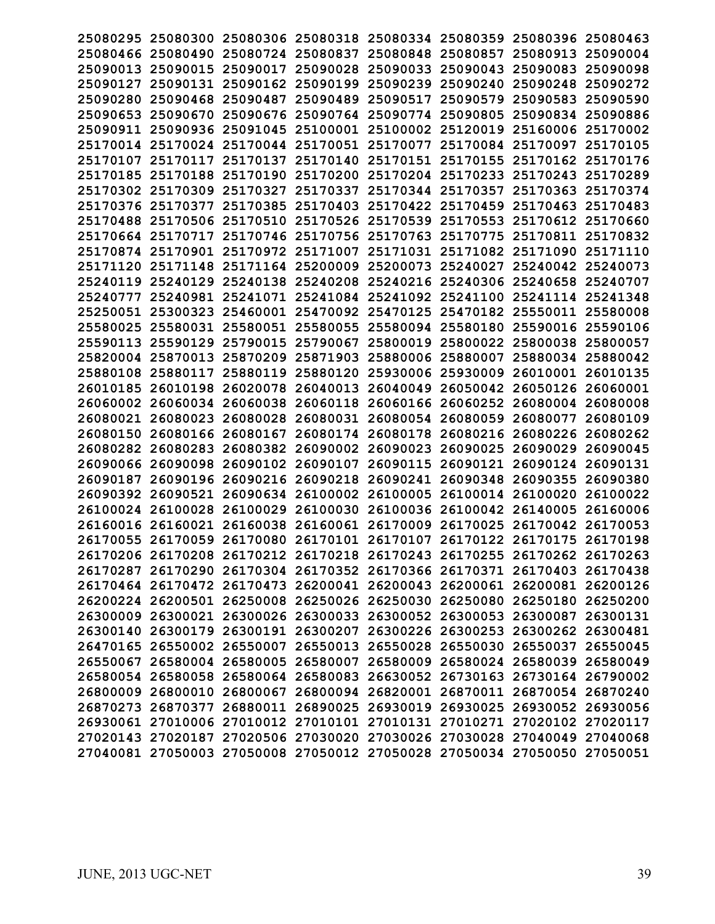|                   |                   | 25080295 25080300 25080306 25080318 25080334 25080359 25080396 25080463 |                            |                                                       |                   |                            |          |
|-------------------|-------------------|-------------------------------------------------------------------------|----------------------------|-------------------------------------------------------|-------------------|----------------------------|----------|
|                   |                   | 25080466 25080490 25080724 25080837 25080848 25080857 25080913 25090004 |                            |                                                       |                   |                            |          |
|                   |                   | 25090013 25090015 25090017 25090028 25090033 25090043 25090083 25090098 |                            |                                                       |                   |                            |          |
|                   |                   | 25090127 25090131 25090162 25090199 25090239 25090240 25090248 25090272 |                            |                                                       |                   |                            |          |
|                   |                   | 25090280 25090468 25090487 25090489 25090517 25090579 25090583 25090590 |                            |                                                       |                   |                            |          |
|                   | 25090653 25090670 | 25090676                                                                |                            | 25090764 25090774 25090805                            |                   | 25090834 25090886          |          |
|                   | 25090911 25090936 | 25091045                                                                |                            | 25100001 25100002 25120019                            |                   | 25160006 25170002          |          |
|                   |                   | 25170014 25170024 25170044 25170051 25170077                            |                            |                                                       |                   | 25170084 25170097          | 25170105 |
|                   |                   | 25170107 25170117 25170137 25170140 25170151                            |                            |                                                       |                   | 25170155 25170162 25170176 |          |
|                   |                   | 25170185 25170188 25170190 25170200 25170204 25170233 25170243 25170289 |                            |                                                       |                   |                            |          |
|                   |                   | 25170302 25170309 25170327 25170337 25170344 25170357 25170363 25170374 |                            |                                                       |                   |                            |          |
|                   | 25170376 25170377 |                                                                         |                            | 25170385 25170403 25170422 25170459 25170463 25170483 |                   |                            |          |
|                   |                   | 25170488 25170506 25170510 25170526 25170539 25170553 25170612 25170660 |                            |                                                       |                   |                            |          |
|                   | 25170664 25170717 |                                                                         |                            | 25170746 25170756 25170763 25170775 25170811 25170832 |                   |                            |          |
|                   |                   | 25170874 25170901 25170972 25171007 25171031 25171082 25171090 25171110 |                            |                                                       |                   |                            |          |
|                   |                   | 25171120 25171148 25171164 25200009 25200073 25240027 25240042 25240073 |                            |                                                       |                   |                            |          |
|                   |                   | 25240119 25240129 25240138 25240208 25240216 25240306 25240658 25240707 |                            |                                                       |                   |                            |          |
|                   | 25240777 25240981 |                                                                         |                            | 25241071 25241084 25241092 25241100                   |                   | 25241114 25241348          |          |
|                   |                   | 25250051 25300323 25460001 25470092 25470125 25470182 25550011 25580008 |                            |                                                       |                   |                            |          |
|                   | 25580025 25580031 |                                                                         |                            | 25580051 25580055 25580094 25580180 25590016 25590106 |                   |                            |          |
|                   |                   | 25590113 25590129 25790015 25790067 25800019 25800022 25800038 25800057 |                            |                                                       |                   |                            |          |
|                   |                   | 25820004 25870013 25870209 25871903 25880006 25880007 25880034 25880042 |                            |                                                       |                   |                            |          |
|                   | 25880108 25880117 |                                                                         |                            | 25880119 25880120 25930006 25930009 26010001 26010135 |                   |                            |          |
|                   | 26010185 26010198 | 26020078                                                                |                            | 26040013 26040049 26050042 26050126 26060001          |                   |                            |          |
|                   |                   | 26060002 26060034 26060038                                              |                            | 26060118 26060166 26060252 26080004 26080008          |                   |                            |          |
|                   |                   | 26080021 26080023 26080028 26080031 26080054 26080059 26080077 26080109 |                            |                                                       |                   |                            |          |
|                   |                   | 26080150 26080166 26080167 26080174 26080178 26080216 26080226 26080262 |                            |                                                       |                   |                            |          |
|                   |                   | 26080282 26080283 26080382 26090002 26090023 26090025                   |                            |                                                       |                   | 26090029 26090045          |          |
|                   | 26090066 26090098 |                                                                         | 26090102 26090107          | 26090115                                              | 26090121          | 26090124 26090131          |          |
| 26090187          | 26090196          | 26090216                                                                | 26090218                   | 26090241                                              | 26090348          | 26090355                   | 26090380 |
|                   | 26090392 26090521 |                                                                         |                            | 26090634 26100002 26100005 26100014 26100020          |                   |                            | 26100022 |
| 26100024 26100028 |                   |                                                                         | 26100029 26100030 26100036 |                                                       | 26100042 26140005 |                            | 26160006 |
|                   |                   | 26160016 26160021 26160038 26160061 26170009 26170025 26170042 26170053 |                            |                                                       |                   |                            |          |
|                   |                   | 26170055 26170059 26170080 26170101 26170107 26170122 26170175 26170198 |                            |                                                       |                   |                            |          |
|                   |                   | 26170206 26170208 26170212 26170218 26170243 26170255 26170262 26170263 |                            |                                                       |                   |                            |          |
|                   |                   | 26170287 26170290 26170304 26170352 26170366 26170371 26170403 26170438 |                            |                                                       |                   |                            |          |
|                   |                   | 26170464 26170472 26170473 26200041 26200043 26200061 26200081 26200126 |                            |                                                       |                   |                            |          |
|                   |                   | 26200224 26200501 26250008 26250026 26250030 26250080 26250180 26250200 |                            |                                                       |                   |                            |          |
|                   |                   | 26300009 26300021 26300026 26300033 26300052 26300053 26300087 26300131 |                            |                                                       |                   |                            |          |
|                   |                   | 26300140 26300179 26300191 26300207 26300226 26300253 26300262 26300481 |                            |                                                       |                   |                            |          |
|                   |                   | 26470165 26550002 26550007 26550013 26550028 26550030 26550037 26550045 |                            |                                                       |                   |                            |          |
|                   |                   | 26550067 26580004 26580005 26580007 26580009 26580024 26580039 26580049 |                            |                                                       |                   |                            |          |
|                   |                   | 26580054 26580058 26580064 26580083 26630052 26730163 26730164 26790002 |                            |                                                       |                   |                            |          |
|                   |                   | 26800009 26800010 26800067 26800094 26820001 26870011 26870054 26870240 |                            |                                                       |                   |                            |          |
|                   |                   | 26870273 26870377 26880011 26890025 26930019 26930025 26930052 26930056 |                            |                                                       |                   |                            |          |
|                   |                   | 26930061 27010006 27010012 27010101 27010131 27010271 27020102 27020117 |                            |                                                       |                   |                            |          |
|                   |                   | 27020143 27020187 27020506 27030020 27030026 27030028 27040049 27040068 |                            |                                                       |                   |                            |          |
|                   |                   | 27040081 27050003 27050008 27050012 27050028 27050034 27050050 27050051 |                            |                                                       |                   |                            |          |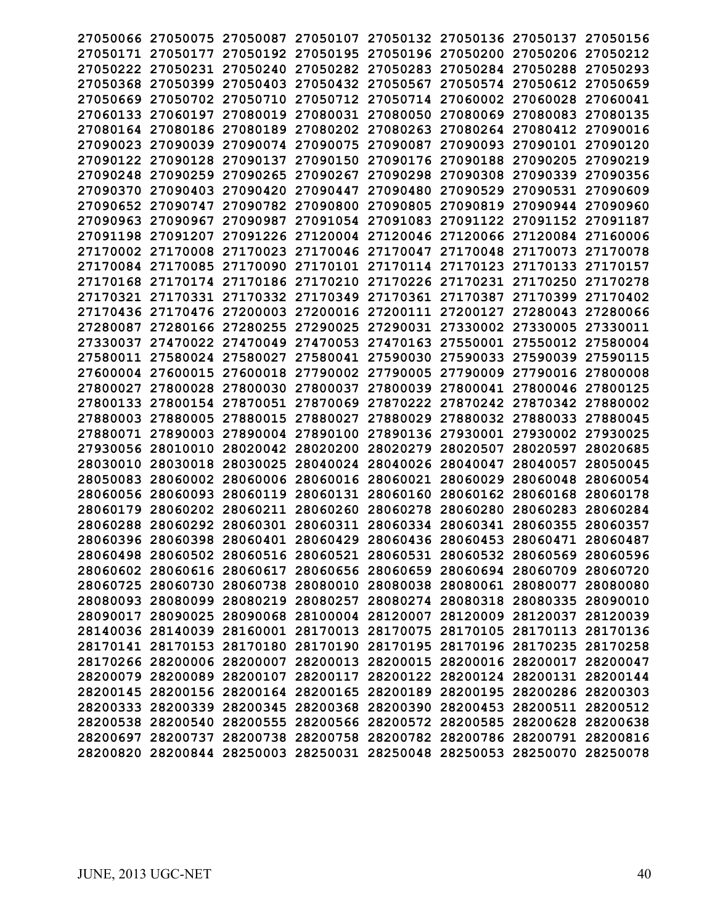|                   |                   |                            | 27050066 27050075 27050087 27050107 27050132 27050136 27050137          |                                              |                            |                   | 27050156 |
|-------------------|-------------------|----------------------------|-------------------------------------------------------------------------|----------------------------------------------|----------------------------|-------------------|----------|
|                   |                   |                            | 27050171 27050177 27050192 27050195 27050196 27050200 27050206 27050212 |                                              |                            |                   |          |
|                   | 27050222 27050231 |                            | 27050240 27050282 27050283 27050284 27050288 27050293                   |                                              |                            |                   |          |
|                   |                   |                            | 27050368 27050399 27050403 27050432 27050567 27050574 27050612 27050659 |                                              |                            |                   |          |
| 27050669 27050702 |                   | 27050710                   |                                                                         | 27050712 27050714 27060002 27060028 27060041 |                            |                   |          |
| 27060133          | 27060197          | 27080019                   | 27080031                                                                | 27080050                                     | 27080069                   | 27080083          | 27080135 |
|                   | 27080164 27080186 | 27080189                   |                                                                         | 27080202 27080263                            | 27080264                   | 27080412 27090016 |          |
| 27090023 27090039 |                   |                            | 27090074 27090075                                                       | 27090087                                     | 27090093                   | 27090101 27090120 |          |
| 27090122 27090128 |                   | 27090137                   | 27090150 27090176                                                       |                                              | 27090188                   | 27090205          | 27090219 |
|                   | 27090248 27090259 | 27090265                   | 27090267 27090298                                                       |                                              | 27090308 27090339 27090356 |                   |          |
| 27090370          | 27090403          | 27090420                   | 27090447                                                                | 27090480                                     | 27090529                   | 27090531          | 27090609 |
| 27090652          | 27090747          | 27090782                   | 27090800                                                                | 27090805                                     | 27090819                   | 27090944          | 27090960 |
| 27090963          | 27090967          | 27090987                   |                                                                         | 27091054 27091083 27091122 27091152 27091187 |                            |                   |          |
|                   | 27091198 27091207 |                            | 27091226 27120004 27120046 27120066 27120084 27160006                   |                                              |                            |                   |          |
|                   |                   |                            | 27170002 27170008 27170023 27170046 27170047 27170048 27170073 27170078 |                                              |                            |                   |          |
|                   | 27170084 27170085 |                            | 27170090 27170101 27170114 27170123 27170133 27170157                   |                                              |                            |                   |          |
|                   | 27170168 27170174 |                            | 27170186 27170210 27170226 27170231 27170250                            |                                              |                            |                   | 27170278 |
|                   |                   |                            | 27170321 27170331 27170332 27170349                                     |                                              | 27170361 27170387          | 27170399          | 27170402 |
|                   |                   | 27170436 27170476 27200003 |                                                                         | 27200016 27200111                            | 27200127                   | 27280043          | 27280066 |
|                   |                   |                            | 27280087 27280166 27280255 27290025 27290031                            |                                              | 27330002 27330005          |                   | 27330011 |
|                   |                   |                            | 27330037 27470022 27470049 27470053 27470163 27550001 27550012 27580004 |                                              |                            |                   |          |
|                   |                   |                            | 27580011 27580024 27580027 27580041 27590030 27590033 27590039 27590115 |                                              |                            |                   |          |
|                   | 27600004 27600015 |                            | 27600018 27790002 27790005                                              |                                              |                            | 27790009 27790016 | 27800008 |
| 27800027          | 27800028          | 27800030                   | 27800037                                                                | 27800039                                     | 27800041                   | 27800046          | 27800125 |
|                   |                   |                            | 27800133 27800154 27870051 27870069 27870222 27870242 27870342 27880002 |                                              |                            |                   |          |
|                   |                   |                            | 27880003 27880005 27880015 27880027 27880029 27880032 27880033 27880045 |                                              |                            |                   |          |
|                   |                   |                            | 27880071 27890003 27890004 27890100 27890136 27930001 27930002 27930025 |                                              |                            |                   |          |
|                   |                   |                            | 27930056 28010010 28020042 28020200 28020279 28020507                   |                                              |                            | 28020597 28020685 |          |
| 28030010          | 28030018          | 28030025                   | 28040024                                                                | 28040026                                     | 28040047                   | 28040057          | 28050045 |
| 28050083          | 28060002          | 28060006                   | 28060016                                                                | 28060021                                     | 28060029                   | 28060048          | 28060054 |
| 28060056          | 28060093          |                            | 28060119 28060131 28060160                                              |                                              | 28060162 28060168          |                   | 28060178 |
| 28060179          | 28060202          |                            | 28060211 28060260 28060278                                              |                                              | 28060280                   | 28060283          | 28060284 |
|                   |                   |                            | 28060288 28060292 28060301 28060311 28060334 28060341 28060355 28060357 |                                              |                            |                   |          |
|                   |                   |                            | 28060396 28060398 28060401 28060429 28060436 28060453 28060471 28060487 |                                              |                            |                   |          |
|                   |                   |                            | 28060498 28060502 28060516 28060521 28060531 28060532 28060569 28060596 |                                              |                            |                   |          |
|                   |                   |                            | 28060602 28060616 28060617 28060656 28060659 28060694 28060709 28060720 |                                              |                            |                   |          |
|                   |                   |                            | 28060725 28060730 28060738 28080010 28080038 28080061 28080077 28080080 |                                              |                            |                   |          |
|                   |                   |                            | 28080093 28080099 28080219 28080257 28080274 28080318 28080335 28090010 |                                              |                            |                   |          |
|                   |                   |                            | 28090017 28090025 28090068 28100004 28120007 28120009 28120037 28120039 |                                              |                            |                   |          |
|                   |                   |                            | 28140036 28140039 28160001 28170013 28170075 28170105 28170113 28170136 |                                              |                            |                   |          |
|                   |                   |                            | 28170141 28170153 28170180 28170190 28170195 28170196 28170235 28170258 |                                              |                            |                   |          |
|                   |                   |                            | 28170266 28200006 28200007 28200013 28200015 28200016 28200017 28200047 |                                              |                            |                   |          |
|                   |                   |                            | 28200079 28200089 28200107 28200117 28200122 28200124 28200131 28200144 |                                              |                            |                   |          |
|                   |                   |                            | 28200145 28200156 28200164 28200165 28200189 28200195 28200286 28200303 |                                              |                            |                   |          |
|                   |                   |                            | 28200333 28200339 28200345 28200368 28200390 28200453 28200511 28200512 |                                              |                            |                   |          |
|                   |                   |                            | 28200538 28200540 28200555 28200566 28200572 28200585 28200628 28200638 |                                              |                            |                   |          |
|                   |                   |                            | 28200697 28200737 28200738 28200758 28200782 28200786 28200791 28200816 |                                              |                            |                   |          |
|                   |                   |                            | 28200820 28200844 28250003 28250031 28250048 28250053 28250070 28250078 |                                              |                            |                   |          |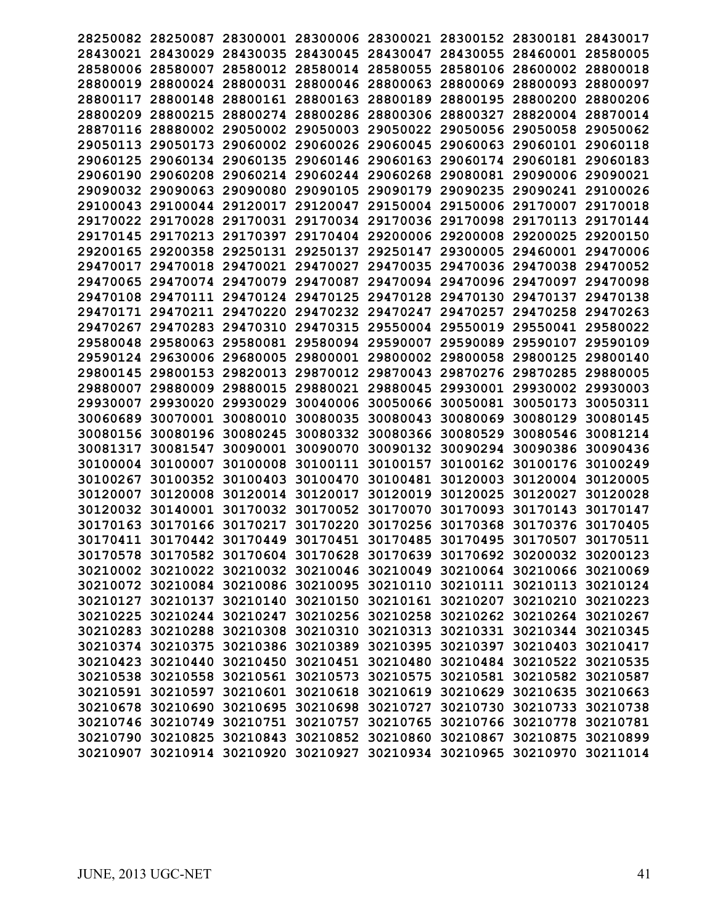| 28250082 | 28250087          |                                                                         |                            |                   |                   | 28300001 28300006 28300021 28300152 28300181 28430017 |          |
|----------|-------------------|-------------------------------------------------------------------------|----------------------------|-------------------|-------------------|-------------------------------------------------------|----------|
| 28430021 | 28430029          |                                                                         | 28430035 28430045          | 28430047          |                   | 28430055 28460001 28580005                            |          |
| 28580006 | 28580007          | 28580012 28580014                                                       |                            | 28580055          |                   | 28580106 28600002 28800018                            |          |
| 28800019 | 28800024          |                                                                         | 28800031 28800046 28800063 |                   | 28800069          | 28800093 28800097                                     |          |
| 28800117 | 28800148          |                                                                         | 28800161 28800163          | 28800189          | 28800195          | 28800200                                              | 28800206 |
| 28800209 | 28800215          | 28800274                                                                | 28800286                   | 28800306          | 28800327          | 28820004                                              | 28870014 |
| 28870116 | 28880002          | 29050002                                                                | 29050003                   | 29050022 29050056 |                   | 29050058                                              | 29050062 |
| 29050113 | 29050173          |                                                                         | 29060002 29060026          | 29060045          | 29060063          | 29060101                                              | 29060118 |
| 29060125 | 29060134          | 29060135                                                                | 29060146                   | 29060163          | 29060174          | 29060181                                              | 29060183 |
| 29060190 | 29060208          |                                                                         | 29060214 29060244 29060268 |                   | 29080081          | 29090006                                              | 29090021 |
|          |                   |                                                                         |                            |                   |                   | 29090241                                              |          |
| 29090032 | 29090063          | 29090080                                                                | 29090105                   | 29090179          | 29090235          |                                                       | 29100026 |
| 29100043 | 29100044          | 29120017                                                                | 29120047                   | 29150004          | 29150006          | 29170007                                              | 29170018 |
|          | 29170022 29170028 |                                                                         | 29170031 29170034 29170036 |                   | 29170098          | 29170113                                              | 29170144 |
| 29170145 | 29170213          | 29170397                                                                | 29170404 29200006          |                   | 29200008 29200025 |                                                       | 29200150 |
| 29200165 |                   | 29200358 29250131 29250137                                              |                            |                   |                   | 29250147 29300005 29460001 29470006                   |          |
| 29470017 | 29470018          | 29470021 29470027                                                       |                            | 29470035          | 29470036 29470038 |                                                       | 29470052 |
| 29470065 | 29470074          | 29470079                                                                | 29470087                   | 29470094          | 29470096 29470097 |                                                       | 29470098 |
| 29470108 | 29470111          | 29470124 29470125                                                       |                            | 29470128          | 29470130          | 29470137                                              | 29470138 |
| 29470171 | 29470211          | 29470220                                                                | 29470232                   | 29470247          | 29470257          | 29470258                                              | 29470263 |
| 29470267 | 29470283          | 29470310                                                                | 29470315                   | 29550004          | 29550019          | 29550041                                              | 29580022 |
| 29580048 | 29580063          | 29580081                                                                | 29580094                   | 29590007          | 29590089          | 29590107                                              | 29590109 |
| 29590124 | 29630006          | 29680005                                                                | 29800001                   | 29800002          | 29800058          | 29800125                                              | 29800140 |
| 29800145 | 29800153          | 29820013                                                                | 29870012                   | 29870043          | 29870276          | 29870285                                              | 29880005 |
| 29880007 | 29880009          | 29880015                                                                | 29880021                   | 29880045          | 29930001          | 29930002                                              | 29930003 |
| 29930007 | 29930020          | 29930029                                                                | 30040006 30050066          |                   | 30050081 30050173 |                                                       | 30050311 |
| 30060689 | 30070001          | 30080010                                                                | 30080035                   | 30080043          | 30080069 30080129 |                                                       | 30080145 |
| 30080156 | 30080196          | 30080245                                                                | 30080332                   | 30080366          | 30080529 30080546 |                                                       | 30081214 |
| 30081317 | 30081547          | 30090001 30090070                                                       |                            | 30090132          | 30090294 30090386 |                                                       | 30090436 |
|          | 30100007          |                                                                         | 30100111                   | 30100157          |                   | 30100176                                              | 30100249 |
| 30100004 |                   | 30100008                                                                |                            |                   | 30100162          |                                                       |          |
| 30100267 | 30100352          | 30100403                                                                | 30100470                   | 30100481          | 30120003          | 30120004                                              | 30120005 |
| 30120007 | 30120008          | 30120014 30120017                                                       |                            | 30120019          | 30120025          | 30120027                                              | 30120028 |
| 30120032 | 30140001          | 30170032 30170052                                                       |                            | 30170070          | 30170093          | 30170143                                              | 30170147 |
| 30170163 | 30170166          | 30170217 30170220                                                       |                            | 30170256          | 30170368          | 30170376                                              | 30170405 |
| 30170411 |                   | 30170442 30170449 30170451                                              |                            | 30170485          | 30170495 30170507 |                                                       | 30170511 |
|          |                   | 30170578 30170582 30170604 30170628 30170639 30170692 30200032 30200123 |                            |                   |                   |                                                       |          |
|          |                   | 30210002 30210022 30210032 30210046 30210049 30210064 30210066 30210069 |                            |                   |                   |                                                       |          |
|          |                   | 30210072 30210084 30210086 30210095 30210110 30210111 30210113 30210124 |                            |                   |                   |                                                       |          |
|          |                   | 30210127 30210137 30210140 30210150 30210161 30210207 30210210 30210223 |                            |                   |                   |                                                       |          |
|          |                   | 30210225 30210244 30210247 30210256 30210258 30210262 30210264 30210267 |                            |                   |                   |                                                       |          |
|          |                   | 30210283 30210288 30210308 30210310 30210313 30210331 30210344 30210345 |                            |                   |                   |                                                       |          |
|          |                   | 30210374 30210375 30210386 30210389 30210395 30210397 30210403 30210417 |                            |                   |                   |                                                       |          |
|          |                   | 30210423 30210440 30210450 30210451 30210480 30210484 30210522 30210535 |                            |                   |                   |                                                       |          |
|          |                   | 30210538 30210558 30210561 30210573 30210575 30210581 30210582 30210587 |                            |                   |                   |                                                       |          |
|          |                   | 30210591 30210597 30210601 30210618 30210619 30210629 30210635 30210663 |                            |                   |                   |                                                       |          |
|          |                   | 30210678 30210690 30210695 30210698 30210727 30210730 30210733 30210738 |                            |                   |                   |                                                       |          |
|          |                   | 30210746 30210749 30210751 30210757 30210765 30210766 30210778 30210781 |                            |                   |                   |                                                       |          |
|          |                   | 30210790 30210825 30210843 30210852 30210860 30210867 30210875 30210899 |                            |                   |                   |                                                       |          |
|          |                   | 30210907 30210914 30210920 30210927 30210934 30210965 30210970 30211014 |                            |                   |                   |                                                       |          |
|          |                   |                                                                         |                            |                   |                   |                                                       |          |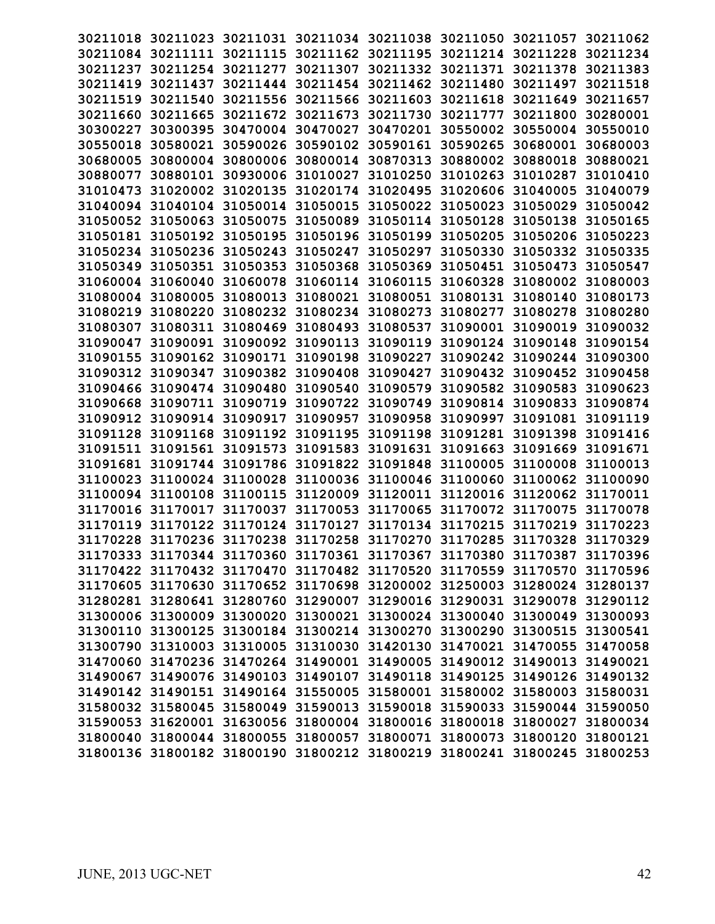| 30211018          |                                     |                   |                                     | 30211023 30211031 30211034 30211038 30211050 30211057                   |                   |                            | 30211062 |
|-------------------|-------------------------------------|-------------------|-------------------------------------|-------------------------------------------------------------------------|-------------------|----------------------------|----------|
| 30211084          |                                     |                   | 30211111 30211115 30211162 30211195 |                                                                         | 30211214 30211228 |                            | 30211234 |
| 30211237          | 30211254                            | 30211277 30211307 |                                     | 30211332 30211371 30211378                                              |                   |                            | 30211383 |
| 30211419          | 30211437                            |                   | 30211444 30211454 30211462          |                                                                         | 30211480 30211497 |                            | 30211518 |
| 30211519          | 30211540                            | 30211556          | 30211566 30211603                   |                                                                         | 30211618          | 30211649                   | 30211657 |
| 30211660          | 30211665                            | 30211672 30211673 |                                     | 30211730                                                                | 30211777          | 30211800                   | 30280001 |
| 30300227          | 30300395                            | 30470004 30470027 |                                     | 30470201                                                                | 30550002          | 30550004                   | 30550010 |
| 30550018          | 30580021                            | 30590026          | 30590102                            | 30590161                                                                | 30590265          | 30680001                   | 30680003 |
| 30680005          | 30800004                            | 30800006          | 30800014                            | 30870313                                                                | 30880002 30880018 |                            | 30880021 |
|                   | 30880077 30880101                   | 30930006          | 31010027                            | 31010250                                                                | 31010263          | 31010287                   | 31010410 |
| 31010473          | 31020002                            | 31020135          | 31020174                            | 31020495                                                                | 31020606          | 31040005                   | 31040079 |
| 31040094          | 31040104                            | 31050014          | 31050015                            | 31050022                                                                | 31050023          | 31050029                   | 31050042 |
| 31050052 31050063 |                                     | 31050075          | 31050089 31050114                   |                                                                         | 31050128          | 31050138                   | 31050165 |
| 31050181          | 31050192                            | 31050195          | 31050196 31050199                   |                                                                         | 31050205 31050206 |                            | 31050223 |
|                   | 31050234 31050236                   | 31050243 31050247 |                                     | 31050297                                                                |                   | 31050330 31050332 31050335 |          |
|                   | 31050349 31050351                   | 31050353 31050368 |                                     | 31050369                                                                | 31050451 31050473 |                            | 31050547 |
| 31060004 31060040 |                                     |                   | 31060078 31060114 31060115          |                                                                         | 31060328 31080002 |                            | 31080003 |
| 31080004          | 31080005                            | 31080013          | 31080021                            | 31080051                                                                | 31080131 31080140 |                            | 31080173 |
| 31080219          | 31080220                            |                   | 31080232 31080234 31080273          |                                                                         | 31080277          | 31080278                   | 31080280 |
| 31080307          | 31080311                            | 31080469          | 31080493                            | 31080537                                                                | 31090001 31090019 |                            | 31090032 |
| 31090047          | 31090091                            |                   | 31090092 31090113                   | 31090119                                                                | 31090124 31090148 |                            | 31090154 |
| 31090155          | 31090162                            | 31090171 31090198 |                                     | 31090227                                                                | 31090242 31090244 |                            | 31090300 |
| 31090312          | 31090347                            | 31090382          | 31090408                            | 31090427                                                                | 31090432 31090452 |                            | 31090458 |
| 31090466          | 31090474                            | 31090480          | 31090540                            | 31090579                                                                | 31090582          | 31090583                   | 31090623 |
| 31090668          | 31090711                            | 31090719          | 31090722                            | 31090749                                                                | 31090814 31090833 |                            | 31090874 |
| 31090912          | 31090914                            | 31090917 31090957 |                                     | 31090958                                                                | 31090997          | 31091081                   | 31091119 |
|                   | 31091128 31091168 31091192 31091195 |                   |                                     | 31091198                                                                | 31091281 31091398 |                            | 31091416 |
| 31091511          | 31091561                            | 31091573 31091583 |                                     | 31091631                                                                | 31091663 31091669 |                            | 31091671 |
| 31091681          | 31091744                            | 31091786          | 31091822                            | 31091848                                                                | 31100005 31100008 |                            | 31100013 |
| 31100023          | 31100024                            | 31100028          | 31100036                            | 31100046                                                                | 31100060 31100062 |                            | 31100090 |
| 31100094          | 31100108                            | 31100115          | 31120009                            | 31120011                                                                | 31120016 31120062 |                            | 31170011 |
|                   | 31170016 31170017                   | 31170037          | 31170053                            | 31170065                                                                | 31170072 31170075 |                            | 31170078 |
|                   |                                     |                   |                                     | 31170119 31170122 31170124 31170127 31170134 31170215 31170219          |                   |                            | 31170223 |
| 31170228          |                                     |                   |                                     | 31170236 31170238 31170258 31170270 31170285 31170328                   |                   |                            | 31170329 |
|                   |                                     |                   |                                     | 31170333 31170344 31170360 31170361 31170367 31170380 31170387 31170396 |                   |                            |          |
|                   |                                     |                   |                                     | 31170422 31170432 31170470 31170482 31170520 31170559 31170570 31170596 |                   |                            |          |
|                   |                                     |                   |                                     | 31170605 31170630 31170652 31170698 31200002 31250003 31280024 31280137 |                   |                            |          |
|                   |                                     |                   |                                     | 31280281 31280641 31280760 31290007 31290016 31290031 31290078 31290112 |                   |                            |          |
|                   |                                     |                   |                                     | 31300006 31300009 31300020 31300021 31300024 31300040 31300049 31300093 |                   |                            |          |
|                   |                                     |                   |                                     | 31300110 31300125 31300184 31300214 31300270 31300290 31300515 31300541 |                   |                            |          |
|                   |                                     |                   |                                     | 31300790 31310003 31310005 31310030 31420130 31470021 31470055 31470058 |                   |                            |          |
|                   |                                     |                   |                                     | 31470060 31470236 31470264 31490001 31490005 31490012 31490013 31490021 |                   |                            |          |
|                   |                                     |                   |                                     | 31490067 31490076 31490103 31490107 31490118 31490125 31490126 31490132 |                   |                            |          |
|                   |                                     |                   |                                     | 31490142 31490151 31490164 31550005 31580001 31580002 31580003 31580031 |                   |                            |          |
|                   |                                     |                   |                                     | 31580032 31580045 31580049 31590013 31590018 31590033 31590044 31590050 |                   |                            |          |
|                   |                                     |                   |                                     | 31590053 31620001 31630056 31800004 31800016 31800018 31800027 31800034 |                   |                            |          |
|                   |                                     |                   |                                     | 31800040 31800044 31800055 31800057 31800071 31800073 31800120 31800121 |                   |                            |          |
|                   |                                     |                   |                                     | 31800136 31800182 31800190 31800212 31800219 31800241 31800245 31800253 |                   |                            |          |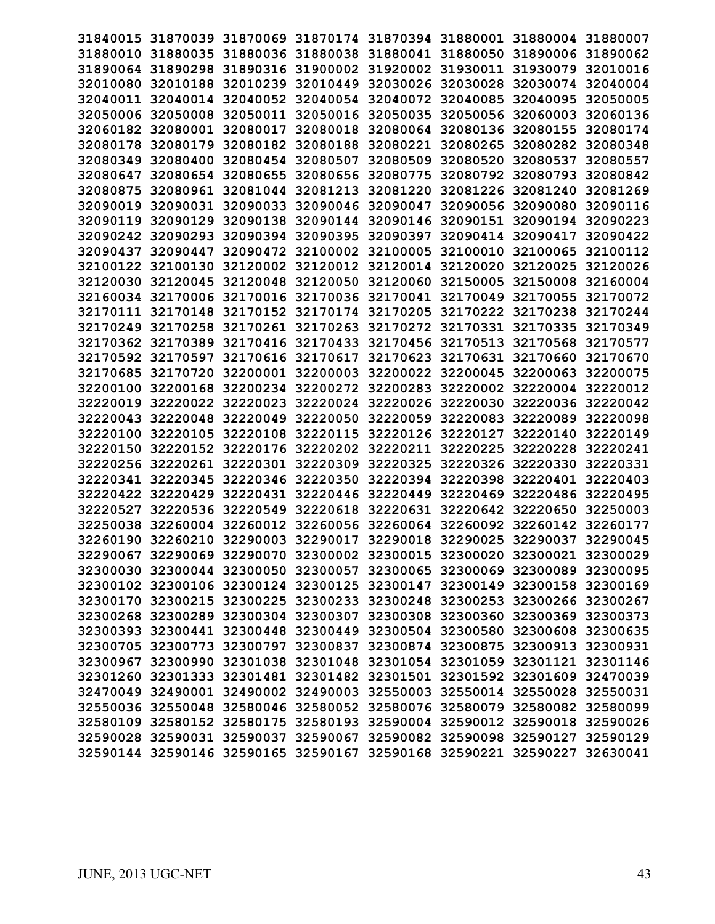| 31840015 |                   |                            |                            |                                                                |                   | 31870039 31870069 31870174 31870394 31880001 31880004 31880007          |          |
|----------|-------------------|----------------------------|----------------------------|----------------------------------------------------------------|-------------------|-------------------------------------------------------------------------|----------|
|          | 31880010 31880035 |                            |                            | 31880036 31880038 31880041 31880050 31890006                   |                   |                                                                         | 31890062 |
|          | 31890064 31890298 |                            | 31890316 31900002 31920002 |                                                                | 31930011 31930079 |                                                                         | 32010016 |
| 32010080 | 32010188          |                            | 32010239 32010449 32030026 |                                                                | 32030028          | 32030074                                                                | 32040004 |
| 32040011 | 32040014          | 32040052 32040054          |                            | 32040072                                                       | 32040085          | 32040095                                                                | 32050005 |
| 32050006 | 32050008          | 32050011                   | 32050016                   | 32050035                                                       | 32050056          | 32060003                                                                | 32060136 |
| 32060182 | 32080001          | 32080017                   | 32080018                   | 32080064                                                       | 32080136          | 32080155                                                                | 32080174 |
| 32080178 | 32080179          | 32080182                   | 32080188                   | 32080221                                                       | 32080265          | 32080282                                                                | 32080348 |
| 32080349 | 32080400          | 32080454 32080507          |                            | 32080509                                                       | 32080520          | 32080537                                                                | 32080557 |
| 32080647 | 32080654          | 32080655                   | 32080656                   | 32080775                                                       | 32080792 32080793 |                                                                         | 32080842 |
| 32080875 | 32080961          | 32081044                   | 32081213                   | 32081220                                                       | 32081226          | 32081240                                                                | 32081269 |
| 32090019 | 32090031          | 32090033                   | 32090046                   | 32090047                                                       | 32090056          | 32090080                                                                | 32090116 |
| 32090119 | 32090129          | 32090138                   | 32090144 32090146          |                                                                |                   | 32090151 32090194 32090223                                              |          |
| 32090242 | 32090293          | 32090394 32090395          |                            | 32090397                                                       | 32090414 32090417 |                                                                         | 32090422 |
| 32090437 | 32090447          |                            | 32090472 32100002 32100005 |                                                                | 32100010 32100065 |                                                                         | 32100112 |
| 32100122 | 32100130          | 32120002 32120012          |                            | 32120014                                                       | 32120020          | 32120025                                                                | 32120026 |
| 32120030 | 32120045          | 32120048 32120050          |                            | 32120060                                                       | 32150005          | 32150008                                                                | 32160004 |
| 32160034 | 32170006          | 32170016                   | 32170036                   | 32170041                                                       | 32170049          | 32170055                                                                | 32170072 |
| 32170111 | 32170148          |                            | 32170152 32170174 32170205 |                                                                | 32170222 32170238 |                                                                         | 32170244 |
| 32170249 | 32170258          |                            | 32170261 32170263          | 32170272                                                       | 32170331 32170335 |                                                                         | 32170349 |
| 32170362 | 32170389          | 32170416 32170433          |                            | 32170456                                                       | 32170513 32170568 |                                                                         | 32170577 |
| 32170592 | 32170597          | 32170616                   | 32170617                   | 32170623                                                       | 32170631 32170660 |                                                                         | 32170670 |
| 32170685 | 32170720          | 32200001 32200003          |                            | 32200022                                                       | 32200045          | 32200063                                                                | 32200075 |
| 32200100 | 32200168          | 32200234                   | 32200272                   | 32200283                                                       | 32220002          | 32220004                                                                | 32220012 |
| 32220019 | 32220022          | 32220023                   | 32220024 32220026          |                                                                | 32220030 32220036 |                                                                         | 32220042 |
| 32220043 | 32220048          | 32220049                   | 32220050 32220059          |                                                                | 32220083          | 32220089 32220098                                                       |          |
| 32220100 | 32220105          | 32220108 32220115          |                            | 32220126                                                       | 32220127 32220140 |                                                                         | 32220149 |
| 32220150 | 32220152          | 32220176                   | 32220202                   | 32220211                                                       | 32220225          | 32220228                                                                | 32220241 |
| 32220256 | 32220261          | 32220301                   | 32220309                   | 32220325                                                       | 32220326          | 32220330                                                                | 32220331 |
| 32220341 | 32220345          | 32220346                   | 32220350                   | 32220394                                                       | 32220398          | 32220401                                                                | 32220403 |
| 32220422 | 32220429          |                            | 32220431 32220446          | 32220449                                                       | 32220469          | 32220486                                                                | 32220495 |
| 32220527 | 32220536          | 32220549                   | 32220618                   | 32220631                                                       | 32220642          | 32220650                                                                | 32250003 |
| 32250038 |                   | 32260004 32260012 32260056 |                            | 32260064 32260092 32260142                                     |                   |                                                                         | 32260177 |
|          |                   |                            |                            | 32260190 32260210 32290003 32290017 32290018 32290025 32290037 |                   |                                                                         | 32290045 |
|          |                   |                            |                            |                                                                |                   | 32290067 32290069 32290070 32300002 32300015 32300020 32300021 32300029 |          |
|          |                   |                            |                            |                                                                |                   | 32300030 32300044 32300050 32300057 32300065 32300069 32300089 32300095 |          |
|          |                   |                            |                            |                                                                |                   | 32300102 32300106 32300124 32300125 32300147 32300149 32300158 32300169 |          |
|          |                   |                            |                            |                                                                |                   | 32300170 32300215 32300225 32300233 32300248 32300253 32300266 32300267 |          |
|          |                   |                            |                            |                                                                |                   | 32300268 32300289 32300304 32300307 32300308 32300360 32300369 32300373 |          |
|          |                   |                            |                            |                                                                |                   | 32300393 32300441 32300448 32300449 32300504 32300580 32300608 32300635 |          |
|          |                   |                            |                            |                                                                |                   | 32300705 32300773 32300797 32300837 32300874 32300875 32300913 32300931 |          |
|          |                   |                            |                            |                                                                |                   | 32300967 32300990 32301038 32301048 32301054 32301059 32301121 32301146 |          |
|          |                   |                            |                            |                                                                |                   | 32301260 32301333 32301481 32301482 32301501 32301592 32301609 32470039 |          |
|          |                   |                            |                            |                                                                |                   | 32470049 32490001 32490002 32490003 32550003 32550014 32550028 32550031 |          |
|          |                   |                            |                            |                                                                |                   | 32550036 32550048 32580046 32580052 32580076 32580079 32580082 32580099 |          |
|          |                   |                            |                            |                                                                |                   | 32580109 32580152 32580175 32580193 32590004 32590012 32590018 32590026 |          |
|          |                   |                            |                            |                                                                |                   | 32590028 32590031 32590037 32590067 32590082 32590098 32590127 32590129 |          |
|          |                   |                            |                            |                                                                |                   | 32590144 32590146 32590165 32590167 32590168 32590221 32590227 32630041 |          |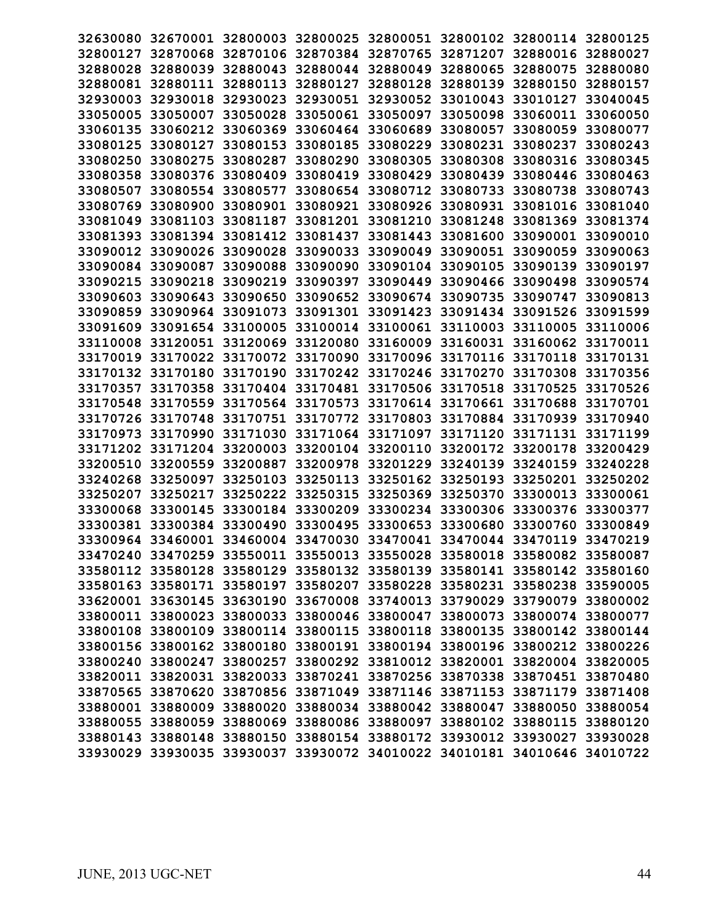|          |                   |          | 32630080 32670001 32800003 32800025 32800051 32800102 32800114 32800125 |          |                   |                            |          |
|----------|-------------------|----------|-------------------------------------------------------------------------|----------|-------------------|----------------------------|----------|
|          |                   |          | 32800127 32870068 32870106 32870384 32870765 32871207 32880016 32880027 |          |                   |                            |          |
| 32880028 |                   |          | 32880039 32880043 32880044 32880049 32880065 32880075 32880080          |          |                   |                            |          |
|          | 32880081 32880111 |          | 32880113 32880127 32880128                                              |          |                   | 32880139 32880150 32880157 |          |
| 32930003 | 32930018          | 32930023 | 32930051 32930052                                                       |          | 33010043          | 33010127                   | 33040045 |
| 33050005 | 33050007          | 33050028 | 33050061                                                                | 33050097 | 33050098          | 33060011                   | 33060050 |
| 33060135 | 33060212          | 33060369 | 33060464                                                                | 33060689 | 33080057          | 33080059                   | 33080077 |
|          | 33080125 33080127 | 33080153 | 33080185                                                                | 33080229 | 33080231 33080237 |                            | 33080243 |
| 33080250 | 33080275          | 33080287 | 33080290 33080305                                                       |          | 33080308          | 33080316                   | 33080345 |
|          | 33080358 33080376 | 33080409 | 33080419 33080429                                                       |          | 33080439 33080446 |                            | 33080463 |
| 33080507 | 33080554          | 33080577 | 33080654 33080712                                                       |          | 33080733          | 33080738                   | 33080743 |
|          | 33080769 33080900 | 33080901 | 33080921 33080926                                                       |          | 33080931          | 33081016 33081040          |          |
|          | 33081049 33081103 | 33081187 | 33081201 33081210                                                       |          | 33081248          | 33081369                   | 33081374 |
|          | 33081393 33081394 |          | 33081412 33081437 33081443                                              |          |                   | 33081600 33090001          | 33090010 |
|          | 33090012 33090026 |          | 33090028 33090033 33090049 33090051 33090059 33090063                   |          |                   |                            |          |
|          | 33090084 33090087 |          | 33090088 33090090 33090104 33090105 33090139 33090197                   |          |                   |                            |          |
| 33090215 | 33090218          | 33090219 | 33090397                                                                | 33090449 | 33090466          | 33090498                   | 33090574 |
| 33090603 | 33090643          | 33090650 | 33090652                                                                | 33090674 | 33090735          | 33090747                   | 33090813 |
| 33090859 | 33090964          | 33091073 | 33091301 33091423                                                       |          | 33091434 33091526 |                            | 33091599 |
| 33091609 | 33091654          | 33100005 | 33100014 33100061                                                       |          | 33110003 33110005 |                            | 33110006 |
| 33110008 |                   |          | 33120051 33120069 33120080 33160009                                     |          |                   | 33160031 33160062 33170011 |          |
|          | 33170019 33170022 |          | 33170072 33170090 33170096                                              |          | 33170116 33170118 |                            | 33170131 |
|          | 33170132 33170180 | 33170190 | 33170242 33170246                                                       |          | 33170270          | 33170308                   | 33170356 |
| 33170357 | 33170358          |          | 33170404 33170481 33170506                                              |          | 33170518          | 33170525                   | 33170526 |
|          | 33170548 33170559 |          | 33170564 33170573 33170614 33170661 33170688 33170701                   |          |                   |                            |          |
|          | 33170726 33170748 |          | 33170751 33170772 33170803                                              |          |                   | 33170884 33170939 33170940 |          |
|          | 33170973 33170990 |          | 33171030 33171064 33171097 33171120 33171131 33171199                   |          |                   |                            |          |
|          | 33171202 33171204 | 33200003 | 33200104 33200110                                                       |          |                   | 33200172 33200178 33200429 |          |
| 33200510 | 33200559          | 33200887 | 33200978                                                                | 33201229 | 33240139          | 33240159                   | 33240228 |
| 33240268 | 33250097          | 33250103 | 33250113                                                                | 33250162 | 33250193          | 33250201                   | 33250202 |
| 33250207 | 33250217          |          | 33250222 33250315                                                       | 33250369 | 33250370          | 33300013                   | 33300061 |
| 33300068 | 33300145          |          | 33300184 33300209 33300234 33300306                                     |          |                   | 33300376                   | 33300377 |
|          |                   |          | 33300381 33300384 33300490 33300495 33300653 33300680 33300760 33300849 |          |                   |                            |          |
|          |                   |          | 33300964 33460001 33460004 33470030 33470041 33470044 33470119 33470219 |          |                   |                            |          |
|          |                   |          | 33470240 33470259 33550011 33550013 33550028 33580018 33580082 33580087 |          |                   |                            |          |
|          |                   |          | 33580112 33580128 33580129 33580132 33580139 33580141 33580142 33580160 |          |                   |                            |          |
|          |                   |          | 33580163 33580171 33580197 33580207 33580228 33580231 33580238 33590005 |          |                   |                            |          |
|          |                   |          | 33620001 33630145 33630190 33670008 33740013 33790029 33790079 33800002 |          |                   |                            |          |
|          |                   |          | 33800011 33800023 33800033 33800046 33800047 33800073 33800074 33800077 |          |                   |                            |          |
|          |                   |          | 33800108 33800109 33800114 33800115 33800118 33800135 33800142 33800144 |          |                   |                            |          |
|          |                   |          | 33800156 33800162 33800180 33800191 33800194 33800196 33800212 33800226 |          |                   |                            |          |
|          |                   |          | 33800240 33800247 33800257 33800292 33810012 33820001 33820004 33820005 |          |                   |                            |          |
|          |                   |          | 33820011 33820031 33820033 33870241 33870256 33870338 33870451 33870480 |          |                   |                            |          |
|          |                   |          | 33870565 33870620 33870856 33871049 33871146 33871153 33871179 33871408 |          |                   |                            |          |
|          |                   |          | 33880001 33880009 33880020 33880034 33880042 33880047 33880050 33880054 |          |                   |                            |          |
|          |                   |          | 33880055 33880059 33880069 33880086 33880097 33880102 33880115 33880120 |          |                   |                            |          |
|          |                   |          | 33880143 33880148 33880150 33880154 33880172 33930012 33930027 33930028 |          |                   |                            |          |
|          |                   |          | 33930029 33930035 33930037 33930072 34010022 34010181 34010646 34010722 |          |                   |                            |          |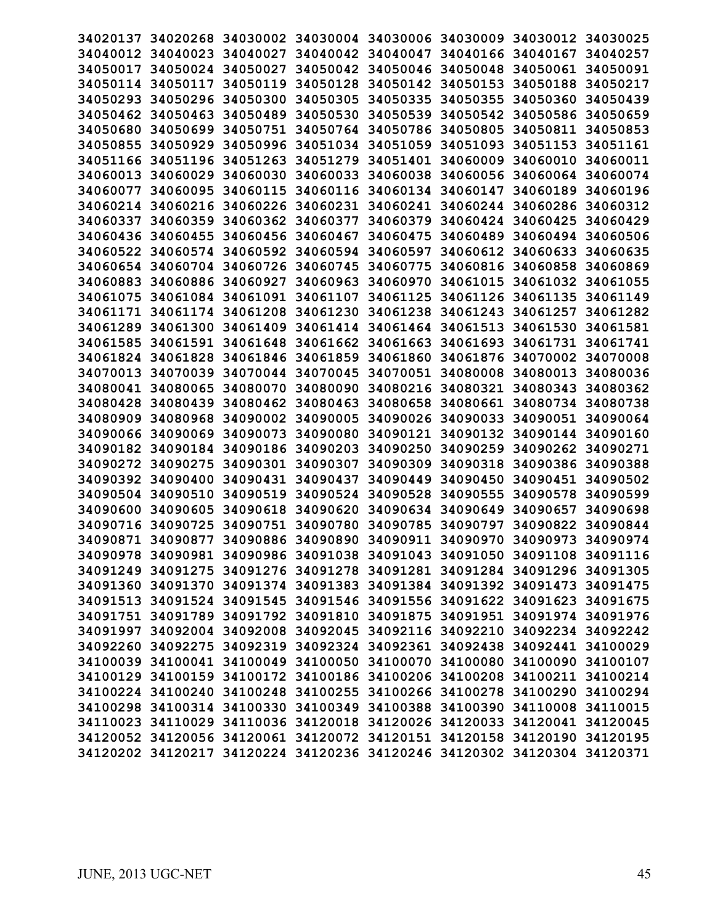| 34020137 |                   | 34020268 34030002 34030004 |                                                                         |          | 34030006 34030009 34030012 |          | 34030025 |
|----------|-------------------|----------------------------|-------------------------------------------------------------------------|----------|----------------------------|----------|----------|
|          | 34040012 34040023 | 34040027                   | 34040042                                                                | 34040047 | 34040166 34040167          |          | 34040257 |
| 34050017 | 34050024          | 34050027                   | 34050042                                                                | 34050046 | 34050048 34050061          |          | 34050091 |
| 34050114 | 34050117          | 34050119                   | 34050128                                                                | 34050142 | 34050153                   | 34050188 | 34050217 |
| 34050293 | 34050296          | 34050300                   | 34050305                                                                | 34050335 | 34050355                   | 34050360 | 34050439 |
| 34050462 | 34050463          | 34050489                   | 34050530                                                                | 34050539 | 34050542                   | 34050586 | 34050659 |
| 34050680 | 34050699          | 34050751                   | 34050764                                                                | 34050786 | 34050805                   | 34050811 | 34050853 |
| 34050855 | 34050929          | 34050996                   | 34051034                                                                | 34051059 | 34051093                   | 34051153 | 34051161 |
| 34051166 | 34051196          | 34051263                   | 34051279                                                                | 34051401 | 34060009 34060010          |          | 34060011 |
| 34060013 | 34060029          | 34060030                   | 34060033                                                                | 34060038 | 34060056                   | 34060064 | 34060074 |
| 34060077 | 34060095          | 34060115                   | 34060116                                                                | 34060134 | 34060147                   | 34060189 | 34060196 |
| 34060214 | 34060216          | 34060226                   | 34060231                                                                | 34060241 | 34060244                   | 34060286 | 34060312 |
| 34060337 | 34060359          |                            | 34060362 34060377                                                       | 34060379 | 34060424                   | 34060425 | 34060429 |
| 34060436 | 34060455          | 34060456 34060467          |                                                                         | 34060475 | 34060489 34060494          |          | 34060506 |
|          | 34060522 34060574 | 34060592 34060594          |                                                                         | 34060597 | 34060612 34060633          |          | 34060635 |
|          | 34060654 34060704 | 34060726                   | 34060745                                                                | 34060775 | 34060816                   | 34060858 | 34060869 |
| 34060883 | 34060886          | 34060927                   | 34060963                                                                | 34060970 | 34061015                   | 34061032 | 34061055 |
| 34061075 | 34061084          | 34061091                   | 34061107                                                                | 34061125 | 34061126                   | 34061135 | 34061149 |
| 34061171 | 34061174          | 34061208                   | 34061230                                                                | 34061238 | 34061243 34061257          |          | 34061282 |
| 34061289 | 34061300          | 34061409                   | 34061414                                                                | 34061464 | 34061513                   | 34061530 | 34061581 |
| 34061585 | 34061591          | 34061648                   | 34061662                                                                | 34061663 | 34061693 34061731          |          | 34061741 |
| 34061824 | 34061828          | 34061846                   | 34061859                                                                | 34061860 | 34061876                   | 34070002 | 34070008 |
| 34070013 | 34070039          | 34070044                   | 34070045                                                                | 34070051 | 34080008                   | 34080013 | 34080036 |
| 34080041 | 34080065          | 34080070                   | 34080090                                                                | 34080216 | 34080321                   | 34080343 | 34080362 |
| 34080428 | 34080439          | 34080462 34080463          |                                                                         | 34080658 | 34080661 34080734          |          | 34080738 |
| 34080909 | 34080968          |                            | 34090002 34090005 34090026                                              |          | 34090033 34090051          |          | 34090064 |
| 34090066 | 34090069          |                            | 34090073 34090080 34090121                                              |          | 34090132 34090144          |          | 34090160 |
| 34090182 | 34090184          | 34090186                   | 34090203                                                                | 34090250 | 34090259                   | 34090262 | 34090271 |
| 34090272 | 34090275          | 34090301                   | 34090307                                                                | 34090309 | 34090318                   | 34090386 | 34090388 |
| 34090392 | 34090400          | 34090431                   | 34090437                                                                | 34090449 | 34090450                   | 34090451 | 34090502 |
| 34090504 | 34090510          | 34090519                   | 34090524                                                                | 34090528 | 34090555                   | 34090578 | 34090599 |
| 34090600 | 34090605          | 34090618                   | 34090620                                                                | 34090634 | 34090649                   | 34090657 | 34090698 |
| 34090716 | 34090725          | 34090751 34090780          |                                                                         | 34090785 | 34090797                   | 34090822 | 34090844 |
| 34090871 | 34090877          | 34090886 34090890          |                                                                         | 34090911 | 34090970                   | 34090973 | 34090974 |
|          |                   |                            | 34090978 34090981 34090986 34091038 34091043 34091050 34091108 34091116 |          |                            |          |          |
|          |                   |                            | 34091249 34091275 34091276 34091278 34091281 34091284 34091296 34091305 |          |                            |          |          |
|          |                   |                            | 34091360 34091370 34091374 34091383 34091384 34091392 34091473 34091475 |          |                            |          |          |
|          |                   |                            | 34091513 34091524 34091545 34091546 34091556 34091622 34091623 34091675 |          |                            |          |          |
|          |                   |                            | 34091751 34091789 34091792 34091810 34091875 34091951 34091974 34091976 |          |                            |          |          |
|          |                   |                            | 34091997 34092004 34092008 34092045 34092116 34092210 34092234 34092242 |          |                            |          |          |
|          |                   |                            | 34092260 34092275 34092319 34092324 34092361 34092438 34092441 34100029 |          |                            |          |          |
|          |                   |                            | 34100039 34100041 34100049 34100050 34100070 34100080 34100090 34100107 |          |                            |          |          |
|          |                   |                            | 34100129 34100159 34100172 34100186 34100206 34100208 34100211 34100214 |          |                            |          |          |
|          |                   |                            | 34100224 34100240 34100248 34100255 34100266 34100278 34100290 34100294 |          |                            |          |          |
|          |                   |                            | 34100298 34100314 34100330 34100349 34100388 34100390 34110008 34110015 |          |                            |          |          |
|          |                   |                            | 34110023 34110029 34110036 34120018 34120026 34120033 34120041 34120045 |          |                            |          |          |
|          |                   |                            | 34120052 34120056 34120061 34120072 34120151 34120158 34120190 34120195 |          |                            |          |          |
|          |                   |                            | 34120202 34120217 34120224 34120236 34120246 34120302 34120304 34120371 |          |                            |          |          |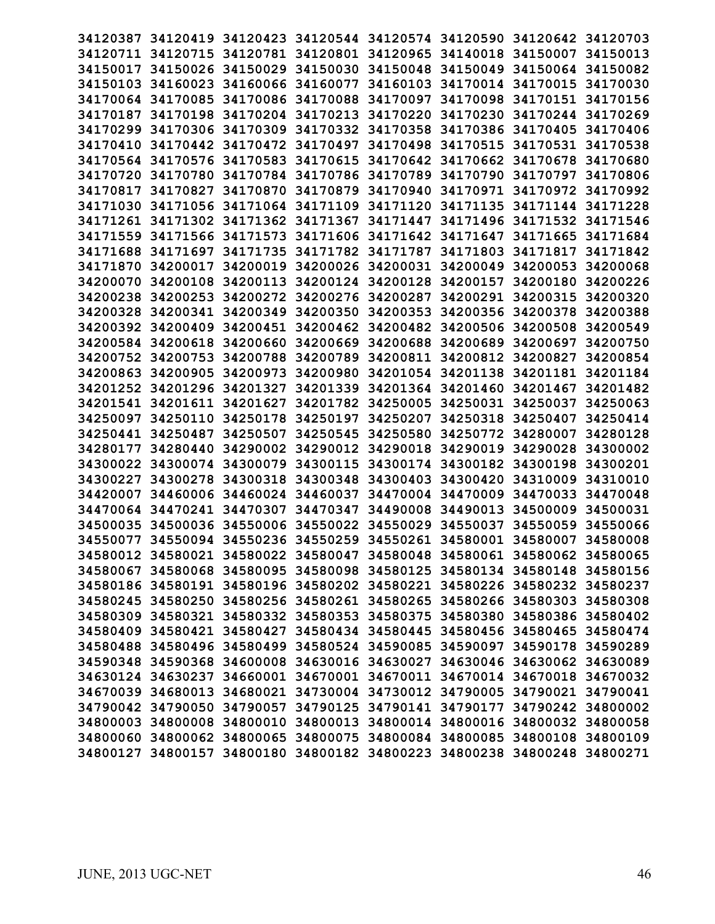| 34120387 |                   |                            |                            |                      | 34120419 34120423 34120544 34120574 34120590 34120642 34120703          |          |          |
|----------|-------------------|----------------------------|----------------------------|----------------------|-------------------------------------------------------------------------|----------|----------|
|          | 34120711 34120715 |                            | 34120781 34120801 34120965 |                      | 34140018 34150007                                                       |          | 34150013 |
| 34150017 | 34150026          |                            | 34150029 34150030 34150048 |                      | 34150049 34150064                                                       |          | 34150082 |
|          | 34160023          |                            |                            |                      |                                                                         |          | 34170030 |
| 34150103 | 34170064 34170085 | 34160066 34160077          | 34170088                   | 34160103<br>34170097 | 34170014 34170015                                                       |          | 34170156 |
|          |                   | 34170086                   |                            |                      | 34170098<br>34170230                                                    | 34170151 |          |
| 34170187 | 34170198          | 34170204 34170213          |                            | 34170220             |                                                                         | 34170244 | 34170269 |
| 34170299 | 34170306          | 34170309 34170332          |                            | 34170358             | 34170386                                                                | 34170405 | 34170406 |
| 34170410 | 34170442          | 34170472 34170497          |                            | 34170498             | 34170515                                                                | 34170531 | 34170538 |
| 34170564 | 34170576          | 34170583 34170615          |                            | 34170642             | 34170662 34170678                                                       |          | 34170680 |
| 34170720 | 34170780          | 34170784 34170786          |                            | 34170789             | 34170790                                                                | 34170797 | 34170806 |
| 34170817 | 34170827          | 34170870                   | 34170879                   | 34170940             | 34170971                                                                | 34170972 | 34170992 |
| 34171030 | 34171056          | 34171064 34171109          |                            | 34171120             | 34171135                                                                | 34171144 | 34171228 |
| 34171261 |                   | 34171302 34171362 34171367 |                            | 34171447             | 34171496                                                                | 34171532 | 34171546 |
| 34171559 | 34171566          |                            | 34171573 34171606 34171642 |                      | 34171647 34171665                                                       |          | 34171684 |
| 34171688 | 34171697          |                            |                            |                      | 34171735 34171782 34171787 34171803 34171817                            |          | 34171842 |
| 34171870 | 34200017          | 34200019                   | 34200026 34200031          |                      | 34200049                                                                | 34200053 | 34200068 |
| 34200070 | 34200108          | 34200113 34200124          |                            | 34200128             | 34200157                                                                | 34200180 | 34200226 |
| 34200238 | 34200253          | 34200272                   | 34200276                   | 34200287             | 34200291                                                                | 34200315 | 34200320 |
| 34200328 | 34200341          | 34200349                   | 34200350                   | 34200353             | 34200356 34200378                                                       |          | 34200388 |
| 34200392 | 34200409          | 34200451                   | 34200462                   | 34200482             | 34200506                                                                | 34200508 | 34200549 |
| 34200584 | 34200618          | 34200660                   | 34200669                   | 34200688             | 34200689 34200697                                                       |          | 34200750 |
| 34200752 | 34200753          | 34200788                   | 34200789                   | 34200811             | 34200812 34200827                                                       |          | 34200854 |
| 34200863 | 34200905          | 34200973                   | 34200980                   | 34201054             | 34201138                                                                | 34201181 | 34201184 |
| 34201252 | 34201296          | 34201327                   | 34201339                   | 34201364             | 34201460                                                                | 34201467 | 34201482 |
| 34201541 | 34201611          | 34201627                   | 34201782                   | 34250005             | 34250031 34250037                                                       |          | 34250063 |
|          | 34250097 34250110 | 34250178                   | 34250197 34250207          |                      | 34250318                                                                | 34250407 | 34250414 |
| 34250441 | 34250487          | 34250507                   | 34250545                   | 34250580             | 34250772 34280007                                                       |          | 34280128 |
| 34280177 | 34280440          | 34290002 34290012          |                            | 34290018             | 34290019                                                                | 34290028 | 34300002 |
| 34300022 | 34300074          | 34300079                   | 34300115                   | 34300174             | 34300182 34300198                                                       |          | 34300201 |
| 34300227 | 34300278          | 34300318                   | 34300348                   | 34300403             | 34300420                                                                | 34310009 | 34310010 |
| 34420007 | 34460006          | 34460024 34460037          |                            | 34470004             | 34470009                                                                | 34470033 | 34470048 |
| 34470064 | 34470241          | 34470307                   | 34470347                   | 34490008             | 34490013                                                                | 34500009 | 34500031 |
| 34500035 | 34500036          |                            | 34550006 34550022 34550029 |                      | 34550037                                                                | 34550059 | 34550066 |
|          |                   |                            |                            |                      | 34550077 34550094 34550236 34550259 34550261 34580001 34580007          |          | 34580008 |
|          |                   |                            |                            |                      | 34580012 34580021 34580022 34580047 34580048 34580061 34580062 34580065 |          |          |
|          |                   |                            |                            |                      | 34580067 34580068 34580095 34580098 34580125 34580134 34580148 34580156 |          |          |
|          |                   |                            |                            |                      | 34580186 34580191 34580196 34580202 34580221 34580226 34580232 34580237 |          |          |
|          |                   |                            |                            |                      | 34580245 34580250 34580256 34580261 34580265 34580266 34580303 34580308 |          |          |
|          |                   |                            |                            |                      | 34580309 34580321 34580332 34580353 34580375 34580380 34580386 34580402 |          |          |
|          |                   |                            |                            |                      | 34580409 34580421 34580427 34580434 34580445 34580456 34580465 34580474 |          |          |
|          |                   |                            |                            |                      | 34580488 34580496 34580499 34580524 34590085 34590097 34590178 34590289 |          |          |
|          |                   |                            |                            |                      | 34590348 34590368 34600008 34630016 34630027 34630046 34630062 34630089 |          |          |
|          |                   |                            |                            |                      | 34630124 34630237 34660001 34670001 34670011 34670014 34670018 34670032 |          |          |
|          |                   |                            |                            |                      | 34670039 34680013 34680021 34730004 34730012 34790005 34790021 34790041 |          |          |
|          |                   |                            |                            |                      | 34790042 34790050 34790057 34790125 34790141 34790177 34790242 34800002 |          |          |
|          |                   |                            |                            |                      | 34800003 34800008 34800010 34800013 34800014 34800016 34800032 34800058 |          |          |
|          |                   |                            |                            |                      | 34800060 34800062 34800065 34800075 34800084 34800085 34800108 34800109 |          |          |
|          |                   |                            |                            |                      | 34800127 34800157 34800180 34800182 34800223 34800238 34800248 34800271 |          |          |
|          |                   |                            |                            |                      |                                                                         |          |          |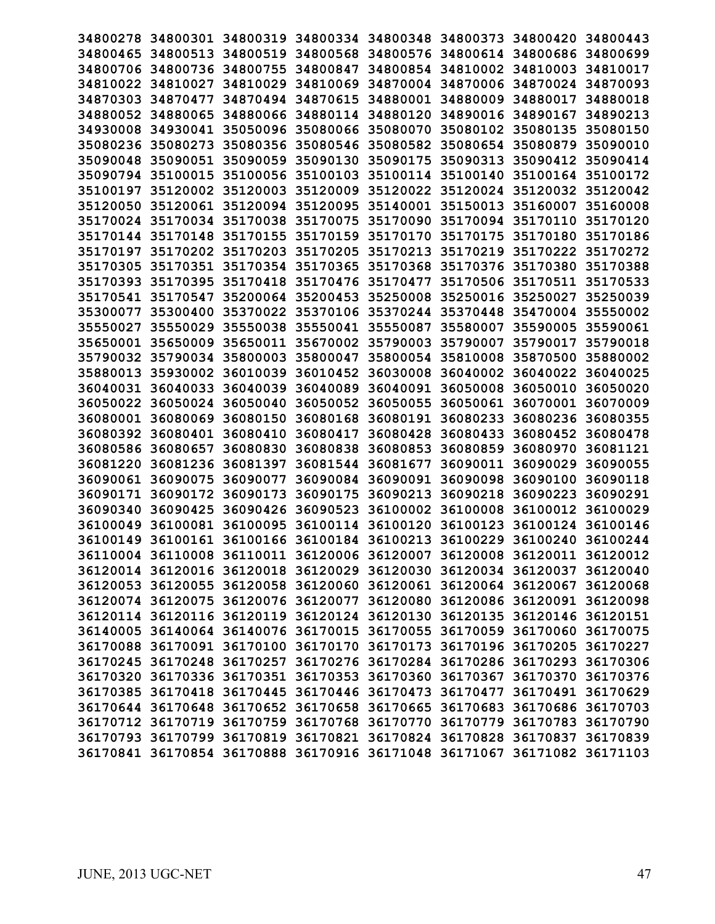|          |                   | 34800278 34800301 34800319 34800334 34800348 34800373 34800420 34800443 |                            |                                                       |                            |                            |          |
|----------|-------------------|-------------------------------------------------------------------------|----------------------------|-------------------------------------------------------|----------------------------|----------------------------|----------|
|          |                   | 34800465 34800513 34800519 34800568 34800576 34800614 34800686 34800699 |                            |                                                       |                            |                            |          |
|          |                   | 34800706 34800736 34800755 34800847 34800854 34810002 34810003 34810017 |                            |                                                       |                            |                            |          |
|          |                   | 34810022 34810027 34810029 34810069 34870004 34870006 34870024 34870093 |                            |                                                       |                            |                            |          |
|          | 34870303 34870477 |                                                                         |                            | 34870494 34870615 34880001 34880009 34880017 34880018 |                            |                            |          |
|          | 34880052 34880065 |                                                                         | 34880066 34880114 34880120 |                                                       | 34890016 34890167          |                            | 34890213 |
| 34930008 | 34930041          |                                                                         | 35050096 35080066 35080070 |                                                       | 35080102 35080135          |                            | 35080150 |
|          | 35080236 35080273 |                                                                         |                            | 35080356 35080546 35080582 35080654 35080879          |                            |                            | 35090010 |
| 35090048 | 35090051          |                                                                         | 35090059 35090130 35090175 |                                                       | 35090313 35090412          |                            | 35090414 |
|          | 35090794 35100015 | 35100056 35100103 35100114 35100140 35100164 35100172                   |                            |                                                       |                            |                            |          |
|          | 35100197 35120002 | 35120003 35120009 35120022 35120024 35120032 35120042                   |                            |                                                       |                            |                            |          |
|          | 35120050 35120061 |                                                                         | 35120094 35120095 35140001 |                                                       |                            | 35150013 35160007          | 35160008 |
|          |                   | 35170024 35170034 35170038 35170075 35170090                            |                            |                                                       |                            | 35170094 35170110          | 35170120 |
|          |                   | 35170144 35170148 35170155 35170159 35170170                            |                            |                                                       | 35170175 35170180          |                            | 35170186 |
|          |                   | 35170197 35170202 35170203 35170205 35170213 35170219 35170222 35170272 |                            |                                                       |                            |                            |          |
|          |                   | 35170305 35170351 35170354 35170365 35170368 35170376 35170380 35170388 |                            |                                                       |                            |                            |          |
|          | 35170393 35170395 | 35170418 35170476 35170477                                              |                            |                                                       | 35170506 35170511 35170533 |                            |          |
| 35170541 | 35170547          |                                                                         | 35200064 35200453 35250008 |                                                       | 35250016                   | 35250027                   | 35250039 |
| 35300077 | 35300400          |                                                                         |                            | 35370022 35370106 35370244 35370448 35470004          |                            |                            | 35550002 |
| 35550027 | 35550029          |                                                                         | 35550038 35550041 35550087 |                                                       | 35580007 35590005          |                            | 35590061 |
|          | 35650001 35650009 | 35650011 35670002 35790003                                              |                            |                                                       | 35790007 35790017          |                            | 35790018 |
|          | 35790032 35790034 |                                                                         | 35800003 35800047 35800054 |                                                       | 35810008                   | 35870500                   | 35880002 |
|          | 35880013 35930002 | 36010039                                                                | 36010452 36030008          |                                                       | 36040002 36040022 36040025 |                            |          |
|          | 36040031 36040033 | 36040039                                                                | 36040089 36040091          |                                                       | 36050008                   | 36050010                   | 36050020 |
|          | 36050022 36050024 | 36050040                                                                | 36050052 36050055          |                                                       |                            | 36050061 36070001          | 36070009 |
|          | 36080001 36080069 | 36080150                                                                | 36080168 36080191          |                                                       |                            | 36080233 36080236 36080355 |          |
|          | 36080392 36080401 | 36080410                                                                | 36080417 36080428          |                                                       | 36080433 36080452 36080478 |                            |          |
|          | 36080586 36080657 | 36080830                                                                | 36080838 36080853          |                                                       | 36080859                   | 36080970 36081121          |          |
| 36081220 | 36081236          | 36081397                                                                | 36081544 36081677          |                                                       | 36090011                   | 36090029                   | 36090055 |
| 36090061 | 36090075          | 36090077                                                                | 36090084                   | 36090091                                              | 36090098                   | 36090100                   | 36090118 |
| 36090171 | 36090172          | 36090173                                                                | 36090175                   | 36090213                                              | 36090218                   | 36090223                   | 36090291 |
| 36090340 | 36090425          | 36090426                                                                | 36090523                   | 36100002                                              | 36100008                   | 36100012                   | 36100029 |
|          |                   | 36100049 36100081 36100095 36100114 36100120 36100123 36100124 36100146 |                            |                                                       |                            |                            |          |
|          |                   | 36100149 36100161 36100166 36100184 36100213 36100229 36100240 36100244 |                            |                                                       |                            |                            |          |
|          |                   | 36110004 36110008 36110011 36120006 36120007 36120008 36120011 36120012 |                            |                                                       |                            |                            |          |
|          |                   | 36120014 36120016 36120018 36120029 36120030 36120034 36120037 36120040 |                            |                                                       |                            |                            |          |
|          |                   | 36120053 36120055 36120058 36120060 36120061 36120064 36120067 36120068 |                            |                                                       |                            |                            |          |
|          |                   | 36120074 36120075 36120076 36120077 36120080 36120086 36120091 36120098 |                            |                                                       |                            |                            |          |
|          |                   | 36120114 36120116 36120119 36120124 36120130 36120135 36120146 36120151 |                            |                                                       |                            |                            |          |
|          |                   | 36140005 36140064 36140076 36170015 36170055 36170059 36170060 36170075 |                            |                                                       |                            |                            |          |
|          |                   | 36170088 36170091 36170100 36170170 36170173 36170196 36170205 36170227 |                            |                                                       |                            |                            |          |
|          |                   | 36170245 36170248 36170257 36170276 36170284 36170286 36170293 36170306 |                            |                                                       |                            |                            |          |
|          |                   | 36170320 36170336 36170351 36170353 36170360 36170367 36170370 36170376 |                            |                                                       |                            |                            |          |
|          |                   | 36170385 36170418 36170445 36170446 36170473 36170477 36170491 36170629 |                            |                                                       |                            |                            |          |
|          |                   | 36170644 36170648 36170652 36170658 36170665 36170683 36170686 36170703 |                            |                                                       |                            |                            |          |
|          |                   | 36170712 36170719 36170759 36170768 36170770 36170779 36170783 36170790 |                            |                                                       |                            |                            |          |
|          |                   | 36170793 36170799 36170819 36170821 36170824 36170828 36170837 36170839 |                            |                                                       |                            |                            |          |
|          |                   | 36170841 36170854 36170888 36170916 36171048 36171067 36171082 36171103 |                            |                                                       |                            |                            |          |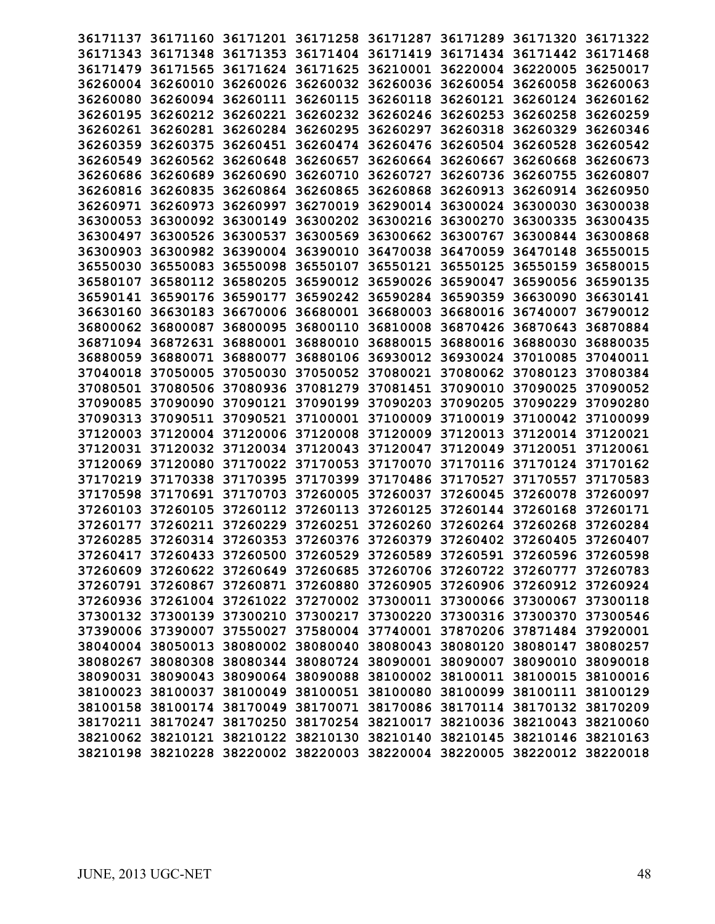| 36171137          |                   |                   |                                              |          | 36171160 36171201 36171258 36171287 36171289 36171320                   |          | 36171322 |
|-------------------|-------------------|-------------------|----------------------------------------------|----------|-------------------------------------------------------------------------|----------|----------|
| 36171343          |                   |                   | 36171348 36171353 36171404 36171419          |          | 36171434 36171442                                                       |          | 36171468 |
|                   | 36171479 36171565 |                   | 36171624 36171625 36210001                   |          | 36220004 36220005                                                       |          | 36250017 |
|                   | 36260004 36260010 |                   | 36260026 36260032 36260036                   |          | 36260054 36260058                                                       |          | 36260063 |
| 36260080          | 36260094          | 36260111 36260115 |                                              | 36260118 | 36260121                                                                | 36260124 | 36260162 |
| 36260195          | 36260212          | 36260221 36260232 |                                              | 36260246 | 36260253                                                                | 36260258 | 36260259 |
| 36260261          | 36260281          | 36260284          | 36260295                                     | 36260297 | 36260318                                                                | 36260329 | 36260346 |
| 36260359          | 36260375          | 36260451          | 36260474                                     | 36260476 | 36260504                                                                | 36260528 | 36260542 |
| 36260549          | 36260562          | 36260648          | 36260657                                     | 36260664 | 36260667                                                                | 36260668 | 36260673 |
| 36260686          | 36260689          | 36260690          | 36260710                                     | 36260727 | 36260736                                                                | 36260755 | 36260807 |
| 36260816          | 36260835          | 36260864          | 36260865                                     | 36260868 | 36260913                                                                | 36260914 | 36260950 |
| 36260971          | 36260973          | 36260997          | 36270019                                     | 36290014 | 36300024                                                                | 36300030 | 36300038 |
| 36300053          | 36300092          | 36300149          | 36300202 36300216                            |          | 36300270                                                                | 36300335 | 36300435 |
| 36300497          | 36300526          | 36300537          | 36300569 36300662                            |          | 36300767                                                                | 36300844 | 36300868 |
| 36300903          | 36300982          |                   | 36390004 36390010 36470038                   |          | 36470059                                                                | 36470148 | 36550015 |
| 36550030 36550083 |                   | 36550098          | 36550107                                     | 36550121 | 36550125                                                                | 36550159 | 36580015 |
| 36580107          | 36580112          | 36580205          | 36590012                                     | 36590026 | 36590047                                                                | 36590056 | 36590135 |
| 36590141          | 36590176          | 36590177          | 36590242                                     | 36590284 | 36590359                                                                | 36630090 | 36630141 |
| 36630160          | 36630183          | 36670006          | 36680001                                     | 36680003 | 36680016                                                                | 36740007 | 36790012 |
|                   |                   |                   |                                              |          |                                                                         |          |          |
| 36800062          | 36800087          | 36800095          | 36800110                                     | 36810008 | 36870426                                                                | 36870643 | 36870884 |
| 36871094          | 36872631          | 36880001          | 36880010                                     | 36880015 | 36880016                                                                | 36880030 | 36880035 |
| 36880059          | 36880071          | 36880077          | 36880106                                     | 36930012 | 36930024 37010085                                                       |          | 37040011 |
| 37040018          | 37050005          | 37050030          | 37050052                                     | 37080021 | 37080062                                                                | 37080123 | 37080384 |
| 37080501          | 37080506          | 37080936          | 37081279                                     | 37081451 | 37090010                                                                | 37090025 | 37090052 |
|                   | 37090085 37090090 |                   | 37090121 37090199 37090203                   |          | 37090205                                                                | 37090229 | 37090280 |
|                   | 37090313 37090511 |                   | 37090521 37100001 37100009                   |          | 37100019 37100042                                                       |          | 37100099 |
|                   |                   |                   | 37120003 37120004 37120006 37120008 37120009 |          | 37120013 37120014 37120021                                              |          |          |
| 37120031          | 37120032          | 37120034 37120043 |                                              | 37120047 | 37120049                                                                | 37120051 | 37120061 |
| 37120069          | 37120080          | 37170022          | 37170053                                     | 37170070 | 37170116                                                                | 37170124 | 37170162 |
| 37170219          | 37170338          | 37170395          | 37170399                                     | 37170486 | 37170527                                                                | 37170557 | 37170583 |
| 37170598          | 37170691          | 37170703          | 37260005                                     | 37260037 | 37260045 37260078                                                       |          | 37260097 |
| 37260103          | 37260105          |                   | 37260112 37260113                            | 37260125 | 37260144 37260168                                                       |          | 37260171 |
| 37260177          | 37260211          |                   | 37260229 37260251 37260260                   |          | 37260264 37260268                                                       |          | 37260284 |
| 37260285          |                   |                   |                                              |          | 37260314 37260353 37260376 37260379 37260402 37260405                   |          | 37260407 |
|                   |                   |                   |                                              |          | 37260417 37260433 37260500 37260529 37260589 37260591 37260596 37260598 |          |          |
|                   |                   |                   |                                              |          | 37260609 37260622 37260649 37260685 37260706 37260722 37260777 37260783 |          |          |
|                   |                   |                   |                                              |          | 37260791 37260867 37260871 37260880 37260905 37260906 37260912 37260924 |          |          |
|                   |                   |                   |                                              |          | 37260936 37261004 37261022 37270002 37300011 37300066 37300067 37300118 |          |          |
|                   |                   |                   |                                              |          | 37300132 37300139 37300210 37300217 37300220 37300316 37300370 37300546 |          |          |
|                   |                   |                   |                                              |          | 37390006 37390007 37550027 37580004 37740001 37870206 37871484 37920001 |          |          |
|                   |                   |                   |                                              |          | 38040004 38050013 38080002 38080040 38080043 38080120 38080147 38080257 |          |          |
|                   |                   |                   |                                              |          | 38080267 38080308 38080344 38080724 38090001 38090007 38090010 38090018 |          |          |
|                   |                   |                   |                                              |          | 38090031 38090043 38090064 38090088 38100002 38100011 38100015 38100016 |          |          |
|                   |                   |                   |                                              |          | 38100023 38100037 38100049 38100051 38100080 38100099 38100111 38100129 |          |          |
|                   |                   |                   |                                              |          | 38100158 38100174 38170049 38170071 38170086 38170114 38170132 38170209 |          |          |
|                   |                   |                   |                                              |          |                                                                         |          |          |
|                   |                   |                   |                                              |          | 38170211 38170247 38170250 38170254 38210017 38210036 38210043 38210060 |          |          |
|                   |                   |                   |                                              |          | 38210062 38210121 38210122 38210130 38210140 38210145 38210146 38210163 |          |          |
|                   |                   |                   |                                              |          | 38210198 38210228 38220002 38220003 38220004 38220005 38220012 38220018 |          |          |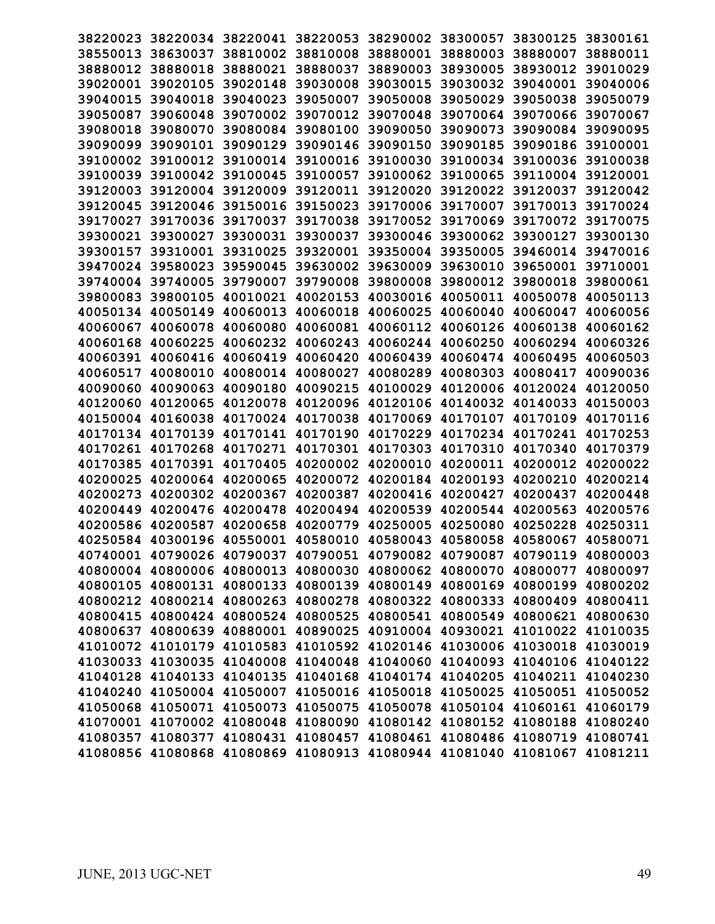| 38220023 |          | 38220034 38220041 | 38220053                                                                |          | 38290002 38300057 | 38300125 | 38300161 |
|----------|----------|-------------------|-------------------------------------------------------------------------|----------|-------------------|----------|----------|
| 38550013 | 38630037 | 38810002          | 38810008                                                                | 38880001 | 38880003          | 38880007 | 38880011 |
| 38880012 | 38880018 | 38880021          | 38880037                                                                | 38890003 | 38930005          | 38930012 | 39010029 |
| 39020001 | 39020105 | 39020148          | 39030008                                                                | 39030015 | 39030032          | 39040001 | 39040006 |
| 39040015 | 39040018 | 39040023          | 39050007                                                                | 39050008 | 39050029          | 39050038 | 39050079 |
|          | 39060048 | 39070002          | 39070012                                                                | 39070048 | 39070064          |          | 39070067 |
| 39050087 |          |                   |                                                                         |          |                   | 39070066 |          |
| 39080018 | 39080070 | 39080084          | 39080100                                                                | 39090050 | 39090073          | 39090084 | 39090095 |
| 39090099 | 39090101 | 39090129          | 39090146                                                                | 39090150 | 39090185          | 39090186 | 39100001 |
| 39100002 | 39100012 | 39100014          | 39100016                                                                | 39100030 | 39100034          | 39100036 | 39100038 |
| 39100039 | 39100042 | 39100045          | 39100057                                                                | 39100062 | 39100065          | 39110004 | 39120001 |
| 39120003 | 39120004 | 39120009          | 39120011                                                                | 39120020 | 39120022          | 39120037 | 39120042 |
| 39120045 | 39120046 | 39150016          | 39150023                                                                | 39170006 | 39170007          | 39170013 | 39170024 |
| 39170027 | 39170036 | 39170037          | 39170038                                                                | 39170052 | 39170069          | 39170072 | 39170075 |
| 39300021 | 39300027 | 39300031          | 39300037                                                                | 39300046 | 39300062          | 39300127 | 39300130 |
| 39300157 | 39310001 | 39310025          | 39320001                                                                | 39350004 | 39350005          | 39460014 | 39470016 |
| 39470024 | 39580023 | 39590045          | 39630002                                                                | 39630009 | 39630010          | 39650001 | 39710001 |
| 39740004 | 39740005 | 39790007          | 39790008                                                                | 39800008 | 39800012          | 39800018 | 39800061 |
| 39800083 | 39800105 | 40010021          | 40020153                                                                | 40030016 | 40050011          | 40050078 | 40050113 |
| 40050134 | 40050149 | 40060013          | 40060018                                                                | 40060025 | 40060040          | 40060047 | 40060056 |
| 40060067 | 40060078 | 40060080          | 40060081                                                                | 40060112 | 40060126          | 40060138 | 40060162 |
| 40060168 | 40060225 | 40060232          | 40060243                                                                | 40060244 | 40060250          | 40060294 | 40060326 |
| 40060391 | 40060416 | 40060419          | 40060420                                                                | 40060439 | 40060474          | 40060495 | 40060503 |
| 40060517 | 40080010 | 40080014          | 40080027                                                                | 40080289 | 40080303          | 40080417 | 40090036 |
| 40090060 | 40090063 | 40090180          | 40090215                                                                | 40100029 | 40120006          | 40120024 | 40120050 |
| 40120060 | 40120065 | 40120078          | 40120096                                                                | 40120106 | 40140032          | 40140033 | 40150003 |
| 40150004 | 40160038 | 40170024          | 40170038                                                                | 40170069 | 40170107          | 40170109 | 40170116 |
| 40170134 | 40170139 | 40170141          | 40170190                                                                | 40170229 | 40170234          | 40170241 | 40170253 |
| 40170261 | 40170268 | 40170271          | 40170301                                                                | 40170303 | 40170310          | 40170340 | 40170379 |
| 40170385 | 40170391 | 40170405          | 40200002                                                                | 40200010 | 40200011          | 40200012 | 40200022 |
| 40200025 | 40200064 | 40200065          | 40200072                                                                | 40200184 | 40200193          | 40200210 | 40200214 |
| 40200273 | 40200302 | 40200367          | 40200387                                                                | 40200416 | 40200427          | 40200437 | 40200448 |
| 40200449 | 40200476 | 40200478          | 40200494                                                                | 40200539 | 40200544          | 40200563 | 40200576 |
| 40200586 | 40200587 | 40200658          | 40200779                                                                | 40250005 | 40250080          | 40250228 | 40250311 |
| 40250584 | 40300196 | 40550001          | 40580010                                                                | 40580043 | 40580058          | 40580067 | 40580071 |
|          |          |                   | 40740001 40790026 40790037 40790051 40790082 40790087 40790119 40800003 |          |                   |          |          |
|          |          |                   | 40800004 40800006 40800013 40800030 40800062 40800070 40800077 40800097 |          |                   |          |          |
|          |          |                   | 40800105 40800131 40800133 40800139 40800149 40800169 40800199 40800202 |          |                   |          |          |
|          |          |                   | 40800212 40800214 40800263 40800278 40800322 40800333 40800409 40800411 |          |                   |          |          |
|          |          |                   | 40800415 40800424 40800524 40800525 40800541 40800549 40800621 40800630 |          |                   |          |          |
|          |          |                   | 40800637 40800639 40880001 40890025 40910004 40930021 41010022 41010035 |          |                   |          |          |
|          |          |                   | 41010072 41010179 41010583 41010592 41020146 41030006 41030018 41030019 |          |                   |          |          |
|          |          |                   | 41030033 41030035 41040008 41040048 41040060 41040093 41040106 41040122 |          |                   |          |          |
|          |          |                   | 41040128 41040133 41040135 41040168 41040174 41040205 41040211 41040230 |          |                   |          |          |
|          |          |                   | 41040240 41050004 41050007 41050016 41050018 41050025 41050051 41050052 |          |                   |          |          |
|          |          |                   | 41050068 41050071 41050073 41050075 41050078 41050104 41060161 41060179 |          |                   |          |          |
|          |          |                   | 41070001 41070002 41080048 41080090 41080142 41080152 41080188 41080240 |          |                   |          |          |
|          |          |                   | 41080357 41080377 41080431 41080457 41080461 41080486 41080719 41080741 |          |                   |          |          |
|          |          |                   | 41080856 41080868 41080869 41080913 41080944 41081040 41081067 41081211 |          |                   |          |          |
|          |          |                   |                                                                         |          |                   |          |          |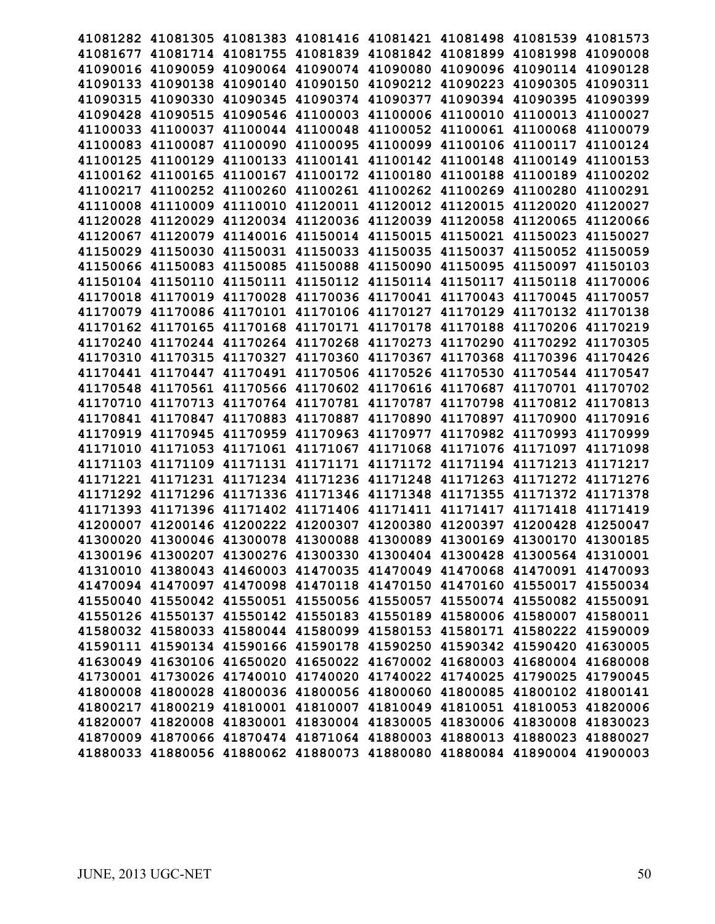|          |                            | 41081282 41081305 41081383 41081416 41081421 41081498 41081539 41081573 |                                              |                                              |                   |          |
|----------|----------------------------|-------------------------------------------------------------------------|----------------------------------------------|----------------------------------------------|-------------------|----------|
|          |                            | 41081677 41081714 41081755 41081839 41081842 41081899 41081998 41090008 |                                              |                                              |                   |          |
|          |                            | 41090016 41090059 41090064 41090074 41090080 41090096 41090114 41090128 |                                              |                                              |                   |          |
|          |                            | 41090133 41090138 41090140 41090150 41090212 41090223 41090305 41090311 |                                              |                                              |                   |          |
|          | 41090315 41090330 41090345 |                                                                         |                                              | 41090374 41090377 41090394 41090395          |                   | 41090399 |
|          | 41090428 41090515          | 41090546                                                                |                                              | 41100003 41100006 41100010                   | 41100013          | 41100027 |
| 41100033 | 41100037                   | 41100044                                                                |                                              | 41100048 41100052 41100061                   | 41100068          | 41100079 |
|          | 41100083 41100087          | 41100090                                                                |                                              | 41100095 41100099 41100106 41100117 41100124 |                   |          |
|          |                            | 41100125 41100129 41100133 41100141 41100142 41100148 41100149 41100153 |                                              |                                              |                   |          |
|          |                            | 41100162 41100165 41100167 41100172 41100180 41100188 41100189 41100202 |                                              |                                              |                   |          |
|          | 41100217 41100252 41100260 |                                                                         | 41100261 41100262 41100269 41100280          |                                              |                   | 41100291 |
|          | 41110008 41110009 41110010 |                                                                         | 41120011 41120012 41120015                   |                                              | 41120020          | 41120027 |
| 41120028 |                            | 41120029 41120034 41120036 41120039 41120058                            |                                              |                                              | 41120065          | 41120066 |
|          |                            | 41120067 41120079 41140016 41150014 41150015 41150021                   |                                              |                                              | 41150023          | 41150027 |
|          |                            | 41150029 41150030 41150031 41150033 41150035 41150037 41150052 41150059 |                                              |                                              |                   |          |
|          | 41150066 41150083 41150085 |                                                                         | 41150088 41150090 41150095 41150097 41150103 |                                              |                   |          |
|          |                            | 41150104 41150110 41150111 41150112 41150114 41150117                   |                                              |                                              | 41150118 41170006 |          |
|          | 41170018 41170019          | 41170028                                                                |                                              | 41170036 41170041 41170043                   | 41170045          | 41170057 |
| 41170079 |                            | 41170086 41170101 41170106 41170127 41170129                            |                                              |                                              | 41170132 41170138 |          |
|          |                            | 41170162 41170165 41170168 41170171 41170178 41170188 41170206 41170219 |                                              |                                              |                   |          |
|          |                            | 41170240 41170244 41170264 41170268 41170273 41170290 41170292 41170305 |                                              |                                              |                   |          |
|          |                            | 41170310 41170315 41170327 41170360 41170367 41170368 41170396 41170426 |                                              |                                              |                   |          |
|          |                            | 41170441 41170447 41170491 41170506 41170526 41170530 41170544 41170547 |                                              |                                              |                   |          |
|          |                            | 41170548 41170561 41170566 41170602 41170616 41170687                   |                                              |                                              | 41170701 41170702 |          |
|          |                            | 41170710 41170713 41170764 41170781 41170787 41170798 41170812 41170813 |                                              |                                              |                   |          |
|          |                            | 41170841 41170847 41170883 41170887 41170890 41170897 41170900 41170916 |                                              |                                              |                   |          |
|          |                            | 41170919 41170945 41170959 41170963 41170977 41170982 41170993 41170999 |                                              |                                              |                   |          |
|          |                            | 41171010 41171053 41171061 41171067 41171068 41171076 41171097 41171098 |                                              |                                              |                   |          |
|          |                            | 41171103 41171109 41171131 41171171 41171172 41171194 41171213 41171217 |                                              |                                              |                   |          |
|          |                            | 41171221 41171231 41171234 41171236 41171248 41171263                   |                                              |                                              | 41171272 41171276 |          |
|          |                            | 41171292 41171296 41171336 41171346 41171348 41171355 41171372 41171378 |                                              |                                              |                   |          |
|          |                            | 41171393 41171396 41171402 41171406 41171411 41171417 41171418 41171419 |                                              |                                              |                   |          |
|          |                            | 41200007 41200146 41200222 41200307 41200380 41200397 41200428 41250047 |                                              |                                              |                   |          |
|          |                            | 41300020 41300046 41300078 41300088 41300089 41300169 41300170 41300185 |                                              |                                              |                   |          |
|          |                            | 41300196 41300207 41300276 41300330 41300404 41300428 41300564 41310001 |                                              |                                              |                   |          |
|          |                            | 41310010 41380043 41460003 41470035 41470049 41470068 41470091 41470093 |                                              |                                              |                   |          |
|          |                            | 41470094 41470097 41470098 41470118 41470150 41470160 41550017 41550034 |                                              |                                              |                   |          |
|          |                            | 41550040 41550042 41550051 41550056 41550057 41550074 41550082 41550091 |                                              |                                              |                   |          |
|          |                            | 41550126 41550137 41550142 41550183 41550189 41580006 41580007 41580011 |                                              |                                              |                   |          |
|          |                            | 41580032 41580033 41580044 41580099 41580153 41580171 41580222 41590009 |                                              |                                              |                   |          |
|          |                            | 41590111 41590134 41590166 41590178 41590250 41590342 41590420 41630005 |                                              |                                              |                   |          |
|          |                            | 41630049 41630106 41650020 41650022 41670002 41680003 41680004 41680008 |                                              |                                              |                   |          |
|          |                            | 41730001 41730026 41740010 41740020 41740022 41740025 41790025 41790045 |                                              |                                              |                   |          |
|          |                            | 41800008 41800028 41800036 41800056 41800060 41800085 41800102 41800141 |                                              |                                              |                   |          |
|          |                            | 41800217 41800219 41810001 41810007 41810049 41810051 41810053 41820006 |                                              |                                              |                   |          |
|          |                            | 41820007 41820008 41830001 41830004 41830005 41830006 41830008 41830023 |                                              |                                              |                   |          |
|          |                            | 41870009 41870066 41870474 41871064 41880003 41880013 41880023 41880027 |                                              |                                              |                   |          |
|          |                            | 41880033 41880056 41880062 41880073 41880080 41880084 41890004 41900003 |                                              |                                              |                   |          |
|          |                            |                                                                         |                                              |                                              |                   |          |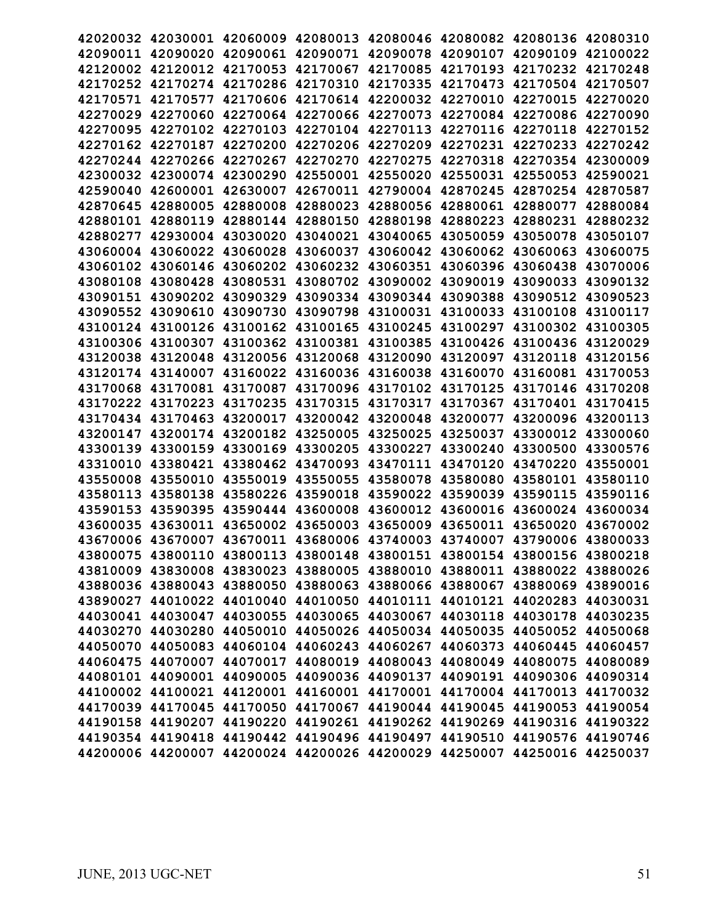|                   |                   |                                              |                            |                                     |          | 42020032 42030001 42060009 42080013 42080046 42080082 42080136 42080310 |          |
|-------------------|-------------------|----------------------------------------------|----------------------------|-------------------------------------|----------|-------------------------------------------------------------------------|----------|
|                   |                   |                                              |                            |                                     |          | 42090011 42090020 42090061 42090071 42090078 42090107 42090109 42100022 |          |
|                   |                   |                                              |                            |                                     |          | 42120002 42120012 42170053 42170067 42170085 42170193 42170232 42170248 |          |
|                   |                   |                                              |                            |                                     |          | 42170252 42170274 42170286 42170310 42170335 42170473 42170504 42170507 |          |
|                   | 42170571 42170577 |                                              |                            |                                     |          | 42170606 42170614 42200032 42270010 42270015 42270020                   |          |
|                   | 42270029 42270060 |                                              |                            |                                     |          | 42270064 42270066 42270073 42270084 42270086 42270090                   |          |
| 42270095          | 42270102          | 42270103                                     | 42270104                   | 42270113                            |          | 42270116 42270118                                                       | 42270152 |
|                   | 42270162 42270187 | 42270200                                     | 42270206 42270209          |                                     |          | 42270231 42270233 42270242                                              |          |
|                   |                   |                                              |                            |                                     |          | 42270244 42270266 42270267 42270270 42270275 42270318 42270354 42300009 |          |
|                   |                   | 42300032 42300074 42300290 42550001 42550020 |                            |                                     |          | 42550031 42550053 42590021                                              |          |
|                   | 42590040 42600001 | 42630007                                     |                            | 42670011 42790004 42870245          |          | 42870254 42870587                                                       |          |
|                   | 42870645 42880005 | 42880008                                     |                            | 42880023 42880056 42880061          |          | 42880077                                                                | 42880084 |
|                   | 42880101 42880119 |                                              |                            | 42880144 42880150 42880198 42880223 |          | 42880231 42880232                                                       |          |
|                   |                   | 42880277 42930004 43030020                   |                            | 43040021 43040065 43050059          |          | 43050078 43050107                                                       |          |
|                   |                   |                                              |                            |                                     |          | 43060004 43060022 43060028 43060037 43060042 43060062 43060063 43060075 |          |
|                   |                   |                                              |                            |                                     |          | 43060102 43060146 43060202 43060232 43060351 43060396 43060438 43070006 |          |
| 43080108 43080428 |                   | 43080531                                     | 43080702 43090002          |                                     | 43090019 | 43090033 43090132                                                       |          |
|                   | 43090151 43090202 | 43090329                                     | 43090334                   | 43090344 43090388                   |          | 43090512 43090523                                                       |          |
| 43090552 43090610 |                   | 43090730                                     | 43090798                   | 43100031                            | 43100033 | 43100108                                                                | 43100117 |
|                   | 43100124 43100126 |                                              | 43100162 43100165 43100245 |                                     | 43100297 | 43100302 43100305                                                       |          |
|                   |                   | 43100306 43100307 43100362 43100381 43100385 |                            |                                     |          | 43100426 43100436 43120029                                              |          |
| 43120038 43120048 |                   |                                              |                            |                                     |          | 43120056 43120068 43120090 43120097 43120118 43120156                   |          |
|                   | 43120174 43140007 |                                              |                            | 43160022 43160036 43160038 43160070 |          | 43160081 43170053                                                       |          |
|                   | 43170068 43170081 |                                              |                            | 43170087 43170096 43170102 43170125 |          | 43170146 43170208                                                       |          |
|                   | 43170222 43170223 | 43170235                                     |                            | 43170315 43170317                   | 43170367 | 43170401 43170415                                                       |          |
|                   |                   |                                              |                            |                                     |          | 43170434 43170463 43200017 43200042 43200048 43200077 43200096 43200113 |          |
|                   |                   |                                              |                            |                                     |          | 43200147 43200174 43200182 43250005 43250025 43250037 43300012 43300060 |          |
|                   | 43300139 43300159 | 43300169                                     |                            | 43300205 43300227 43300240          |          | 43300500 43300576                                                       |          |
| 43310010 43380421 |                   |                                              | 43380462 43470093 43470111 |                                     | 43470120 | 43470220 43550001                                                       |          |
| 43550008          | 43550010          | 43550019                                     | 43550055                   | 43580078                            | 43580080 | 43580101 43580110                                                       |          |
| 43580113 43580138 |                   | 43580226                                     | 43590018                   | 43590022 43590039                   |          | 43590115 43590116                                                       |          |
| 43590153 43590395 |                   |                                              |                            |                                     |          | 43590444 43600008 43600012 43600016 43600024 43600034                   |          |
|                   |                   |                                              |                            |                                     |          | 43600035 43630011 43650002 43650003 43650009 43650011 43650020 43670002 |          |
|                   |                   |                                              |                            |                                     |          | 43670006 43670007 43670011 43680006 43740003 43740007 43790006 43800033 |          |
|                   |                   |                                              |                            |                                     |          | 43800075 43800110 43800113 43800148 43800151 43800154 43800156 43800218 |          |
|                   |                   |                                              |                            |                                     |          | 43810009 43830008 43830023 43880005 43880010 43880011 43880022 43880026 |          |
|                   |                   |                                              |                            |                                     |          | 43880036 43880043 43880050 43880063 43880066 43880067 43880069 43890016 |          |
|                   |                   |                                              |                            |                                     |          | 43890027 44010022 44010040 44010050 44010111 44010121 44020283 44030031 |          |
|                   |                   |                                              |                            |                                     |          | 44030041 44030047 44030055 44030065 44030067 44030118 44030178 44030235 |          |
|                   |                   |                                              |                            |                                     |          | 44030270 44030280 44050010 44050026 44050034 44050035 44050052 44050068 |          |
|                   |                   |                                              |                            |                                     |          | 44050070 44050083 44060104 44060243 44060267 44060373 44060445 44060457 |          |
|                   |                   |                                              |                            |                                     |          | 44060475 44070007 44070017 44080019 44080043 44080049 44080075 44080089 |          |
|                   |                   |                                              |                            |                                     |          | 44080101 44090001 44090005 44090036 44090137 44090191 44090306 44090314 |          |
|                   |                   |                                              |                            |                                     |          | 44100002 44100021 44120001 44160001 44170001 44170004 44170013 44170032 |          |
|                   |                   |                                              |                            |                                     |          | 44170039 44170045 44170050 44170067 44190044 44190045 44190053 44190054 |          |
|                   |                   |                                              |                            |                                     |          | 44190158 44190207 44190220 44190261 44190262 44190269 44190316 44190322 |          |
|                   |                   |                                              |                            |                                     |          | 44190354 44190418 44190442 44190496 44190497 44190510 44190576 44190746 |          |
|                   |                   |                                              |                            |                                     |          | 44200006 44200007 44200024 44200026 44200029 44250007 44250016 44250037 |          |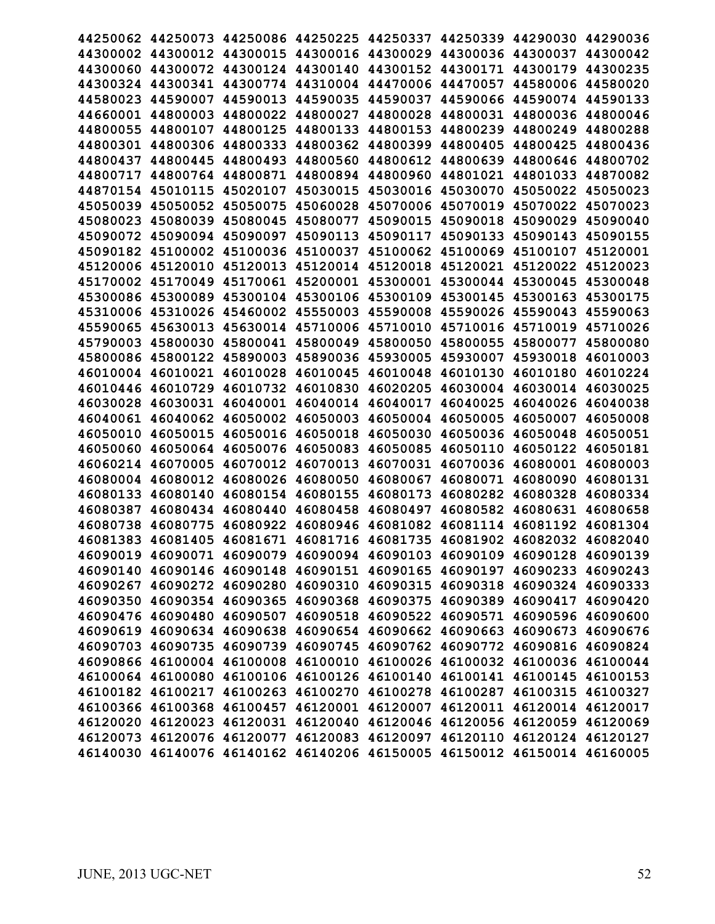| 44250062 |                                                                         | 44250073 44250086 44250225 44250337 44250339 44290030 |          |                                              |          |                   | 44290036 |
|----------|-------------------------------------------------------------------------|-------------------------------------------------------|----------|----------------------------------------------|----------|-------------------|----------|
| 44300002 | 44300012                                                                | 44300015                                              | 44300016 | 44300029                                     |          | 44300036 44300037 | 44300042 |
|          | 44300060 44300072                                                       | 44300124                                              | 44300140 | 44300152 44300171                            |          | 44300179          | 44300235 |
| 44300324 | 44300341                                                                | 44300774                                              | 44310004 | 44470006                                     | 44470057 | 44580006          | 44580020 |
| 44580023 | 44590007                                                                | 44590013                                              | 44590035 | 44590037                                     | 44590066 | 44590074          | 44590133 |
| 44660001 | 44800003                                                                | 44800022                                              | 44800027 | 44800028                                     | 44800031 | 44800036          | 44800046 |
| 44800055 | 44800107                                                                | 44800125                                              | 44800133 | 44800153                                     | 44800239 | 44800249          | 44800288 |
| 44800301 | 44800306                                                                | 44800333                                              | 44800362 | 44800399                                     | 44800405 | 44800425          | 44800436 |
| 44800437 | 44800445                                                                | 44800493                                              | 44800560 | 44800612 44800639                            |          | 44800646          | 44800702 |
| 44800717 | 44800764                                                                | 44800871                                              | 44800894 | 44800960                                     | 44801021 | 44801033          | 44870082 |
| 44870154 | 45010115                                                                | 45020107                                              | 45030015 | 45030016                                     | 45030070 | 45050022          | 45050023 |
| 45050039 | 45050052                                                                | 45050075                                              | 45060028 | 45070006                                     | 45070019 | 45070022          | 45070023 |
| 45080023 | 45080039                                                                | 45080045                                              | 45080077 | 45090015                                     | 45090018 | 45090029          | 45090040 |
| 45090072 | 45090094                                                                | 45090097                                              | 45090113 | 45090117                                     | 45090133 | 45090143          | 45090155 |
|          | 45090182 45100002                                                       | 45100036                                              | 45100037 | 45100062 45100069                            |          | 45100107          | 45120001 |
|          | 45120006 45120010                                                       | 45120013                                              | 45120014 | 45120018                                     | 45120021 | 45120022          | 45120023 |
| 45170002 | 45170049                                                                | 45170061                                              | 45200001 | 45300001                                     | 45300044 | 45300045          | 45300048 |
| 45300086 | 45300089                                                                | 45300104                                              | 45300106 | 45300109                                     | 45300145 | 45300163          | 45300175 |
| 45310006 | 45310026                                                                | 45460002                                              | 45550003 | 45590008                                     | 45590026 | 45590043          | 45590063 |
| 45590065 | 45630013                                                                | 45630014                                              | 45710006 | 45710010                                     | 45710016 | 45710019          | 45710026 |
| 45790003 | 45800030                                                                | 45800041                                              | 45800049 | 45800050 45800055                            |          | 45800077          | 45800080 |
|          | 45800086 45800122                                                       | 45890003                                              | 45890036 | 45930005                                     | 45930007 | 45930018          | 46010003 |
| 46010004 | 46010021                                                                | 46010028                                              | 46010045 | 46010048                                     | 46010130 | 46010180          | 46010224 |
| 46010446 | 46010729                                                                | 46010732                                              | 46010830 | 46020205                                     | 46030004 | 46030014          | 46030025 |
| 46030028 | 46030031                                                                | 46040001                                              | 46040014 | 46040017                                     | 46040025 | 46040026          | 46040038 |
| 46040061 | 46040062                                                                | 46050002                                              | 46050003 | 46050004                                     | 46050005 | 46050007          | 46050008 |
| 46050010 | 46050015                                                                | 46050016                                              | 46050018 | 46050030                                     | 46050036 | 46050048          | 46050051 |
| 46050060 | 46050064                                                                | 46050076                                              | 46050083 | 46050085                                     | 46050110 | 46050122          | 46050181 |
| 46060214 | 46070005                                                                | 46070012                                              | 46070013 | 46070031                                     | 46070036 | 46080001          | 46080003 |
| 46080004 | 46080012                                                                | 46080026                                              | 46080050 | 46080067                                     | 46080071 | 46080090          | 46080131 |
| 46080133 | 46080140                                                                | 46080154                                              | 46080155 | 46080173                                     | 46080282 | 46080328          | 46080334 |
| 46080387 | 46080434                                                                | 46080440                                              | 46080458 | 46080497                                     | 46080582 | 46080631          | 46080658 |
| 46080738 | 46080775                                                                | 46080922                                              | 46080946 | 46081082 46081114                            |          | 46081192          | 46081304 |
|          | 46081383 46081405 46081671 46081716 46081735 46081902 46082032 46082040 |                                                       |          |                                              |          |                   |          |
|          | 46090019 46090071 46090079 46090094 46090103 46090109 46090128 46090139 |                                                       |          |                                              |          |                   |          |
| 46090140 |                                                                         | 46090146 46090148                                     |          | 46090151 46090165 46090197                   |          | 46090233          | 46090243 |
|          | 46090267 46090272 46090280                                              |                                                       |          | 46090310 46090315 46090318                   |          | 46090324          | 46090333 |
|          | 46090350 46090354 46090365 46090368 46090375 46090389 46090417 46090420 |                                                       |          |                                              |          |                   |          |
|          | 46090476 46090480 46090507 46090518 46090522 46090571                   |                                                       |          |                                              |          | 46090596 46090600 |          |
|          | 46090619 46090634 46090638                                              |                                                       |          | 46090654 46090662 46090663                   |          | 46090673 46090676 |          |
|          | 46090703 46090735 46090739                                              |                                                       |          | 46090745 46090762 46090772 46090816 46090824 |          |                   |          |
|          | 46090866 46100004 46100008                                              |                                                       |          | 46100010 46100026 46100032                   |          | 46100036 46100044 |          |
|          | 46100064 46100080 46100106 46100126 46100140 46100141 46100145          |                                                       |          |                                              |          |                   | 46100153 |
|          | 46100182 46100217 46100263 46100270 46100278 46100287 46100315 46100327 |                                                       |          |                                              |          |                   |          |
|          | 46100366 46100368 46100457 46120001 46120007 46120011 46120014 46120017 |                                                       |          |                                              |          |                   |          |
|          | 46120020 46120023 46120031 46120040 46120046 46120056 46120059 46120069 |                                                       |          |                                              |          |                   |          |
|          | 46120073 46120076 46120077 46120083 46120097 46120110 46120124 46120127 |                                                       |          |                                              |          |                   |          |
|          | 46140030 46140076 46140162 46140206 46150005 46150012 46150014 46160005 |                                                       |          |                                              |          |                   |          |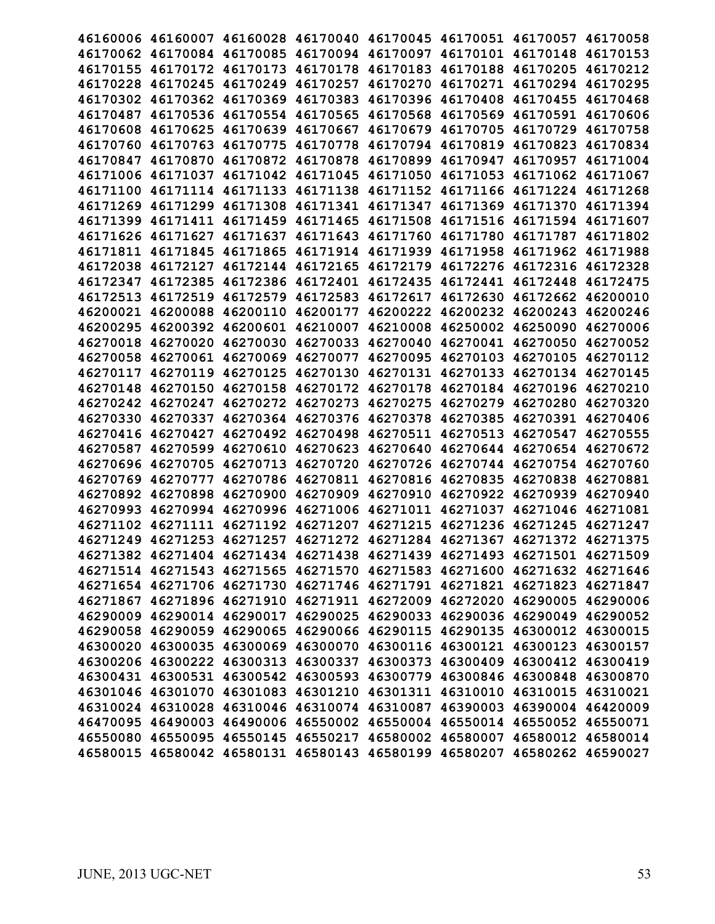|          |                   |                            |                                     |                            |          | 46160006 46160007 46160028 46170040 46170045 46170051 46170057 46170058 |          |
|----------|-------------------|----------------------------|-------------------------------------|----------------------------|----------|-------------------------------------------------------------------------|----------|
|          |                   |                            |                                     |                            |          | 46170062 46170084 46170085 46170094 46170097 46170101 46170148 46170153 |          |
|          |                   |                            |                                     |                            |          | 46170155 46170172 46170173 46170178 46170183 46170188 46170205 46170212 |          |
|          |                   |                            |                                     |                            |          | 46170228 46170245 46170249 46170257 46170270 46170271 46170294 46170295 |          |
|          |                   |                            |                                     |                            |          | 46170302 46170362 46170369 46170383 46170396 46170408 46170455 46170468 |          |
|          |                   |                            |                                     |                            |          | 46170487 46170536 46170554 46170565 46170568 46170569 46170591 46170606 |          |
| 46170608 | 46170625          | 46170639                   | 46170667                            | 46170679                   | 46170705 | 46170729 46170758                                                       |          |
|          |                   | 46170760 46170763 46170775 |                                     | 46170778 46170794 46170819 |          | 46170823 46170834                                                       |          |
|          |                   |                            |                                     |                            |          | 46170847 46170870 46170872 46170878 46170899 46170947 46170957 46171004 |          |
|          |                   |                            |                                     |                            |          | 46171006 46171037 46171042 46171045 46171050 46171053 46171062 46171067 |          |
|          |                   |                            |                                     |                            |          | 46171100 46171114 46171133 46171138 46171152 46171166 46171224 46171268 |          |
|          |                   |                            |                                     |                            |          | 46171269 46171299 46171308 46171341 46171347 46171369 46171370 46171394 |          |
|          |                   |                            |                                     |                            |          | 46171399 46171411 46171459 46171465 46171508 46171516 46171594 46171607 |          |
|          |                   |                            |                                     |                            |          | 46171626 46171627 46171637 46171643 46171760 46171780 46171787          | 46171802 |
|          |                   |                            |                                     |                            |          | 46171811 46171845 46171865 46171914 46171939 46171958 46171962 46171988 |          |
|          |                   |                            |                                     |                            |          | 46172038 46172127 46172144 46172165 46172179 46172276 46172316 46172328 |          |
|          | 46172347 46172385 |                            |                                     |                            |          | 46172386 46172401 46172435 46172441 46172448 46172475                   |          |
|          |                   |                            |                                     |                            |          | 46172513 46172519 46172579 46172583 46172617 46172630 46172662 46200010 |          |
|          | 46200021 46200088 | 46200110                   | 46200177 46200222                   |                            | 46200232 | 46200243 46200246                                                       |          |
|          |                   |                            |                                     |                            |          | 46200295 46200392 46200601 46210007 46210008 46250002 46250090          | 46270006 |
|          |                   |                            |                                     |                            |          | 46270018 46270020 46270030 46270033 46270040 46270041 46270050 46270052 |          |
|          |                   |                            |                                     |                            |          | 46270058 46270061 46270069 46270077 46270095 46270103 46270105 46270112 |          |
|          |                   |                            |                                     |                            |          | 46270117 46270119 46270125 46270130 46270131 46270133 46270134 46270145 |          |
|          |                   |                            |                                     |                            |          | 46270148 46270150 46270158 46270172 46270178 46270184 46270196 46270210 |          |
|          | 46270242 46270247 |                            | 46270272 46270273 46270275 46270279 |                            |          | 46270280 46270320                                                       |          |
|          | 46270330 46270337 |                            |                                     |                            |          | 46270364 46270376 46270378 46270385 46270391 46270406                   |          |
|          |                   |                            |                                     |                            |          | 46270416 46270427 46270492 46270498 46270511 46270513 46270547 46270555 |          |
|          |                   |                            |                                     |                            |          | 46270587 46270599 46270610 46270623 46270640 46270644 46270654 46270672 |          |
|          | 46270696 46270705 |                            |                                     |                            |          | 46270713 46270720 46270726 46270744 46270754 46270760                   |          |
| 46270769 | 46270777          | 46270786                   | 46270811 46270816                   |                            | 46270835 | 46270838                                                                | 46270881 |
|          | 46270892 46270898 | 46270900                   |                                     |                            |          | 46270909 46270910 46270922 46270939                                     | 46270940 |
|          |                   |                            |                                     |                            |          | 46270993 46270994 46270996 46271006 46271011 46271037 46271046 46271081 |          |
|          |                   |                            |                                     |                            |          | 46271102 46271111 46271192 46271207 46271215 46271236 46271245 46271247 |          |
|          |                   |                            |                                     |                            |          | 46271249 46271253 46271257 46271272 46271284 46271367 46271372 46271375 |          |
|          |                   |                            |                                     |                            |          | 46271382 46271404 46271434 46271438 46271439 46271493 46271501 46271509 |          |
|          |                   |                            |                                     |                            |          | 46271514 46271543 46271565 46271570 46271583 46271600 46271632 46271646 |          |
|          |                   |                            |                                     |                            |          | 46271654 46271706 46271730 46271746 46271791 46271821 46271823 46271847 |          |
|          |                   |                            |                                     |                            |          | 46271867 46271896 46271910 46271911 46272009 46272020 46290005 46290006 |          |
|          |                   |                            |                                     |                            |          | 46290009 46290014 46290017 46290025 46290033 46290036 46290049 46290052 |          |
|          |                   |                            |                                     |                            |          | 46290058 46290059 46290065 46290066 46290115 46290135 46300012 46300015 |          |
|          |                   |                            |                                     |                            |          | 46300020 46300035 46300069 46300070 46300116 46300121 46300123 46300157 |          |
|          |                   |                            |                                     |                            |          | 46300206 46300222 46300313 46300337 46300373 46300409 46300412 46300419 |          |
|          |                   |                            |                                     |                            |          | 46300431 46300531 46300542 46300593 46300779 46300846 46300848 46300870 |          |
|          |                   |                            |                                     |                            |          | 46301046 46301070 46301083 46301210 46301311 46310010 46310015 46310021 |          |
|          |                   |                            |                                     |                            |          | 46310024 46310028 46310046 46310074 46310087 46390003 46390004 46420009 |          |
|          |                   |                            |                                     |                            |          | 46470095 46490003 46490006 46550002 46550004 46550014 46550052 46550071 |          |
|          |                   |                            |                                     |                            |          | 46550080 46550095 46550145 46550217 46580002 46580007 46580012 46580014 |          |
|          |                   |                            |                                     |                            |          | 46580015 46580042 46580131 46580143 46580199 46580207 46580262 46590027 |          |
|          |                   |                            |                                     |                            |          |                                                                         |          |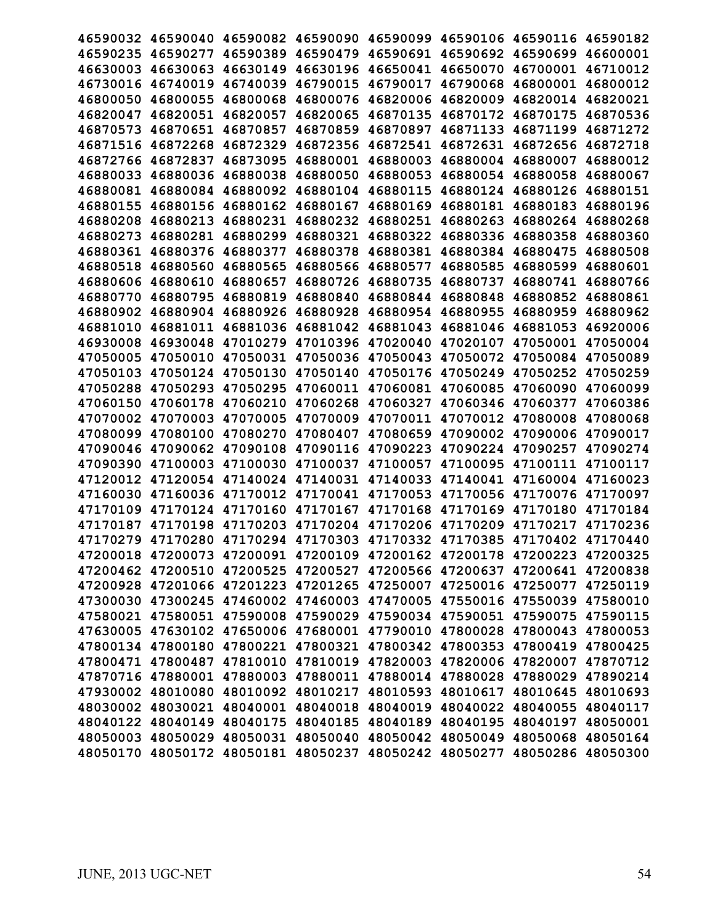|                   |                   | 46590032 46590040 46590082 46590090 46590099 46590106 46590116 46590182 |                            |          |                                                       |                   |          |
|-------------------|-------------------|-------------------------------------------------------------------------|----------------------------|----------|-------------------------------------------------------|-------------------|----------|
| 46590235          | 46590277          | 46590389                                                                | 46590479                   | 46590691 | 46590692                                              | 46590699          | 46600001 |
|                   | 46630003 46630063 | 46630149                                                                | 46630196 46650041          |          | 46650070                                              | 46700001 46710012 |          |
|                   | 46730016 46740019 | 46740039                                                                | 46790015 46790017          |          | 46790068                                              | 46800001 46800012 |          |
| 46800050 46800055 |                   | 46800068                                                                | 46800076 46820006          |          | 46820009                                              | 46820014 46820021 |          |
|                   |                   | 46820057                                                                |                            | 46870135 |                                                       |                   |          |
| 46820047          | 46820051          |                                                                         | 46820065                   |          | 46870172                                              | 46870175          | 46870536 |
| 46870573          | 46870651          | 46870857                                                                | 46870859                   | 46870897 | 46871133                                              | 46871199          | 46871272 |
| 46871516          | 46872268          | 46872329                                                                | 46872356                   | 46872541 | 46872631                                              | 46872656          | 46872718 |
|                   | 46872766 46872837 | 46873095                                                                | 46880001 46880003          |          | 46880004                                              | 46880007          | 46880012 |
|                   | 46880033 46880036 | 46880038                                                                | 46880050 46880053          |          | 46880054                                              | 46880058          | 46880067 |
|                   | 46880081 46880084 | 46880092                                                                | 46880104 46880115          |          | 46880124                                              | 46880126 46880151 |          |
| 46880155          | 46880156          | 46880162                                                                | 46880167                   | 46880169 | 46880181                                              | 46880183          | 46880196 |
| 46880208          | 46880213          | 46880231                                                                | 46880232                   | 46880251 | 46880263                                              | 46880264          | 46880268 |
| 46880273          | 46880281          | 46880299                                                                | 46880321                   | 46880322 | 46880336                                              | 46880358          | 46880360 |
|                   | 46880361 46880376 | 46880377                                                                | 46880378                   |          | 46880381 46880384                                     | 46880475          | 46880508 |
|                   | 46880518 46880560 | 46880565                                                                | 46880566 46880577          |          | 46880585                                              | 46880599          | 46880601 |
|                   | 46880606 46880610 | 46880657                                                                | 46880726                   | 46880735 | 46880737                                              | 46880741          | 46880766 |
| 46880770          | 46880795          | 46880819                                                                | 46880840                   | 46880844 | 46880848                                              | 46880852          | 46880861 |
| 46880902          | 46880904          | 46880926                                                                | 46880928                   | 46880954 | 46880955                                              | 46880959          | 46880962 |
| 46881010          | 46881011          | 46881036                                                                | 46881042                   | 46881043 | 46881046                                              | 46881053          | 46920006 |
|                   | 46930008 46930048 |                                                                         | 47010279 47010396 47020040 |          | 47020107                                              | 47050001 47050004 |          |
|                   | 47050005 47050010 | 47050031                                                                | 47050036 47050043          |          | 47050072                                              | 47050084 47050089 |          |
|                   | 47050103 47050124 | 47050130                                                                | 47050140                   | 47050176 | 47050249                                              | 47050252          | 47050259 |
| 47050288          | 47050293          | 47050295                                                                | 47060011                   | 47060081 | 47060085                                              | 47060090          | 47060099 |
| 47060150          | 47060178          | 47060210                                                                | 47060268                   | 47060327 | 47060346                                              | 47060377          | 47060386 |
|                   | 47070002 47070003 | 47070005                                                                | 47070009 47070011          |          | 47070012                                              | 47080008          | 47080068 |
|                   | 47080099 47080100 | 47080270                                                                |                            |          | 47080407 47080659 47090002                            | 47090006 47090017 |          |
|                   | 47090046 47090062 | 47090108                                                                | 47090116 47090223          |          | 47090224                                              | 47090257          | 47090274 |
| 47090390          | 47100003          | 47100030                                                                | 47100037                   | 47100057 | 47100095                                              | 47100111          | 47100117 |
| 47120012          | 47120054          | 47140024                                                                | 47140031                   | 47140033 | 47140041                                              | 47160004          | 47160023 |
| 47160030          | 47160036          | 47170012                                                                | 47170041                   | 47170053 | 47170056                                              | 47170076          | 47170097 |
| 47170109          | 47170124 47170160 |                                                                         | 47170167 47170168          |          | 47170169 47170180                                     |                   | 47170184 |
|                   |                   | 47170187 47170198 47170203 47170204 47170206 47170209 47170217 47170236 |                            |          |                                                       |                   |          |
|                   |                   | 47170279 47170280 47170294 47170303 47170332 47170385 47170402 47170440 |                            |          |                                                       |                   |          |
|                   |                   | 47200018 47200073 47200091 47200109 47200162 47200178 47200223 47200325 |                            |          |                                                       |                   |          |
|                   |                   | 47200462 47200510 47200525 47200527 47200566 47200637 47200641 47200838 |                            |          |                                                       |                   |          |
|                   |                   | 47200928 47201066 47201223 47201265 47250007 47250016 47250077 47250119 |                            |          |                                                       |                   |          |
|                   |                   | 47300030 47300245 47460002 47460003 47470005 47550016 47550039 47580010 |                            |          |                                                       |                   |          |
|                   |                   | 47580021 47580051 47590008 47590029 47590034 47590051 47590075 47590115 |                            |          |                                                       |                   |          |
|                   |                   | 47630005 47630102 47650006 47680001 47790010 47800028 47800043 47800053 |                            |          |                                                       |                   |          |
|                   |                   | 47800134 47800180 47800221 47800321 47800342 47800353 47800419 47800425 |                            |          |                                                       |                   |          |
|                   | 47800471 47800487 | 47810010                                                                |                            |          | 47810019 47820003 47820006 47820007 47870712          |                   |          |
|                   | 47870716 47880001 |                                                                         |                            |          | 47880003 47880011 47880014 47880028                   | 47880029 47890214 |          |
|                   |                   | 47930002 48010080 48010092 48010217 48010593 48010617 48010645 48010693 |                            |          |                                                       |                   |          |
|                   | 48030002 48030021 |                                                                         |                            |          | 48040001 48040018 48040019 48040022 48040055 48040117 |                   |          |
|                   | 48040122 48040149 |                                                                         |                            |          | 48040175 48040185 48040189 48040195                   | 48040197 48050001 |          |
|                   |                   | 48050003 48050029 48050031 48050040 48050042 48050049 48050068 48050164 |                            |          |                                                       |                   |          |
|                   |                   | 48050170 48050172 48050181 48050237 48050242 48050277                   |                            |          |                                                       | 48050286 48050300 |          |
|                   |                   |                                                                         |                            |          |                                                       |                   |          |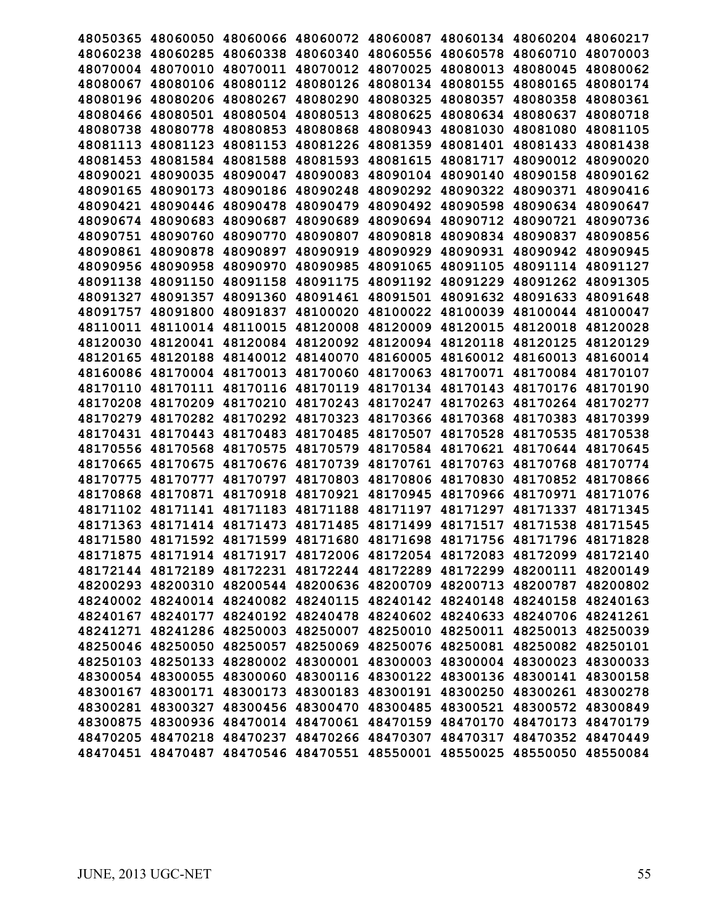| 48050365 |                   | 48060050 48060066 48060072 48060087          |                   |          |          | 48060134 48060204                                                       | 48060217 |
|----------|-------------------|----------------------------------------------|-------------------|----------|----------|-------------------------------------------------------------------------|----------|
| 48060238 | 48060285          | 48060338                                     | 48060340          | 48060556 | 48060578 | 48060710                                                                | 48070003 |
|          | 48070004 48070010 | 48070011                                     | 48070012 48070025 |          | 48080013 | 48080045                                                                | 48080062 |
| 48080067 | 48080106          | 48080112                                     | 48080126 48080134 |          | 48080155 | 48080165                                                                | 48080174 |
|          |                   |                                              |                   |          |          |                                                                         |          |
| 48080196 | 48080206          | 48080267                                     | 48080290          | 48080325 | 48080357 | 48080358                                                                | 48080361 |
| 48080466 | 48080501          | 48080504                                     | 48080513          | 48080625 | 48080634 | 48080637                                                                | 48080718 |
| 48080738 | 48080778          | 48080853                                     | 48080868          | 48080943 | 48081030 | 48081080                                                                | 48081105 |
| 48081113 | 48081123          | 48081153                                     | 48081226          | 48081359 | 48081401 | 48081433                                                                | 48081438 |
| 48081453 | 48081584          | 48081588                                     | 48081593          | 48081615 | 48081717 | 48090012 48090020                                                       |          |
|          | 48090021 48090035 | 48090047                                     | 48090083          | 48090104 | 48090140 | 48090158                                                                | 48090162 |
| 48090165 | 48090173          | 48090186                                     | 48090248          | 48090292 | 48090322 | 48090371                                                                | 48090416 |
| 48090421 | 48090446          | 48090478                                     | 48090479          | 48090492 | 48090598 | 48090634                                                                | 48090647 |
| 48090674 | 48090683          | 48090687                                     | 48090689          | 48090694 | 48090712 | 48090721                                                                | 48090736 |
| 48090751 | 48090760          | 48090770                                     | 48090807          | 48090818 | 48090834 | 48090837                                                                | 48090856 |
| 48090861 | 48090878          | 48090897                                     | 48090919          | 48090929 | 48090931 | 48090942                                                                | 48090945 |
| 48090956 | 48090958          | 48090970                                     | 48090985          | 48091065 | 48091105 | 48091114 48091127                                                       |          |
| 48091138 | 48091150          | 48091158                                     | 48091175          | 48091192 | 48091229 | 48091262                                                                | 48091305 |
| 48091327 | 48091357          | 48091360                                     | 48091461          | 48091501 | 48091632 | 48091633                                                                | 48091648 |
| 48091757 | 48091800          | 48091837                                     | 48100020          | 48100022 | 48100039 | 48100044                                                                | 48100047 |
| 48110011 | 48110014          | 48110015                                     | 48120008          | 48120009 | 48120015 | 48120018                                                                | 48120028 |
|          | 48120030 48120041 | 48120084                                     | 48120092          | 48120094 | 48120118 | 48120125                                                                | 48120129 |
|          | 48120165 48120188 | 48140012                                     | 48140070 48160005 |          | 48160012 | 48160013                                                                | 48160014 |
|          | 48160086 48170004 | 48170013                                     | 48170060          | 48170063 | 48170071 | 48170084                                                                | 48170107 |
| 48170110 | 48170111          | 48170116                                     | 48170119          | 48170134 | 48170143 | 48170176                                                                | 48170190 |
| 48170208 | 48170209          | 48170210                                     | 48170243          | 48170247 | 48170263 | 48170264                                                                | 48170277 |
| 48170279 | 48170282 48170292 |                                              | 48170323          | 48170366 | 48170368 | 48170383                                                                | 48170399 |
|          | 48170431 48170443 | 48170483                                     | 48170485          | 48170507 | 48170528 | 48170535                                                                | 48170538 |
|          | 48170556 48170568 | 48170575                                     | 48170579          | 48170584 | 48170621 | 48170644 48170645                                                       |          |
| 48170665 | 48170675          | 48170676                                     | 48170739          | 48170761 | 48170763 | 48170768                                                                | 48170774 |
| 48170775 | 48170777          | 48170797                                     | 48170803          | 48170806 | 48170830 | 48170852                                                                | 48170866 |
| 48170868 | 48170871          | 48170918                                     | 48170921          | 48170945 | 48170966 | 48170971                                                                | 48171076 |
| 48171102 | 48171141          |                                              | 48171183 48171188 | 48171197 | 48171297 | 48171337                                                                | 48171345 |
|          |                   | 48171363 48171414 48171473 48171485 48171499 |                   |          | 48171517 | 48171538                                                                | 48171545 |
|          |                   |                                              |                   |          |          | 48171580 48171592 48171599 48171680 48171698 48171756 48171796 48171828 |          |
|          |                   |                                              |                   |          |          | 48171875 48171914 48171917 48172006 48172054 48172083 48172099 48172140 |          |
|          |                   |                                              |                   |          |          | 48172144 48172189 48172231 48172244 48172289 48172299 48200111 48200149 |          |
|          |                   |                                              |                   |          |          | 48200293 48200310 48200544 48200636 48200709 48200713 48200787 48200802 |          |
|          |                   |                                              |                   |          |          | 48240002 48240014 48240082 48240115 48240142 48240148 48240158 48240163 |          |
|          |                   |                                              |                   |          |          | 48240167 48240177 48240192 48240478 48240602 48240633 48240706 48241261 |          |
|          |                   |                                              |                   |          |          | 48241271 48241286 48250003 48250007 48250010 48250011 48250013 48250039 |          |
|          |                   |                                              |                   |          |          | 48250046 48250050 48250057 48250069 48250076 48250081 48250082 48250101 |          |
|          |                   |                                              |                   |          |          | 48250103 48250133 48280002 48300001 48300003 48300004 48300023 48300033 |          |
|          |                   |                                              |                   |          |          | 48300054 48300055 48300060 48300116 48300122 48300136 48300141 48300158 |          |
|          |                   |                                              |                   |          |          | 48300167 48300171 48300173 48300183 48300191 48300250 48300261 48300278 |          |
|          |                   |                                              |                   |          |          | 48300281 48300327 48300456 48300470 48300485 48300521 48300572 48300849 |          |
|          |                   |                                              |                   |          |          | 48300875 48300936 48470014 48470061 48470159 48470170 48470173 48470179 |          |
|          |                   |                                              |                   |          |          |                                                                         |          |
|          |                   |                                              |                   |          |          | 48470205 48470218 48470237 48470266 48470307 48470317 48470352 48470449 |          |
|          |                   |                                              |                   |          |          | 48470451 48470487 48470546 48470551 48550001 48550025 48550050 48550084 |          |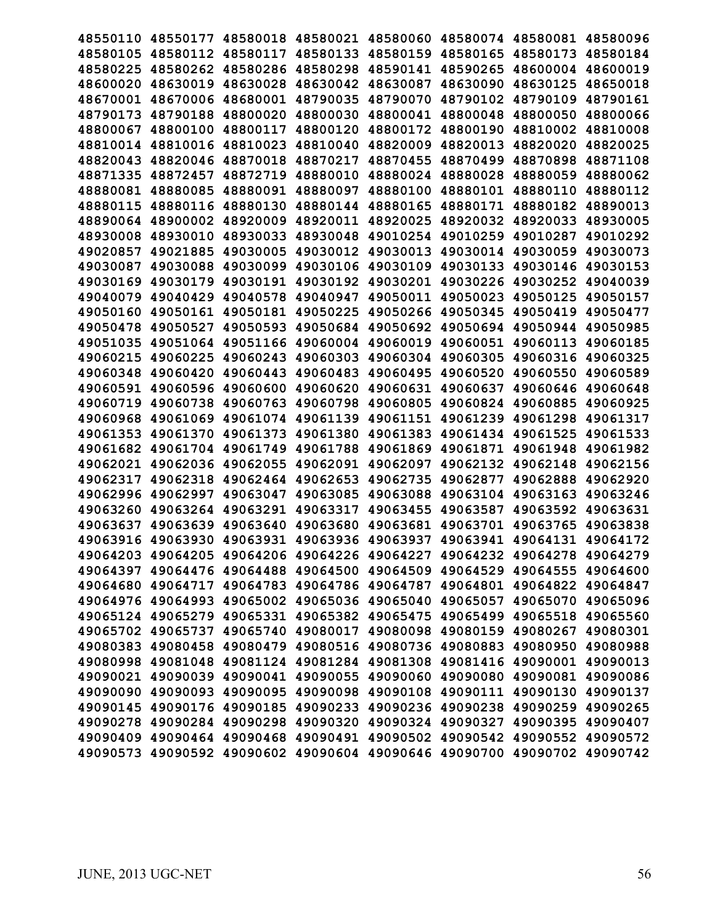| 48550110 | 48550177          | 48580018                                              | 48580021                   |          | 48580060 48580074 | 48580081                                                                | 48580096 |
|----------|-------------------|-------------------------------------------------------|----------------------------|----------|-------------------|-------------------------------------------------------------------------|----------|
| 48580105 | 48580112          | 48580117                                              | 48580133                   | 48580159 | 48580165          | 48580173                                                                | 48580184 |
| 48580225 | 48580262          | 48580286                                              | 48580298                   | 48590141 | 48590265          | 48600004 48600019                                                       |          |
|          | 48600020 48630019 | 48630028                                              | 48630042                   | 48630087 | 48630090          | 48630125                                                                | 48650018 |
| 48670001 | 48670006          | 48680001                                              | 48790035                   | 48790070 | 48790102          | 48790109                                                                | 48790161 |
| 48790173 | 48790188          | 48800020                                              | 48800030                   | 48800041 | 48800048          | 48800050                                                                | 48800066 |
| 48800067 | 48800100          | 48800117                                              | 48800120                   | 48800172 | 48800190          | 48810002                                                                | 48810008 |
| 48810014 | 48810016          | 48810023                                              | 48810040                   | 48820009 | 48820013          | 48820020                                                                | 48820025 |
| 48820043 | 48820046          | 48870018                                              | 48870217                   | 48870455 | 48870499          | 48870898                                                                | 48871108 |
| 48871335 | 48872457          | 48872719                                              | 48880010                   | 48880024 | 48880028          | 48880059                                                                | 48880062 |
| 48880081 | 48880085          | 48880091                                              | 48880097                   | 48880100 | 48880101          | 48880110                                                                | 48880112 |
| 48880115 | 48880116          | 48880130                                              | 48880144                   | 48880165 | 48880171          | 48880182                                                                | 48890013 |
| 48890064 | 48900002          | 48920009                                              | 48920011                   | 48920025 | 48920032          | 48920033                                                                | 48930005 |
| 48930008 | 48930010          | 48930033                                              | 48930048                   | 49010254 | 49010259          | 49010287                                                                | 49010292 |
| 49020857 | 49021885          | 49030005                                              | 49030012                   | 49030013 | 49030014          | 49030059                                                                | 49030073 |
| 49030087 | 49030088          | 49030099                                              | 49030106                   | 49030109 | 49030133          | 49030146                                                                | 49030153 |
| 49030169 | 49030179          | 49030191                                              | 49030192                   | 49030201 | 49030226          | 49030252                                                                | 49040039 |
| 49040079 | 49040429          | 49040578                                              | 49040947                   | 49050011 | 49050023          | 49050125                                                                | 49050157 |
| 49050160 | 49050161          | 49050181                                              | 49050225                   | 49050266 | 49050345          | 49050419                                                                | 49050477 |
| 49050478 | 49050527          | 49050593                                              | 49050684                   | 49050692 | 49050694          | 49050944                                                                | 49050985 |
| 49051035 | 49051064          | 49051166                                              | 49060004                   | 49060019 | 49060051          | 49060113                                                                | 49060185 |
| 49060215 | 49060225          | 49060243                                              | 49060303 49060304          |          | 49060305          | 49060316 49060325                                                       |          |
| 49060348 | 49060420          | 49060443                                              | 49060483                   | 49060495 | 49060520          | 49060550                                                                | 49060589 |
| 49060591 | 49060596          | 49060600                                              | 49060620                   | 49060631 | 49060637          | 49060646                                                                | 49060648 |
| 49060719 | 49060738          | 49060763                                              | 49060798                   | 49060805 | 49060824          | 49060885                                                                | 49060925 |
| 49060968 | 49061069          | 49061074                                              | 49061139                   | 49061151 | 49061239          | 49061298                                                                | 49061317 |
| 49061353 | 49061370          | 49061373                                              | 49061380                   | 49061383 | 49061434          | 49061525                                                                | 49061533 |
| 49061682 | 49061704          | 49061749                                              | 49061788                   | 49061869 | 49061871          | 49061948                                                                | 49061982 |
| 49062021 | 49062036          | 49062055                                              | 49062091                   | 49062097 | 49062132          | 49062148                                                                | 49062156 |
| 49062317 | 49062318          | 49062464                                              | 49062653                   | 49062735 | 49062877          | 49062888                                                                | 49062920 |
| 49062996 | 49062997          | 49063047                                              | 49063085                   | 49063088 | 49063104          | 49063163                                                                | 49063246 |
| 49063260 | 49063264          | 49063291                                              | 49063317                   | 49063455 | 49063587          | 49063592                                                                | 49063631 |
| 49063637 | 49063639          | 49063640                                              | 49063680                   | 49063681 | 49063701          | 49063765                                                                | 49063838 |
|          |                   |                                                       |                            |          |                   | 49063916 49063930 49063931 49063936 49063937 49063941 49064131 49064172 |          |
|          |                   |                                                       |                            |          |                   | 49064203 49064205 49064206 49064226 49064227 49064232 49064278 49064279 |          |
|          |                   | 49064397 49064476 49064488                            | 49064500 49064509          |          |                   | 49064529 49064555                                                       | 49064600 |
|          | 49064680 49064717 |                                                       | 49064783 49064786 49064787 |          |                   | 49064801 49064822 49064847                                              |          |
|          |                   | 49064976 49064993 49065002 49065036 49065040          |                            |          |                   | 49065057 49065070 49065096                                              |          |
|          |                   | 49065124 49065279 49065331 49065382 49065475          |                            |          |                   | 49065499 49065518 49065560                                              |          |
|          | 49065702 49065737 |                                                       | 49065740 49080017 49080098 |          |                   | 49080159 49080267 49080301                                              |          |
|          |                   | 49080383 49080458 49080479 49080516 49080736          |                            |          |                   | 49080883 49080950 49080988                                              |          |
|          |                   | 49080998 49081048 49081124 49081284 49081308          |                            |          |                   | 49081416 49090001 49090013                                              |          |
|          |                   | 49090021 49090039 49090041                            | 49090055 49090060          |          | 49090080          | 49090081 49090086                                                       |          |
|          |                   | 49090090 49090093 49090095 49090098 49090108          |                            |          | 49090111          | 49090130 49090137                                                       |          |
|          |                   |                                                       |                            |          |                   | 49090145 49090176 49090185 49090233 49090236 49090238 49090259 49090265 |          |
|          |                   | 49090278 49090284 49090298 49090320 49090324 49090327 |                            |          |                   | 49090395 49090407                                                       |          |
|          |                   | 49090409 49090464 49090468 49090491 49090502          |                            |          | 49090542          | 49090552 49090572                                                       |          |
|          |                   | 49090573 49090592 49090602 49090604 49090646 49090700 |                            |          |                   | 49090702 49090742                                                       |          |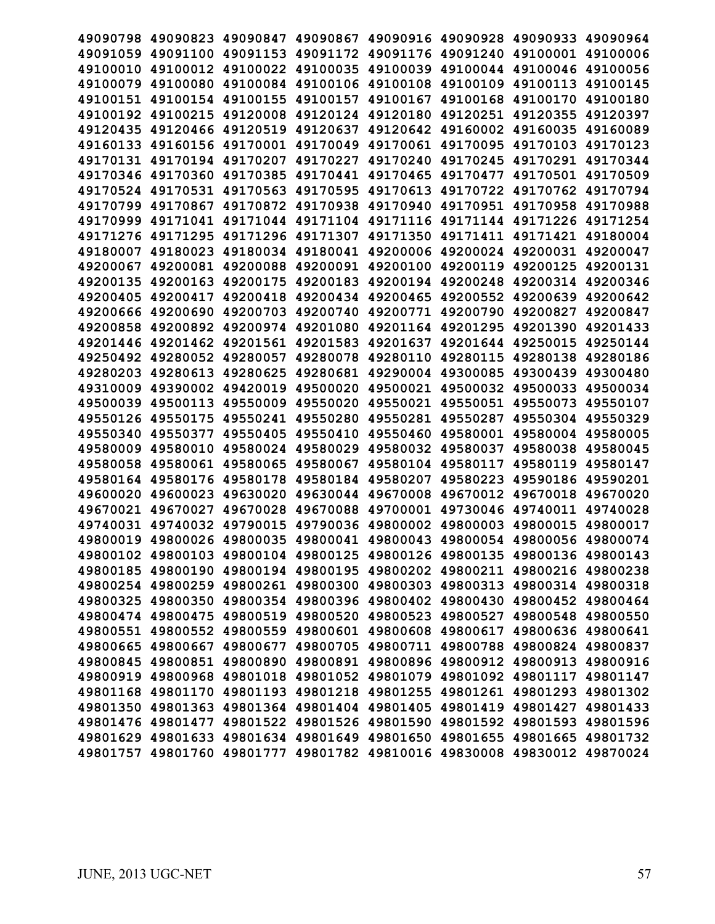|                   | 49090798 49090823          | 49090847 49090867                                                       |                            |                                              |                   | 49090916 49090928 49090933                            | 49090964 |
|-------------------|----------------------------|-------------------------------------------------------------------------|----------------------------|----------------------------------------------|-------------------|-------------------------------------------------------|----------|
| 49091059          | 49091100                   | 49091153                                                                | 49091172                   |                                              | 49091176 49091240 | 49100001                                              | 49100006 |
|                   | 49100010 49100012          |                                                                         |                            | 49100022 49100035 49100039 49100044 49100046 |                   |                                                       | 49100056 |
|                   | 49100079 49100080          | 49100084 49100106 49100108                                              |                            |                                              |                   | 49100109 49100113 49100145                            |          |
|                   | 49100151 49100154          | 49100155                                                                | 49100157                   | 49100167                                     | 49100168          | 49100170 49100180                                     |          |
| 49100192 49100215 |                            | 49120008                                                                | 49120124 49120180          |                                              | 49120251          | 49120355                                              | 49120397 |
| 49120435          | 49120466                   | 49120519                                                                | 49120637                   | 49120642                                     | 49160002          | 49160035                                              | 49160089 |
|                   | 49160133 49160156          | 49170001                                                                | 49170049                   | 49170061                                     | 49170095          | 49170103                                              | 49170123 |
|                   | 49170131 49170194          | 49170207                                                                | 49170227 49170240          |                                              | 49170245          | 49170291                                              | 49170344 |
|                   |                            | 49170346 49170360 49170385 49170441 49170465                            |                            |                                              |                   | 49170477 49170501 49170509                            |          |
| 49170524 49170531 |                            |                                                                         | 49170563 49170595 49170613 |                                              |                   | 49170722 49170762 49170794                            |          |
| 49170799          | 49170867                   |                                                                         | 49170872 49170938          | 49170940                                     | 49170951          | 49170958                                              | 49170988 |
| 49170999          | 49171041                   | 49171044                                                                | 49171104                   | 49171116                                     | 49171144          | 49171226 49171254                                     |          |
| 49171276 49171295 |                            | 49171296                                                                | 49171307                   | 49171350                                     | 49171411          | 49171421                                              | 49180004 |
|                   | 49180007 49180023          | 49180034 49180041 49200006 49200024 49200031 49200047                   |                            |                                              |                   |                                                       |          |
|                   | 49200067 49200081 49200088 |                                                                         | 49200091 49200100          |                                              | 49200119 49200125 |                                                       | 49200131 |
| 49200135 49200163 |                            | 49200175                                                                | 49200183 49200194          |                                              | 49200248          | 49200314 49200346                                     |          |
| 49200405          | 49200417                   | 49200418                                                                | 49200434                   | 49200465                                     | 49200552          | 49200639                                              | 49200642 |
| 49200666          | 49200690                   | 49200703                                                                | 49200740                   | 49200771                                     | 49200790          | 49200827                                              | 49200847 |
| 49200858          | 49200892                   | 49200974                                                                | 49201080                   | 49201164                                     | 49201295          | 49201390                                              | 49201433 |
|                   | 49201446 49201462          | 49201561 49201583 49201637 49201644 49250015                            |                            |                                              |                   |                                                       | 49250144 |
|                   | 49250492 49280052          | 49280057 49280078 49280110                                              |                            |                                              |                   | 49280115 49280138 49280186                            |          |
|                   | 49280203 49280613          | 49280625                                                                | 49280681                   | 49290004 49300085                            |                   | 49300439 49300480                                     |          |
| 49310009          | 49390002                   | 49420019                                                                | 49500020                   | 49500021                                     | 49500032          | 49500033                                              | 49500034 |
| 49500039          | 49500113                   | 49550009                                                                | 49550020                   | 49550021                                     | 49550051          | 49550073                                              | 49550107 |
| 49550126 49550175 |                            | 49550241                                                                | 49550280                   | 49550281                                     | 49550287          | 49550304 49550329                                     |          |
|                   | 49550340 49550377          | 49550405                                                                | 49550410 49550460          |                                              |                   | 49580001 49580004 49580005                            |          |
|                   | 49580009 49580010          | 49580024                                                                | 49580029                   | 49580032                                     | 49580037          | 49580038 49580045                                     |          |
| 49580058          | 49580061                   | 49580065                                                                | 49580067                   | 49580104                                     | 49580117          | 49580119                                              | 49580147 |
| 49580164          | 49580176                   | 49580178                                                                | 49580184                   | 49580207                                     | 49580223          | 49590186                                              | 49590201 |
| 49600020          | 49600023                   | 49630020                                                                | 49630044                   | 49670008                                     | 49670012          | 49670018                                              | 49670020 |
| 49670021          | 49670027                   | 49670028                                                                | 49670088                   | 49700001                                     | 49730046          | 49740011                                              | 49740028 |
|                   |                            | 49740031 49740032 49790015 49790036 49800002 49800003 49800015 49800017 |                            |                                              |                   |                                                       |          |
|                   |                            | 49800019 49800026 49800035 49800041 49800043 49800054 49800056 49800074 |                            |                                              |                   |                                                       |          |
|                   |                            | 49800102 49800103 49800104 49800125 49800126 49800135 49800136 49800143 |                            |                                              |                   |                                                       |          |
|                   | 49800185 49800190          | 49800194                                                                |                            | 49800195 49800202 49800211                   |                   | 49800216 49800238                                     |          |
|                   | 49800254 49800259          |                                                                         |                            | 49800261 49800300 49800303 49800313          |                   | 49800314 49800318                                     |          |
|                   | 49800325 49800350          |                                                                         |                            |                                              |                   | 49800354 49800396 49800402 49800430 49800452 49800464 |          |
|                   | 49800474 49800475          |                                                                         |                            |                                              |                   | 49800519 49800520 49800523 49800527 49800548 49800550 |          |
|                   | 49800551 49800552          |                                                                         |                            |                                              |                   | 49800559 49800601 49800608 49800617 49800636 49800641 |          |
|                   | 49800665 49800667          |                                                                         |                            |                                              |                   | 49800677 49800705 49800711 49800788 49800824 49800837 |          |
|                   | 49800845 49800851          |                                                                         | 49800890 49800891 49800896 |                                              |                   | 49800912 49800913 49800916                            |          |
|                   | 49800919 49800968          |                                                                         | 49801018 49801052 49801079 |                                              | 49801092          | 49801117 49801147                                     |          |
|                   | 49801168 49801170          |                                                                         |                            |                                              |                   | 49801193 49801218 49801255 49801261 49801293 49801302 |          |
|                   |                            | 49801350 49801363 49801364 49801404 49801405 49801419 49801427 49801433 |                            |                                              |                   |                                                       |          |
|                   | 49801476 49801477          |                                                                         | 49801522 49801526 49801590 |                                              |                   | 49801592 49801593 49801596                            |          |
|                   | 49801629 49801633          |                                                                         | 49801634 49801649 49801650 |                                              |                   | 49801655 49801665 49801732                            |          |
|                   | 49801757 49801760          |                                                                         |                            |                                              |                   | 49801777 49801782 49810016 49830008 49830012 49870024 |          |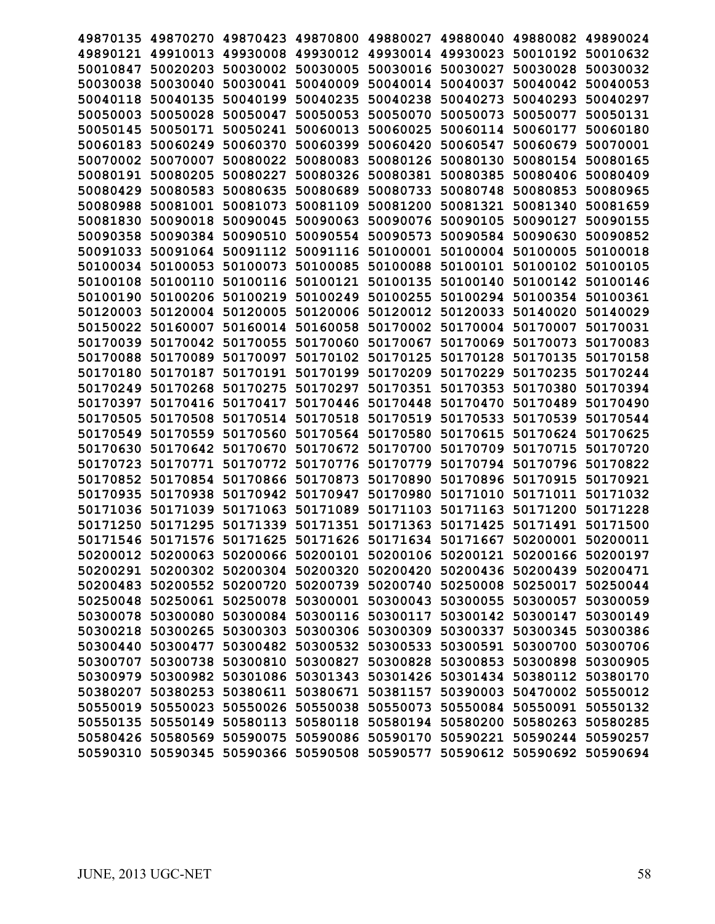| 49870135 | 49870270                                                                | 49870423 | 49870800 | 49880027          | 49880040                                     | 49880082 49890024 |          |
|----------|-------------------------------------------------------------------------|----------|----------|-------------------|----------------------------------------------|-------------------|----------|
| 49890121 | 49910013                                                                | 49930008 | 49930012 | 49930014          | 49930023                                     | 50010192          | 50010632 |
| 50010847 | 50020203                                                                | 50030002 | 50030005 | 50030016          | 50030027                                     | 50030028          | 50030032 |
| 50030038 | 50030040                                                                | 50030041 | 50040009 | 50040014          | 50040037                                     | 50040042          | 50040053 |
| 50040118 | 50040135                                                                | 50040199 | 50040235 | 50040238          | 50040273                                     | 50040293          | 50040297 |
| 50050003 | 50050028                                                                | 50050047 | 50050053 | 50050070          | 50050073                                     | 50050077          | 50050131 |
| 50050145 | 50050171                                                                | 50050241 | 50060013 | 50060025          | 50060114                                     | 50060177          | 50060180 |
| 50060183 | 50060249                                                                | 50060370 | 50060399 | 50060420          | 50060547                                     | 50060679          | 50070001 |
| 50070002 | 50070007                                                                | 50080022 | 50080083 | 50080126          | 50080130                                     | 50080154          | 50080165 |
| 50080191 | 50080205                                                                | 50080227 | 50080326 | 50080381          | 50080385                                     | 50080406          | 50080409 |
| 50080429 | 50080583                                                                | 50080635 | 50080689 | 50080733          | 50080748                                     | 50080853          | 50080965 |
| 50080988 | 50081001                                                                | 50081073 | 50081109 | 50081200          | 50081321                                     | 50081340          | 50081659 |
| 50081830 | 50090018                                                                | 50090045 | 50090063 | 50090076          | 50090105                                     | 50090127          | 50090155 |
| 50090358 | 50090384                                                                | 50090510 | 50090554 | 50090573          | 50090584                                     | 50090630          | 50090852 |
| 50091033 | 50091064                                                                | 50091112 | 50091116 | 50100001          | 50100004                                     | 50100005          | 50100018 |
| 50100034 | 50100053                                                                | 50100073 | 50100085 | 50100088          | 50100101                                     | 50100102          | 50100105 |
| 50100108 | 50100110                                                                | 50100116 | 50100121 | 50100135          | 50100140                                     | 50100142          | 50100146 |
| 50100190 | 50100206                                                                | 50100219 | 50100249 | 50100255          | 50100294                                     | 50100354          | 50100361 |
| 50120003 | 50120004                                                                | 50120005 | 50120006 | 50120012          | 50120033                                     | 50140020          | 50140029 |
| 50150022 | 50160007                                                                | 50160014 | 50160058 | 50170002          | 50170004                                     | 50170007          | 50170031 |
| 50170039 | 50170042                                                                | 50170055 | 50170060 | 50170067          | 50170069                                     | 50170073          | 50170083 |
| 50170088 | 50170089                                                                | 50170097 | 50170102 | 50170125          | 50170128                                     | 50170135          | 50170158 |
| 50170180 | 50170187                                                                | 50170191 | 50170199 | 50170209          | 50170229                                     | 50170235          | 50170244 |
| 50170249 | 50170268                                                                | 50170275 | 50170297 | 50170351          | 50170353                                     | 50170380          | 50170394 |
| 50170397 | 50170416                                                                | 50170417 | 50170446 | 50170448          | 50170470                                     | 50170489          | 50170490 |
| 50170505 | 50170508                                                                | 50170514 | 50170518 | 50170519          | 50170533                                     | 50170539          | 50170544 |
| 50170549 | 50170559                                                                | 50170560 | 50170564 | 50170580          | 50170615                                     | 50170624          | 50170625 |
| 50170630 | 50170642                                                                | 50170670 | 50170672 | 50170700          | 50170709                                     | 50170715          | 50170720 |
| 50170723 | 50170771                                                                | 50170772 | 50170776 | 50170779          | 50170794                                     | 50170796          | 50170822 |
| 50170852 | 50170854                                                                | 50170866 | 50170873 | 50170890          | 50170896                                     | 50170915          | 50170921 |
| 50170935 | 50170938                                                                | 50170942 | 50170947 | 50170980          | 50171010                                     | 50171011          | 50171032 |
| 50171036 | 50171039                                                                | 50171063 | 50171089 | 50171103          | 50171163                                     | 50171200          | 50171228 |
| 50171250 | 50171295                                                                | 50171339 | 50171351 | 50171363          | 50171425                                     | 50171491          | 50171500 |
| 50171546 | 50171576                                                                | 50171625 | 50171626 | 50171634 50171667 |                                              | 50200001 50200011 |          |
|          | 50200012 50200063 50200066 50200101 50200106 50200121 50200166 50200197 |          |          |                   |                                              |                   |          |
|          | 50200291 50200302 50200304 50200320 50200420 50200436 50200439 50200471 |          |          |                   |                                              |                   |          |
|          | 50200483 50200552 50200720 50200739 50200740 50250008 50250017 50250044 |          |          |                   |                                              |                   |          |
|          | 50250048 50250061 50250078 50300001 50300043 50300055 50300057 50300059 |          |          |                   |                                              |                   |          |
|          | 50300078 50300080 50300084 50300116 50300117 50300142 50300147 50300149 |          |          |                   |                                              |                   |          |
|          | 50300218 50300265 50300303 50300306 50300309 50300337 50300345 50300386 |          |          |                   |                                              |                   |          |
|          | 50300440 50300477 50300482 50300532 50300533 50300591 50300700 50300706 |          |          |                   |                                              |                   |          |
|          | 50300707 50300738 50300810                                              |          |          |                   | 50300827 50300828 50300853 50300898 50300905 |                   |          |
|          | 50300979 50300982 50301086                                              |          |          |                   | 50301343 50301426 50301434 50380112 50380170 |                   |          |
|          | 50380207 50380253 50380611 50380671 50381157 50390003 50470002 50550012 |          |          |                   |                                              |                   |          |
|          | 50550019 50550023 50550026 50550038 50550073 50550084 50550091 50550132 |          |          |                   |                                              |                   |          |
|          | 50550135 50550149 50580113 50580118 50580194 50580200 50580263 50580285 |          |          |                   |                                              |                   |          |
|          | 50580426 50580569 50590075                                              |          |          |                   | 50590086 50590170 50590221 50590244 50590257 |                   |          |
|          | 50590310 50590345 50590366 50590508 50590577 50590612 50590692 50590694 |          |          |                   |                                              |                   |          |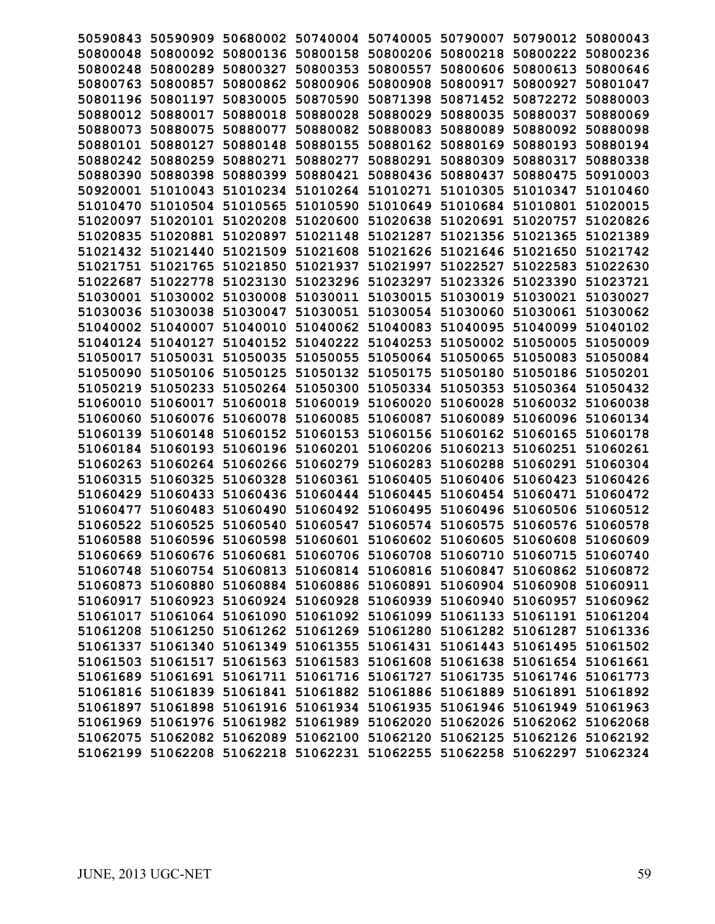| 50590843 | 50590909                                                                | 50680002 |          | 50740004 50740005 | 50790007          | 50790012 50800043 |          |
|----------|-------------------------------------------------------------------------|----------|----------|-------------------|-------------------|-------------------|----------|
| 50800048 | 50800092                                                                | 50800136 | 50800158 | 50800206          | 50800218          | 50800222          | 50800236 |
| 50800248 | 50800289                                                                | 50800327 | 50800353 | 50800557          | 50800606          | 50800613          | 50800646 |
| 50800763 | 50800857                                                                | 50800862 | 50800906 | 50800908          | 50800917          | 50800927          | 50801047 |
| 50801196 | 50801197                                                                | 50830005 | 50870590 | 50871398          | 50871452          | 50872272          | 50880003 |
| 50880012 | 50880017                                                                | 50880018 | 50880028 | 50880029          | 50880035          | 50880037          | 50880069 |
| 50880073 | 50880075                                                                | 50880077 | 50880082 | 50880083          | 50880089          | 50880092          | 50880098 |
| 50880101 | 50880127                                                                | 50880148 | 50880155 | 50880162          | 50880169          | 50880193          | 50880194 |
| 50880242 | 50880259                                                                | 50880271 | 50880277 | 50880291          | 50880309          | 50880317          | 50880338 |
| 50880390 | 50880398                                                                | 50880399 | 50880421 | 50880436          | 50880437          | 50880475          | 50910003 |
| 50920001 | 51010043                                                                | 51010234 | 51010264 | 51010271          | 51010305          | 51010347          | 51010460 |
| 51010470 | 51010504                                                                | 51010565 | 51010590 | 51010649          | 51010684          | 51010801          | 51020015 |
| 51020097 | 51020101                                                                | 51020208 | 51020600 | 51020638          | 51020691          | 51020757          | 51020826 |
| 51020835 | 51020881                                                                | 51020897 | 51021148 | 51021287          | 51021356          | 51021365          | 51021389 |
| 51021432 | 51021440                                                                | 51021509 | 51021608 | 51021626          | 51021646          | 51021650          | 51021742 |
| 51021751 | 51021765                                                                | 51021850 | 51021937 | 51021997          | 51022527          | 51022583          | 51022630 |
| 51022687 | 51022778                                                                | 51023130 | 51023296 | 51023297          | 51023326          | 51023390          | 51023721 |
| 51030001 | 51030002                                                                | 51030008 | 51030011 | 51030015          | 51030019          | 51030021          | 51030027 |
| 51030036 | 51030038                                                                | 51030047 | 51030051 | 51030054          | 51030060          | 51030061          | 51030062 |
| 51040002 | 51040007                                                                | 51040010 | 51040062 | 51040083          | 51040095          | 51040099          | 51040102 |
| 51040124 | 51040127                                                                | 51040152 | 51040222 | 51040253          | 51050002          | 51050005          | 51050009 |
| 51050017 | 51050031                                                                | 51050035 | 51050055 | 51050064          | 51050065          | 51050083          | 51050084 |
| 51050090 | 51050106                                                                | 51050125 | 51050132 | 51050175          | 51050180          | 51050186          | 51050201 |
| 51050219 | 51050233                                                                | 51050264 | 51050300 | 51050334          | 51050353          | 51050364          | 51050432 |
| 51060010 | 51060017                                                                | 51060018 | 51060019 | 51060020          | 51060028          | 51060032          | 51060038 |
| 51060060 | 51060076                                                                | 51060078 | 51060085 | 51060087          | 51060089          | 51060096          | 51060134 |
| 51060139 | 51060148                                                                | 51060152 | 51060153 | 51060156          | 51060162 51060165 |                   | 51060178 |
| 51060184 | 51060193                                                                | 51060196 | 51060201 | 51060206          | 51060213          | 51060251          | 51060261 |
| 51060263 | 51060264                                                                | 51060266 | 51060279 | 51060283          | 51060288          | 51060291          | 51060304 |
| 51060315 | 51060325                                                                | 51060328 | 51060361 | 51060405          | 51060406          | 51060423          | 51060426 |
| 51060429 | 51060433                                                                | 51060436 | 51060444 | 51060445          | 51060454          | 51060471          | 51060472 |
| 51060477 | 51060483                                                                | 51060490 | 51060492 | 51060495          | 51060496          | 51060506          | 51060512 |
| 51060522 | 51060525                                                                | 51060540 | 51060547 | 51060574          | 51060575          | 51060576          | 51060578 |
| 51060588 | 51060596                                                                | 51060598 | 51060601 | 51060602          | 51060605          | 51060608          | 51060609 |
|          | 51060669 51060676 51060681 51060706 51060708 51060710 51060715 51060740 |          |          |                   |                   |                   |          |
|          | 51060748 51060754 51060813 51060814 51060816 51060847 51060862 51060872 |          |          |                   |                   |                   |          |
|          | 51060873 51060880 51060884 51060886 51060891 51060904 51060908 51060911 |          |          |                   |                   |                   |          |
|          | 51060917 51060923 51060924 51060928 51060939 51060940 51060957 51060962 |          |          |                   |                   |                   |          |
|          | 51061017 51061064 51061090 51061092 51061099 51061133 51061191 51061204 |          |          |                   |                   |                   |          |
|          | 51061208 51061250 51061262 51061269 51061280 51061282 51061287 51061336 |          |          |                   |                   |                   |          |
|          | 51061337 51061340 51061349 51061355 51061431 51061443 51061495 51061502 |          |          |                   |                   |                   |          |
|          | 51061503 51061517 51061563 51061583 51061608 51061638 51061654 51061661 |          |          |                   |                   |                   |          |
|          | 51061689 51061691 51061711 51061716 51061727 51061735 51061746 51061773 |          |          |                   |                   |                   |          |
|          | 51061816 51061839 51061841 51061882 51061886 51061889 51061891 51061892 |          |          |                   |                   |                   |          |
|          | 51061897 51061898 51061916 51061934 51061935 51061946 51061949 51061963 |          |          |                   |                   |                   |          |
|          | 51061969 51061976 51061982 51061989 51062020 51062026 51062062 51062068 |          |          |                   |                   |                   |          |
|          | 51062075 51062082 51062089 51062100 51062120 51062125 51062126 51062192 |          |          |                   |                   |                   |          |
|          | 51062199 51062208 51062218 51062231 51062255 51062258 51062297 51062324 |          |          |                   |                   |                   |          |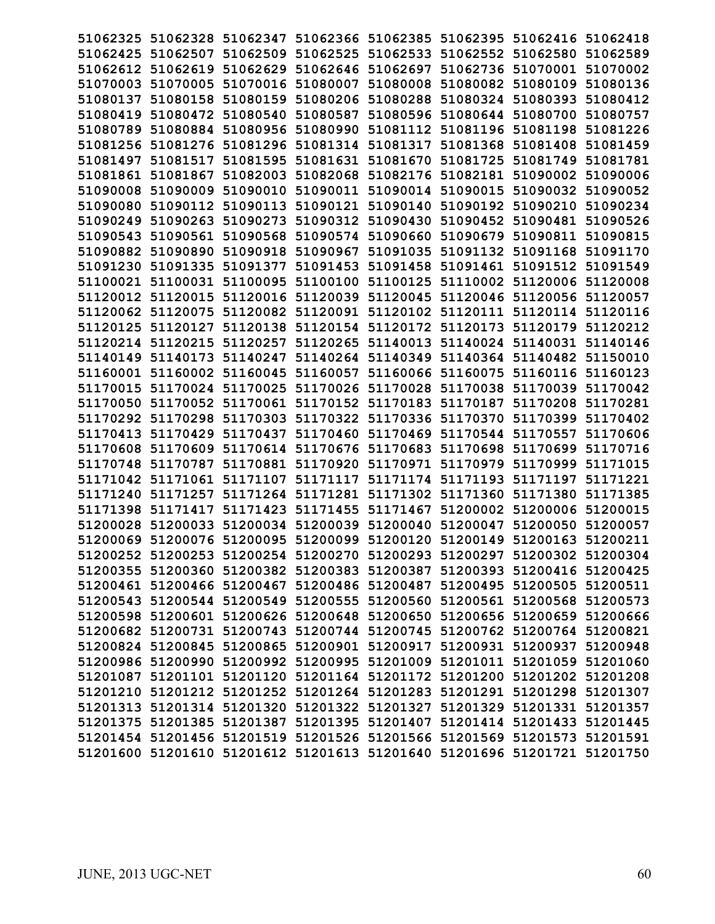|                   |                   |                                              |  | 51062325 51062328 51062347 51062366 51062385 51062395 51062416 51062418 |          |
|-------------------|-------------------|----------------------------------------------|--|-------------------------------------------------------------------------|----------|
|                   |                   |                                              |  | 51062425 51062507 51062509 51062525 51062533 51062552 51062580 51062589 |          |
|                   |                   |                                              |  | 51062612 51062619 51062629 51062646 51062697 51062736 51070001 51070002 |          |
|                   |                   |                                              |  | 51070003 51070005 51070016 51080007 51080008 51080082 51080109 51080136 |          |
| 51080137 51080158 |                   | 51080159 51080206 51080288                   |  | 51080324 51080393 51080412                                              |          |
|                   | 51080419 51080472 |                                              |  | 51080540 51080587 51080596 51080644 51080700 51080757                   |          |
|                   |                   |                                              |  | 51080789 51080884 51080956 51080990 51081112 51081196 51081198 51081226 |          |
|                   |                   |                                              |  | 51081256 51081276 51081296 51081314 51081317 51081368 51081408 51081459 |          |
|                   |                   |                                              |  | 51081497 51081517 51081595 51081631 51081670 51081725 51081749 51081781 |          |
|                   |                   |                                              |  | 51081861 51081867 51082003 51082068 51082176 51082181 51090002 51090006 |          |
| 51090008 51090009 |                   |                                              |  | 51090010 51090011 51090014 51090015 51090032 51090052                   |          |
|                   |                   | 51090080 51090112 51090113 51090121 51090140 |  | 51090192 51090210 51090234                                              |          |
|                   |                   |                                              |  | 51090249 51090263 51090273 51090312 51090430 51090452 51090481 51090526 |          |
|                   |                   |                                              |  | 51090543 51090561 51090568 51090574 51090660 51090679 51090811 51090815 |          |
|                   |                   |                                              |  | 51090882 51090890 51090918 51090967 51091035 51091132 51091168 51091170 |          |
|                   |                   |                                              |  | 51091230 51091335 51091377 51091453 51091458 51091461 51091512 51091549 |          |
|                   |                   |                                              |  | 51100021 51100031 51100095 51100100 51100125 51110002 51120006 51120008 |          |
| 51120012 51120015 |                   | 51120016 51120039 51120045                   |  | 51120046 51120056 51120057                                              |          |
| 51120062 51120075 |                   |                                              |  | 51120082 51120091 51120102 51120111 51120114 51120116                   |          |
|                   |                   |                                              |  | 51120125 51120127 51120138 51120154 51120172 51120173 51120179 51120212 |          |
|                   |                   |                                              |  | 51120214 51120215 51120257 51120265 51140013 51140024 51140031 51140146 |          |
|                   |                   |                                              |  | 51140149 51140173 51140247 51140264 51140349 51140364 51140482 51150010 |          |
|                   |                   |                                              |  | 51160001 51160002 51160045 51160057 51160066 51160075 51160116 51160123 |          |
|                   |                   |                                              |  | 51170015 51170024 51170025 51170026 51170028 51170038 51170039 51170042 |          |
|                   |                   |                                              |  | 51170050 51170052 51170061 51170152 51170183 51170187 51170208 51170281 |          |
|                   |                   |                                              |  | 51170292 51170298 51170303 51170322 51170336 51170370 51170399 51170402 |          |
|                   |                   |                                              |  | 51170413 51170429 51170437 51170460 51170469 51170544 51170557 51170606 |          |
|                   |                   |                                              |  | 51170608 51170609 51170614 51170676 51170683 51170698 51170699 51170716 |          |
|                   |                   |                                              |  | 51170748 51170787 51170881 51170920 51170971 51170979 51170999 51171015 |          |
|                   | 51171042 51171061 |                                              |  | 51171107 51171117 51171174 51171193 51171197                            | 51171221 |
|                   | 51171240 51171257 |                                              |  | 51171264 51171281 51171302 51171360 51171380                            | 51171385 |
|                   |                   |                                              |  | 51171398 51171417 51171423 51171455 51171467 51200002 51200006 51200015 |          |
|                   |                   |                                              |  | 51200028 51200033 51200034 51200039 51200040 51200047 51200050 51200057 |          |
|                   |                   |                                              |  | 51200069 51200076 51200095 51200099 51200120 51200149 51200163 51200211 |          |
|                   |                   |                                              |  | 51200252 51200253 51200254 51200270 51200293 51200297 51200302 51200304 |          |
|                   |                   |                                              |  | 51200355 51200360 51200382 51200383 51200387 51200393 51200416 51200425 |          |
|                   |                   |                                              |  | 51200461 51200466 51200467 51200486 51200487 51200495 51200505 51200511 |          |
|                   |                   |                                              |  | 51200543 51200544 51200549 51200555 51200560 51200561 51200568 51200573 |          |
|                   |                   |                                              |  | 51200598 51200601 51200626 51200648 51200650 51200656 51200659 51200666 |          |
|                   |                   |                                              |  | 51200682 51200731 51200743 51200744 51200745 51200762 51200764 51200821 |          |
|                   |                   |                                              |  | 51200824 51200845 51200865 51200901 51200917 51200931 51200937 51200948 |          |
|                   |                   |                                              |  | 51200986 51200990 51200992 51200995 51201009 51201011 51201059 51201060 |          |
|                   |                   |                                              |  | 51201087 51201101 51201120 51201164 51201172 51201200 51201202 51201208 |          |
|                   |                   |                                              |  | 51201210 51201212 51201252 51201264 51201283 51201291 51201298 51201307 |          |
|                   |                   |                                              |  | 51201313 51201314 51201320 51201322 51201327 51201329 51201331 51201357 |          |
|                   |                   |                                              |  | 51201375 51201385 51201387 51201395 51201407 51201414 51201433 51201445 |          |
|                   |                   |                                              |  | 51201454 51201456 51201519 51201526 51201566 51201569 51201573 51201591 |          |
|                   |                   |                                              |  | 51201600 51201610 51201612 51201613 51201640 51201696 51201721 51201750 |          |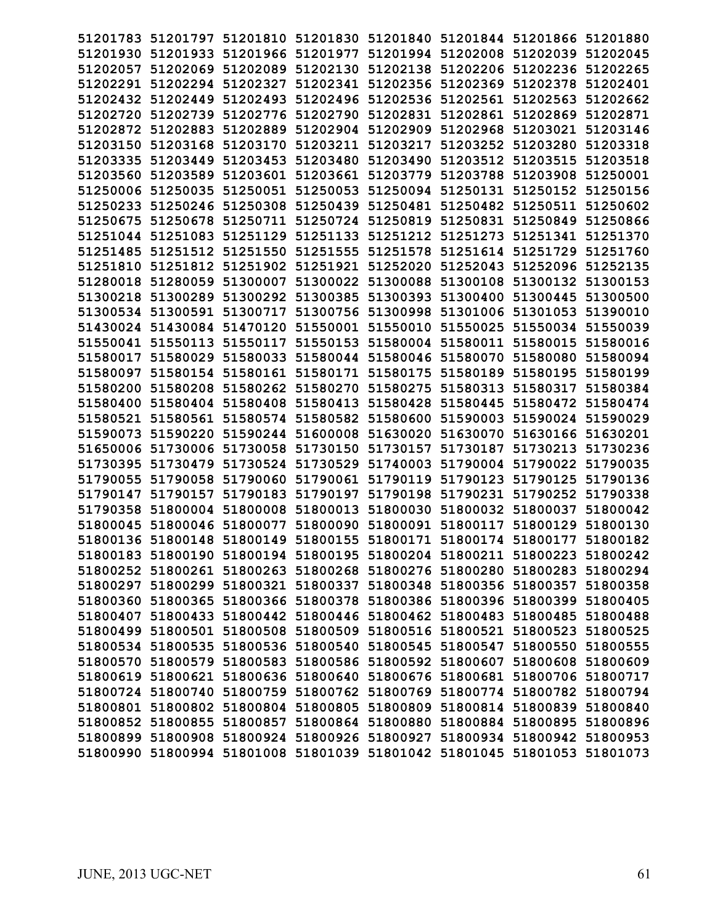|                   | 51201783 51201797 51201810 51201830 51201840 51201844 51201866 51201880 |                            |                                                       |                   |                            |          |
|-------------------|-------------------------------------------------------------------------|----------------------------|-------------------------------------------------------|-------------------|----------------------------|----------|
|                   | 51201930 51201933 51201966 51201977 51201994 51202008 51202039 51202045 |                            |                                                       |                   |                            |          |
|                   | 51202057 51202069 51202089 51202130 51202138 51202206 51202236 51202265 |                            |                                                       |                   |                            |          |
|                   | 51202291 51202294 51202327 51202341 51202356 51202369 51202378 51202401 |                            |                                                       |                   |                            |          |
| 51202432 51202449 | 51202493                                                                | 51202496 51202536          |                                                       | 51202561 51202563 |                            | 51202662 |
| 51202720 51202739 | 51202776                                                                | 51202790                   | 51202831                                              |                   | 51202861 51202869          | 51202871 |
| 51202872 51202883 | 51202889                                                                | 51202904                   | 51202909                                              |                   | 51202968 51203021          | 51203146 |
|                   | 51203150 51203168 51203170                                              |                            | 51203211 51203217                                     |                   | 51203252 51203280          | 51203318 |
| 51203335 51203449 | 51203453 51203480 51203490                                              |                            |                                                       |                   | 51203512 51203515 51203518 |          |
| 51203560 51203589 | 51203601 51203661 51203779                                              |                            |                                                       |                   | 51203788 51203908 51250001 |          |
|                   |                                                                         |                            | 51250051 51250053 51250094 51250131 51250152 51250156 |                   |                            |          |
| 51250006 51250035 |                                                                         | 51250439 51250481          |                                                       |                   |                            |          |
| 51250233 51250246 | 51250308                                                                |                            |                                                       | 51250482          | 51250511 51250602          |          |
| 51250675 51250678 |                                                                         | 51250711 51250724 51250819 |                                                       |                   | 51250831 51250849          | 51250866 |
| 51251044 51251083 |                                                                         |                            | 51251129 51251133 51251212 51251273 51251341 51251370 |                   |                            |          |
|                   | 51251485 51251512 51251550 51251555 51251578 51251614 51251729 51251760 |                            |                                                       |                   |                            |          |
|                   | 51251810 51251812 51251902 51251921 51252020 51252043 51252096 51252135 |                            |                                                       |                   |                            |          |
| 51280018 51280059 | 51300007                                                                | 51300022 51300088          |                                                       |                   | 51300108 51300132 51300153 |          |
| 51300218 51300289 |                                                                         | 51300292 51300385 51300393 |                                                       |                   | 51300400 51300445          | 51300500 |
| 51300534 51300591 |                                                                         | 51300717 51300756 51300998 |                                                       |                   | 51301006 51301053          | 51390010 |
| 51430024 51430084 | 51470120                                                                | 51550001 51550010          |                                                       |                   | 51550025 51550034 51550039 |          |
|                   | 51550041 51550113 51550117 51550153 51580004 51580011 51580015 51580016 |                            |                                                       |                   |                            |          |
| 51580017 51580029 | 51580033 51580044 51580046                                              |                            |                                                       |                   | 51580070 51580080 51580094 |          |
|                   | 51580097 51580154 51580161 51580171 51580175                            |                            |                                                       | 51580189          | 51580195 51580199          |          |
| 51580200 51580208 |                                                                         | 51580262 51580270 51580275 |                                                       |                   | 51580313 51580317          | 51580384 |
|                   | 51580400 51580404 51580408 51580413 51580428                            |                            |                                                       |                   | 51580445 51580472 51580474 |          |
|                   | 51580521 51580561 51580574 51580582 51580600 51590003 51590024 51590029 |                            |                                                       |                   |                            |          |
|                   | 51590073 51590220 51590244 51600008 51630020 51630070 51630166 51630201 |                            |                                                       |                   |                            |          |
| 51650006 51730006 |                                                                         |                            | 51730058 51730150 51730157 51730187 51730213 51730236 |                   |                            |          |
| 51730395 51730479 |                                                                         | 51730524 51730529 51740003 |                                                       |                   | 51790004 51790022 51790035 |          |
| 51790055 51790058 | 51790060                                                                | 51790061 51790119          |                                                       | 51790123 51790125 |                            | 51790136 |
| 51790147 51790157 | 51790183                                                                | 51790197                   | 51790198                                              |                   | 51790231 51790252          | 51790338 |
|                   | 51790358 51800004 51800008 51800013 51800030                            |                            |                                                       |                   | 51800032 51800037          | 51800042 |
|                   | 51800045 51800046 51800077 51800090 51800091 51800117 51800129 51800130 |                            |                                                       |                   |                            |          |
|                   | 51800136 51800148 51800149 51800155 51800171 51800174 51800177 51800182 |                            |                                                       |                   |                            |          |
|                   | 51800183 51800190 51800194 51800195 51800204 51800211 51800223 51800242 |                            |                                                       |                   |                            |          |
|                   | 51800252 51800261 51800263 51800268 51800276 51800280 51800283 51800294 |                            |                                                       |                   |                            |          |
|                   | 51800297 51800299 51800321 51800337 51800348 51800356 51800357 51800358 |                            |                                                       |                   |                            |          |
|                   | 51800360 51800365 51800366 51800378 51800386 51800396 51800399 51800405 |                            |                                                       |                   |                            |          |
|                   | 51800407 51800433 51800442 51800446 51800462 51800483 51800485 51800488 |                            |                                                       |                   |                            |          |
|                   | 51800499 51800501 51800508 51800509 51800516 51800521 51800523 51800525 |                            |                                                       |                   |                            |          |
|                   | 51800534 51800535 51800536 51800540 51800545 51800547 51800550 51800555 |                            |                                                       |                   |                            |          |
|                   | 51800570 51800579 51800583 51800586 51800592 51800607 51800608 51800609 |                            |                                                       |                   |                            |          |
|                   | 51800619 51800621 51800636 51800640 51800676 51800681 51800706 51800717 |                            |                                                       |                   |                            |          |
|                   | 51800724 51800740 51800759 51800762 51800769 51800774 51800782 51800794 |                            |                                                       |                   |                            |          |
|                   | 51800801 51800802 51800804 51800805 51800809 51800814 51800839 51800840 |                            |                                                       |                   |                            |          |
|                   | 51800852 51800855 51800857 51800864 51800880 51800884 51800895 51800896 |                            |                                                       |                   |                            |          |
|                   | 51800899 51800908 51800924 51800926 51800927 51800934 51800942 51800953 |                            |                                                       |                   |                            |          |
|                   | 51800990 51800994 51801008 51801039 51801042 51801045 51801053 51801073 |                            |                                                       |                   |                            |          |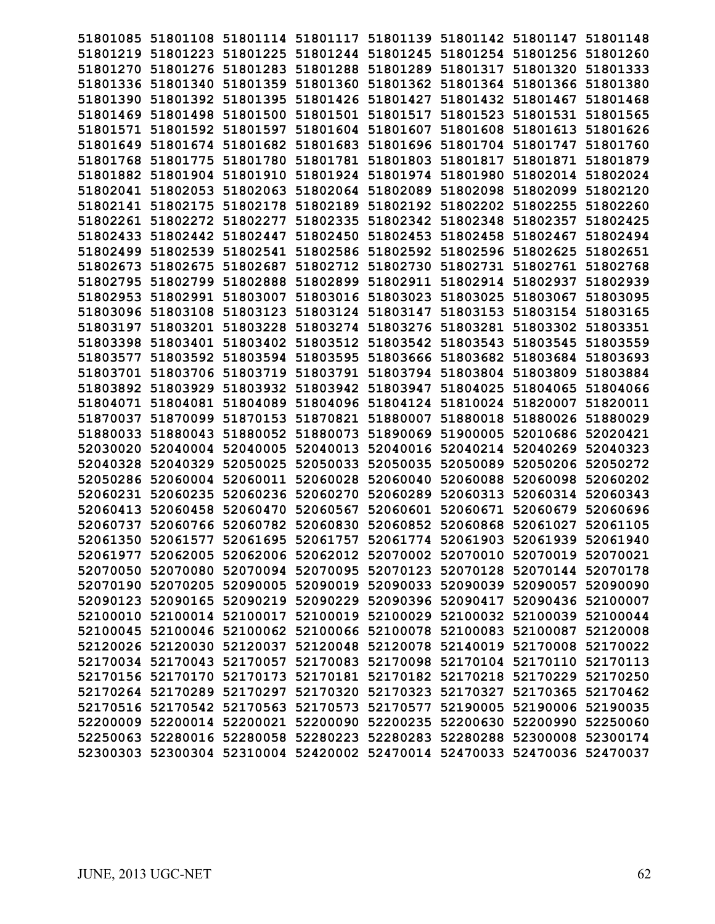|                   |                   |                   |                                              | 51801085 51801108 51801114 51801117 51801139 51801142 51801147 51801148 |                            |                            |          |
|-------------------|-------------------|-------------------|----------------------------------------------|-------------------------------------------------------------------------|----------------------------|----------------------------|----------|
|                   |                   |                   |                                              | 51801219 51801223 51801225 51801244 51801245 51801254 51801256 51801260 |                            |                            |          |
|                   |                   |                   |                                              | 51801270 51801276 51801283 51801288 51801289 51801317 51801320 51801333 |                            |                            |          |
|                   |                   |                   |                                              | 51801336 51801340 51801359 51801360 51801362 51801364 51801366 51801380 |                            |                            |          |
|                   | 51801390 51801392 | 51801395          |                                              | 51801426 51801427                                                       | 51801432 51801467 51801468 |                            |          |
|                   | 51801469 51801498 | 51801500          |                                              | 51801501 51801517                                                       |                            | 51801523 51801531          | 51801565 |
| 51801571          |                   | 51801592 51801597 | 51801604                                     | 51801607                                                                | 51801608 51801613          |                            | 51801626 |
|                   |                   |                   | 51801649 51801674 51801682 51801683 51801696 |                                                                         | 51801704 51801747          |                            | 51801760 |
|                   |                   |                   |                                              | 51801768 51801775 51801780 51801781 51801803 51801817 51801871          |                            |                            | 51801879 |
|                   |                   |                   |                                              | 51801882 51801904 51801910 51801924 51801974 51801980 51802014 51802024 |                            |                            |          |
|                   | 51802041 51802053 | 51802063          | 51802064 51802089                            |                                                                         | 51802098                   | 51802099                   | 51802120 |
|                   | 51802141 51802175 | 51802178          |                                              | 51802189 51802192                                                       | 51802202 51802255          |                            | 51802260 |
|                   |                   |                   |                                              | 51802261 51802272 51802277 51802335 51802342 51802348 51802357          |                            |                            | 51802425 |
|                   | 51802433 51802442 | 51802447          |                                              | 51802450 51802453                                                       | 51802458 51802467          |                            | 51802494 |
|                   | 51802499 51802539 |                   |                                              | 51802541 51802586 51802592 51802596 51802625 51802651                   |                            |                            |          |
| 51802673 51802675 |                   |                   |                                              | 51802687 51802712 51802730 51802731 51802761 51802768                   |                            |                            |          |
| 51802795 51802799 |                   | 51802888          |                                              | 51802899 51802911                                                       | 51802914 51802937          |                            | 51802939 |
| 51802953 51802991 |                   | 51803007          | 51803016 51803023                            |                                                                         | 51803025 51803067          |                            | 51803095 |
|                   | 51803096 51803108 | 51803123          |                                              | 51803124 51803147                                                       |                            | 51803153 51803154          | 51803165 |
| 51803197          | 51803201          | 51803228          | 51803274 51803276                            |                                                                         | 51803281                   | 51803302                   | 51803351 |
|                   | 51803398 51803401 |                   |                                              | 51803402 51803512 51803542 51803543 51803545 51803559                   |                            |                            |          |
|                   | 51803577 51803592 |                   | 51803594 51803595 51803666                   |                                                                         | 51803682 51803684 51803693 |                            |          |
|                   | 51803701 51803706 | 51803719          | 51803791 51803794                            |                                                                         |                            | 51803804 51803809          | 51803884 |
|                   | 51803892 51803929 | 51803932          | 51803942 51803947                            |                                                                         | 51804025                   | 51804065                   | 51804066 |
|                   | 51804071 51804081 |                   | 51804089 51804096 51804124                   |                                                                         | 51810024 51820007          |                            | 51820011 |
|                   |                   |                   |                                              | 51870037 51870099 51870153 51870821 51880007                            |                            | 51880018 51880026 51880029 |          |
|                   | 51880033 51880043 |                   | 51880052 51880073 51890069                   |                                                                         | 51900005 52010686 52020421 |                            |          |
|                   | 52030020 52040004 | 52040005          | 52040013 52040016                            |                                                                         | 52040214 52040269          |                            | 52040323 |
| 52040328          | 52040329          | 52050025          | 52050033                                     | 52050035                                                                | 52050089                   | 52050206                   | 52050272 |
| 52050286          | 52060004          | 52060011          | 52060028                                     | 52060040                                                                | 52060088                   | 52060098                   | 52060202 |
| 52060231          | 52060235          | 52060236          | 52060270                                     | 52060289                                                                | 52060313                   | 52060314                   | 52060343 |
|                   | 52060413 52060458 | 52060470          | 52060567                                     | 52060601                                                                |                            | 52060671 52060679          | 52060696 |
|                   |                   |                   |                                              | 52060737 52060766 52060782 52060830 52060852 52060868 52061027 52061105 |                            |                            |          |
|                   |                   |                   |                                              | 52061350 52061577 52061695 52061757 52061774 52061903 52061939 52061940 |                            |                            |          |
|                   |                   |                   |                                              | 52061977 52062005 52062006 52062012 52070002 52070010 52070019 52070021 |                            |                            |          |
|                   |                   |                   |                                              | 52070050 52070080 52070094 52070095 52070123 52070128 52070144 52070178 |                            |                            |          |
|                   |                   |                   |                                              | 52070190 52070205 52090005 52090019 52090033 52090039 52090057 52090090 |                            |                            |          |
|                   |                   |                   |                                              | 52090123 52090165 52090219 52090229 52090396 52090417 52090436 52100007 |                            |                            |          |
|                   |                   |                   |                                              | 52100010 52100014 52100017 52100019 52100029 52100032 52100039 52100044 |                            |                            |          |
|                   |                   |                   |                                              | 52100045 52100046 52100062 52100066 52100078 52100083 52100087 52120008 |                            |                            |          |
|                   |                   |                   |                                              | 52120026 52120030 52120037 52120048 52120078 52140019 52170008 52170022 |                            |                            |          |
|                   |                   |                   |                                              | 52170034 52170043 52170057 52170083 52170098 52170104 52170110 52170113 |                            |                            |          |
|                   |                   |                   |                                              | 52170156 52170170 52170173 52170181 52170182 52170218 52170229 52170250 |                            |                            |          |
|                   |                   |                   |                                              | 52170264 52170289 52170297 52170320 52170323 52170327 52170365 52170462 |                            |                            |          |
|                   |                   |                   |                                              | 52170516 52170542 52170563 52170573 52170577 52190005 52190006 52190035 |                            |                            |          |
|                   |                   |                   |                                              | 52200009 52200014 52200021 52200090 52200235 52200630 52200990 52250060 |                            |                            |          |
|                   |                   |                   |                                              | 52250063 52280016 52280058 52280223 52280283 52280288 52300008 52300174 |                            |                            |          |
|                   |                   |                   |                                              | 52300303 52300304 52310004 52420002 52470014 52470033 52470036 52470037 |                            |                            |          |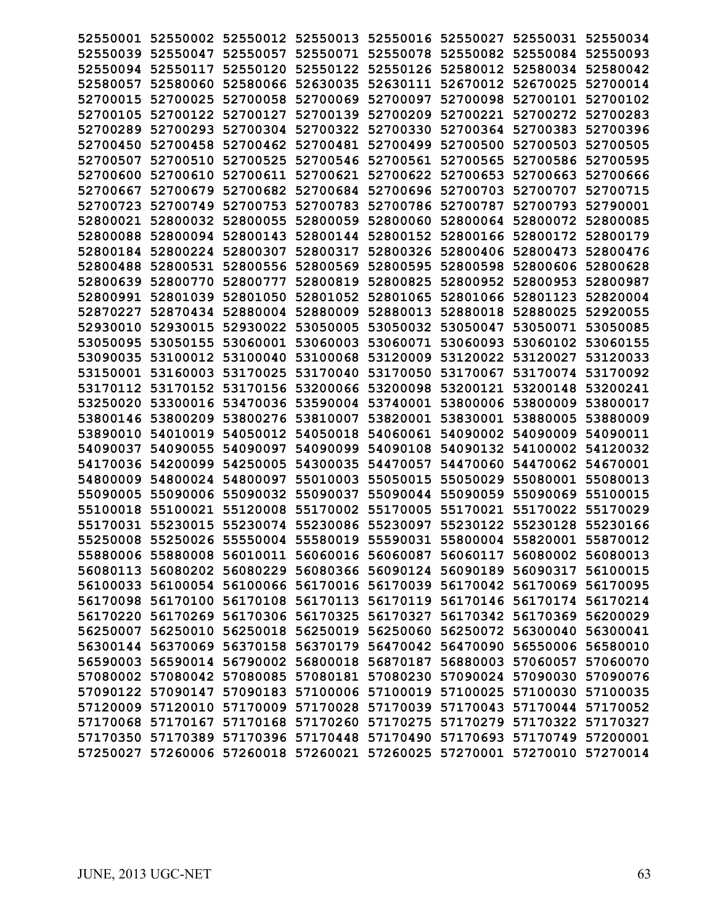|                      |                                     |                      |                      | 52550001 52550002 52550012 52550013 52550016 52550027 52550031 52550034 |                            |                      |                      |
|----------------------|-------------------------------------|----------------------|----------------------|-------------------------------------------------------------------------|----------------------------|----------------------|----------------------|
| 52550039             | 52550047                            | 52550057             |                      | 52550071 52550078 52550082 52550084 52550093                            |                            |                      |                      |
| 52550094             | 52550117                            | 52550120             | 52550122             | 52550126                                                                | 52580012                   | 52580034             | 52580042             |
| 52580057             | 52580060                            | 52580066             | 52630035             | 52630111 52670012 52670025                                              |                            |                      | 52700014             |
| 52700015             | 52700025                            | 52700058             | 52700069             | 52700097                                                                | 52700098                   | 52700101             | 52700102             |
| 52700105             | 52700122                            | 52700127             | 52700139             | 52700209                                                                | 52700221                   | 52700272             | 52700283             |
| 52700289             | 52700293                            | 52700304             | 52700322             | 52700330                                                                | 52700364                   | 52700383             | 52700396             |
| 52700450             | 52700458                            | 52700462             | 52700481             | 52700499                                                                | 52700500                   | 52700503             | 52700505             |
| 52700507             | 52700510                            | 52700525             | 52700546             | 52700561                                                                | 52700565                   | 52700586             | 52700595             |
| 52700600             | 52700610                            | 52700611             |                      | 52700621 52700622 52700653                                              |                            | 52700663             | 52700666             |
| 52700667             | 52700679                            | 52700682             | 52700684             | 52700696                                                                | 52700703                   | 52700707             | 52700715             |
| 52700723             | 52700749                            | 52700753             | 52700783             | 52700786                                                                | 52700787                   | 52700793             | 52790001             |
| 52800021             | 52800032                            | 52800055             | 52800059             |                                                                         | 52800060 52800064 52800072 |                      | 52800085             |
| 52800088             | 52800094                            | 52800143             | 52800144             |                                                                         | 52800152 52800166          | 52800172             | 52800179             |
| 52800184             | 52800224                            | 52800307             | 52800317             | 52800326                                                                | 52800406                   | 52800473             | 52800476             |
| 52800488             | 52800531                            | 52800556             | 52800569             | 52800595                                                                | 52800598                   | 52800606             | 52800628             |
| 52800639             | 52800770                            | 52800777             | 52800819             | 52800825                                                                | 52800952                   | 52800953             | 52800987             |
| 52800991             | 52801039                            | 52801050             | 52801052             | 52801065                                                                | 52801066                   | 52801123             | 52820004             |
| 52870227             | 52870434                            | 52880004             | 52880009             | 52880013                                                                | 52880018                   | 52880025             | 52920055             |
| 52930010             | 52930015                            | 52930022             | 53050005             | 53050032 53050047                                                       |                            | 53050071             | 53050085             |
| 53050095             | 53050155                            | 53060001             | 53060003             | 53060071 53060093                                                       |                            | 53060102             | 53060155             |
| 53090035             | 53100012                            | 53100040             | 53100068<br>53170040 | 53120009                                                                | 53120022<br>53170067       | 53120027             | 53120033             |
| 53150001<br>53170112 | 53160003<br>53170152                | 53170025<br>53170156 | 53200066             | 53170050<br>53200098                                                    | 53200121                   | 53170074<br>53200148 | 53170092<br>53200241 |
| 53250020             | 53300016                            | 53470036             | 53590004             | 53740001                                                                | 53800006                   | 53800009             | 53800017             |
| 53800146             | 53800209                            | 53800276             | 53810007             | 53820001                                                                | 53830001                   | 53880005             | 53880009             |
| 53890010             | 54010019 54050012                   |                      | 54050018             | 54060061                                                                |                            | 54090002 54090009    | 54090011             |
| 54090037             | 54090055                            | 54090097             | 54090099             | 54090108                                                                | 54090132                   | 54100002             | 54120032             |
| 54170036             | 54200099                            | 54250005             | 54300035             | 54470057                                                                | 54470060                   | 54470062             | 54670001             |
| 54800009             | 54800024                            | 54800097             | 55010003             | 55050015                                                                | 55050029                   | 55080001             | 55080013             |
| 55090005             | 55090006                            | 55090032             | 55090037             | 55090044 55090059                                                       |                            | 55090069             | 55100015             |
| 55100018             | 55100021                            | 55120008             | 55170002             | 55170005                                                                | 55170021                   | 55170022             | 55170029             |
|                      | 55170031 55230015 55230074 55230086 |                      |                      | 55230097 55230122 55230128 55230166                                     |                            |                      |                      |
|                      |                                     |                      |                      | 55250008 55250026 55550004 55580019 55590031 55800004 55820001 55870012 |                            |                      |                      |
|                      |                                     |                      |                      | 55880006 55880008 56010011 56060016 56060087 56060117 56080002 56080013 |                            |                      |                      |
|                      |                                     |                      |                      | 56080113 56080202 56080229 56080366 56090124 56090189 56090317 56100015 |                            |                      |                      |
|                      |                                     |                      |                      | 56100033 56100054 56100066 56170016 56170039 56170042 56170069 56170095 |                            |                      |                      |
|                      |                                     |                      |                      | 56170098 56170100 56170108 56170113 56170119 56170146 56170174 56170214 |                            |                      |                      |
|                      |                                     |                      |                      | 56170220 56170269 56170306 56170325 56170327 56170342 56170369 56200029 |                            |                      |                      |
|                      |                                     |                      |                      | 56250007 56250010 56250018 56250019 56250060 56250072 56300040 56300041 |                            |                      |                      |
|                      |                                     |                      |                      | 56300144 56370069 56370158 56370179 56470042 56470090 56550006 56580010 |                            |                      |                      |
|                      |                                     |                      |                      | 56590003 56590014 56790002 56800018 56870187 56880003 57060057 57060070 |                            |                      |                      |
|                      |                                     |                      |                      | 57080002 57080042 57080085 57080181 57080230 57090024 57090030 57090076 |                            |                      |                      |
|                      |                                     |                      |                      | 57090122 57090147 57090183 57100006 57100019 57100025 57100030 57100035 |                            |                      |                      |
|                      |                                     |                      |                      | 57120009 57120010 57170009 57170028 57170039 57170043 57170044 57170052 |                            |                      |                      |
|                      |                                     |                      |                      | 57170068 57170167 57170168 57170260 57170275 57170279 57170322 57170327 |                            |                      |                      |
|                      |                                     |                      |                      | 57170350 57170389 57170396 57170448 57170490 57170693 57170749 57200001 |                            |                      |                      |
|                      |                                     |                      |                      | 57250027 57260006 57260018 57260021 57260025 57270001 57270010 57270014 |                            |                      |                      |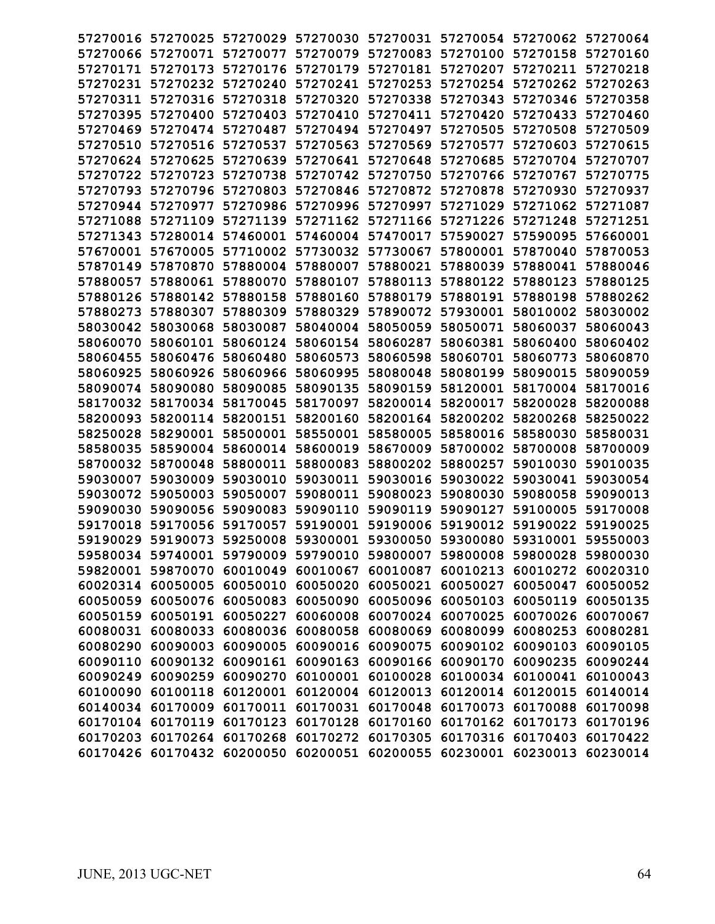|          |                            | 57270016 57270025 57270029 57270030 57270031 57270054 57270062 57270064 |                            |                   |                                              |                            |          |
|----------|----------------------------|-------------------------------------------------------------------------|----------------------------|-------------------|----------------------------------------------|----------------------------|----------|
|          |                            | 57270066 57270071 57270077 57270079 57270083 57270100 57270158 57270160 |                            |                   |                                              |                            |          |
|          | 57270171 57270173 57270176 |                                                                         |                            |                   | 57270179 57270181 57270207 57270211 57270218 |                            |          |
|          |                            | 57270231 57270232 57270240 57270241 57270253 57270254 57270262 57270263 |                            |                   |                                              |                            |          |
|          | 57270311 57270316          | 57270318 57270320 57270338                                              |                            |                   | 57270343                                     | 57270346 57270358          |          |
| 57270395 | 57270400                   | 57270403                                                                | 57270410                   | 57270411          | 57270420                                     | 57270433                   | 57270460 |
| 57270469 |                            | 57270474 57270487                                                       | 57270494                   | 57270497          | 57270505                                     | 57270508                   | 57270509 |
|          |                            | 57270510 57270516 57270537 57270563 57270569                            |                            |                   | 57270577                                     | 57270603                   | 57270615 |
|          | 57270624 57270625          | 57270639 57270641 57270648                                              |                            |                   | 57270685                                     | 57270704                   | 57270707 |
|          | 57270722 57270723          | 57270738 57270742 57270750                                              |                            |                   | 57270766                                     | 57270767                   | 57270775 |
|          | 57270793 57270796          | 57270803                                                                | 57270846 57270872          |                   | 57270878                                     | 57270930                   | 57270937 |
|          | 57270944 57270977          | 57270986                                                                | 57270996 57270997          |                   | 57271029                                     | 57271062                   | 57271087 |
|          | 57271088 57271109          |                                                                         | 57271139 57271162 57271166 |                   |                                              | 57271226 57271248          | 57271251 |
|          |                            | 57271343 57280014 57460001                                              | 57460004 57470017          |                   | 57590027                                     | 57590095                   | 57660001 |
|          | 57670001 57670005          | 57710002 57730032 57730067                                              |                            |                   |                                              | 57800001 57870040 57870053 |          |
|          | 57870149 57870870          |                                                                         | 57880004 57880007 57880021 |                   | 57880039                                     | 57880041 57880046          |          |
|          | 57880057 57880061          | 57880070                                                                | 57880107                   | 57880113          | 57880122                                     | 57880123                   | 57880125 |
|          | 57880142                   | 57880158                                                                | 57880160                   | 57880179          | 57880191                                     | 57880198                   | 57880262 |
| 57880126 | 57880307                   | 57880309                                                                |                            | 57890072          | 57930001                                     |                            |          |
| 57880273 |                            |                                                                         | 57880329                   |                   |                                              | 58010002                   | 58030002 |
| 58030042 | 58030068                   | 58030087                                                                | 58040004                   | 58050059          | 58050071                                     | 58060037                   | 58060043 |
| 58060070 | 58060101                   |                                                                         | 58060124 58060154 58060287 |                   | 58060381 58060400                            |                            | 58060402 |
|          | 58060455 58060476          | 58060480                                                                | 58060573                   | 58060598          | 58060701 58060773                            |                            | 58060870 |
| 58060925 | 58060926                   | 58060966                                                                | 58060995                   | 58080048          | 58080199                                     | 58090015                   | 58090059 |
|          | 58090074 58090080          | 58090085                                                                | 58090135                   | 58090159          | 58120001                                     | 58170004                   | 58170016 |
|          | 58170032 58170034 58170045 |                                                                         | 58170097                   | 58200014          | 58200017                                     | 58200028                   | 58200088 |
|          |                            | 58200093 58200114 58200151                                              | 58200160                   | 58200164          | 58200202 58200268                            |                            | 58250022 |
|          |                            | 58250028 58290001 58500001 58550001 58580005                            |                            |                   | 58580016                                     | 58580030                   | 58580031 |
| 58580035 | 58590004                   | 58600014                                                                | 58600019                   | 58670009          | 58700002 58700008                            |                            | 58700009 |
| 58700032 | 58700048                   | 58800011                                                                | 58800083                   | 58800202          | 58800257                                     | 59010030                   | 59010035 |
| 59030007 | 59030009                   | 59030010                                                                | 59030011                   | 59030016          | 59030022                                     | 59030041                   | 59030054 |
| 59030072 | 59050003                   | 59050007                                                                | 59080011                   | 59080023          | 59080030                                     | 59080058                   | 59090013 |
| 59090030 | 59090056                   | 59090083                                                                | 59090110                   | 59090119          | 59090127                                     | 59100005                   | 59170008 |
|          | 59170018 59170056          | 59170057 59190001 59190006                                              |                            |                   | 59190012 59190022 59190025                   |                            |          |
|          |                            | 59190029 59190073 59250008 59300001 59300050 59300080 59310001 59550003 |                            |                   |                                              |                            |          |
|          |                            | 59580034 59740001 59790009 59790010 59800007 59800008 59800028 59800030 |                            |                   |                                              |                            |          |
|          | 59820001 59870070          | 60010049                                                                | 60010067                   | 60010087          | 60010213                                     | 60010272 60020310          |          |
|          | 60020314 60050005          | 60050010                                                                | 60050020                   | 60050021          | 60050027                                     | 60050047                   | 60050052 |
|          |                            | 60050059 60050076 60050083 60050090 60050096                            |                            |                   | 60050103                                     | 60050119 60050135          |          |
|          | 60050159 60050191          | 60050227                                                                |                            | 60060008 60070024 | 60070025                                     | 60070026 60070067          |          |
|          | 60080031 60080033          |                                                                         | 60080036 60080058 60080069 |                   | 60080099                                     | 60080253 60080281          |          |
| 60080290 | 60090003                   | 60090005                                                                | 60090016 60090075          |                   | 60090102                                     | 60090103                   | 60090105 |
|          | 60090110 60090132          | 60090161                                                                | 60090163 60090166          |                   | 60090170                                     | 60090235                   | 60090244 |
|          | 60090249 60090259          | 60090270                                                                | 60100001 60100028          |                   | 60100034                                     | 60100041 60100043          |          |
|          |                            | 60100090 60100118 60120001                                              | 60120004 60120013          |                   |                                              | 60120014 60120015 60140014 |          |
|          |                            | 60140034 60170009 60170011 60170031 60170048                            |                            |                   |                                              | 60170073 60170088 60170098 |          |
|          | 60170104 60170119          | 60170123                                                                | 60170128 60170160          |                   |                                              | 60170162 60170173 60170196 |          |
|          |                            | 60170203 60170264 60170268                                              | 60170272 60170305          |                   | 60170316                                     | 60170403 60170422          |          |
|          |                            | 60170426 60170432 60200050                                              | 60200051 60200055          |                   |                                              | 60230001 60230013 60230014 |          |
|          |                            |                                                                         |                            |                   |                                              |                            |          |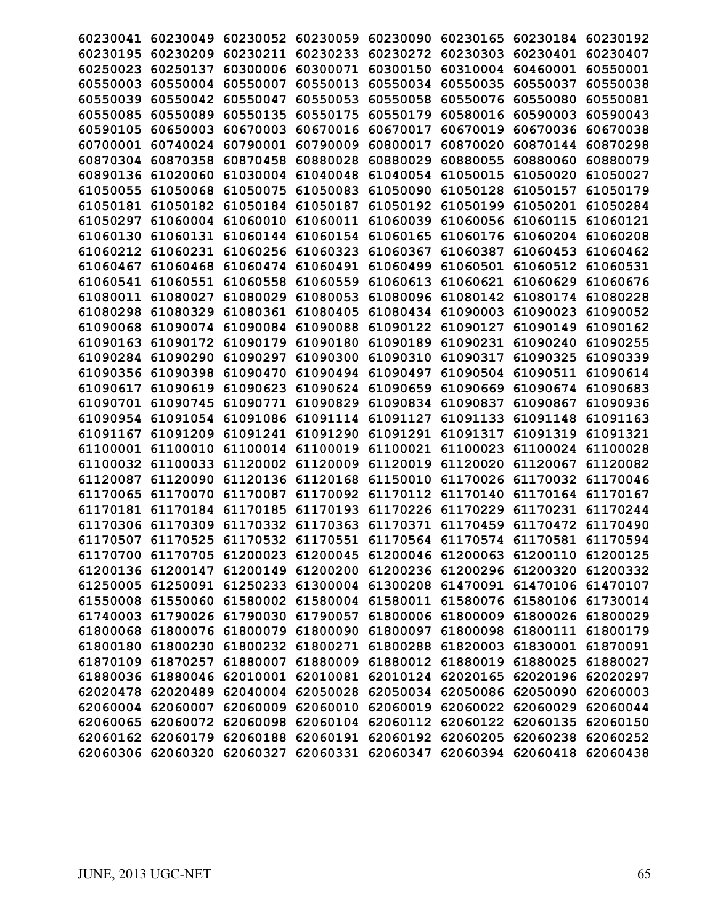| 60230041          | 60230049          | 60230052 |          | 60230059 60230090                                                       | 60230165          | 60230184 | 60230192 |
|-------------------|-------------------|----------|----------|-------------------------------------------------------------------------|-------------------|----------|----------|
| 60230195          | 60230209          | 60230211 | 60230233 | 60230272                                                                | 60230303          | 60230401 | 60230407 |
| 60250023          | 60250137          | 60300006 | 60300071 | 60300150                                                                | 60310004          | 60460001 | 60550001 |
| 60550003          | 60550004          | 60550007 | 60550013 | 60550034                                                                | 60550035          | 60550037 | 60550038 |
| 60550039          | 60550042          | 60550047 | 60550053 | 60550058                                                                | 60550076          | 60550080 | 60550081 |
| 60550085          | 60550089          | 60550135 | 60550175 | 60550179                                                                | 60580016          | 60590003 | 60590043 |
| 60590105          | 60650003          | 60670003 | 60670016 | 60670017                                                                | 60670019          | 60670036 | 60670038 |
| 60700001          | 60740024          | 60790001 | 60790009 | 60800017                                                                | 60870020          | 60870144 | 60870298 |
| 60870304          | 60870358          | 60870458 | 60880028 | 60880029                                                                | 60880055          | 60880060 | 60880079 |
| 60890136          | 61020060          | 61030004 | 61040048 | 61040054                                                                | 61050015          | 61050020 | 61050027 |
| 61050055          | 61050068          | 61050075 | 61050083 | 61050090                                                                | 61050128          | 61050157 | 61050179 |
| 61050181          | 61050182          | 61050184 | 61050187 | 61050192                                                                | 61050199          | 61050201 | 61050284 |
| 61050297          | 61060004          | 61060010 | 61060011 | 61060039                                                                | 61060056          | 61060115 | 61060121 |
| 61060130          | 61060131          | 61060144 | 61060154 | 61060165                                                                | 61060176          | 61060204 | 61060208 |
| 61060212          | 61060231          | 61060256 | 61060323 | 61060367                                                                | 61060387          | 61060453 | 61060462 |
| 61060467          | 61060468          | 61060474 | 61060491 | 61060499                                                                | 61060501          | 61060512 | 61060531 |
| 61060541          | 61060551          | 61060558 | 61060559 | 61060613                                                                | 61060621          | 61060629 | 61060676 |
| 61080011          | 61080027          | 61080029 | 61080053 | 61080096                                                                | 61080142          | 61080174 | 61080228 |
| 61080298          | 61080329          | 61080361 | 61080405 | 61080434                                                                | 61090003          | 61090023 | 61090052 |
| 61090068          | 61090074          | 61090084 | 61090088 | 61090122                                                                | 61090127          | 61090149 | 61090162 |
| 61090163          | 61090172          | 61090179 | 61090180 | 61090189                                                                | 61090231          | 61090240 | 61090255 |
| 61090284          | 61090290          | 61090297 | 61090300 | 61090310                                                                | 61090317          | 61090325 | 61090339 |
| 61090356          | 61090398          | 61090470 | 61090494 | 61090497                                                                | 61090504          | 61090511 | 61090614 |
| 61090617          | 61090619          | 61090623 | 61090624 | 61090659                                                                | 61090669          | 61090674 | 61090683 |
| 61090701          | 61090745          | 61090771 | 61090829 | 61090834                                                                | 61090837          | 61090867 | 61090936 |
| 61090954          | 61091054          | 61091086 | 61091114 | 61091127                                                                | 61091133          | 61091148 | 61091163 |
| 61091167          | 61091209          | 61091241 | 61091290 | 61091291                                                                | 61091317          | 61091319 | 61091321 |
| 61100001          | 61100010          | 61100014 | 61100019 | 61100021                                                                | 61100023          | 61100024 | 61100028 |
| 61100032          | 61100033          | 61120002 | 61120009 | 61120019                                                                | 61120020          | 61120067 | 61120082 |
| 61120087          | 61120090          | 61120136 | 61120168 | 61150010                                                                | 61170026          | 61170032 | 61170046 |
| 61170065          | 61170070          | 61170087 | 61170092 | 61170112                                                                | 61170140          | 61170164 | 61170167 |
| 61170181          | 61170184          | 61170185 | 61170193 | 61170226                                                                | 61170229          | 61170231 | 61170244 |
| 61170306          | 61170309          | 61170332 | 61170363 | 61170371                                                                | 61170459          | 61170472 | 61170490 |
| 61170507          |                   |          |          | 61170525 61170532 61170551 61170564 61170574 61170581 61170594          |                   |          |          |
|                   |                   |          |          | 61170700 61170705 61200023 61200045 61200046 61200063 61200110 61200125 |                   |          |          |
| 61200136          | 61200147          | 61200149 | 61200200 |                                                                         | 61200236 61200296 | 61200320 | 61200332 |
| 61250005 61250091 |                   | 61250233 |          | 61300004 61300208 61470091                                              |                   | 61470106 | 61470107 |
|                   | 61550008 61550060 |          |          | 61580002 61580004 61580011 61580076 61580106                            |                   |          | 61730014 |
|                   | 61740003 61790026 | 61790030 |          | 61790057 61800006 61800009 61800026 61800029                            |                   |          |          |
|                   | 61800068 61800076 | 61800079 | 61800090 |                                                                         | 61800097 61800098 | 61800111 | 61800179 |
|                   | 61800180 61800230 | 61800232 | 61800271 |                                                                         | 61800288 61820003 | 61830001 | 61870091 |
| 61870109          | 61870257          | 61880007 | 61880009 |                                                                         | 61880012 61880019 | 61880025 | 61880027 |
|                   | 61880036 61880046 | 62010001 | 62010081 |                                                                         | 62010124 62020165 | 62020196 | 62020297 |
|                   | 62020478 62020489 | 62040004 |          | 62050028 62050034 62050086                                              |                   | 62050090 | 62060003 |
|                   | 62060004 62060007 | 62060009 | 62060010 |                                                                         | 62060019 62060022 | 62060029 | 62060044 |
| 62060065 62060072 |                   | 62060098 |          | 62060104 62060112 62060122                                              |                   | 62060135 | 62060150 |
|                   | 62060162 62060179 | 62060188 | 62060191 |                                                                         | 62060192 62060205 | 62060238 | 62060252 |
|                   | 62060306 62060320 | 62060327 |          | 62060331 62060347 62060394                                              |                   | 62060418 | 62060438 |
|                   |                   |          |          |                                                                         |                   |          |          |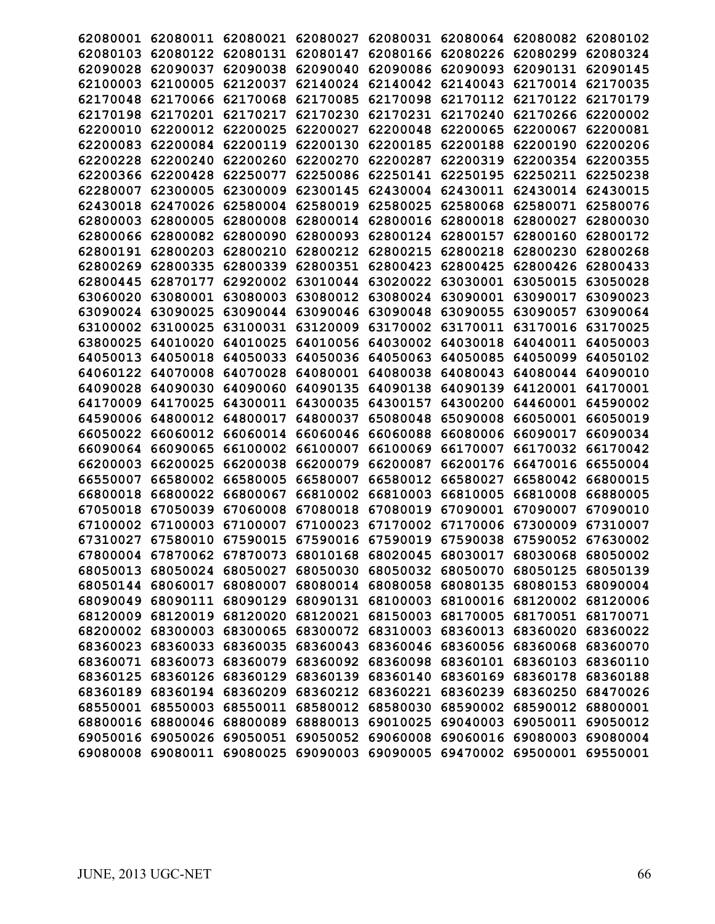| 62080011             |          |                                                                                                                                                 |                                                                                                                                                       |                      |                                                                                                                                                                                                                                                                         | 62080102                                                                                                                                                                                                                            |
|----------------------|----------|-------------------------------------------------------------------------------------------------------------------------------------------------|-------------------------------------------------------------------------------------------------------------------------------------------------------|----------------------|-------------------------------------------------------------------------------------------------------------------------------------------------------------------------------------------------------------------------------------------------------------------------|-------------------------------------------------------------------------------------------------------------------------------------------------------------------------------------------------------------------------------------|
| 62080122             | 62080131 | 62080147                                                                                                                                        | 62080166                                                                                                                                              | 62080226             | 62080299                                                                                                                                                                                                                                                                | 62080324                                                                                                                                                                                                                            |
| 62090037             | 62090038 | 62090040                                                                                                                                        | 62090086                                                                                                                                              | 62090093             | 62090131                                                                                                                                                                                                                                                                | 62090145                                                                                                                                                                                                                            |
| 62100005             | 62120037 | 62140024                                                                                                                                        | 62140042                                                                                                                                              | 62140043             | 62170014                                                                                                                                                                                                                                                                | 62170035                                                                                                                                                                                                                            |
| 62170066             | 62170068 | 62170085                                                                                                                                        | 62170098                                                                                                                                              | 62170112             | 62170122                                                                                                                                                                                                                                                                | 62170179                                                                                                                                                                                                                            |
| 62170201             | 62170217 | 62170230                                                                                                                                        | 62170231                                                                                                                                              | 62170240             | 62170266                                                                                                                                                                                                                                                                | 62200002                                                                                                                                                                                                                            |
| 62200012             | 62200025 | 62200027                                                                                                                                        | 62200048                                                                                                                                              | 62200065             | 62200067                                                                                                                                                                                                                                                                | 62200081                                                                                                                                                                                                                            |
| 62200084             | 62200119 | 62200130                                                                                                                                        | 62200185                                                                                                                                              | 62200188             | 62200190                                                                                                                                                                                                                                                                | 62200206                                                                                                                                                                                                                            |
| 62200240             | 62200260 | 62200270                                                                                                                                        | 62200287                                                                                                                                              | 62200319             | 62200354                                                                                                                                                                                                                                                                | 62200355                                                                                                                                                                                                                            |
| 62200428             | 62250077 | 62250086                                                                                                                                        | 62250141                                                                                                                                              | 62250195             | 62250211                                                                                                                                                                                                                                                                | 62250238                                                                                                                                                                                                                            |
| 62300005             | 62300009 | 62300145                                                                                                                                        | 62430004                                                                                                                                              | 62430011             | 62430014                                                                                                                                                                                                                                                                | 62430015                                                                                                                                                                                                                            |
| 62470026             | 62580004 | 62580019                                                                                                                                        | 62580025                                                                                                                                              | 62580068             | 62580071                                                                                                                                                                                                                                                                | 62580076                                                                                                                                                                                                                            |
| 62800005             | 62800008 | 62800014                                                                                                                                        | 62800016                                                                                                                                              | 62800018             | 62800027                                                                                                                                                                                                                                                                | 62800030                                                                                                                                                                                                                            |
| 62800082             | 62800090 | 62800093                                                                                                                                        | 62800124                                                                                                                                              | 62800157             | 62800160                                                                                                                                                                                                                                                                | 62800172                                                                                                                                                                                                                            |
| 62800203             | 62800210 | 62800212                                                                                                                                        | 62800215                                                                                                                                              | 62800218             | 62800230                                                                                                                                                                                                                                                                | 62800268                                                                                                                                                                                                                            |
| 62800335             | 62800339 | 62800351                                                                                                                                        | 62800423                                                                                                                                              | 62800425             | 62800426                                                                                                                                                                                                                                                                | 62800433                                                                                                                                                                                                                            |
| 62870177             | 62920002 | 63010044                                                                                                                                        | 63020022                                                                                                                                              | 63030001             | 63050015                                                                                                                                                                                                                                                                | 63050028                                                                                                                                                                                                                            |
| 63080001             | 63080003 | 63080012                                                                                                                                        | 63080024                                                                                                                                              | 63090001             | 63090017                                                                                                                                                                                                                                                                | 63090023                                                                                                                                                                                                                            |
| 63090025             | 63090044 | 63090046                                                                                                                                        | 63090048                                                                                                                                              | 63090055             | 63090057                                                                                                                                                                                                                                                                | 63090064                                                                                                                                                                                                                            |
| 63100025             | 63100031 | 63120009                                                                                                                                        | 63170002                                                                                                                                              | 63170011             | 63170016                                                                                                                                                                                                                                                                | 63170025                                                                                                                                                                                                                            |
| 64010020             | 64010025 | 64010056                                                                                                                                        | 64030002                                                                                                                                              | 64030018             | 64040011                                                                                                                                                                                                                                                                | 64050003                                                                                                                                                                                                                            |
| 64050018             | 64050033 | 64050036                                                                                                                                        | 64050063                                                                                                                                              | 64050085             | 64050099                                                                                                                                                                                                                                                                | 64050102                                                                                                                                                                                                                            |
| 64070008             | 64070028 | 64080001                                                                                                                                        | 64080038                                                                                                                                              | 64080043             | 64080044                                                                                                                                                                                                                                                                | 64090010                                                                                                                                                                                                                            |
| 64090030             | 64090060 | 64090135                                                                                                                                        | 64090138                                                                                                                                              | 64090139             | 64120001                                                                                                                                                                                                                                                                | 64170001                                                                                                                                                                                                                            |
| 64170025             | 64300011 | 64300035                                                                                                                                        | 64300157                                                                                                                                              | 64300200             | 64460001                                                                                                                                                                                                                                                                | 64590002                                                                                                                                                                                                                            |
| 64800012             | 64800017 | 64800037                                                                                                                                        | 65080048                                                                                                                                              | 65090008             | 66050001                                                                                                                                                                                                                                                                | 66050019                                                                                                                                                                                                                            |
| 66060012             | 66060014 | 66060046                                                                                                                                        | 66060088                                                                                                                                              | 66080006             | 66090017                                                                                                                                                                                                                                                                | 66090034                                                                                                                                                                                                                            |
| 66090065             | 66100002 | 66100007                                                                                                                                        | 66100069                                                                                                                                              | 66170007             | 66170032                                                                                                                                                                                                                                                                | 66170042                                                                                                                                                                                                                            |
| 66200025             | 66200038 | 66200079                                                                                                                                        | 66200087                                                                                                                                              | 66200176             | 66470016                                                                                                                                                                                                                                                                | 66550004                                                                                                                                                                                                                            |
| 66580002             | 66580005 | 66580007                                                                                                                                        | 66580012                                                                                                                                              | 66580027             | 66580042                                                                                                                                                                                                                                                                | 66800015                                                                                                                                                                                                                            |
| 66800022             | 66800067 | 66810002                                                                                                                                        | 66810003                                                                                                                                              | 66810005             | 66810008                                                                                                                                                                                                                                                                | 66880005                                                                                                                                                                                                                            |
| 67050039             | 67060008 | 67080018                                                                                                                                        | 67080019                                                                                                                                              | 67090001             | 67090007                                                                                                                                                                                                                                                                | 67090010                                                                                                                                                                                                                            |
| 67100003             | 67100007 | 67100023                                                                                                                                        |                                                                                                                                                       |                      | 67300009                                                                                                                                                                                                                                                                | 67310007                                                                                                                                                                                                                            |
|                      | 67590015 |                                                                                                                                                 |                                                                                                                                                       |                      |                                                                                                                                                                                                                                                                         |                                                                                                                                                                                                                                     |
|                      |          |                                                                                                                                                 |                                                                                                                                                       |                      |                                                                                                                                                                                                                                                                         |                                                                                                                                                                                                                                     |
|                      | 68050027 | 68050030                                                                                                                                        |                                                                                                                                                       |                      | 68050125                                                                                                                                                                                                                                                                | 68050139                                                                                                                                                                                                                            |
| 68060017<br>68050144 | 68080007 | 68080014                                                                                                                                        |                                                                                                                                                       |                      | 68080153                                                                                                                                                                                                                                                                | 68090004                                                                                                                                                                                                                            |
|                      |          |                                                                                                                                                 |                                                                                                                                                       |                      | 68120002                                                                                                                                                                                                                                                                | 68120006                                                                                                                                                                                                                            |
|                      |          |                                                                                                                                                 |                                                                                                                                                       |                      | 68170051                                                                                                                                                                                                                                                                | 68170071                                                                                                                                                                                                                            |
| 68200002 68300003    | 68300065 | 68300072                                                                                                                                        |                                                                                                                                                       |                      | 68360020                                                                                                                                                                                                                                                                | 68360022                                                                                                                                                                                                                            |
| 68360033<br>68360023 | 68360035 | 68360043                                                                                                                                        |                                                                                                                                                       |                      | 68360068                                                                                                                                                                                                                                                                | 68360070                                                                                                                                                                                                                            |
| 68360071 68360073    | 68360079 | 68360092                                                                                                                                        |                                                                                                                                                       |                      | 68360103                                                                                                                                                                                                                                                                | 68360110                                                                                                                                                                                                                            |
|                      | 68360129 | 68360139                                                                                                                                        |                                                                                                                                                       |                      | 68360178                                                                                                                                                                                                                                                                | 68360188                                                                                                                                                                                                                            |
|                      |          | 68360212                                                                                                                                        |                                                                                                                                                       |                      |                                                                                                                                                                                                                                                                         | 68470026                                                                                                                                                                                                                            |
|                      |          |                                                                                                                                                 |                                                                                                                                                       |                      |                                                                                                                                                                                                                                                                         | 68800001                                                                                                                                                                                                                            |
|                      | 68800089 | 68880013                                                                                                                                        |                                                                                                                                                       |                      |                                                                                                                                                                                                                                                                         | 69050012                                                                                                                                                                                                                            |
|                      |          | 69050052                                                                                                                                        |                                                                                                                                                       |                      |                                                                                                                                                                                                                                                                         | 69080004                                                                                                                                                                                                                            |
|                      |          |                                                                                                                                                 |                                                                                                                                                       |                      |                                                                                                                                                                                                                                                                         |                                                                                                                                                                                                                                     |
|                      |          | 67580010<br>68050024<br>68090049 68090111<br>68120009 68120019 68120020<br>68360125 68360126<br>68360189 68360194 68360209<br>68800016 68800046 | 62080021 62080027<br>67800004 67870062 67870073<br>68090129<br>68550001 68550003 68550011<br>69050016 69050026 69050051<br>69080008 69080011 69080025 | 68580012<br>69090003 | 67170002 67170006<br>67590016 67590019 67590038<br>68010168 68020045 68030017<br>68050032 68050070<br>68080058 68080135<br>68090131 68100003 68100016<br>68120021 68150003 68170005<br>68310003 68360013<br>68360046 68360056<br>68360098 68360101<br>68360140 68360169 | 62080031 62080064 62080082<br>67590052 67630002<br>68030068 68050002<br>68360221 68360239 68360250<br>68580030 68590002 68590012<br>69010025 69040003 69050011<br>69060008 69060016 69080003<br>69090005 69470002 69500001 69550001 |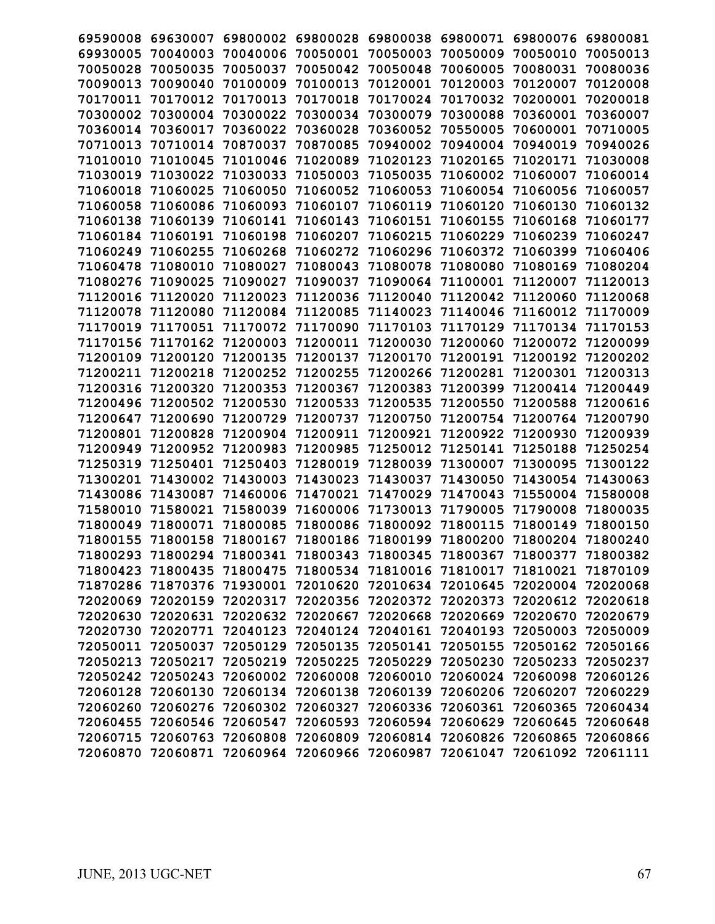| 69590008          | 69630007          | 69800002                   | 69800028          | 69800038 | 69800071 | 69800076          | 69800081 |
|-------------------|-------------------|----------------------------|-------------------|----------|----------|-------------------|----------|
| 69930005          | 70040003          | 70040006                   | 70050001          | 70050003 | 70050009 | 70050010          | 70050013 |
| 70050028          | 70050035          | 70050037                   | 70050042          | 70050048 | 70060005 | 70080031          | 70080036 |
| 70090013          | 70090040          | 70100009                   | 70100013          | 70120001 | 70120003 | 70120007          | 70120008 |
| 70170011          | 70170012          | 70170013                   | 70170018          | 70170024 | 70170032 | 70200001          | 70200018 |
| 70300002          | 70300004          | 70300022                   | 70300034          | 70300079 | 70300088 | 70360001          | 70360007 |
| 70360014          | 70360017          | 70360022                   | 70360028          | 70360052 | 70550005 | 70600001          | 70710005 |
| 70710013          | 70710014          | 70870037                   | 70870085          | 70940002 | 70940004 | 70940019          | 70940026 |
| 71010010          | 71010045          | 71010046                   | 71020089          | 71020123 | 71020165 | 71020171          | 71030008 |
| 71030019          | 71030022          | 71030033                   | 71050003          | 71050035 | 71060002 | 71060007          | 71060014 |
| 71060018          | 71060025          | 71060050                   | 71060052          | 71060053 | 71060054 | 71060056          | 71060057 |
| 71060058          | 71060086          | 71060093                   | 71060107          | 71060119 | 71060120 | 71060130          | 71060132 |
| 71060138          | 71060139          | 71060141                   | 71060143          | 71060151 | 71060155 | 71060168          | 71060177 |
| 71060184          | 71060191          | 71060198                   | 71060207          | 71060215 | 71060229 | 71060239          | 71060247 |
| 71060249          | 71060255          | 71060268                   | 71060272          | 71060296 | 71060372 | 71060399          | 71060406 |
| 71060478          | 71080010          | 71080027                   | 71080043          | 71080078 | 71080080 | 71080169          | 71080204 |
| 71080276          | 71090025          | 71090027                   | 71090037          | 71090064 | 71100001 | 71120007          | 71120013 |
| 71120016          | 71120020          | 71120023                   | 71120036          | 71120040 | 71120042 | 71120060          | 71120068 |
| 71120078          | 71120080          | 71120084                   | 71120085          | 71140023 | 71140046 | 71160012          | 71170009 |
| 71170019          | 71170051          | 71170072                   | 71170090          | 71170103 | 71170129 | 71170134          | 71170153 |
| 71170156          | 71170162          | 71200003                   | 71200011          | 71200030 | 71200060 | 71200072          | 71200099 |
| 71200109          | 71200120          | 71200135                   | 71200137          | 71200170 | 71200191 | 71200192          | 71200202 |
| 71200211          | 71200218          | 71200252                   | 71200255          | 71200266 | 71200281 | 71200301          | 71200313 |
| 71200316          | 71200320          | 71200353                   | 71200367          | 71200383 | 71200399 | 71200414          | 71200449 |
| 71200496          | 71200502          | 71200530                   | 71200533          | 71200535 | 71200550 | 71200588          | 71200616 |
| 71200647          | 71200690          | 71200729                   | 71200737          | 71200750 | 71200754 | 71200764          | 71200790 |
| 71200801          | 71200828          | 71200904                   | 71200911          | 71200921 | 71200922 | 71200930          | 71200939 |
| 71200949          | 71200952          | 71200983                   | 71200985          | 71250012 | 71250141 | 71250188          | 71250254 |
| 71250319          | 71250401          | 71250403                   | 71280019          | 71280039 | 71300007 | 71300095          | 71300122 |
| 71300201          | 71430002          | 71430003                   | 71430023          | 71430037 | 71430050 | 71430054          | 71430063 |
| 71430086          | 71430087          | 71460006                   | 71470021          | 71470029 | 71470043 | 71550004          | 71580008 |
| 71580010          | 71580021          | 71580039                   | 71600006          | 71730013 | 71790005 | 71790008          | 71800035 |
| 71800049          | 71800071          | 71800085                   | 71800086          | 71800092 | 71800115 | 71800149          | 71800150 |
| 71800155          | 71800158          | 71800167                   | 71800186          | 71800199 | 71800200 | 71800204          | 71800240 |
| 71800293          | 71800294          | 71800341                   | 71800343          | 71800345 | 71800367 | 71800377          | 71800382 |
| 71800423          | 71800435          | 71800475                   | 71800534          | 71810016 | 71810017 | 71810021          | 71870109 |
|                   | 71870286 71870376 | 71930001                   | 72010620 72010634 |          | 72010645 | 72020004 72020068 |          |
|                   |                   | 72020069 72020159 72020317 | 72020356 72020372 |          | 72020373 | 72020612 72020618 |          |
|                   | 72020630 72020631 | 72020632                   | 72020667          | 72020668 | 72020669 | 72020670 72020679 |          |
|                   | 72020730 72020771 | 72040123                   | 72040124 72040161 |          | 72040193 | 72050003          | 72050009 |
| 72050011 72050037 |                   | 72050129                   | 72050135          | 72050141 | 72050155 | 72050162 72050166 |          |
|                   | 72050213 72050217 | 72050219                   | 72050225          | 72050229 | 72050230 | 72050233          | 72050237 |
|                   | 72050242 72050243 | 72060002                   | 72060008          | 72060010 | 72060024 | 72060098          | 72060126 |
|                   | 72060128 72060130 | 72060134                   | 72060138          | 72060139 | 72060206 | 72060207          | 72060229 |
|                   | 72060260 72060276 | 72060302                   | 72060327          | 72060336 | 72060361 | 72060365          | 72060434 |
|                   | 72060455 72060546 | 72060547                   | 72060593          | 72060594 | 72060629 | 72060645          | 72060648 |
| 72060715          | 72060763          | 72060808                   | 72060809          | 72060814 | 72060826 | 72060865          | 72060866 |
| 72060870          | 72060871          | 72060964                   | 72060966          | 72060987 | 72061047 | 72061092 72061111 |          |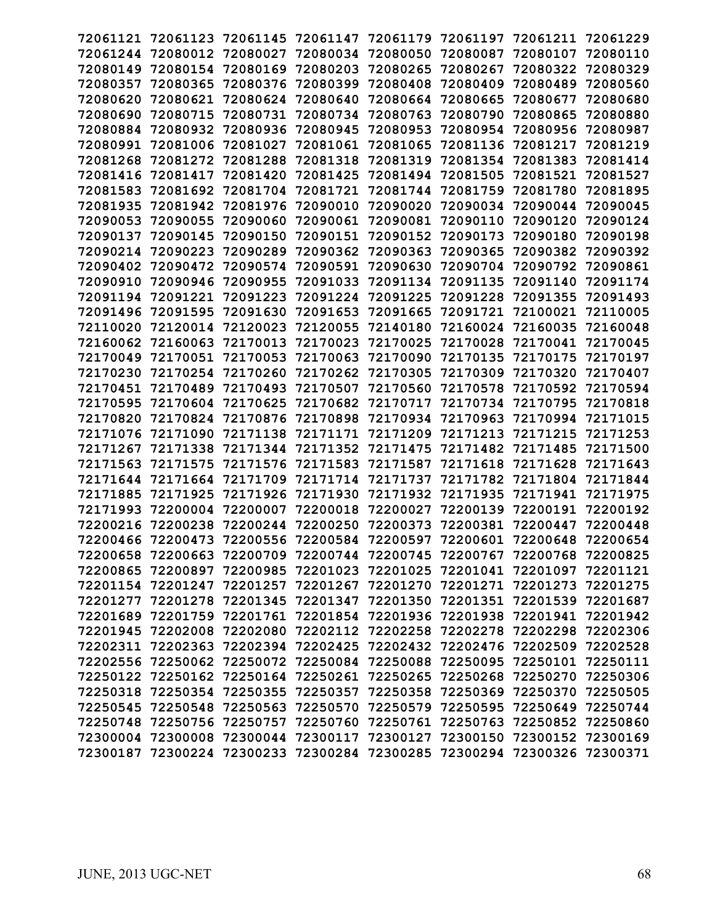| 72061121 | 72061123                   | 72061145          | 72061147                                     | 72061179 | 72061197 | 72061211                   | 72061229 |
|----------|----------------------------|-------------------|----------------------------------------------|----------|----------|----------------------------|----------|
| 72061244 | 72080012                   | 72080027          | 72080034                                     | 72080050 | 72080087 | 72080107                   | 72080110 |
| 72080149 | 72080154                   | 72080169          | 72080203                                     | 72080265 | 72080267 | 72080322                   | 72080329 |
| 72080357 | 72080365                   | 72080376          | 72080399                                     | 72080408 | 72080409 | 72080489                   | 72080560 |
| 72080620 | 72080621                   | 72080624          | 72080640                                     | 72080664 | 72080665 | 72080677                   | 72080680 |
| 72080690 | 72080715                   | 72080731          | 72080734                                     | 72080763 | 72080790 | 72080865                   | 72080880 |
| 72080884 | 72080932                   | 72080936          | 72080945                                     | 72080953 | 72080954 | 72080956                   | 72080987 |
| 72080991 | 72081006                   | 72081027          | 72081061                                     | 72081065 | 72081136 | 72081217                   | 72081219 |
| 72081268 | 72081272                   | 72081288          | 72081318                                     | 72081319 | 72081354 | 72081383                   | 72081414 |
| 72081416 | 72081417                   | 72081420          | 72081425                                     | 72081494 | 72081505 | 72081521                   | 72081527 |
| 72081583 | 72081692                   | 72081704          | 72081721                                     | 72081744 | 72081759 | 72081780                   | 72081895 |
| 72081935 | 72081942                   | 72081976          | 72090010                                     | 72090020 | 72090034 | 72090044                   | 72090045 |
| 72090053 | 72090055                   | 72090060          | 72090061                                     | 72090081 | 72090110 | 72090120                   | 72090124 |
| 72090137 | 72090145                   | 72090150          | 72090151                                     | 72090152 | 72090173 | 72090180                   | 72090198 |
| 72090214 | 72090223                   | 72090289          | 72090362                                     | 72090363 | 72090365 | 72090382                   | 72090392 |
| 72090402 | 72090472                   | 72090574          | 72090591                                     | 72090630 | 72090704 | 72090792                   | 72090861 |
| 72090910 | 72090946                   | 72090955          | 72091033                                     | 72091134 | 72091135 | 72091140                   | 72091174 |
| 72091194 | 72091221                   | 72091223          | 72091224                                     | 72091225 | 72091228 | 72091355                   | 72091493 |
| 72091496 | 72091595                   | 72091630          | 72091653                                     | 72091665 | 72091721 | 72100021                   | 72110005 |
| 72110020 | 72120014                   | 72120023          | 72120055                                     | 72140180 | 72160024 | 72160035                   | 72160048 |
| 72160062 | 72160063                   | 72170013          | 72170023                                     | 72170025 | 72170028 | 72170041                   | 72170045 |
| 72170049 | 72170051                   | 72170053          | 72170063                                     | 72170090 | 72170135 | 72170175                   | 72170197 |
| 72170230 | 72170254                   | 72170260          | 72170262                                     | 72170305 | 72170309 | 72170320                   | 72170407 |
| 72170451 | 72170489                   | 72170493          | 72170507                                     | 72170560 | 72170578 | 72170592                   | 72170594 |
| 72170595 | 72170604                   | 72170625          | 72170682                                     | 72170717 | 72170734 | 72170795                   | 72170818 |
| 72170820 | 72170824                   | 72170876          | 72170898                                     | 72170934 | 72170963 | 72170994                   | 72171015 |
| 72171076 | 72171090                   | 72171138          | 72171171                                     | 72171209 | 72171213 | 72171215                   | 72171253 |
| 72171267 | 72171338                   | 72171344          | 72171352                                     | 72171475 | 72171482 | 72171485                   | 72171500 |
| 72171563 | 72171575                   | 72171576          | 72171583                                     | 72171587 | 72171618 | 72171628                   | 72171643 |
| 72171644 | 72171664                   | 72171709          | 72171714                                     | 72171737 | 72171782 | 72171804                   | 72171844 |
| 72171885 | 72171925                   | 72171926          | 72171930                                     | 72171932 | 72171935 | 72171941                   | 72171975 |
| 72171993 | 72200004                   | 72200007          | 72200018                                     | 72200027 | 72200139 | 72200191                   | 72200192 |
| 72200216 | 72200238                   | 72200244          | 72200250                                     | 72200373 | 72200381 | 72200447                   | 72200448 |
| 72200466 | 72200473                   | 72200556          | 72200584                                     | 72200597 | 72200601 | 72200648                   | 72200654 |
| 72200658 | 72200663                   | 72200709          | 72200744                                     | 72200745 | 72200767 | 72200768                   | 72200825 |
|          | 72200865 72200897          | 72200985          | 72201023                                     | 72201025 | 72201041 | 72201097                   | 72201121 |
|          | 72201154 72201247 72201257 |                   | 72201267 72201270                            |          | 72201271 | 72201273 72201275          |          |
|          | 72201277 72201278          |                   | 72201345 72201347 72201350                   |          | 72201351 | 72201539 72201687          |          |
|          |                            |                   | 72201689 72201759 72201761 72201854 72201936 |          | 72201938 | 72201941 72201942          |          |
|          | 72201945 72202008          | 72202080          | 72202112 72202258                            |          |          | 72202278 72202298 72202306 |          |
|          | 72202311 72202363          |                   | 72202394 72202425                            | 72202432 |          | 72202476 72202509          | 72202528 |
|          | 72202556 72250062 72250072 |                   | 72250084 72250088                            |          | 72250095 | 72250101 72250111          |          |
|          | 72250122 72250162          | 72250164          | 72250261 72250265                            |          | 72250268 | 72250270 72250306          |          |
|          | 72250318 72250354 72250355 |                   | 72250357 72250358                            |          | 72250369 | 72250370 72250505          |          |
|          | 72250545 72250548 72250563 |                   | 72250570 72250579                            |          | 72250595 | 72250649 72250744          |          |
|          | 72250748 72250756 72250757 |                   | 72250760 72250761                            |          | 72250763 | 72250852 72250860          |          |
|          | 72300004 72300008          | 72300044          | 72300117                                     | 72300127 | 72300150 | 72300152                   | 72300169 |
| 72300187 |                            | 72300224 72300233 | 72300284 72300285                            |          |          | 72300294 72300326 72300371 |          |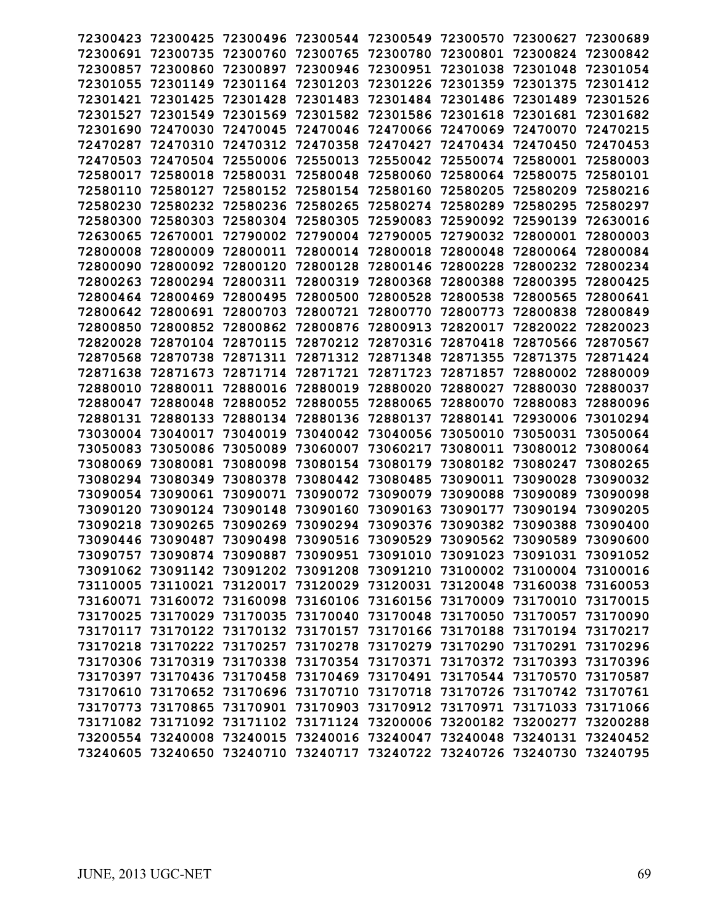| 72300423 | 72300425          | 72300496                   | 72300544                                                                | 72300549                                     | 72300570          | 72300627                   | 72300689 |
|----------|-------------------|----------------------------|-------------------------------------------------------------------------|----------------------------------------------|-------------------|----------------------------|----------|
| 72300691 | 72300735          | 72300760                   | 72300765                                                                | 72300780                                     | 72300801          | 72300824                   | 72300842 |
| 72300857 | 72300860          | 72300897                   | 72300946                                                                | 72300951                                     | 72301038          | 72301048                   | 72301054 |
| 72301055 | 72301149          | 72301164                   | 72301203                                                                | 72301226                                     | 72301359          | 72301375                   | 72301412 |
| 72301421 | 72301425          | 72301428                   | 72301483                                                                | 72301484                                     | 72301486          | 72301489                   | 72301526 |
| 72301527 | 72301549          | 72301569                   | 72301582                                                                | 72301586                                     | 72301618          | 72301681                   | 72301682 |
| 72301690 | 72470030          | 72470045                   | 72470046                                                                | 72470066                                     | 72470069          | 72470070                   | 72470215 |
| 72470287 | 72470310          | 72470312                   | 72470358                                                                | 72470427                                     | 72470434          | 72470450                   | 72470453 |
| 72470503 | 72470504          | 72550006                   | 72550013                                                                | 72550042                                     | 72550074          | 72580001                   | 72580003 |
| 72580017 | 72580018          | 72580031                   | 72580048                                                                | 72580060                                     | 72580064          | 72580075                   | 72580101 |
| 72580110 | 72580127          | 72580152                   | 72580154                                                                | 72580160                                     | 72580205          | 72580209                   | 72580216 |
| 72580230 | 72580232          | 72580236                   | 72580265                                                                | 72580274                                     | 72580289          | 72580295                   | 72580297 |
| 72580300 | 72580303          | 72580304                   | 72580305                                                                | 72590083                                     | 72590092          | 72590139                   | 72630016 |
| 72630065 | 72670001          | 72790002                   | 72790004                                                                | 72790005                                     | 72790032          | 72800001                   | 72800003 |
| 72800008 | 72800009          | 72800011                   | 72800014                                                                | 72800018                                     | 72800048          | 72800064                   | 72800084 |
| 72800090 | 72800092          | 72800120                   | 72800128                                                                | 72800146                                     | 72800228          | 72800232                   | 72800234 |
| 72800263 | 72800294          | 72800311                   | 72800319                                                                | 72800368                                     | 72800388          | 72800395                   | 72800425 |
| 72800464 | 72800469          | 72800495                   | 72800500                                                                | 72800528                                     | 72800538          | 72800565                   | 72800641 |
| 72800642 | 72800691          | 72800703                   | 72800721                                                                | 72800770                                     | 72800773          | 72800838                   | 72800849 |
| 72800850 | 72800852          | 72800862                   | 72800876                                                                | 72800913                                     | 72820017          | 72820022                   | 72820023 |
| 72820028 | 72870104          | 72870115                   | 72870212                                                                | 72870316                                     | 72870418          | 72870566                   | 72870567 |
| 72870568 | 72870738          | 72871311                   | 72871312                                                                | 72871348                                     | 72871355          | 72871375                   | 72871424 |
| 72871638 | 72871673          | 72871714                   | 72871721                                                                | 72871723                                     | 72871857          | 72880002                   | 72880009 |
| 72880010 | 72880011          | 72880016                   | 72880019                                                                | 72880020                                     | 72880027          | 72880030                   | 72880037 |
| 72880047 | 72880048          | 72880052                   | 72880055                                                                | 72880065                                     | 72880070          | 72880083                   | 72880096 |
| 72880131 | 72880133          | 72880134                   | 72880136                                                                | 72880137                                     | 72880141          | 72930006                   | 73010294 |
| 73030004 | 73040017          | 73040019                   | 73040042                                                                | 73040056                                     | 73050010          | 73050031                   | 73050064 |
| 73050083 | 73050086          | 73050089                   | 73060007                                                                | 73060217                                     | 73080011          | 73080012                   | 73080064 |
| 73080069 | 73080081          | 73080098                   | 73080154                                                                | 73080179                                     | 73080182          | 73080247                   | 73080265 |
| 73080294 | 73080349          | 73080378                   | 73080442                                                                | 73080485                                     | 73090011          | 73090028                   | 73090032 |
| 73090054 | 73090061          | 73090071                   | 73090072                                                                | 73090079                                     | 73090088          | 73090089                   | 73090098 |
| 73090120 | 73090124          | 73090148                   | 73090160                                                                | 73090163                                     | 73090177          | 73090194                   | 73090205 |
| 73090218 | 73090265          | 73090269                   | 73090294                                                                | 73090376                                     | 73090382          | 73090388                   | 73090400 |
| 73090446 | 73090487          | 73090498                   | 73090516                                                                | 73090529                                     | 73090562          | 73090589                   | 73090600 |
|          | 73090757 73090874 |                            | 73090887 73090951 73091010                                              |                                              | 73091023 73091031 |                            | 73091052 |
|          |                   |                            | 73091062 73091142 73091202 73091208 73091210                            |                                              |                   | 73100002 73100004 73100016 |          |
|          |                   |                            | 73110005 73110021 73120017 73120029 73120031                            |                                              |                   | 73120048 73160038 73160053 |          |
|          |                   |                            | 73160071 73160072 73160098 73160106 73160156 73170009 73170010 73170015 |                                              |                   |                            |          |
|          |                   |                            | 73170025 73170029 73170035 73170040 73170048 73170050 73170057 73170090 |                                              |                   |                            |          |
|          |                   |                            | 73170117 73170122 73170132 73170157 73170166 73170188 73170194 73170217 |                                              |                   |                            |          |
|          |                   | 73170218 73170222 73170257 |                                                                         | 73170278 73170279 73170290 73170291 73170296 |                   |                            |          |
|          |                   |                            | 73170306 73170319 73170338 73170354 73170371                            |                                              |                   | 73170372 73170393          | 73170396 |
|          |                   |                            | 73170397 73170436 73170458 73170469 73170491                            |                                              |                   | 73170544 73170570 73170587 |          |
|          |                   |                            | 73170610 73170652 73170696 73170710 73170718 73170726 73170742 73170761 |                                              |                   |                            |          |
|          |                   |                            | 73170773 73170865 73170901 73170903 73170912 73170971 73171033 73171066 |                                              |                   |                            |          |
|          |                   |                            | 73171082 73171092 73171102 73171124 73200006 73200182 73200277 73200288 |                                              |                   |                            |          |
|          | 73200554 73240008 | 73240015                   |                                                                         | 73240016 73240047                            | 73240048          | 73240131 73240452          |          |
|          |                   |                            | 73240605 73240650 73240710 73240717 73240722 73240726 73240730 73240795 |                                              |                   |                            |          |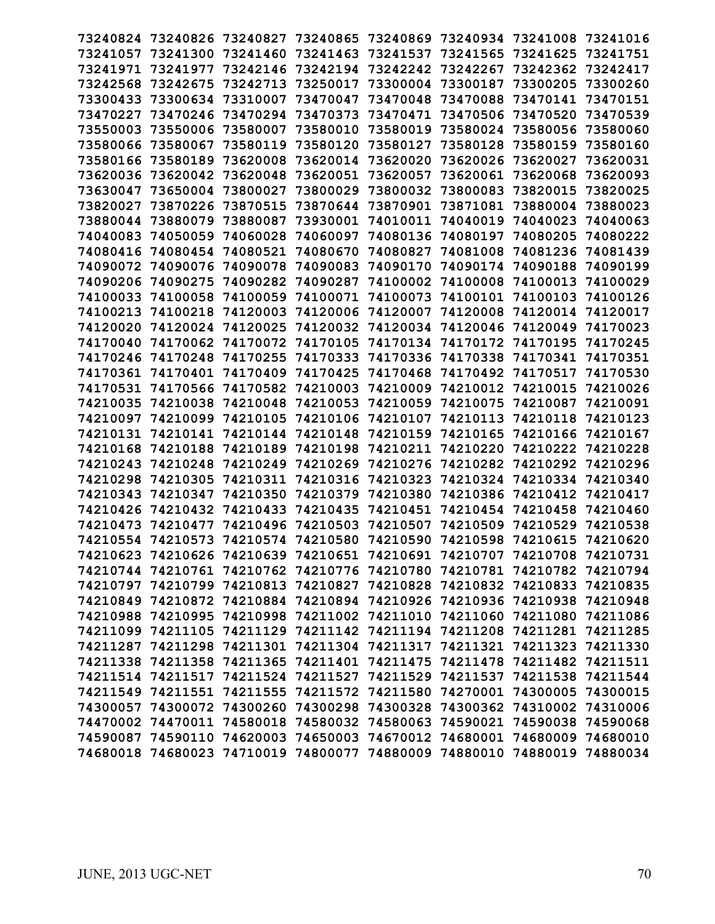| 73240824 | 73240826                                                                | 73240827 | 73240865 | 73240869 | 73240934 | 73241008 | 73241016 |
|----------|-------------------------------------------------------------------------|----------|----------|----------|----------|----------|----------|
| 73241057 | 73241300                                                                | 73241460 | 73241463 | 73241537 | 73241565 | 73241625 | 73241751 |
| 73241971 | 73241977                                                                | 73242146 | 73242194 | 73242242 | 73242267 | 73242362 | 73242417 |
| 73242568 | 73242675                                                                | 73242713 | 73250017 | 73300004 | 73300187 | 73300205 | 73300260 |
| 73300433 | 73300634                                                                | 73310007 | 73470047 | 73470048 | 73470088 | 73470141 | 73470151 |
| 73470227 | 73470246                                                                | 73470294 | 73470373 | 73470471 | 73470506 | 73470520 | 73470539 |
| 73550003 | 73550006                                                                | 73580007 | 73580010 | 73580019 | 73580024 | 73580056 | 73580060 |
| 73580066 | 73580067                                                                | 73580119 | 73580120 | 73580127 | 73580128 | 73580159 | 73580160 |
| 73580166 | 73580189                                                                | 73620008 | 73620014 | 73620020 | 73620026 | 73620027 | 73620031 |
| 73620036 | 73620042                                                                | 73620048 | 73620051 | 73620057 | 73620061 | 73620068 | 73620093 |
| 73630047 | 73650004                                                                | 73800027 | 73800029 | 73800032 | 73800083 | 73820015 | 73820025 |
| 73820027 | 73870226                                                                | 73870515 | 73870644 | 73870901 | 73871081 | 73880004 | 73880023 |
| 73880044 | 73880079                                                                | 73880087 | 73930001 | 74010011 | 74040019 | 74040023 | 74040063 |
| 74040083 | 74050059                                                                | 74060028 | 74060097 | 74080136 | 74080197 | 74080205 | 74080222 |
| 74080416 | 74080454                                                                | 74080521 | 74080670 | 74080827 | 74081008 | 74081236 | 74081439 |
| 74090072 | 74090076                                                                | 74090078 | 74090083 | 74090170 | 74090174 | 74090188 | 74090199 |
| 74090206 | 74090275                                                                | 74090282 | 74090287 | 74100002 | 74100008 | 74100013 | 74100029 |
| 74100033 | 74100058                                                                | 74100059 | 74100071 | 74100073 | 74100101 | 74100103 | 74100126 |
| 74100213 | 74100218                                                                | 74120003 | 74120006 | 74120007 | 74120008 | 74120014 | 74120017 |
| 74120020 | 74120024                                                                | 74120025 | 74120032 | 74120034 | 74120046 | 74120049 | 74170023 |
| 74170040 | 74170062                                                                | 74170072 | 74170105 | 74170134 | 74170172 | 74170195 | 74170245 |
| 74170246 | 74170248                                                                | 74170255 | 74170333 | 74170336 | 74170338 | 74170341 | 74170351 |
| 74170361 | 74170401                                                                | 74170409 | 74170425 | 74170468 | 74170492 | 74170517 | 74170530 |
| 74170531 | 74170566                                                                | 74170582 | 74210003 | 74210009 | 74210012 | 74210015 | 74210026 |
| 74210035 | 74210038                                                                | 74210048 | 74210053 | 74210059 | 74210075 | 74210087 | 74210091 |
| 74210097 | 74210099                                                                | 74210105 | 74210106 | 74210107 | 74210113 | 74210118 | 74210123 |
| 74210131 | 74210141                                                                | 74210144 | 74210148 | 74210159 | 74210165 | 74210166 | 74210167 |
| 74210168 | 74210188                                                                | 74210189 | 74210198 | 74210211 | 74210220 | 74210222 | 74210228 |
| 74210243 | 74210248                                                                | 74210249 | 74210269 | 74210276 | 74210282 | 74210292 | 74210296 |
| 74210298 | 74210305                                                                | 74210311 | 74210316 | 74210323 | 74210324 | 74210334 | 74210340 |
| 74210343 | 74210347                                                                | 74210350 | 74210379 | 74210380 | 74210386 | 74210412 | 74210417 |
| 74210426 | 74210432                                                                | 74210433 | 74210435 | 74210451 | 74210454 | 74210458 | 74210460 |
| 74210473 | 74210477                                                                | 74210496 | 74210503 | 74210507 | 74210509 | 74210529 | 74210538 |
| 74210554 | 74210573                                                                | 74210574 | 74210580 | 74210590 | 74210598 | 74210615 | 74210620 |
|          | 74210623 74210626 74210639 74210651 74210691 74210707 74210708 74210731 |          |          |          |          |          |          |
|          | 74210744 74210761 74210762 74210776 74210780 74210781 74210782 74210794 |          |          |          |          |          |          |
|          | 74210797 74210799 74210813 74210827 74210828 74210832 74210833 74210835 |          |          |          |          |          |          |
|          | 74210849 74210872 74210884 74210894 74210926 74210936 74210938 74210948 |          |          |          |          |          |          |
|          | 74210988 74210995 74210998 74211002 74211010 74211060 74211080 74211086 |          |          |          |          |          |          |
|          | 74211099 74211105 74211129 74211142 74211194 74211208 74211281 74211285 |          |          |          |          |          |          |
|          | 74211287 74211298 74211301 74211304 74211317 74211321 74211323 74211330 |          |          |          |          |          |          |
|          | 74211338 74211358 74211365 74211401 74211475 74211478 74211482 74211511 |          |          |          |          |          |          |
|          | 74211514 74211517 74211524 74211527 74211529 74211537 74211538 74211544 |          |          |          |          |          |          |
|          | 74211549 74211551 74211555 74211572 74211580 74270001 74300005 74300015 |          |          |          |          |          |          |
|          | 74300057 74300072 74300260 74300298 74300328 74300362 74310002 74310006 |          |          |          |          |          |          |
|          | 74470002 74470011 74580018 74580032 74580063 74590021 74590038 74590068 |          |          |          |          |          |          |
|          | 74590087 74590110 74620003 74650003 74670012 74680001 74680009 74680010 |          |          |          |          |          |          |
|          | 74680018 74680023 74710019 74800077 74880009 74880010 74880019 74880034 |          |          |          |          |          |          |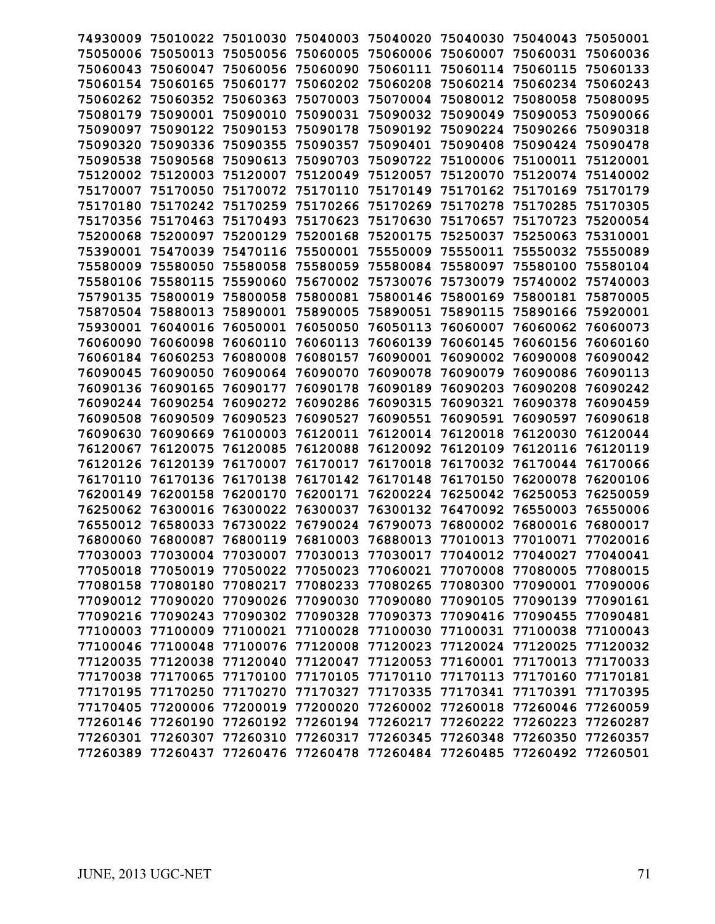| 74930009 | 75010022                   | 75010030 | 75040003 | 75040020          | 75040030                   | 75040043 | 75050001 |
|----------|----------------------------|----------|----------|-------------------|----------------------------|----------|----------|
| 75050006 | 75050013                   | 75050056 | 75060005 | 75060006          | 75060007                   | 75060031 | 75060036 |
| 75060043 | 75060047                   | 75060056 | 75060090 | 75060111          | 75060114                   | 75060115 | 75060133 |
| 75060154 | 75060165                   | 75060177 | 75060202 | 75060208          | 75060214                   | 75060234 | 75060243 |
| 75060262 | 75060352                   | 75060363 | 75070003 | 75070004          | 75080012                   | 75080058 | 75080095 |
| 75080179 | 75090001                   | 75090010 | 75090031 | 75090032          | 75090049                   | 75090053 | 75090066 |
| 75090097 | 75090122                   | 75090153 | 75090178 | 75090192          | 75090224                   | 75090266 | 75090318 |
| 75090320 | 75090336                   | 75090355 | 75090357 | 75090401          | 75090408                   | 75090424 | 75090478 |
| 75090538 | 75090568                   | 75090613 | 75090703 | 75090722          | 75100006                   | 75100011 | 75120001 |
| 75120002 | 75120003                   | 75120007 | 75120049 | 75120057          | 75120070                   | 75120074 | 75140002 |
| 75170007 | 75170050                   | 75170072 | 75170110 | 75170149          | 75170162                   | 75170169 | 75170179 |
| 75170180 | 75170242                   | 75170259 | 75170266 | 75170269          | 75170278                   | 75170285 | 75170305 |
| 75170356 | 75170463                   | 75170493 | 75170623 | 75170630          | 75170657                   | 75170723 | 75200054 |
| 75200068 | 75200097                   | 75200129 | 75200168 | 75200175          | 75250037                   | 75250063 | 75310001 |
| 75390001 | 75470039                   | 75470116 | 75500001 | 75550009          | 75550011                   | 75550032 | 75550089 |
| 75580009 | 75580050                   | 75580058 | 75580059 | 75580084          | 75580097                   | 75580100 | 75580104 |
| 75580106 | 75580115                   | 75590060 | 75670002 | 75730076          | 75730079                   | 75740002 | 75740003 |
| 75790135 | 75800019                   | 75800058 | 75800081 | 75800146          | 75800169                   | 75800181 | 75870005 |
| 75870504 | 75880013                   | 75890001 | 75890005 | 75890051          | 75890115                   | 75890166 | 75920001 |
| 75930001 | 76040016                   | 76050001 | 76050050 | 76050113          | 76060007                   | 76060062 | 76060073 |
| 76060090 | 76060098                   | 76060110 | 76060113 | 76060139          | 76060145                   | 76060156 | 76060160 |
| 76060184 | 76060253                   | 76080008 | 76080157 | 76090001          | 76090002                   | 76090008 | 76090042 |
| 76090045 | 76090050                   | 76090064 | 76090070 | 76090078          | 76090079                   | 76090086 | 76090113 |
| 76090136 | 76090165                   | 76090177 | 76090178 | 76090189          | 76090203                   | 76090208 | 76090242 |
| 76090244 | 76090254                   | 76090272 | 76090286 | 76090315          | 76090321                   | 76090378 | 76090459 |
| 76090508 | 76090509                   | 76090523 | 76090527 | 76090551          | 76090591                   | 76090597 | 76090618 |
| 76090630 | 76090669                   | 76100003 | 76120011 | 76120014          | 76120018                   | 76120030 | 76120044 |
| 76120067 | 76120075                   | 76120085 | 76120088 | 76120092          | 76120109                   | 76120116 | 76120119 |
| 76120126 | 76120139                   | 76170007 | 76170017 | 76170018          | 76170032                   | 76170044 | 76170066 |
| 76170110 | 76170136                   | 76170138 | 76170142 | 76170148          | 76170150                   | 76200078 | 76200106 |
| 76200149 | 76200158                   | 76200170 | 76200171 | 76200224          | 76250042                   | 76250053 | 76250059 |
| 76250062 | 76300016                   | 76300022 | 76300037 | 76300132          | 76470092                   | 76550003 | 76550006 |
| 76550012 | 76580033                   | 76730022 | 76790024 | 76790073          | 76800002                   | 76800016 | 76800017 |
| 76800060 | 76800087                   | 76800119 | 76810003 | 76880013          | 77010013                   | 77010071 | 77020016 |
|          | 77030003 77030004          | 77030007 | 77030013 |                   | 77030017 77040012 77040027 |          | 77040041 |
| 77050018 | 77050019                   | 77050022 | 77050023 | 77060021          | 77070008                   | 77080005 | 77080015 |
|          | 77080158 77080180          | 77080217 | 77080233 | 77080265 77080300 |                            | 77090001 | 77090006 |
|          | 77090012 77090020          | 77090026 | 77090030 | 77090080 77090105 |                            | 77090139 | 77090161 |
|          | 77090216 77090243          | 77090302 | 77090328 |                   | 77090373 77090416          | 77090455 | 77090481 |
|          | 77100003 77100009          | 77100021 | 77100028 |                   | 77100030 77100031          | 77100038 | 77100043 |
| 77100046 | 77100048                   | 77100076 | 77120008 | 77120023          | 77120024                   | 77120025 | 77120032 |
| 77120035 | 77120038                   | 77120040 | 77120047 |                   | 77120053 77160001          | 77170013 | 77170033 |
|          | 77170038 77170065 77170100 |          | 77170105 | 77170110 77170113 |                            | 77170160 | 77170181 |
|          | 77170195 77170250          | 77170270 | 77170327 |                   | 77170335 77170341          | 77170391 | 77170395 |
|          | 77170405 77200006          | 77200019 | 77200020 |                   | 77260002 77260018          | 77260046 | 77260059 |
|          | 77260146 77260190          | 77260192 | 77260194 |                   | 77260217 77260222          | 77260223 | 77260287 |
| 77260301 | 77260307                   | 77260310 | 77260317 | 77260345          | 77260348                   | 77260350 | 77260357 |
|          | 77260389 77260437          | 77260476 | 77260478 | 77260484 77260485 |                            | 77260492 | 77260501 |
|          |                            |          |          |                   |                            |          |          |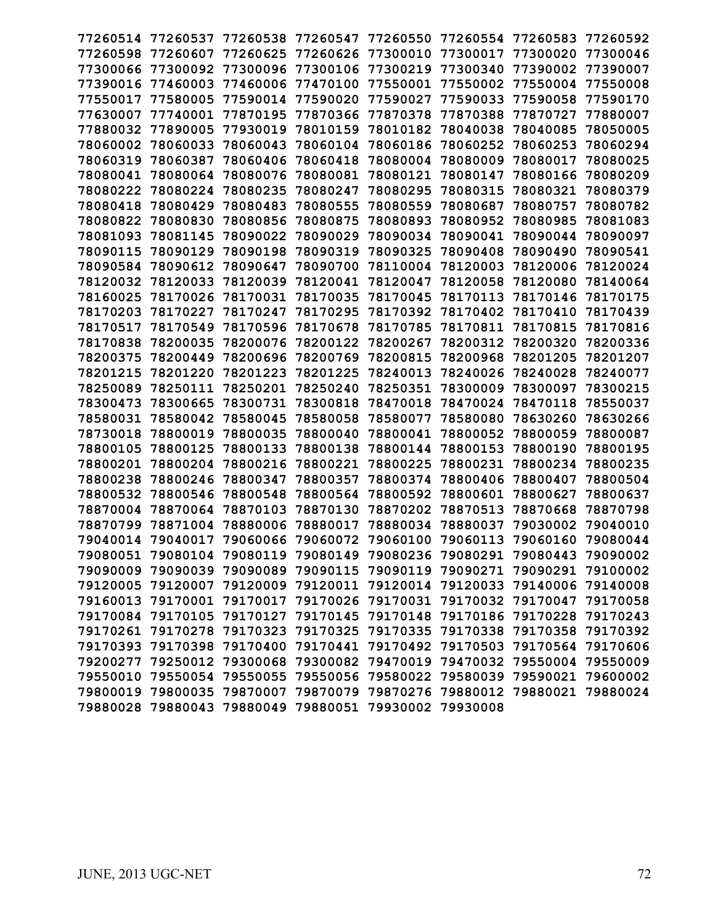| 77260514 | 77260537          | 77260538                                                                | 77260547                   | 77260550 | 77260554                   | 77260583          | 77260592 |
|----------|-------------------|-------------------------------------------------------------------------|----------------------------|----------|----------------------------|-------------------|----------|
| 77260598 | 77260607          | 77260625                                                                | 77260626                   | 77300010 | 77300017                   | 77300020          | 77300046 |
| 77300066 | 77300092          | 77300096                                                                | 77300106                   | 77300219 | 77300340                   | 77390002          | 77390007 |
| 77390016 | 77460003          | 77460006                                                                | 77470100                   | 77550001 | 77550002                   | 77550004          | 77550008 |
| 77550017 | 77580005          | 77590014                                                                | 77590020                   | 77590027 | 77590033                   | 77590058          | 77590170 |
| 77630007 | 77740001          | 77870195                                                                | 77870366                   | 77870378 | 77870388                   | 77870727          | 77880007 |
| 77880032 | 77890005          | 77930019                                                                | 78010159                   | 78010182 | 78040038                   | 78040085          | 78050005 |
| 78060002 | 78060033          | 78060043                                                                | 78060104                   | 78060186 | 78060252                   | 78060253          | 78060294 |
| 78060319 | 78060387          | 78060406                                                                | 78060418                   | 78080004 | 78080009                   | 78080017          | 78080025 |
| 78080041 | 78080064          | 78080076                                                                | 78080081                   | 78080121 | 78080147                   | 78080166          | 78080209 |
| 78080222 | 78080224          | 78080235                                                                | 78080247                   | 78080295 | 78080315                   | 78080321          | 78080379 |
| 78080418 | 78080429          | 78080483                                                                | 78080555                   | 78080559 | 78080687                   | 78080757          | 78080782 |
| 78080822 | 78080830          | 78080856                                                                | 78080875                   | 78080893 | 78080952                   | 78080985          | 78081083 |
| 78081093 | 78081145          | 78090022                                                                | 78090029                   | 78090034 | 78090041                   | 78090044          | 78090097 |
| 78090115 | 78090129          | 78090198                                                                | 78090319                   | 78090325 | 78090408                   | 78090490          | 78090541 |
| 78090584 | 78090612          | 78090647                                                                | 78090700                   | 78110004 | 78120003                   | 78120006          | 78120024 |
| 78120032 | 78120033          | 78120039                                                                | 78120041                   | 78120047 | 78120058                   | 78120080          | 78140064 |
| 78160025 | 78170026          | 78170031                                                                | 78170035                   | 78170045 | 78170113                   | 78170146          | 78170175 |
| 78170203 | 78170227          | 78170247                                                                | 78170295                   | 78170392 | 78170402                   | 78170410          | 78170439 |
| 78170517 | 78170549          | 78170596                                                                | 78170678                   | 78170785 | 78170811                   | 78170815          | 78170816 |
| 78170838 | 78200035          | 78200076                                                                | 78200122                   | 78200267 | 78200312                   | 78200320          | 78200336 |
| 78200375 | 78200449          | 78200696                                                                | 78200769                   | 78200815 | 78200968                   | 78201205          | 78201207 |
| 78201215 | 78201220          | 78201223                                                                | 78201225                   | 78240013 | 78240026                   | 78240028          | 78240077 |
| 78250089 | 78250111          | 78250201                                                                | 78250240                   | 78250351 | 78300009                   | 78300097          | 78300215 |
| 78300473 | 78300665          | 78300731                                                                | 78300818                   | 78470018 | 78470024                   | 78470118          | 78550037 |
| 78580031 | 78580042          | 78580045                                                                | 78580058                   | 78580077 | 78580080                   | 78630260          | 78630266 |
| 78730018 | 78800019          | 78800035                                                                | 78800040                   | 78800041 | 78800052                   | 78800059          | 78800087 |
| 78800105 | 78800125          | 78800133                                                                | 78800138                   | 78800144 | 78800153                   | 78800190          | 78800195 |
| 78800201 | 78800204          | 78800216                                                                | 78800221                   | 78800225 | 78800231                   | 78800234          | 78800235 |
| 78800238 | 78800246          | 78800347                                                                | 78800357                   | 78800374 | 78800406                   | 78800407          | 78800504 |
| 78800532 | 78800546          | 78800548                                                                | 78800564                   | 78800592 | 78800601                   | 78800627          | 78800637 |
| 78870004 | 78870064          | 78870103                                                                | 78870130                   | 78870202 | 78870513                   | 78870668          | 78870798 |
| 78870799 | 78871004          | 78880006                                                                | 78880017                   | 78880034 | 78880037                   | 79030002          | 79040010 |
| 79040014 | 79040017          | 79060066                                                                | 79060072                   | 79060100 | 79060113                   | 79060160          | 79080044 |
|          | 79080051 79080104 | 79080119                                                                | 79080149 79080236          |          | 79080291 79080443          |                   | 79090002 |
|          | 79090009 79090039 | 79090089                                                                | 79090115                   | 79090119 | 79090271                   | 79090291          | 79100002 |
|          | 79120005 79120007 |                                                                         | 79120009 79120011 79120014 |          | 79120033 79140006 79140008 |                   |          |
|          | 79160013 79170001 | 79170017                                                                | 79170026 79170031          |          | 79170032                   | 79170047 79170058 |          |
|          | 79170084 79170105 | 79170127                                                                | 79170145 79170148          |          | 79170186 79170228 79170243 |                   |          |
|          | 79170261 79170278 |                                                                         | 79170323 79170325 79170335 |          | 79170338 79170358 79170392 |                   |          |
|          | 79170393 79170398 | 79170400                                                                | 79170441 79170492          |          | 79170503                   | 79170564          | 79170606 |
|          |                   | 79200277 79250012 79300068 79300082 79470019 79470032 79550004 79550009 |                            |          |                            |                   |          |
|          |                   | 79550010 79550054 79550055 79550056 79580022 79580039 79590021 79600002 |                            |          |                            |                   |          |
|          |                   | 79800019 79800035 79870007 79870079 79870276 79880012 79880021 79880024 |                            |          |                            |                   |          |
|          |                   | 79880028 79880043 79880049 79880051 79930002 79930008                   |                            |          |                            |                   |          |